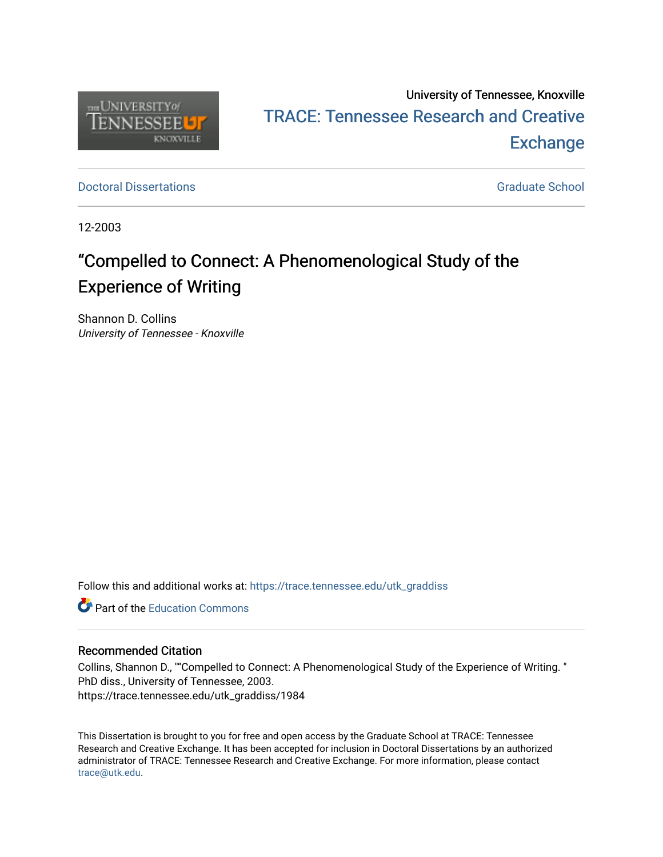

# University of Tennessee, Knoxville TRACE: T[ennessee Research and Cr](https://trace.tennessee.edu/)eative **Exchange**

**Doctoral Dissertations** [Graduate School](https://trace.tennessee.edu/utk-grad) **Contract Contract Contract Contract Contract Contract Contract Contract Contract Contract Contract Contract Contract Contract Contract Contract Contract Contract Contract Contract** 

12-2003

# "Compelled to Connect: A Phenomenological Study of the Experience of Writing

Shannon D. Collins University of Tennessee - Knoxville

Follow this and additional works at: [https://trace.tennessee.edu/utk\\_graddiss](https://trace.tennessee.edu/utk_graddiss?utm_source=trace.tennessee.edu%2Futk_graddiss%2F1984&utm_medium=PDF&utm_campaign=PDFCoverPages) 

**C** Part of the [Education Commons](http://network.bepress.com/hgg/discipline/784?utm_source=trace.tennessee.edu%2Futk_graddiss%2F1984&utm_medium=PDF&utm_campaign=PDFCoverPages)

# Recommended Citation

Collins, Shannon D., ""Compelled to Connect: A Phenomenological Study of the Experience of Writing. " PhD diss., University of Tennessee, 2003. https://trace.tennessee.edu/utk\_graddiss/1984

This Dissertation is brought to you for free and open access by the Graduate School at TRACE: Tennessee Research and Creative Exchange. It has been accepted for inclusion in Doctoral Dissertations by an authorized administrator of TRACE: Tennessee Research and Creative Exchange. For more information, please contact [trace@utk.edu.](mailto:trace@utk.edu)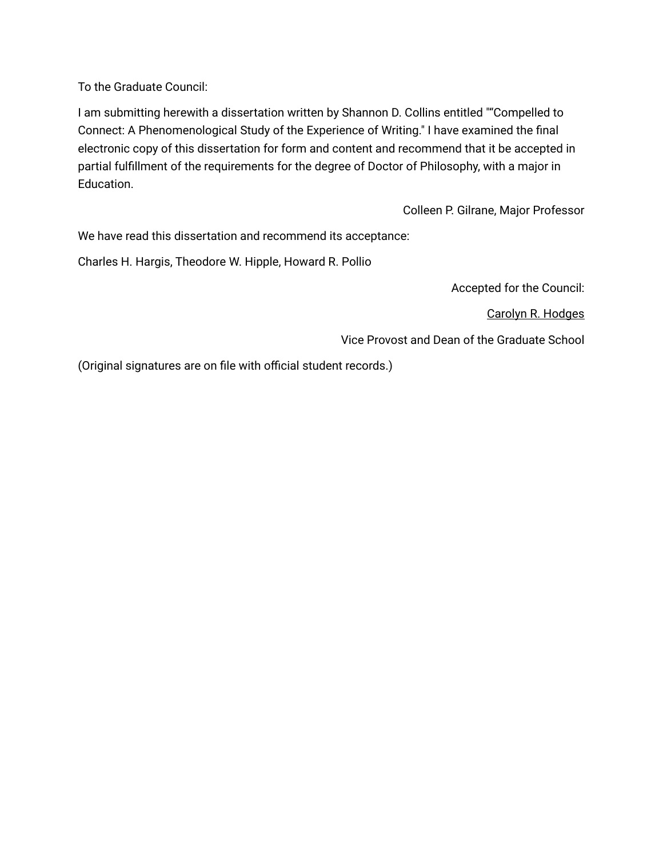To the Graduate Council:

I am submitting herewith a dissertation written by Shannon D. Collins entitled ""Compelled to Connect: A Phenomenological Study of the Experience of Writing." I have examined the final electronic copy of this dissertation for form and content and recommend that it be accepted in partial fulfillment of the requirements for the degree of Doctor of Philosophy, with a major in Education.

Colleen P. Gilrane, Major Professor

We have read this dissertation and recommend its acceptance:

Charles H. Hargis, Theodore W. Hipple, Howard R. Pollio

Accepted for the Council:

Carolyn R. Hodges

Vice Provost and Dean of the Graduate School

(Original signatures are on file with official student records.)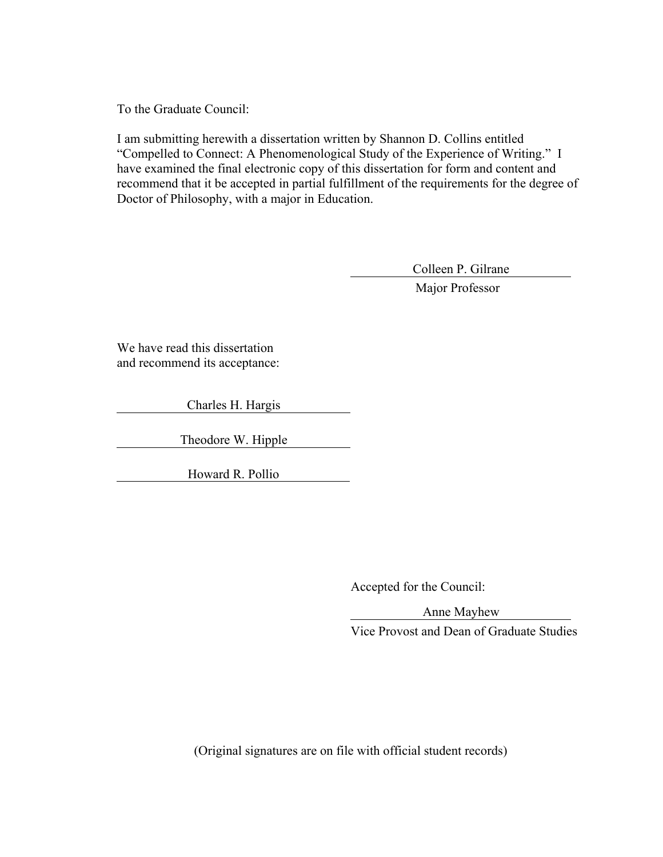To the Graduate Council:

I am submitting herewith a dissertation written by Shannon D. Collins entitled "Compelled to Connect: A Phenomenological Study of the Experience of Writing." I have examined the final electronic copy of this dissertation for form and content and recommend that it be accepted in partial fulfillment of the requirements for the degree of Doctor of Philosophy, with a major in Education.

Colleen P. Gilrane

Major Professor

We have read this dissertation and recommend its acceptance:

Charles H. Hargis

Theodore W. Hipple

Howard R. Pollio

Accepted for the Council:

Anne Mayhew

Vice Provost and Dean of Graduate Studies

(Original signatures are on file with official student records)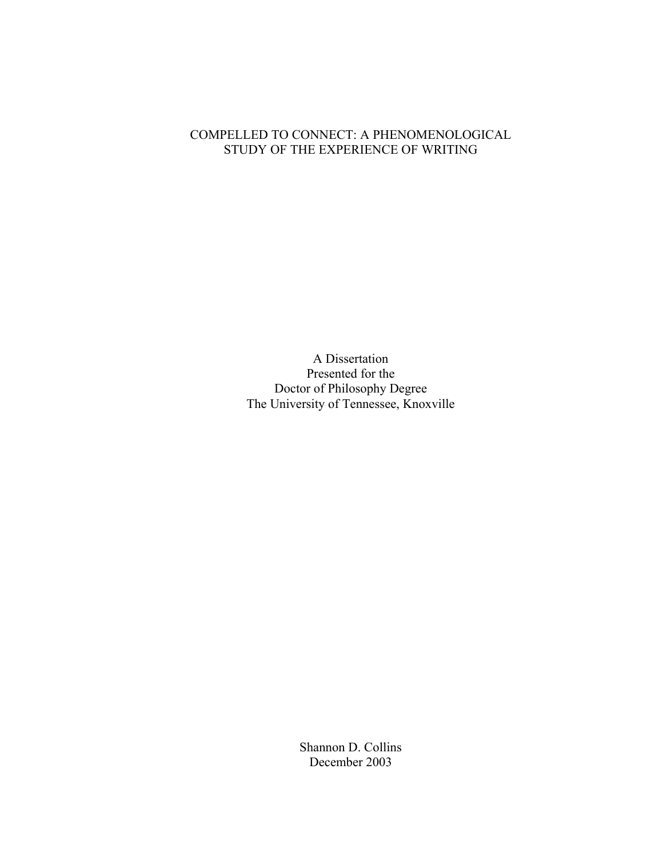# COMPELLED TO CONNECT: A PHENOMENOLOGICAL STUDY OF THE EXPERIENCE OF WRITING

A Dissertation Presented for the Doctor of Philosophy Degree The University of Tennessee, Knoxville

> Shannon D. Collins December 2003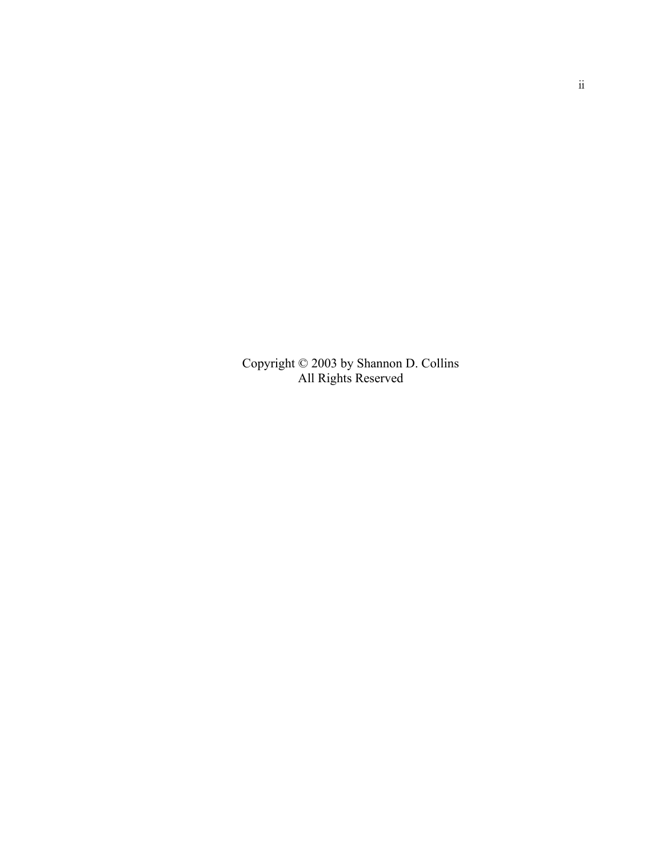Copyright © 2003 by Shannon D. Collins All Rights Reserved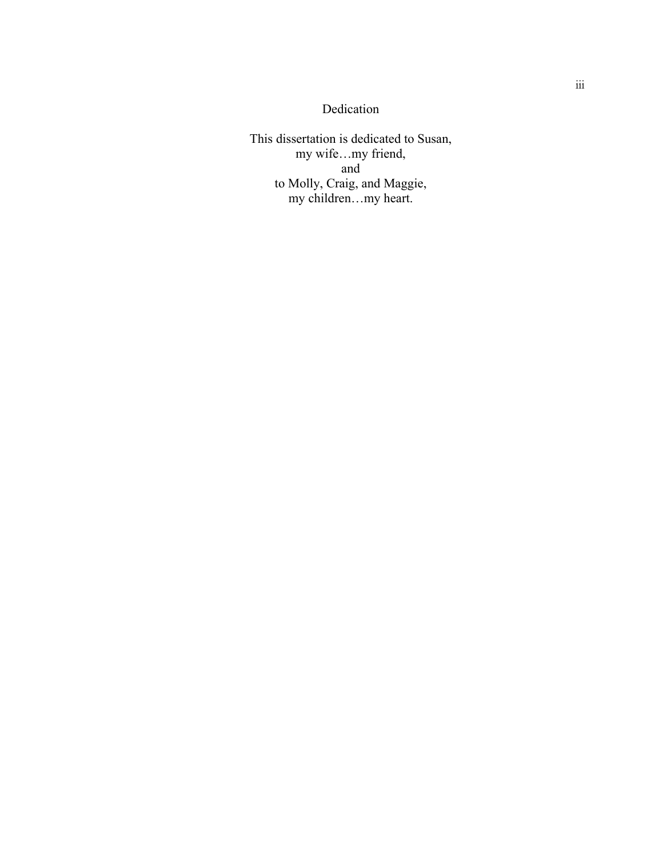# Dedication

This dissertation is dedicated to Susan, my wife…my friend, and to Molly, Craig, and Maggie, my children…my heart.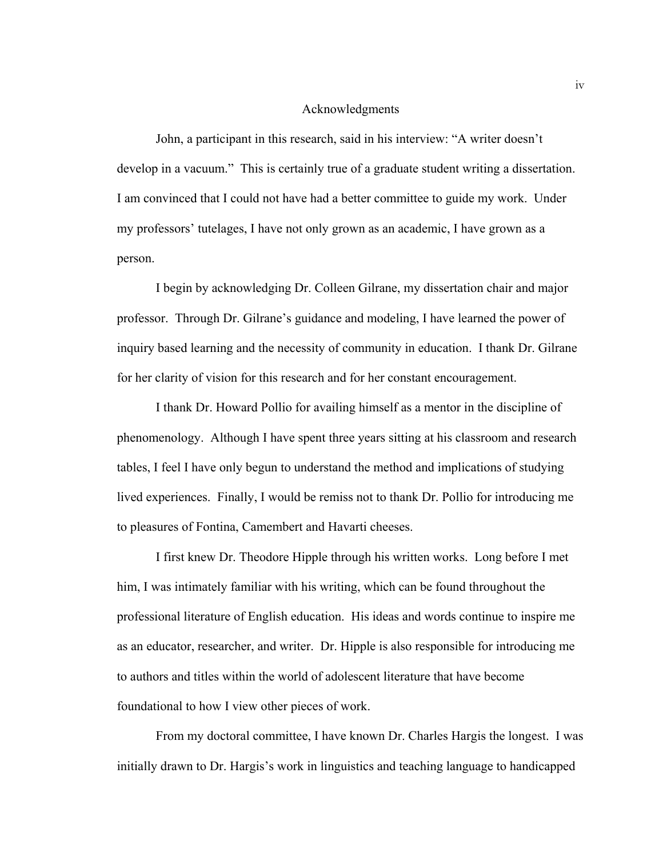#### Acknowledgments

John, a participant in this research, said in his interview: "A writer doesn't develop in a vacuum." This is certainly true of a graduate student writing a dissertation. I am convinced that I could not have had a better committee to guide my work. Under my professors' tutelages, I have not only grown as an academic, I have grown as a person.

I begin by acknowledging Dr. Colleen Gilrane, my dissertation chair and major professor. Through Dr. Gilrane's guidance and modeling, I have learned the power of inquiry based learning and the necessity of community in education. I thank Dr. Gilrane for her clarity of vision for this research and for her constant encouragement.

I thank Dr. Howard Pollio for availing himself as a mentor in the discipline of phenomenology. Although I have spent three years sitting at his classroom and research tables, I feel I have only begun to understand the method and implications of studying lived experiences. Finally, I would be remiss not to thank Dr. Pollio for introducing me to pleasures of Fontina, Camembert and Havarti cheeses.

I first knew Dr. Theodore Hipple through his written works. Long before I met him, I was intimately familiar with his writing, which can be found throughout the professional literature of English education. His ideas and words continue to inspire me as an educator, researcher, and writer. Dr. Hipple is also responsible for introducing me to authors and titles within the world of adolescent literature that have become foundational to how I view other pieces of work.

From my doctoral committee, I have known Dr. Charles Hargis the longest. I was initially drawn to Dr. Hargis's work in linguistics and teaching language to handicapped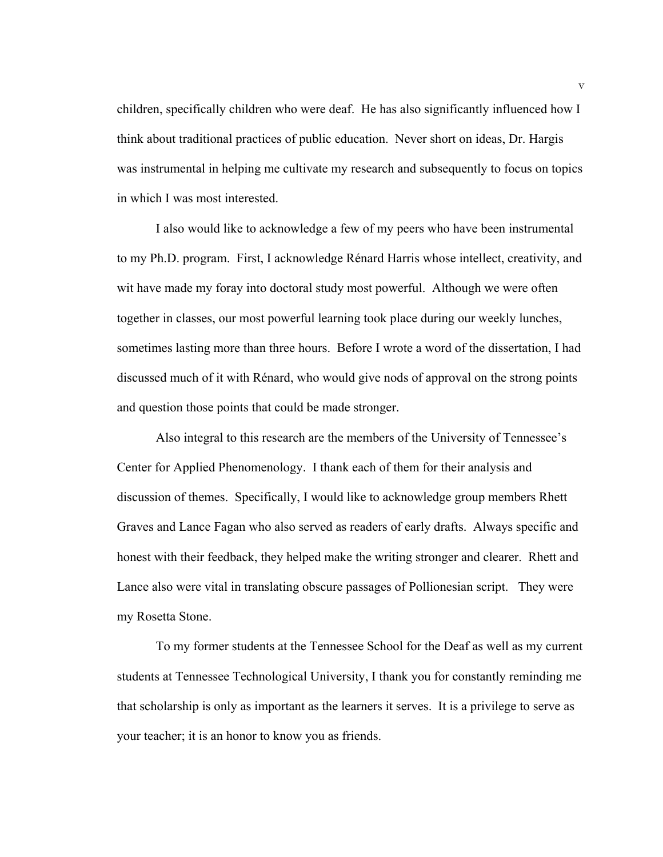children, specifically children who were deaf. He has also significantly influenced how I think about traditional practices of public education. Never short on ideas, Dr. Hargis was instrumental in helping me cultivate my research and subsequently to focus on topics in which I was most interested.

I also would like to acknowledge a few of my peers who have been instrumental to my Ph.D. program. First, I acknowledge Rénard Harris whose intellect, creativity, and wit have made my foray into doctoral study most powerful. Although we were often together in classes, our most powerful learning took place during our weekly lunches, sometimes lasting more than three hours. Before I wrote a word of the dissertation, I had discussed much of it with Rénard, who would give nods of approval on the strong points and question those points that could be made stronger.

Also integral to this research are the members of the University of Tennessee's Center for Applied Phenomenology. I thank each of them for their analysis and discussion of themes. Specifically, I would like to acknowledge group members Rhett Graves and Lance Fagan who also served as readers of early drafts. Always specific and honest with their feedback, they helped make the writing stronger and clearer. Rhett and Lance also were vital in translating obscure passages of Pollionesian script. They were my Rosetta Stone.

To my former students at the Tennessee School for the Deaf as well as my current students at Tennessee Technological University, I thank you for constantly reminding me that scholarship is only as important as the learners it serves. It is a privilege to serve as your teacher; it is an honor to know you as friends.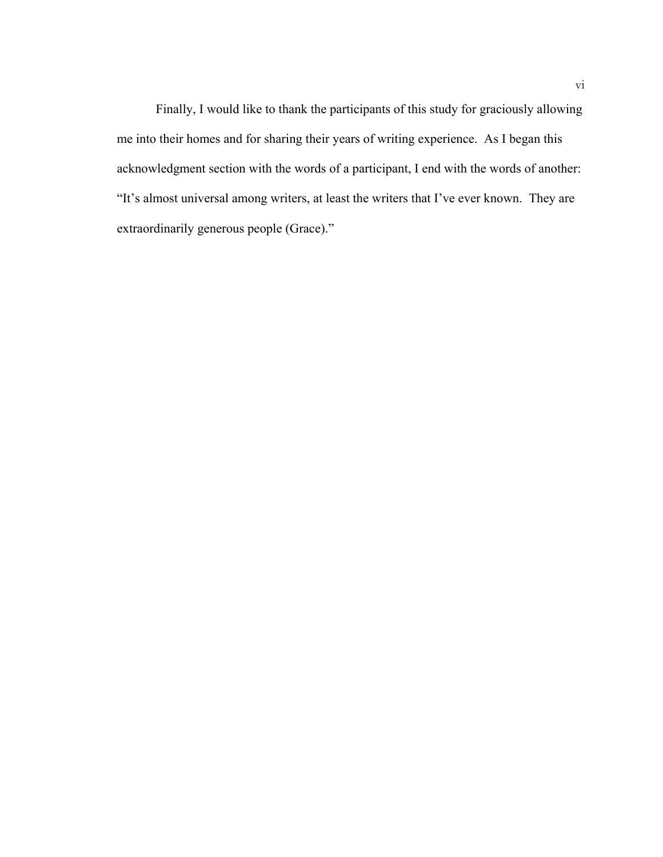Finally, I would like to thank the participants of this study for graciously allowing me into their homes and for sharing their years of writing experience. As I began this acknowledgment section with the words of a participant, I end with the words of another: "It's almost universal among writers, at least the writers that I've ever known. They are extraordinarily generous people (Grace)."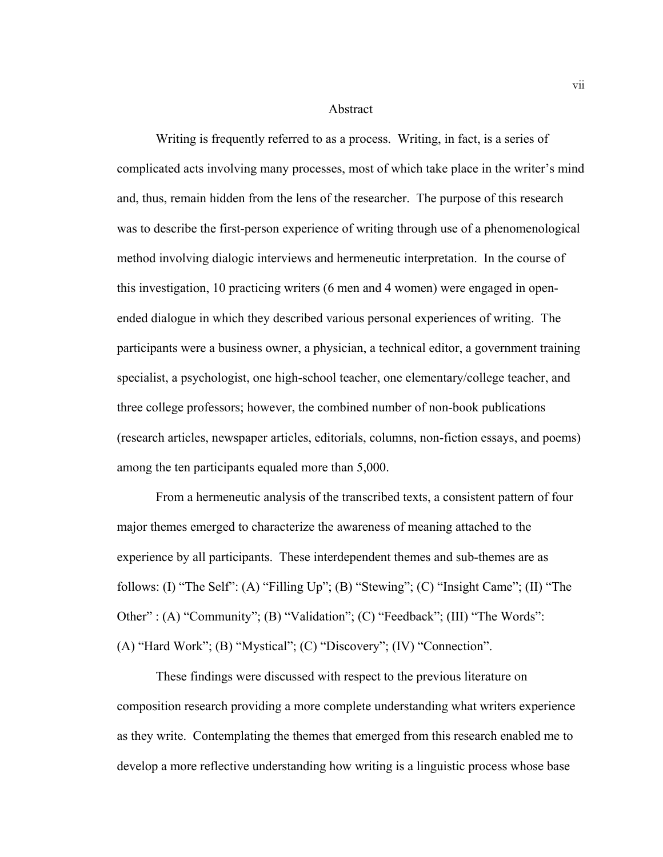#### Abstract

Writing is frequently referred to as a process. Writing, in fact, is a series of complicated acts involving many processes, most of which take place in the writer's mind and, thus, remain hidden from the lens of the researcher. The purpose of this research was to describe the first-person experience of writing through use of a phenomenological method involving dialogic interviews and hermeneutic interpretation. In the course of this investigation, 10 practicing writers (6 men and 4 women) were engaged in openended dialogue in which they described various personal experiences of writing. The participants were a business owner, a physician, a technical editor, a government training specialist, a psychologist, one high-school teacher, one elementary/college teacher, and three college professors; however, the combined number of non-book publications (research articles, newspaper articles, editorials, columns, non-fiction essays, and poems) among the ten participants equaled more than 5,000.

From a hermeneutic analysis of the transcribed texts, a consistent pattern of four major themes emerged to characterize the awareness of meaning attached to the experience by all participants. These interdependent themes and sub-themes are as follows: (I) "The Self": (A) "Filling Up"; (B) "Stewing"; (C) "Insight Came"; (II) "The Other": (A) "Community"; (B) "Validation"; (C) "Feedback"; (III) "The Words": (A) "Hard Work"; (B) "Mystical"; (C) "Discovery"; (IV) "Connection".

These findings were discussed with respect to the previous literature on composition research providing a more complete understanding what writers experience as they write. Contemplating the themes that emerged from this research enabled me to develop a more reflective understanding how writing is a linguistic process whose base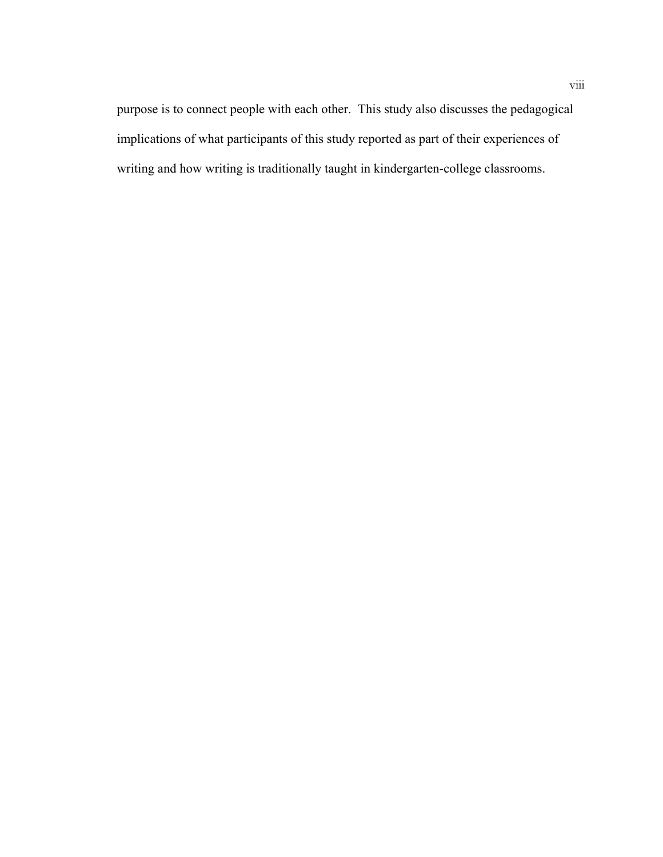purpose is to connect people with each other. This study also discusses the pedagogical implications of what participants of this study reported as part of their experiences of writing and how writing is traditionally taught in kindergarten-college classrooms.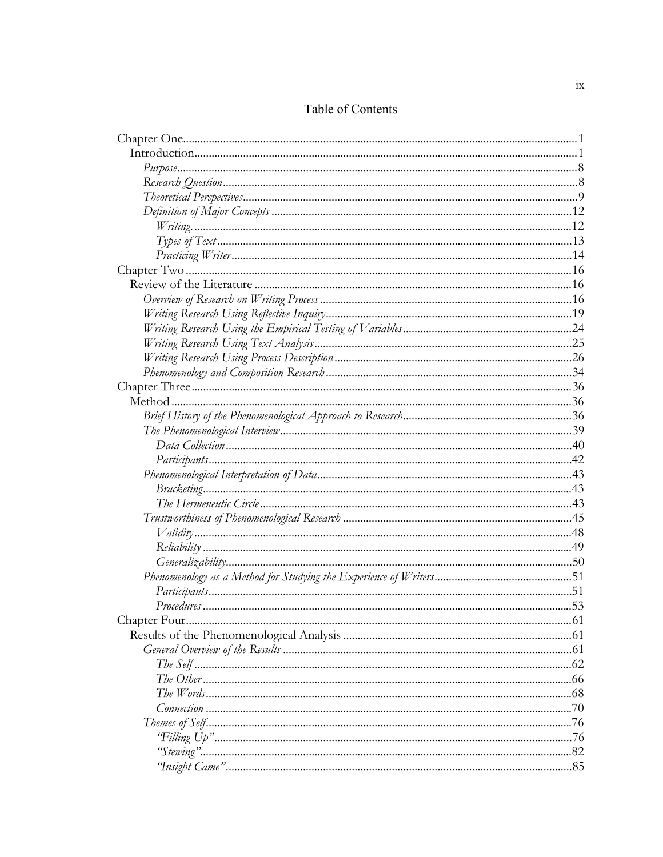# Table of Contents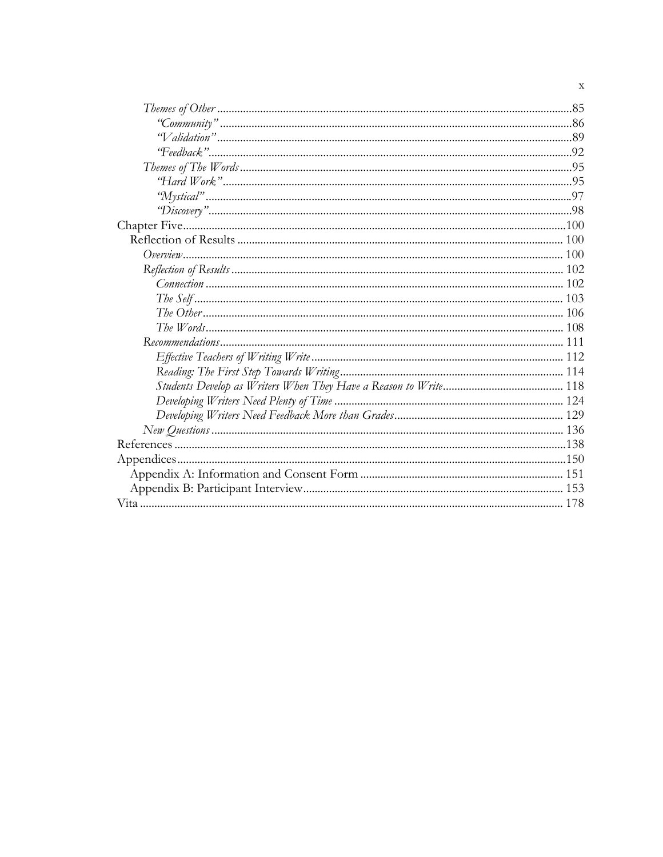$\mathbf x$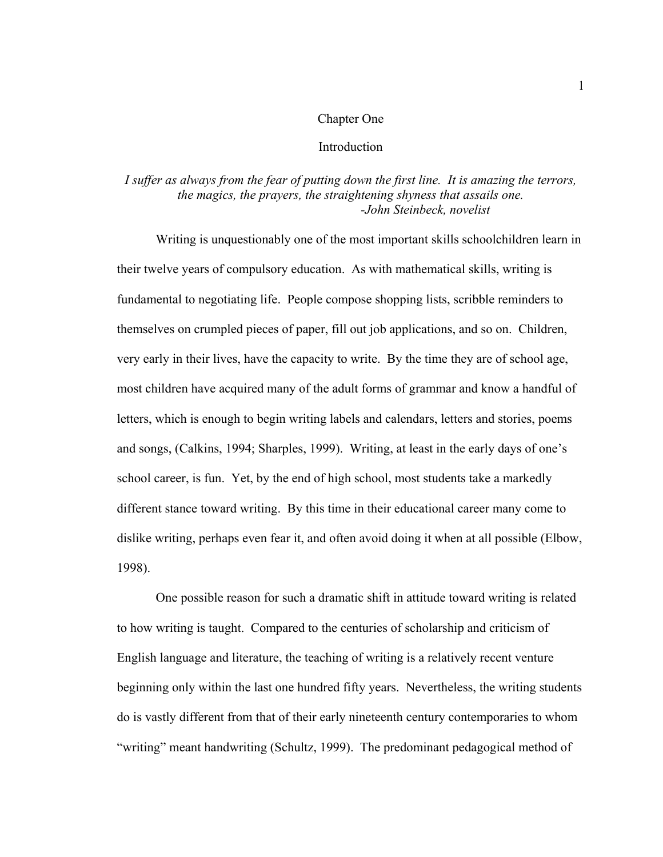#### Chapter One

## **Introduction**

# *I suffer as always from the fear of putting down the first line. It is amazing the terrors, the magics, the prayers, the straightening shyness that assails one. -John Steinbeck, novelist*

 Writing is unquestionably one of the most important skills schoolchildren learn in their twelve years of compulsory education. As with mathematical skills, writing is fundamental to negotiating life. People compose shopping lists, scribble reminders to themselves on crumpled pieces of paper, fill out job applications, and so on. Children, very early in their lives, have the capacity to write. By the time they are of school age, most children have acquired many of the adult forms of grammar and know a handful of letters, which is enough to begin writing labels and calendars, letters and stories, poems and songs, (Calkins, 1994; Sharples, 1999). Writing, at least in the early days of one's school career, is fun. Yet, by the end of high school, most students take a markedly different stance toward writing. By this time in their educational career many come to dislike writing, perhaps even fear it, and often avoid doing it when at all possible (Elbow, 1998).

One possible reason for such a dramatic shift in attitude toward writing is related to how writing is taught. Compared to the centuries of scholarship and criticism of English language and literature, the teaching of writing is a relatively recent venture beginning only within the last one hundred fifty years. Nevertheless, the writing students do is vastly different from that of their early nineteenth century contemporaries to whom "writing" meant handwriting (Schultz, 1999). The predominant pedagogical method of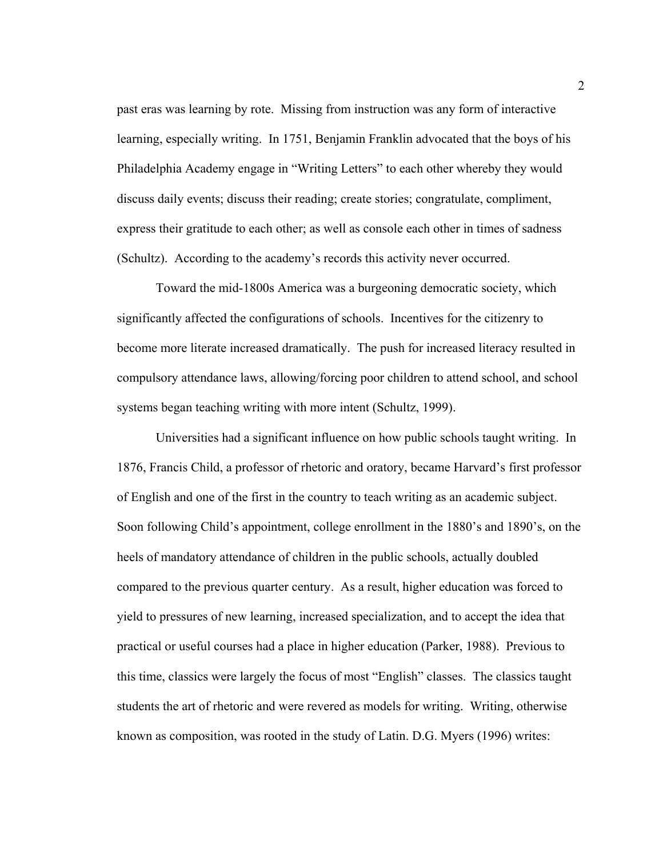past eras was learning by rote. Missing from instruction was any form of interactive learning, especially writing. In 1751, Benjamin Franklin advocated that the boys of his Philadelphia Academy engage in "Writing Letters" to each other whereby they would discuss daily events; discuss their reading; create stories; congratulate, compliment, express their gratitude to each other; as well as console each other in times of sadness (Schultz). According to the academy's records this activity never occurred.

Toward the mid-1800s America was a burgeoning democratic society, which significantly affected the configurations of schools. Incentives for the citizenry to become more literate increased dramatically. The push for increased literacy resulted in compulsory attendance laws, allowing/forcing poor children to attend school, and school systems began teaching writing with more intent (Schultz, 1999).

Universities had a significant influence on how public schools taught writing. In 1876, Francis Child, a professor of rhetoric and oratory, became Harvard's first professor of English and one of the first in the country to teach writing as an academic subject. Soon following Child's appointment, college enrollment in the 1880's and 1890's, on the heels of mandatory attendance of children in the public schools, actually doubled compared to the previous quarter century. As a result, higher education was forced to yield to pressures of new learning, increased specialization, and to accept the idea that practical or useful courses had a place in higher education (Parker, 1988). Previous to this time, classics were largely the focus of most "English" classes. The classics taught students the art of rhetoric and were revered as models for writing. Writing, otherwise known as composition, was rooted in the study of Latin. D.G. Myers (1996) writes: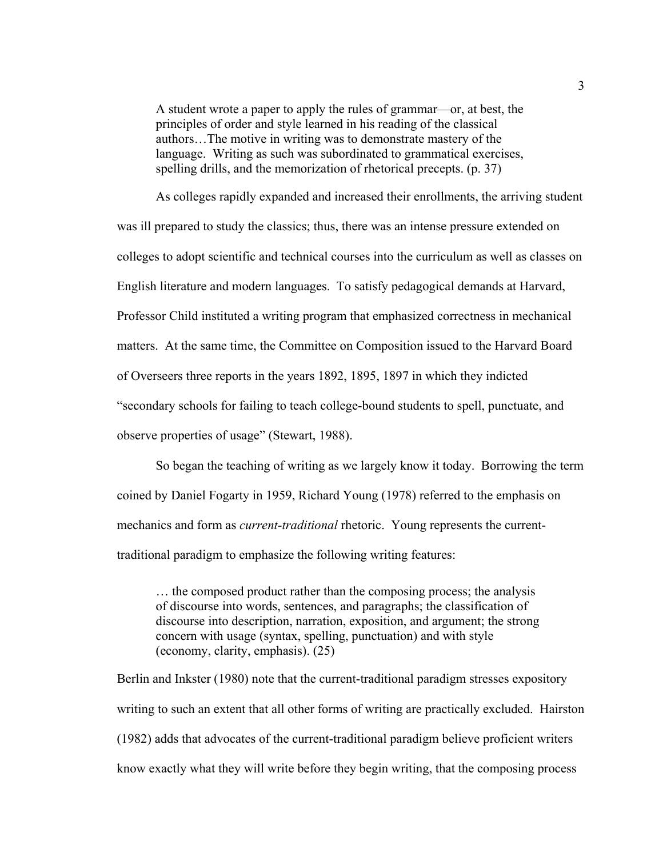A student wrote a paper to apply the rules of grammar—or, at best, the principles of order and style learned in his reading of the classical authors…The motive in writing was to demonstrate mastery of the language. Writing as such was subordinated to grammatical exercises, spelling drills, and the memorization of rhetorical precepts. (p. 37)

As colleges rapidly expanded and increased their enrollments, the arriving student was ill prepared to study the classics; thus, there was an intense pressure extended on colleges to adopt scientific and technical courses into the curriculum as well as classes on English literature and modern languages. To satisfy pedagogical demands at Harvard, Professor Child instituted a writing program that emphasized correctness in mechanical matters. At the same time, the Committee on Composition issued to the Harvard Board of Overseers three reports in the years 1892, 1895, 1897 in which they indicted "secondary schools for failing to teach college-bound students to spell, punctuate, and observe properties of usage" (Stewart, 1988).

So began the teaching of writing as we largely know it today. Borrowing the term coined by Daniel Fogarty in 1959, Richard Young (1978) referred to the emphasis on mechanics and form as *current-traditional* rhetoric. Young represents the currenttraditional paradigm to emphasize the following writing features:

… the composed product rather than the composing process; the analysis of discourse into words, sentences, and paragraphs; the classification of discourse into description, narration, exposition, and argument; the strong concern with usage (syntax, spelling, punctuation) and with style (economy, clarity, emphasis). (25)

Berlin and Inkster (1980) note that the current-traditional paradigm stresses expository writing to such an extent that all other forms of writing are practically excluded. Hairston (1982) adds that advocates of the current-traditional paradigm believe proficient writers know exactly what they will write before they begin writing, that the composing process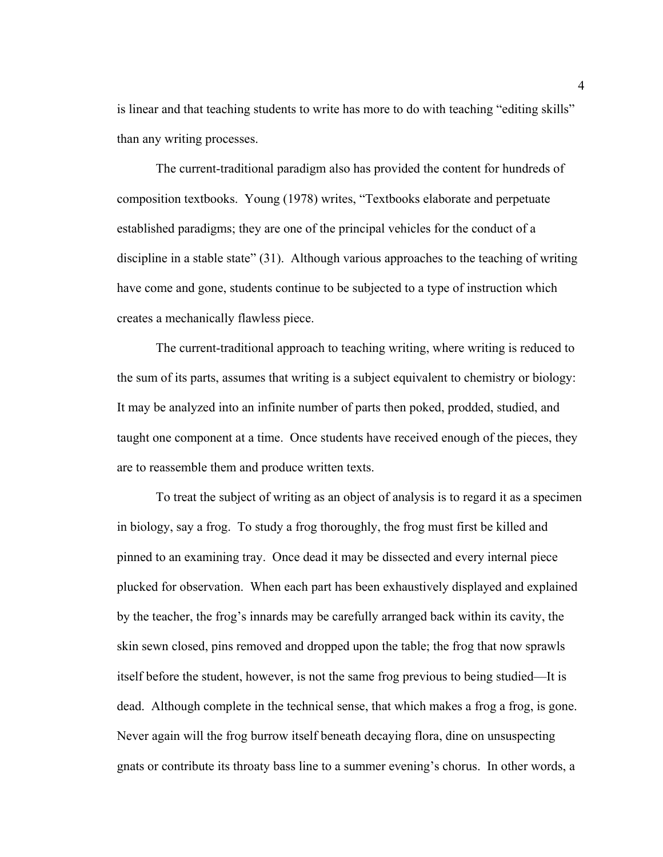is linear and that teaching students to write has more to do with teaching "editing skills" than any writing processes.

The current-traditional paradigm also has provided the content for hundreds of composition textbooks. Young (1978) writes, "Textbooks elaborate and perpetuate established paradigms; they are one of the principal vehicles for the conduct of a discipline in a stable state" (31). Although various approaches to the teaching of writing have come and gone, students continue to be subjected to a type of instruction which creates a mechanically flawless piece.

 The current-traditional approach to teaching writing, where writing is reduced to the sum of its parts, assumes that writing is a subject equivalent to chemistry or biology: It may be analyzed into an infinite number of parts then poked, prodded, studied, and taught one component at a time. Once students have received enough of the pieces, they are to reassemble them and produce written texts.

 To treat the subject of writing as an object of analysis is to regard it as a specimen in biology, say a frog. To study a frog thoroughly, the frog must first be killed and pinned to an examining tray. Once dead it may be dissected and every internal piece plucked for observation. When each part has been exhaustively displayed and explained by the teacher, the frog's innards may be carefully arranged back within its cavity, the skin sewn closed, pins removed and dropped upon the table; the frog that now sprawls itself before the student, however, is not the same frog previous to being studied—It is dead. Although complete in the technical sense, that which makes a frog a frog, is gone. Never again will the frog burrow itself beneath decaying flora, dine on unsuspecting gnats or contribute its throaty bass line to a summer evening's chorus. In other words, a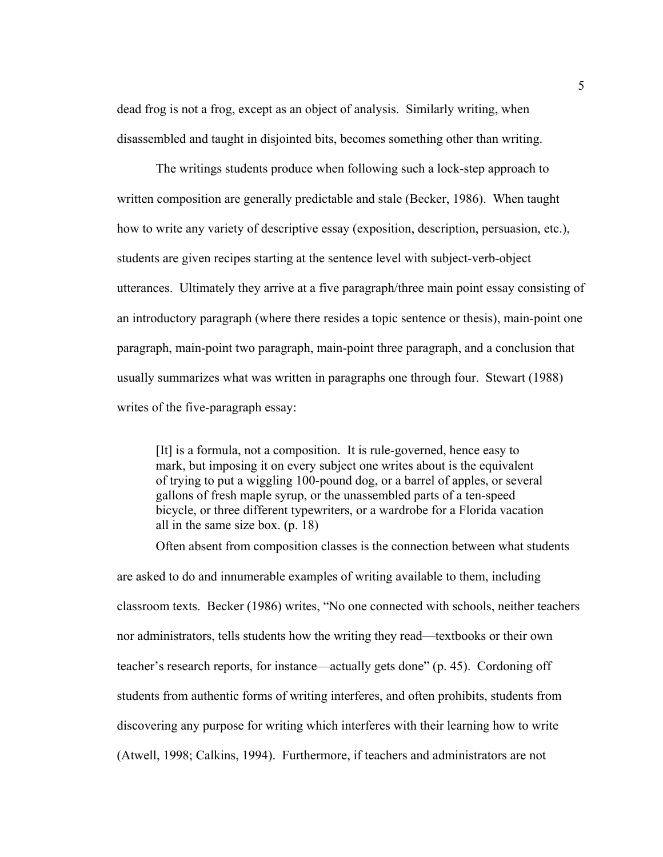dead frog is not a frog, except as an object of analysis. Similarly writing, when disassembled and taught in disjointed bits, becomes something other than writing.

 The writings students produce when following such a lock-step approach to written composition are generally predictable and stale (Becker, 1986). When taught how to write any variety of descriptive essay (exposition, description, persuasion, etc.), students are given recipes starting at the sentence level with subject-verb-object utterances. Ultimately they arrive at a five paragraph/three main point essay consisting of an introductory paragraph (where there resides a topic sentence or thesis), main-point one paragraph, main-point two paragraph, main-point three paragraph, and a conclusion that usually summarizes what was written in paragraphs one through four. Stewart (1988) writes of the five-paragraph essay:

[It] is a formula, not a composition. It is rule-governed, hence easy to mark, but imposing it on every subject one writes about is the equivalent of trying to put a wiggling 100-pound dog, or a barrel of apples, or several gallons of fresh maple syrup, or the unassembled parts of a ten-speed bicycle, or three different typewriters, or a wardrobe for a Florida vacation all in the same size box. (p. 18)

 Often absent from composition classes is the connection between what students are asked to do and innumerable examples of writing available to them, including classroom texts. Becker (1986) writes, "No one connected with schools, neither teachers nor administrators, tells students how the writing they read—textbooks or their own teacher's research reports, for instance—actually gets done" (p. 45). Cordoning off students from authentic forms of writing interferes, and often prohibits, students from discovering any purpose for writing which interferes with their learning how to write (Atwell, 1998; Calkins, 1994). Furthermore, if teachers and administrators are not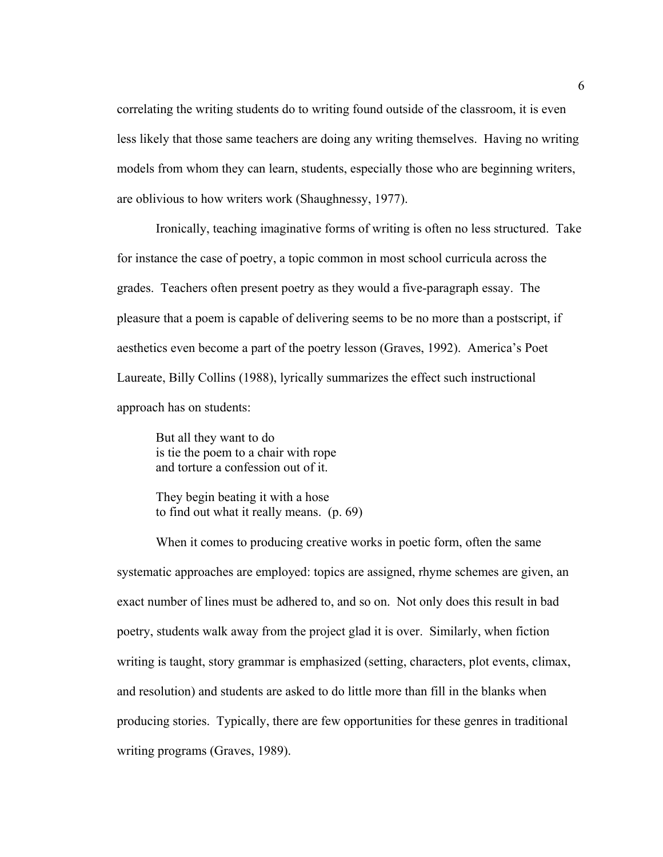correlating the writing students do to writing found outside of the classroom, it is even less likely that those same teachers are doing any writing themselves. Having no writing models from whom they can learn, students, especially those who are beginning writers, are oblivious to how writers work (Shaughnessy, 1977).

 Ironically, teaching imaginative forms of writing is often no less structured. Take for instance the case of poetry, a topic common in most school curricula across the grades. Teachers often present poetry as they would a five-paragraph essay. The pleasure that a poem is capable of delivering seems to be no more than a postscript, if aesthetics even become a part of the poetry lesson (Graves, 1992). America's Poet Laureate, Billy Collins (1988), lyrically summarizes the effect such instructional approach has on students:

But all they want to do is tie the poem to a chair with rope and torture a confession out of it.

They begin beating it with a hose to find out what it really means. (p. 69)

When it comes to producing creative works in poetic form, often the same systematic approaches are employed: topics are assigned, rhyme schemes are given, an exact number of lines must be adhered to, and so on. Not only does this result in bad poetry, students walk away from the project glad it is over. Similarly, when fiction writing is taught, story grammar is emphasized (setting, characters, plot events, climax, and resolution) and students are asked to do little more than fill in the blanks when producing stories. Typically, there are few opportunities for these genres in traditional writing programs (Graves, 1989).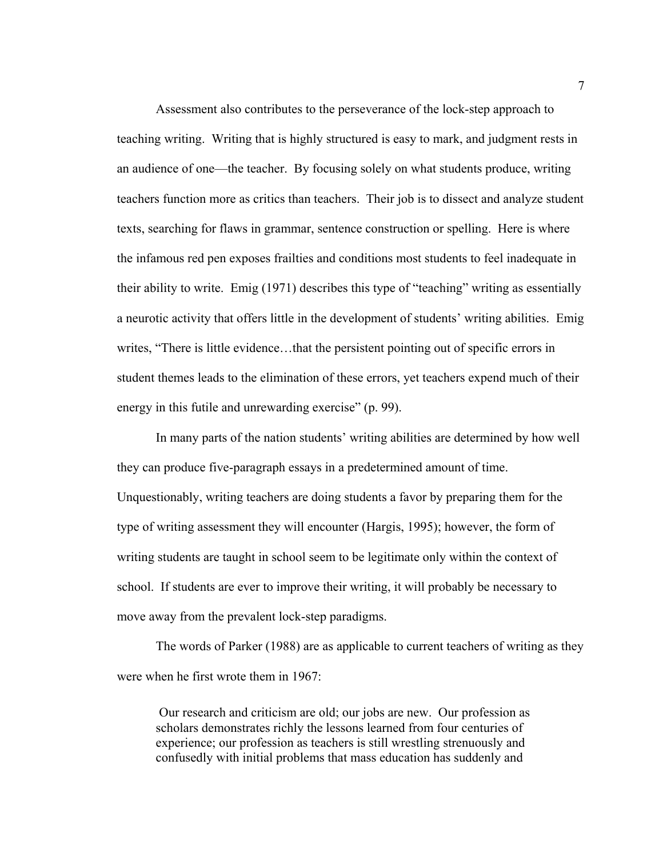Assessment also contributes to the perseverance of the lock-step approach to teaching writing. Writing that is highly structured is easy to mark, and judgment rests in an audience of one—the teacher. By focusing solely on what students produce, writing teachers function more as critics than teachers. Their job is to dissect and analyze student texts, searching for flaws in grammar, sentence construction or spelling. Here is where the infamous red pen exposes frailties and conditions most students to feel inadequate in their ability to write. Emig (1971) describes this type of "teaching" writing as essentially a neurotic activity that offers little in the development of students' writing abilities. Emig writes, "There is little evidence…that the persistent pointing out of specific errors in student themes leads to the elimination of these errors, yet teachers expend much of their energy in this futile and unrewarding exercise" (p. 99).

In many parts of the nation students' writing abilities are determined by how well they can produce five-paragraph essays in a predetermined amount of time. Unquestionably, writing teachers are doing students a favor by preparing them for the type of writing assessment they will encounter (Hargis, 1995); however, the form of writing students are taught in school seem to be legitimate only within the context of school. If students are ever to improve their writing, it will probably be necessary to move away from the prevalent lock-step paradigms.

The words of Parker (1988) are as applicable to current teachers of writing as they were when he first wrote them in 1967:

 Our research and criticism are old; our jobs are new. Our profession as scholars demonstrates richly the lessons learned from four centuries of experience; our profession as teachers is still wrestling strenuously and confusedly with initial problems that mass education has suddenly and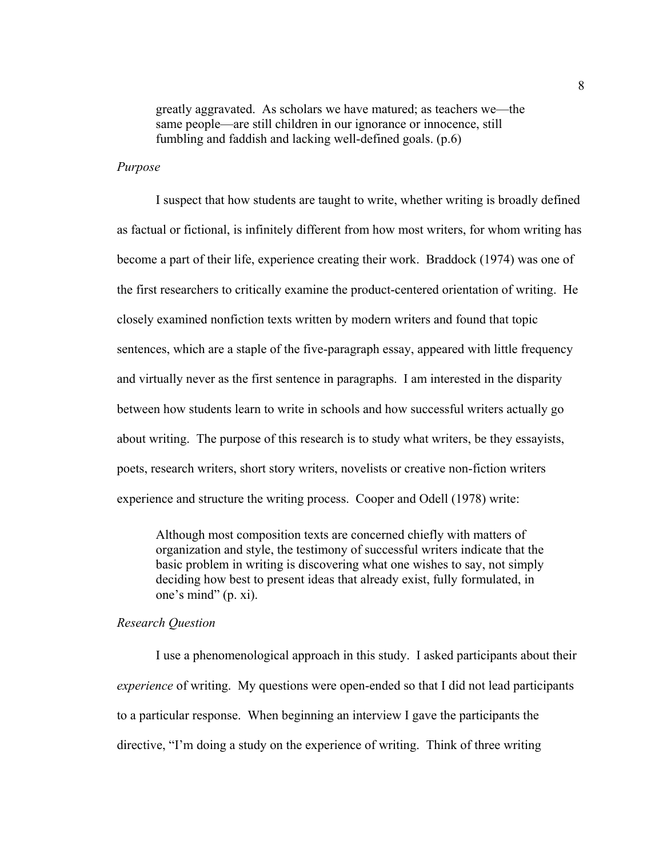greatly aggravated. As scholars we have matured; as teachers we—the same people—are still children in our ignorance or innocence, still fumbling and faddish and lacking well-defined goals. (p.6)

## *Purpose*

 I suspect that how students are taught to write, whether writing is broadly defined as factual or fictional, is infinitely different from how most writers, for whom writing has become a part of their life, experience creating their work. Braddock (1974) was one of the first researchers to critically examine the product-centered orientation of writing. He closely examined nonfiction texts written by modern writers and found that topic sentences, which are a staple of the five-paragraph essay, appeared with little frequency and virtually never as the first sentence in paragraphs. I am interested in the disparity between how students learn to write in schools and how successful writers actually go about writing. The purpose of this research is to study what writers, be they essayists, poets, research writers, short story writers, novelists or creative non-fiction writers experience and structure the writing process. Cooper and Odell (1978) write:

Although most composition texts are concerned chiefly with matters of organization and style, the testimony of successful writers indicate that the basic problem in writing is discovering what one wishes to say, not simply deciding how best to present ideas that already exist, fully formulated, in one's mind" (p. xi).

#### *Research Question*

 I use a phenomenological approach in this study. I asked participants about their *experience* of writing. My questions were open-ended so that I did not lead participants to a particular response. When beginning an interview I gave the participants the directive, "I'm doing a study on the experience of writing. Think of three writing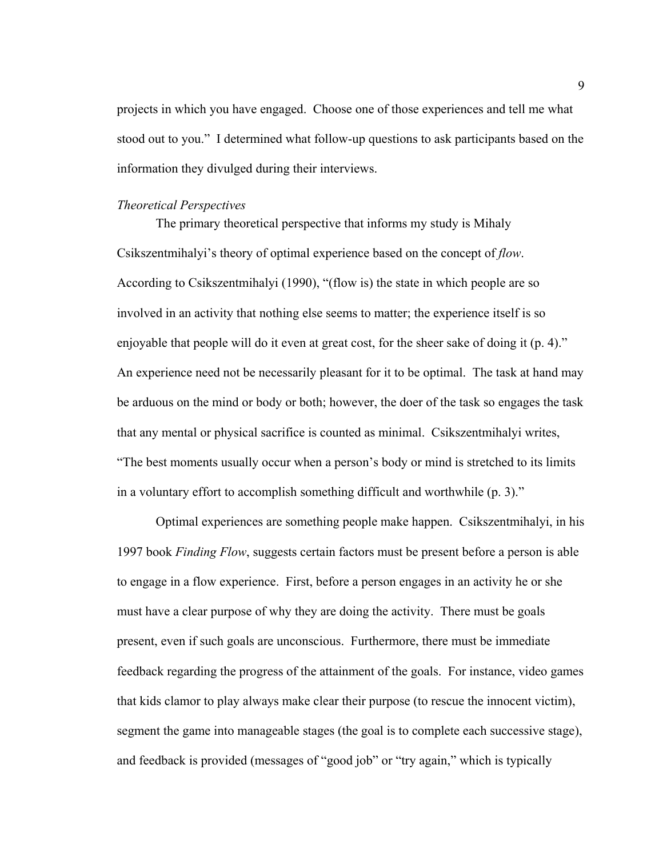projects in which you have engaged. Choose one of those experiences and tell me what stood out to you." I determined what follow-up questions to ask participants based on the information they divulged during their interviews.

#### *Theoretical Perspectives*

 The primary theoretical perspective that informs my study is Mihaly Csikszentmihalyi's theory of optimal experience based on the concept of *flow*. According to Csikszentmihalyi (1990), "(flow is) the state in which people are so involved in an activity that nothing else seems to matter; the experience itself is so enjoyable that people will do it even at great cost, for the sheer sake of doing it (p. 4)." An experience need not be necessarily pleasant for it to be optimal. The task at hand may be arduous on the mind or body or both; however, the doer of the task so engages the task that any mental or physical sacrifice is counted as minimal. Csikszentmihalyi writes, "The best moments usually occur when a person's body or mind is stretched to its limits in a voluntary effort to accomplish something difficult and worthwhile (p. 3)."

 Optimal experiences are something people make happen. Csikszentmihalyi, in his 1997 book *Finding Flow*, suggests certain factors must be present before a person is able to engage in a flow experience. First, before a person engages in an activity he or she must have a clear purpose of why they are doing the activity. There must be goals present, even if such goals are unconscious. Furthermore, there must be immediate feedback regarding the progress of the attainment of the goals. For instance, video games that kids clamor to play always make clear their purpose (to rescue the innocent victim), segment the game into manageable stages (the goal is to complete each successive stage), and feedback is provided (messages of "good job" or "try again," which is typically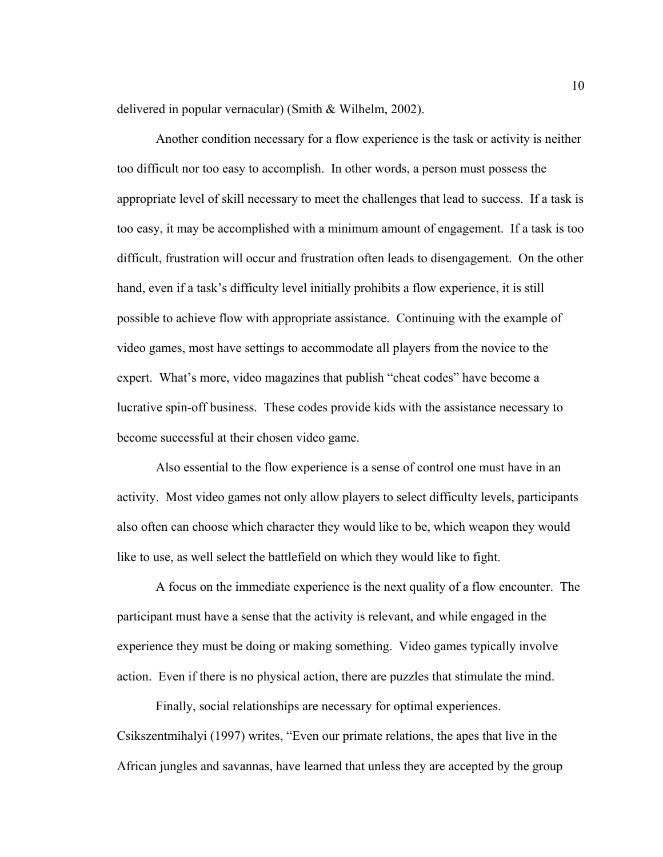delivered in popular vernacular) (Smith & Wilhelm, 2002).

 Another condition necessary for a flow experience is the task or activity is neither too difficult nor too easy to accomplish. In other words, a person must possess the appropriate level of skill necessary to meet the challenges that lead to success. If a task is too easy, it may be accomplished with a minimum amount of engagement. If a task is too difficult, frustration will occur and frustration often leads to disengagement. On the other hand, even if a task's difficulty level initially prohibits a flow experience, it is still possible to achieve flow with appropriate assistance. Continuing with the example of video games, most have settings to accommodate all players from the novice to the expert. What's more, video magazines that publish "cheat codes" have become a lucrative spin-off business. These codes provide kids with the assistance necessary to become successful at their chosen video game.

 Also essential to the flow experience is a sense of control one must have in an activity. Most video games not only allow players to select difficulty levels, participants also often can choose which character they would like to be, which weapon they would like to use, as well select the battlefield on which they would like to fight.

 A focus on the immediate experience is the next quality of a flow encounter. The participant must have a sense that the activity is relevant, and while engaged in the experience they must be doing or making something. Video games typically involve action. Even if there is no physical action, there are puzzles that stimulate the mind.

 Finally, social relationships are necessary for optimal experiences. Csikszentmihalyi (1997) writes, "Even our primate relations, the apes that live in the African jungles and savannas, have learned that unless they are accepted by the group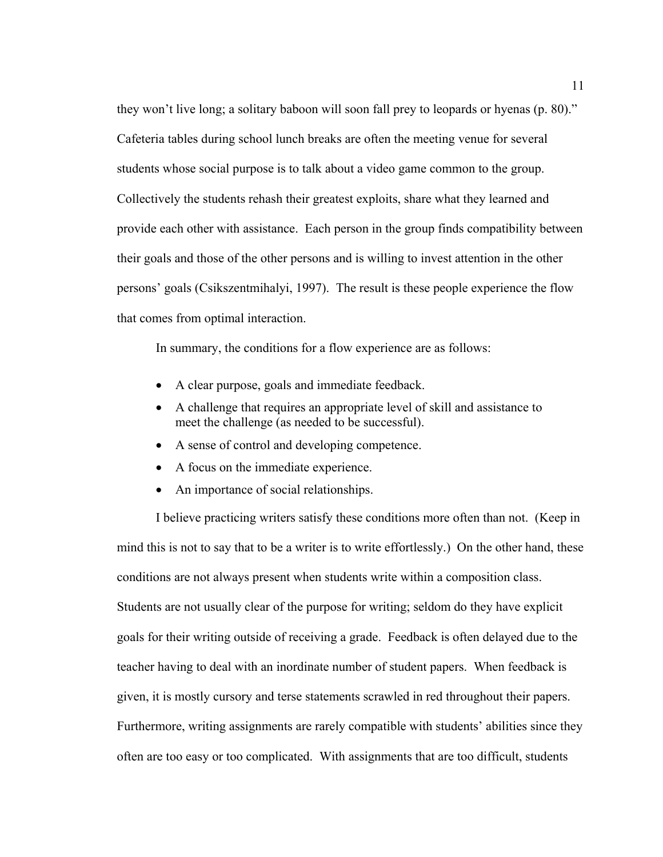they won't live long; a solitary baboon will soon fall prey to leopards or hyenas (p. 80)." Cafeteria tables during school lunch breaks are often the meeting venue for several students whose social purpose is to talk about a video game common to the group. Collectively the students rehash their greatest exploits, share what they learned and provide each other with assistance. Each person in the group finds compatibility between their goals and those of the other persons and is willing to invest attention in the other persons' goals (Csikszentmihalyi, 1997). The result is these people experience the flow that comes from optimal interaction.

In summary, the conditions for a flow experience are as follows:

- A clear purpose, goals and immediate feedback.
- A challenge that requires an appropriate level of skill and assistance to meet the challenge (as needed to be successful).
- A sense of control and developing competence.
- A focus on the immediate experience.
- An importance of social relationships.

 I believe practicing writers satisfy these conditions more often than not. (Keep in mind this is not to say that to be a writer is to write effortlessly.) On the other hand, these conditions are not always present when students write within a composition class. Students are not usually clear of the purpose for writing; seldom do they have explicit goals for their writing outside of receiving a grade. Feedback is often delayed due to the teacher having to deal with an inordinate number of student papers. When feedback is given, it is mostly cursory and terse statements scrawled in red throughout their papers. Furthermore, writing assignments are rarely compatible with students' abilities since they often are too easy or too complicated. With assignments that are too difficult, students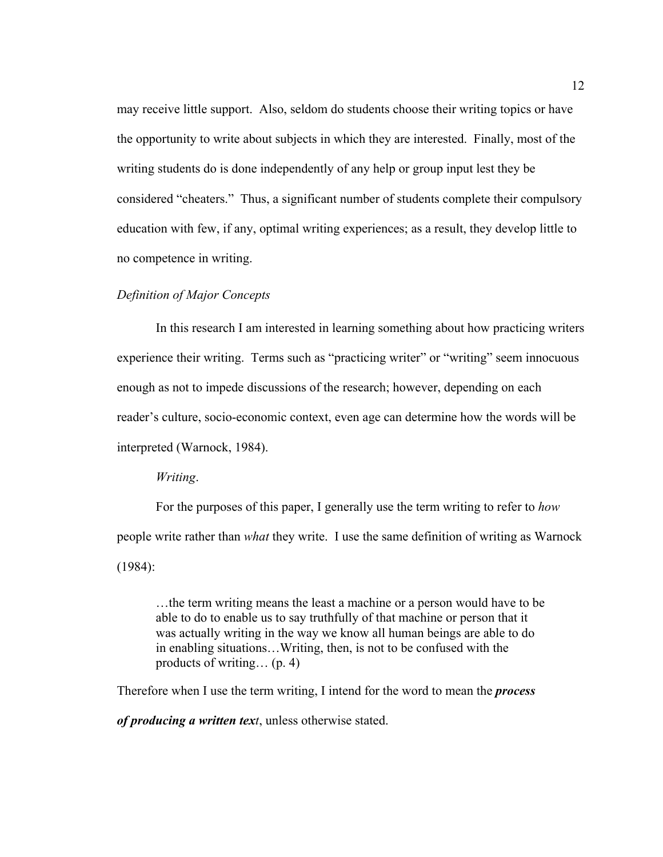may receive little support. Also, seldom do students choose their writing topics or have the opportunity to write about subjects in which they are interested. Finally, most of the writing students do is done independently of any help or group input lest they be considered "cheaters." Thus, a significant number of students complete their compulsory education with few, if any, optimal writing experiences; as a result, they develop little to no competence in writing.

## *Definition of Major Concepts*

 In this research I am interested in learning something about how practicing writers experience their writing. Terms such as "practicing writer" or "writing" seem innocuous enough as not to impede discussions of the research; however, depending on each reader's culture, socio-economic context, even age can determine how the words will be interpreted (Warnock, 1984).

## *Writing*.

 For the purposes of this paper, I generally use the term writing to refer to *how* people write rather than *what* they write. I use the same definition of writing as Warnock (1984):

…the term writing means the least a machine or a person would have to be able to do to enable us to say truthfully of that machine or person that it was actually writing in the way we know all human beings are able to do in enabling situations…Writing, then, is not to be confused with the products of writing… (p. 4)

Therefore when I use the term writing, I intend for the word to mean the *process* 

*of producing a written text*, unless otherwise stated.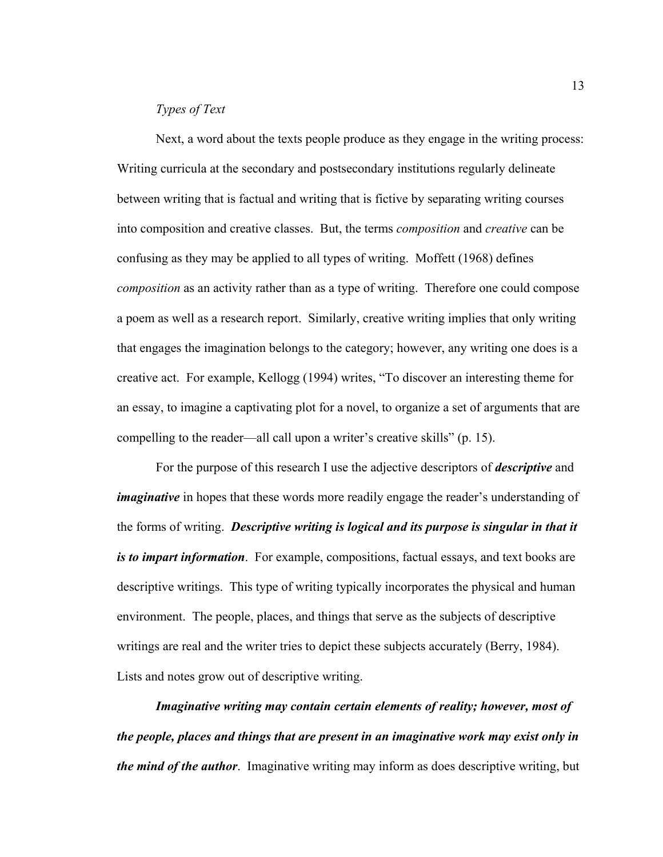# *Types of Text*

Next, a word about the texts people produce as they engage in the writing process: Writing curricula at the secondary and postsecondary institutions regularly delineate between writing that is factual and writing that is fictive by separating writing courses into composition and creative classes. But, the terms *composition* and *creative* can be confusing as they may be applied to all types of writing. Moffett (1968) defines *composition* as an activity rather than as a type of writing. Therefore one could compose a poem as well as a research report. Similarly, creative writing implies that only writing that engages the imagination belongs to the category; however, any writing one does is a creative act. For example, Kellogg (1994) writes, "To discover an interesting theme for an essay, to imagine a captivating plot for a novel, to organize a set of arguments that are compelling to the reader—all call upon a writer's creative skills" (p. 15).

For the purpose of this research I use the adjective descriptors of *descriptive* and *imaginative* in hopes that these words more readily engage the reader's understanding of the forms of writing. *Descriptive writing is logical and its purpose is singular in that it is to impart information*. For example, compositions, factual essays, and text books are descriptive writings. This type of writing typically incorporates the physical and human environment. The people, places, and things that serve as the subjects of descriptive writings are real and the writer tries to depict these subjects accurately (Berry, 1984). Lists and notes grow out of descriptive writing.

*Imaginative writing may contain certain elements of reality; however, most of the people, places and things that are present in an imaginative work may exist only in the mind of the author*. Imaginative writing may inform as does descriptive writing, but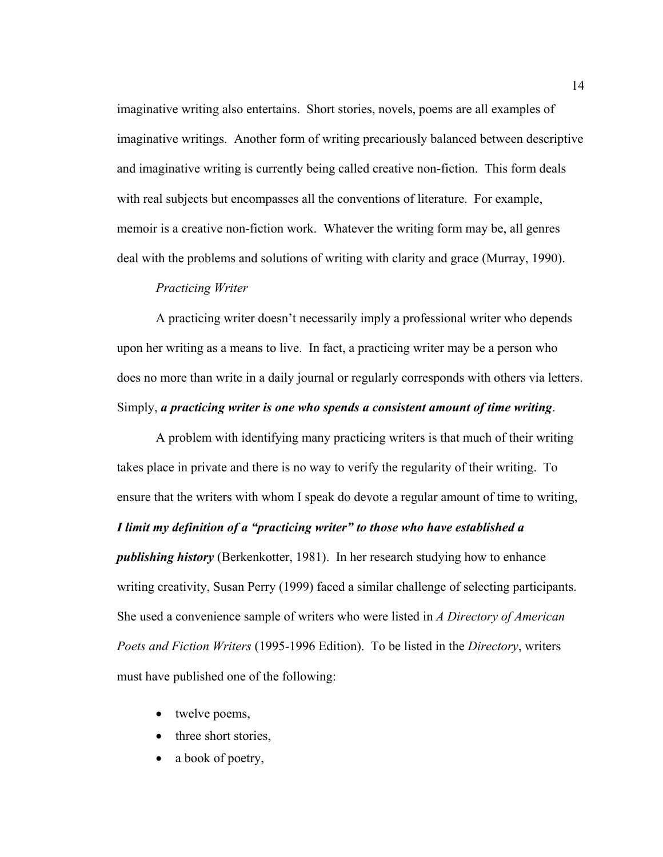imaginative writing also entertains. Short stories, novels, poems are all examples of imaginative writings. Another form of writing precariously balanced between descriptive and imaginative writing is currently being called creative non-fiction. This form deals with real subjects but encompasses all the conventions of literature. For example, memoir is a creative non-fiction work. Whatever the writing form may be, all genres deal with the problems and solutions of writing with clarity and grace (Murray, 1990).

# *Practicing Writer*

 A practicing writer doesn't necessarily imply a professional writer who depends upon her writing as a means to live. In fact, a practicing writer may be a person who does no more than write in a daily journal or regularly corresponds with others via letters. Simply, *a practicing writer is one who spends a consistent amount of time writing*.

 A problem with identifying many practicing writers is that much of their writing takes place in private and there is no way to verify the regularity of their writing. To ensure that the writers with whom I speak do devote a regular amount of time to writing, *I limit my definition of a "practicing writer" to those who have established a publishing history* (Berkenkotter, 1981). In her research studying how to enhance writing creativity, Susan Perry (1999) faced a similar challenge of selecting participants. She used a convenience sample of writers who were listed in *A Directory of American Poets and Fiction Writers* (1995-1996 Edition). To be listed in the *Directory*, writers must have published one of the following:

- twelve poems,
- three short stories.
- a book of poetry,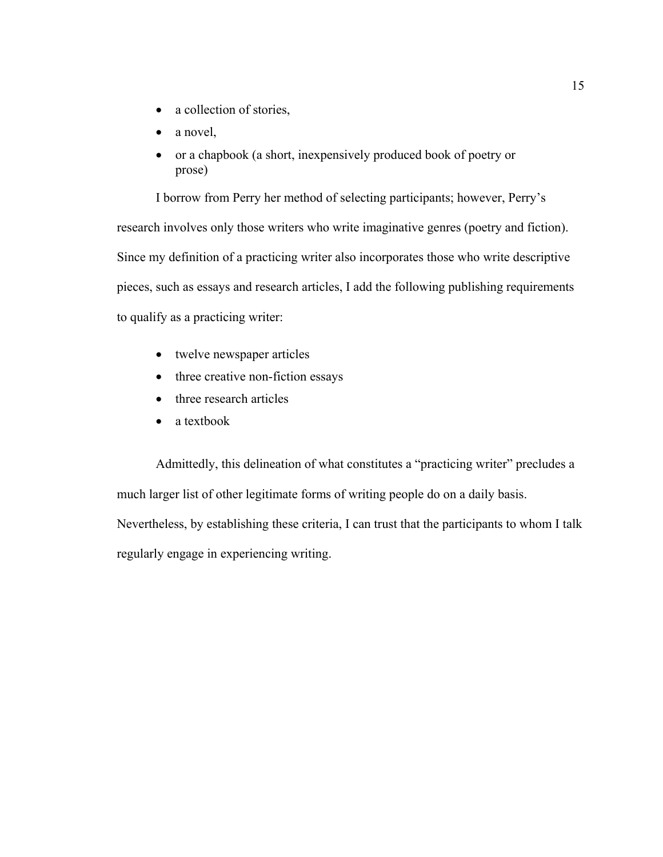- a collection of stories,
- a novel,
- or a chapbook (a short, inexpensively produced book of poetry or prose)

 I borrow from Perry her method of selecting participants; however, Perry's research involves only those writers who write imaginative genres (poetry and fiction). Since my definition of a practicing writer also incorporates those who write descriptive pieces, such as essays and research articles, I add the following publishing requirements to qualify as a practicing writer:

- twelve newspaper articles
- three creative non-fiction essays
- three research articles
- a textbook

Admittedly, this delineation of what constitutes a "practicing writer" precludes a much larger list of other legitimate forms of writing people do on a daily basis. Nevertheless, by establishing these criteria, I can trust that the participants to whom I talk regularly engage in experiencing writing.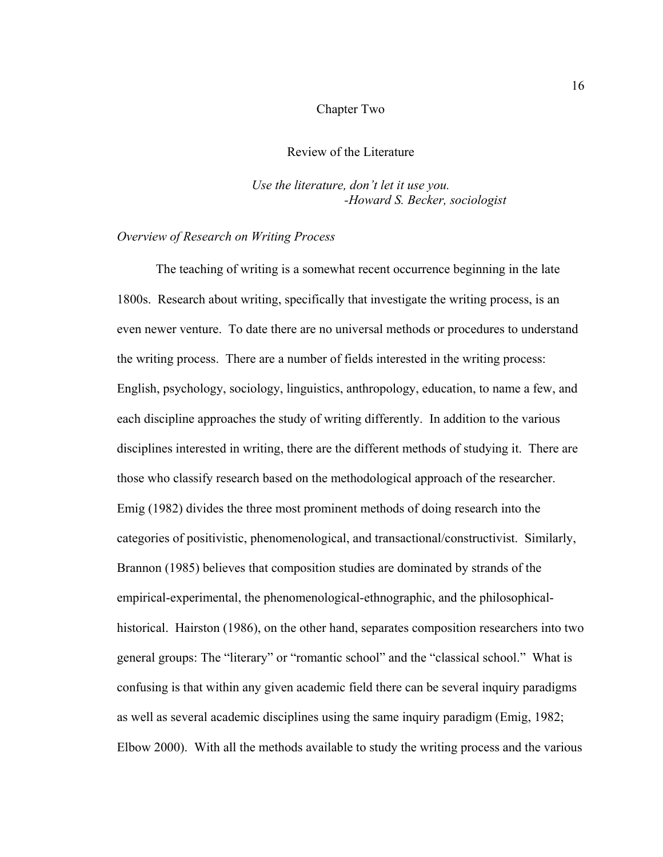#### Chapter Two

#### Review of the Literature

*Use the literature, don't let it use you. -Howard S. Becker, sociologist* 

#### *Overview of Research on Writing Process*

The teaching of writing is a somewhat recent occurrence beginning in the late 1800s. Research about writing, specifically that investigate the writing process, is an even newer venture. To date there are no universal methods or procedures to understand the writing process. There are a number of fields interested in the writing process: English, psychology, sociology, linguistics, anthropology, education, to name a few, and each discipline approaches the study of writing differently. In addition to the various disciplines interested in writing, there are the different methods of studying it. There are those who classify research based on the methodological approach of the researcher. Emig (1982) divides the three most prominent methods of doing research into the categories of positivistic, phenomenological, and transactional/constructivist. Similarly, Brannon (1985) believes that composition studies are dominated by strands of the empirical-experimental, the phenomenological-ethnographic, and the philosophicalhistorical. Hairston (1986), on the other hand, separates composition researchers into two general groups: The "literary" or "romantic school" and the "classical school." What is confusing is that within any given academic field there can be several inquiry paradigms as well as several academic disciplines using the same inquiry paradigm (Emig, 1982; Elbow 2000). With all the methods available to study the writing process and the various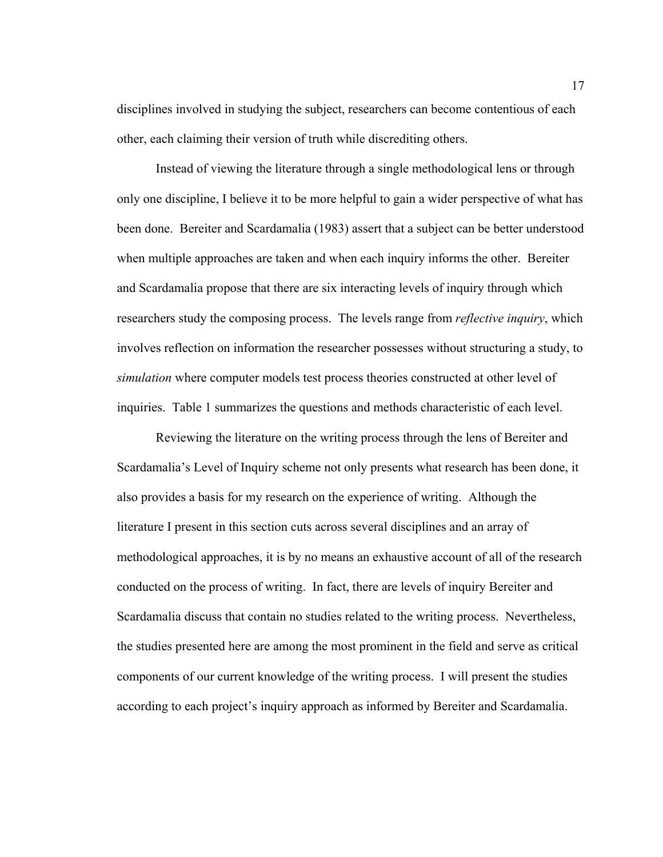disciplines involved in studying the subject, researchers can become contentious of each other, each claiming their version of truth while discrediting others.

Instead of viewing the literature through a single methodological lens or through only one discipline, I believe it to be more helpful to gain a wider perspective of what has been done. Bereiter and Scardamalia (1983) assert that a subject can be better understood when multiple approaches are taken and when each inquiry informs the other. Bereiter and Scardamalia propose that there are six interacting levels of inquiry through which researchers study the composing process. The levels range from *reflective inquiry*, which involves reflection on information the researcher possesses without structuring a study, to *simulation* where computer models test process theories constructed at other level of inquiries. Table 1 summarizes the questions and methods characteristic of each level.

Reviewing the literature on the writing process through the lens of Bereiter and Scardamalia's Level of Inquiry scheme not only presents what research has been done, it also provides a basis for my research on the experience of writing. Although the literature I present in this section cuts across several disciplines and an array of methodological approaches, it is by no means an exhaustive account of all of the research conducted on the process of writing. In fact, there are levels of inquiry Bereiter and Scardamalia discuss that contain no studies related to the writing process. Nevertheless, the studies presented here are among the most prominent in the field and serve as critical components of our current knowledge of the writing process. I will present the studies according to each project's inquiry approach as informed by Bereiter and Scardamalia.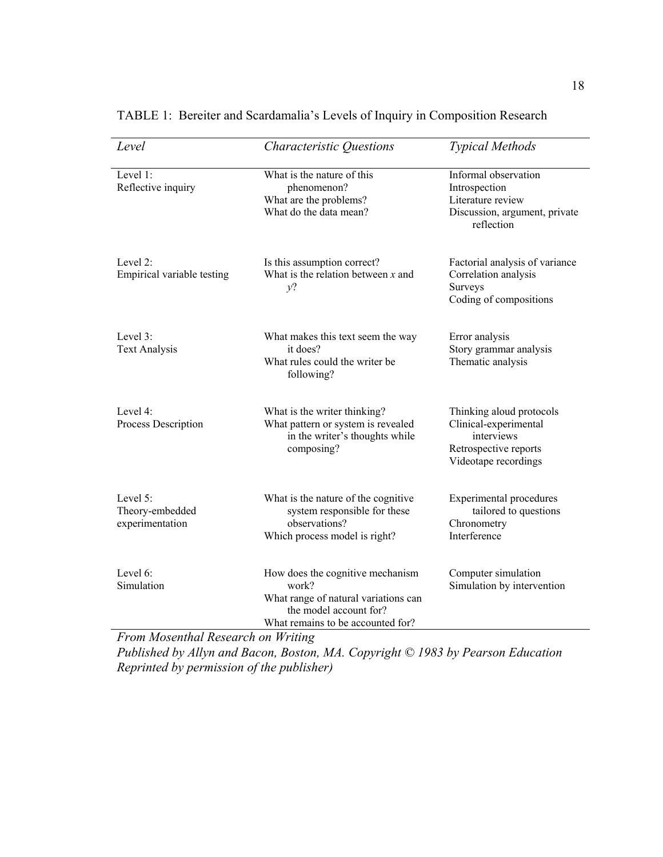| Level                                          | Characteristic Questions                                                                                                                         | <b>Typical Methods</b>                                                                                           |
|------------------------------------------------|--------------------------------------------------------------------------------------------------------------------------------------------------|------------------------------------------------------------------------------------------------------------------|
| Level 1:<br>Reflective inquiry                 | What is the nature of this<br>phenomenon?<br>What are the problems?<br>What do the data mean?                                                    | Informal observation<br>Introspection<br>Literature review<br>Discussion, argument, private<br>reflection        |
| Level 2:<br>Empirical variable testing         | Is this assumption correct?<br>What is the relation between $x$ and<br>$v$ ?                                                                     | Factorial analysis of variance<br>Correlation analysis<br>Surveys<br>Coding of compositions                      |
| Level 3:<br><b>Text Analysis</b>               | What makes this text seem the way<br>it does?<br>What rules could the writer be<br>following?                                                    | Error analysis<br>Story grammar analysis<br>Thematic analysis                                                    |
| Level $4$ :<br>Process Description             | What is the writer thinking?<br>What pattern or system is revealed<br>in the writer's thoughts while<br>composing?                               | Thinking aloud protocols<br>Clinical-experimental<br>interviews<br>Retrospective reports<br>Videotape recordings |
| Level 5:<br>Theory-embedded<br>experimentation | What is the nature of the cognitive<br>system responsible for these<br>observations?<br>Which process model is right?                            | <b>Experimental procedures</b><br>tailored to questions<br>Chronometry<br>Interference                           |
| Level 6:<br>Simulation                         | How does the cognitive mechanism<br>work?<br>What range of natural variations can<br>the model account for?<br>What remains to be accounted for? | Computer simulation<br>Simulation by intervention                                                                |

TABLE 1: Bereiter and Scardamalia's Levels of Inquiry in Composition Research

*From Mosenthal Research on Writing* 

*Published by Allyn and Bacon, Boston, MA. Copyright © 1983 by Pearson Education Reprinted by permission of the publisher)*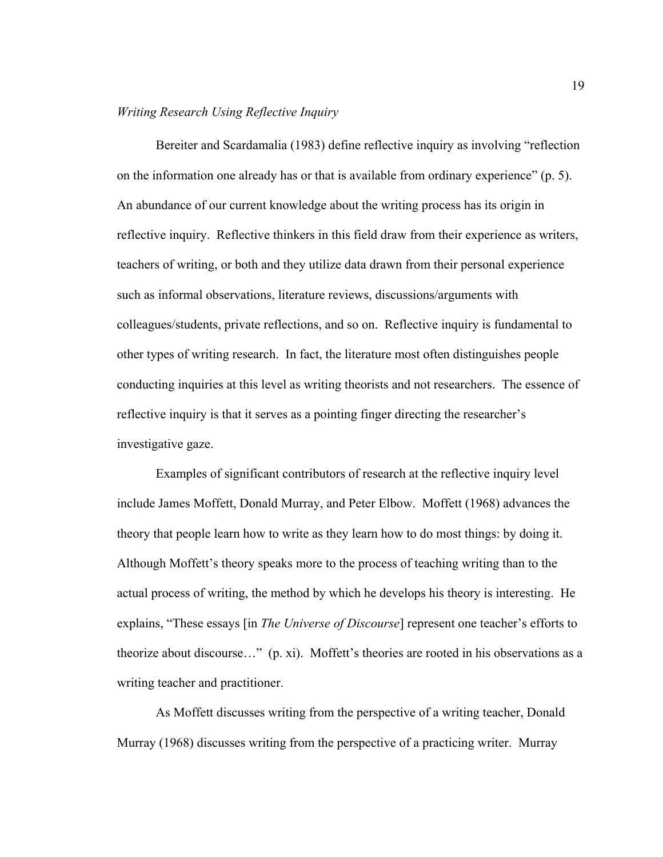# *Writing Research Using Reflective Inquiry*

Bereiter and Scardamalia (1983) define reflective inquiry as involving "reflection on the information one already has or that is available from ordinary experience" (p. 5). An abundance of our current knowledge about the writing process has its origin in reflective inquiry. Reflective thinkers in this field draw from their experience as writers, teachers of writing, or both and they utilize data drawn from their personal experience such as informal observations, literature reviews, discussions/arguments with colleagues/students, private reflections, and so on. Reflective inquiry is fundamental to other types of writing research. In fact, the literature most often distinguishes people conducting inquiries at this level as writing theorists and not researchers. The essence of reflective inquiry is that it serves as a pointing finger directing the researcher's investigative gaze.

Examples of significant contributors of research at the reflective inquiry level include James Moffett, Donald Murray, and Peter Elbow. Moffett (1968) advances the theory that people learn how to write as they learn how to do most things: by doing it. Although Moffett's theory speaks more to the process of teaching writing than to the actual process of writing, the method by which he develops his theory is interesting. He explains, "These essays [in *The Universe of Discourse*] represent one teacher's efforts to theorize about discourse…" (p. xi). Moffett's theories are rooted in his observations as a writing teacher and practitioner.

As Moffett discusses writing from the perspective of a writing teacher, Donald Murray (1968) discusses writing from the perspective of a practicing writer. Murray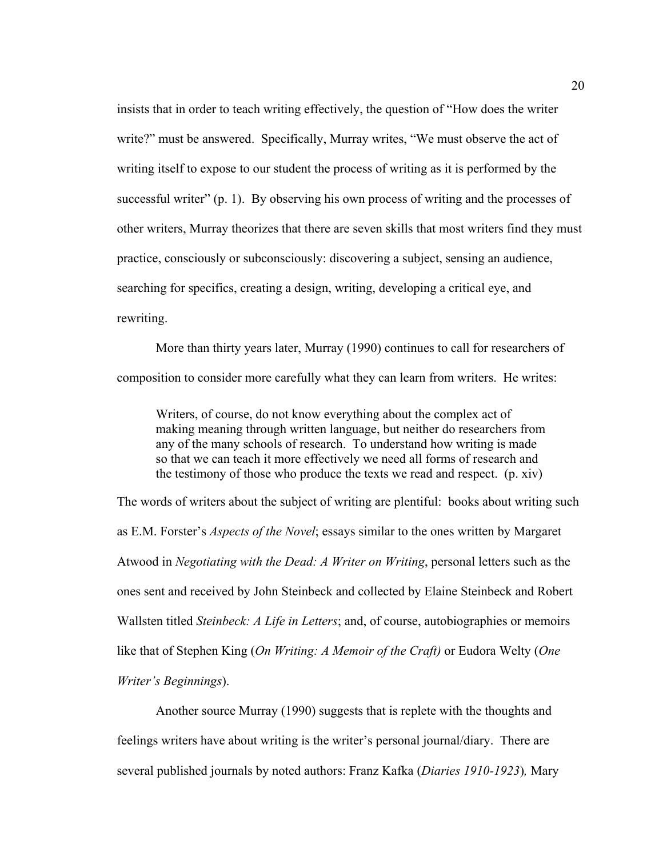insists that in order to teach writing effectively, the question of "How does the writer write?" must be answered. Specifically, Murray writes, "We must observe the act of writing itself to expose to our student the process of writing as it is performed by the successful writer" (p. 1). By observing his own process of writing and the processes of other writers, Murray theorizes that there are seven skills that most writers find they must practice, consciously or subconsciously: discovering a subject, sensing an audience, searching for specifics, creating a design, writing, developing a critical eye, and rewriting.

More than thirty years later, Murray (1990) continues to call for researchers of composition to consider more carefully what they can learn from writers. He writes:

Writers, of course, do not know everything about the complex act of making meaning through written language, but neither do researchers from any of the many schools of research. To understand how writing is made so that we can teach it more effectively we need all forms of research and the testimony of those who produce the texts we read and respect. (p. xiv)

The words of writers about the subject of writing are plentiful: books about writing such as E.M. Forster's *Aspects of the Novel*; essays similar to the ones written by Margaret Atwood in *Negotiating with the Dead: A Writer on Writing*, personal letters such as the ones sent and received by John Steinbeck and collected by Elaine Steinbeck and Robert Wallsten titled *Steinbeck: A Life in Letters*; and, of course, autobiographies or memoirs like that of Stephen King (*On Writing: A Memoir of the Craft)* or Eudora Welty (*One Writer's Beginnings*).

Another source Murray (1990) suggests that is replete with the thoughts and feelings writers have about writing is the writer's personal journal/diary. There are several published journals by noted authors: Franz Kafka (*Diaries 1910-1923*)*,* Mary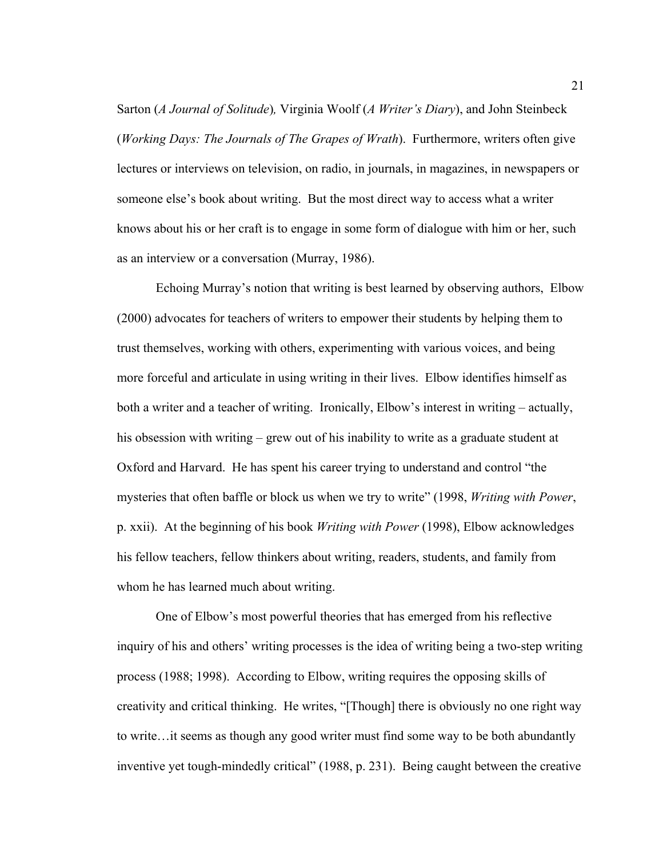Sarton (*A Journal of Solitude*)*,* Virginia Woolf (*A Writer's Diary*), and John Steinbeck (*Working Days: The Journals of The Grapes of Wrath*). Furthermore, writers often give lectures or interviews on television, on radio, in journals, in magazines, in newspapers or someone else's book about writing. But the most direct way to access what a writer knows about his or her craft is to engage in some form of dialogue with him or her, such as an interview or a conversation (Murray, 1986).

Echoing Murray's notion that writing is best learned by observing authors, Elbow (2000) advocates for teachers of writers to empower their students by helping them to trust themselves, working with others, experimenting with various voices, and being more forceful and articulate in using writing in their lives. Elbow identifies himself as both a writer and a teacher of writing. Ironically, Elbow's interest in writing – actually, his obsession with writing – grew out of his inability to write as a graduate student at Oxford and Harvard. He has spent his career trying to understand and control "the mysteries that often baffle or block us when we try to write" (1998, *Writing with Power*, p. xxii). At the beginning of his book *Writing with Power* (1998), Elbow acknowledges his fellow teachers, fellow thinkers about writing, readers, students, and family from whom he has learned much about writing.

One of Elbow's most powerful theories that has emerged from his reflective inquiry of his and others' writing processes is the idea of writing being a two-step writing process (1988; 1998). According to Elbow, writing requires the opposing skills of creativity and critical thinking. He writes, "[Though] there is obviously no one right way to write…it seems as though any good writer must find some way to be both abundantly inventive yet tough-mindedly critical" (1988, p. 231). Being caught between the creative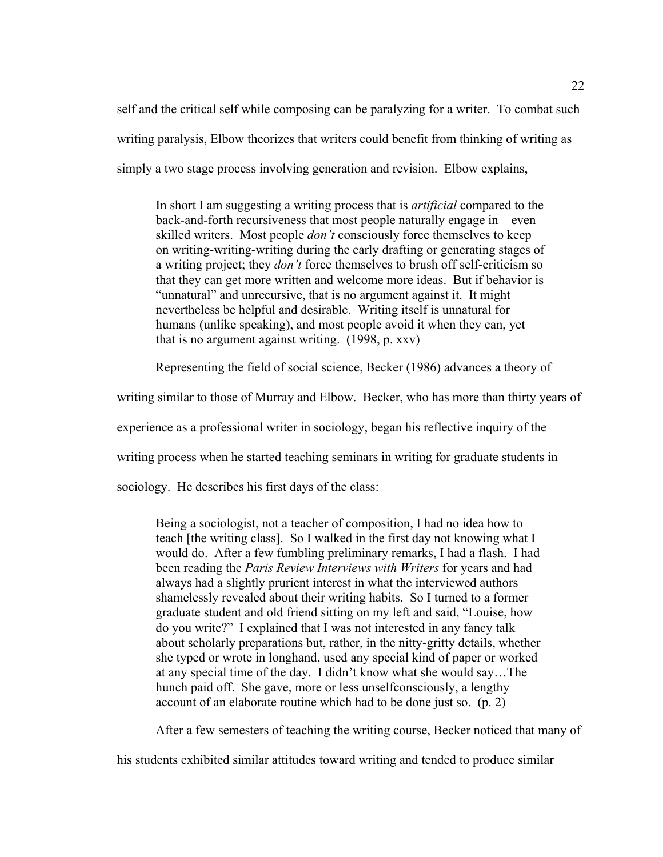self and the critical self while composing can be paralyzing for a writer. To combat such writing paralysis, Elbow theorizes that writers could benefit from thinking of writing as simply a two stage process involving generation and revision. Elbow explains,

In short I am suggesting a writing process that is *artificial* compared to the back-and-forth recursiveness that most people naturally engage in—even skilled writers. Most people *don't* consciously force themselves to keep on writing-writing-writing during the early drafting or generating stages of a writing project; they *don't* force themselves to brush off self-criticism so that they can get more written and welcome more ideas. But if behavior is "unnatural" and unrecursive, that is no argument against it. It might nevertheless be helpful and desirable. Writing itself is unnatural for humans (unlike speaking), and most people avoid it when they can, yet that is no argument against writing. (1998, p. xxv)

Representing the field of social science, Becker (1986) advances a theory of

writing similar to those of Murray and Elbow. Becker, who has more than thirty years of

experience as a professional writer in sociology, began his reflective inquiry of the

writing process when he started teaching seminars in writing for graduate students in

sociology. He describes his first days of the class:

Being a sociologist, not a teacher of composition, I had no idea how to teach [the writing class]. So I walked in the first day not knowing what I would do. After a few fumbling preliminary remarks, I had a flash. I had been reading the *Paris Review Interviews with Writers* for years and had always had a slightly prurient interest in what the interviewed authors shamelessly revealed about their writing habits. So I turned to a former graduate student and old friend sitting on my left and said, "Louise, how do you write?" I explained that I was not interested in any fancy talk about scholarly preparations but, rather, in the nitty-gritty details, whether she typed or wrote in longhand, used any special kind of paper or worked at any special time of the day. I didn't know what she would say…The hunch paid off. She gave, more or less unselfconsciously, a lengthy account of an elaborate routine which had to be done just so. (p. 2)

After a few semesters of teaching the writing course, Becker noticed that many of

his students exhibited similar attitudes toward writing and tended to produce similar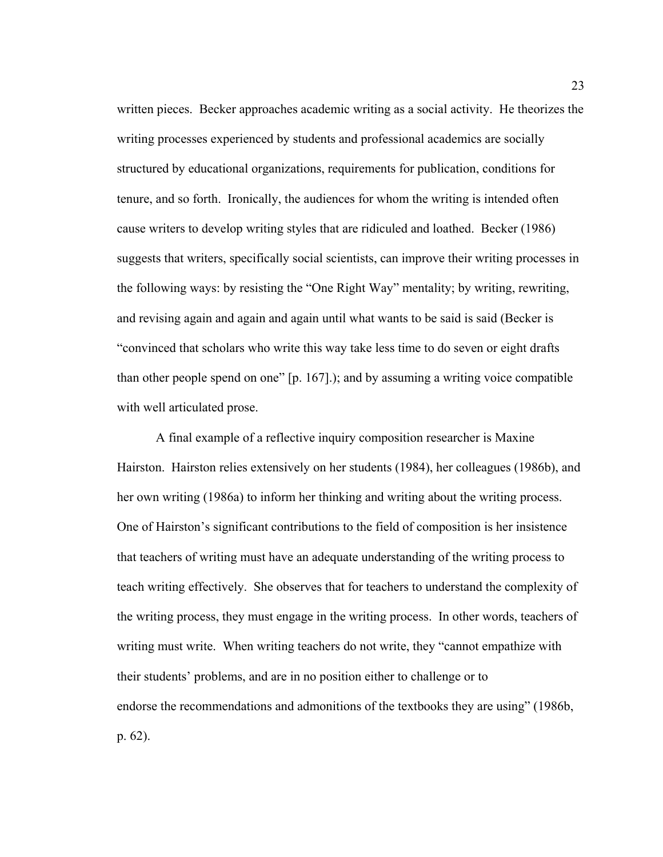written pieces. Becker approaches academic writing as a social activity. He theorizes the writing processes experienced by students and professional academics are socially structured by educational organizations, requirements for publication, conditions for tenure, and so forth. Ironically, the audiences for whom the writing is intended often cause writers to develop writing styles that are ridiculed and loathed. Becker (1986) suggests that writers, specifically social scientists, can improve their writing processes in the following ways: by resisting the "One Right Way" mentality; by writing, rewriting, and revising again and again and again until what wants to be said is said (Becker is "convinced that scholars who write this way take less time to do seven or eight drafts than other people spend on one" [p. 167].); and by assuming a writing voice compatible with well articulated prose.

A final example of a reflective inquiry composition researcher is Maxine Hairston. Hairston relies extensively on her students (1984), her colleagues (1986b), and her own writing (1986a) to inform her thinking and writing about the writing process. One of Hairston's significant contributions to the field of composition is her insistence that teachers of writing must have an adequate understanding of the writing process to teach writing effectively. She observes that for teachers to understand the complexity of the writing process, they must engage in the writing process. In other words, teachers of writing must write. When writing teachers do not write, they "cannot empathize with their students' problems, and are in no position either to challenge or to endorse the recommendations and admonitions of the textbooks they are using" (1986b, p. 62).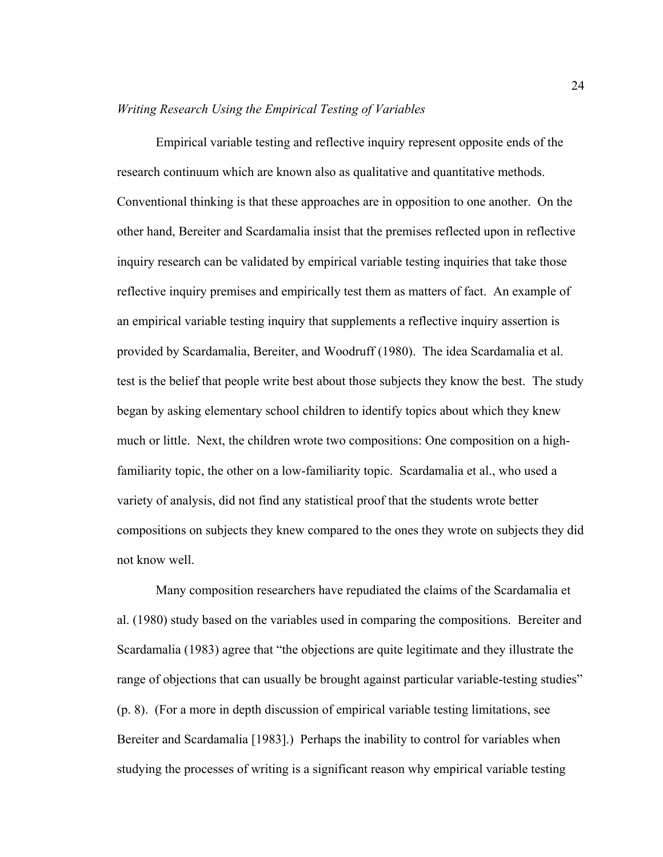#### *Writing Research Using the Empirical Testing of Variables*

Empirical variable testing and reflective inquiry represent opposite ends of the research continuum which are known also as qualitative and quantitative methods. Conventional thinking is that these approaches are in opposition to one another. On the other hand, Bereiter and Scardamalia insist that the premises reflected upon in reflective inquiry research can be validated by empirical variable testing inquiries that take those reflective inquiry premises and empirically test them as matters of fact. An example of an empirical variable testing inquiry that supplements a reflective inquiry assertion is provided by Scardamalia, Bereiter, and Woodruff (1980). The idea Scardamalia et al. test is the belief that people write best about those subjects they know the best. The study began by asking elementary school children to identify topics about which they knew much or little. Next, the children wrote two compositions: One composition on a highfamiliarity topic, the other on a low-familiarity topic. Scardamalia et al., who used a variety of analysis, did not find any statistical proof that the students wrote better compositions on subjects they knew compared to the ones they wrote on subjects they did not know well.

Many composition researchers have repudiated the claims of the Scardamalia et al. (1980) study based on the variables used in comparing the compositions. Bereiter and Scardamalia (1983) agree that "the objections are quite legitimate and they illustrate the range of objections that can usually be brought against particular variable-testing studies" (p. 8). (For a more in depth discussion of empirical variable testing limitations, see Bereiter and Scardamalia [1983].) Perhaps the inability to control for variables when studying the processes of writing is a significant reason why empirical variable testing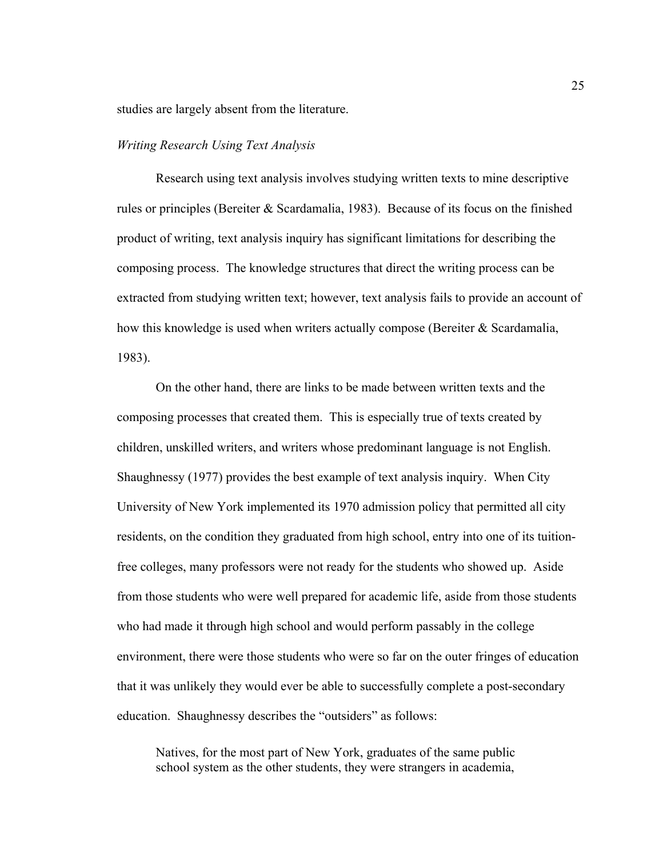studies are largely absent from the literature.

## *Writing Research Using Text Analysis*

Research using text analysis involves studying written texts to mine descriptive rules or principles (Bereiter & Scardamalia, 1983). Because of its focus on the finished product of writing, text analysis inquiry has significant limitations for describing the composing process. The knowledge structures that direct the writing process can be extracted from studying written text; however, text analysis fails to provide an account of how this knowledge is used when writers actually compose (Bereiter & Scardamalia, 1983).

On the other hand, there are links to be made between written texts and the composing processes that created them. This is especially true of texts created by children, unskilled writers, and writers whose predominant language is not English. Shaughnessy (1977) provides the best example of text analysis inquiry. When City University of New York implemented its 1970 admission policy that permitted all city residents, on the condition they graduated from high school, entry into one of its tuitionfree colleges, many professors were not ready for the students who showed up. Aside from those students who were well prepared for academic life, aside from those students who had made it through high school and would perform passably in the college environment, there were those students who were so far on the outer fringes of education that it was unlikely they would ever be able to successfully complete a post-secondary education. Shaughnessy describes the "outsiders" as follows:

Natives, for the most part of New York, graduates of the same public school system as the other students, they were strangers in academia,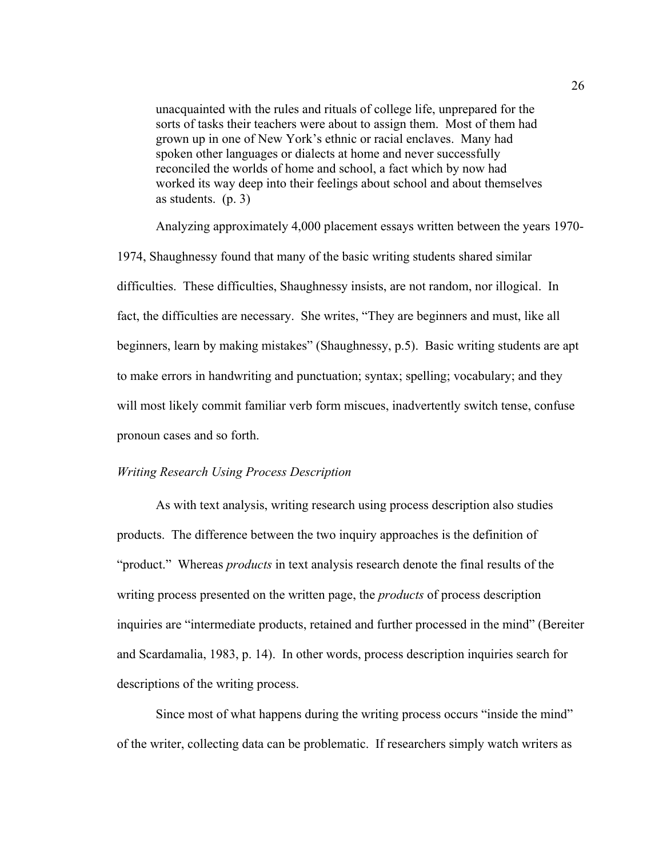unacquainted with the rules and rituals of college life, unprepared for the sorts of tasks their teachers were about to assign them. Most of them had grown up in one of New York's ethnic or racial enclaves. Many had spoken other languages or dialects at home and never successfully reconciled the worlds of home and school, a fact which by now had worked its way deep into their feelings about school and about themselves as students. (p. 3)

Analyzing approximately 4,000 placement essays written between the years 1970- 1974, Shaughnessy found that many of the basic writing students shared similar difficulties. These difficulties, Shaughnessy insists, are not random, nor illogical. In fact, the difficulties are necessary. She writes, "They are beginners and must, like all beginners, learn by making mistakes" (Shaughnessy, p.5). Basic writing students are apt to make errors in handwriting and punctuation; syntax; spelling; vocabulary; and they will most likely commit familiar verb form miscues, inadvertently switch tense, confuse pronoun cases and so forth.

## *Writing Research Using Process Description*

As with text analysis, writing research using process description also studies products. The difference between the two inquiry approaches is the definition of "product." Whereas *products* in text analysis research denote the final results of the writing process presented on the written page, the *products* of process description inquiries are "intermediate products, retained and further processed in the mind" (Bereiter and Scardamalia, 1983, p. 14). In other words, process description inquiries search for descriptions of the writing process.

Since most of what happens during the writing process occurs "inside the mind" of the writer, collecting data can be problematic. If researchers simply watch writers as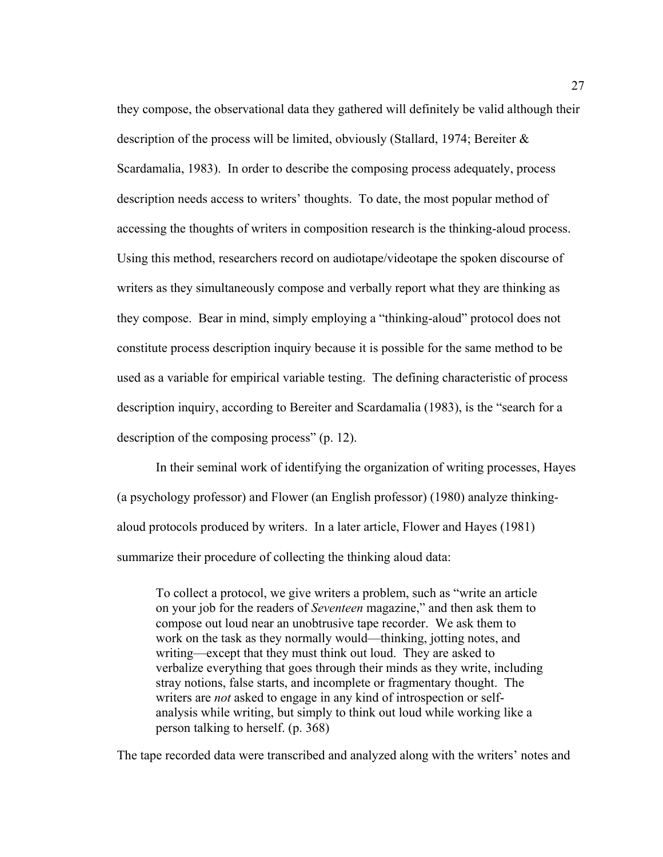they compose, the observational data they gathered will definitely be valid although their description of the process will be limited, obviously (Stallard, 1974; Bereiter  $\&$ Scardamalia, 1983). In order to describe the composing process adequately, process description needs access to writers' thoughts. To date, the most popular method of accessing the thoughts of writers in composition research is the thinking-aloud process. Using this method, researchers record on audiotape/videotape the spoken discourse of writers as they simultaneously compose and verbally report what they are thinking as they compose. Bear in mind, simply employing a "thinking-aloud" protocol does not constitute process description inquiry because it is possible for the same method to be used as a variable for empirical variable testing. The defining characteristic of process description inquiry, according to Bereiter and Scardamalia (1983), is the "search for a description of the composing process" (p. 12).

In their seminal work of identifying the organization of writing processes, Hayes (a psychology professor) and Flower (an English professor) (1980) analyze thinkingaloud protocols produced by writers. In a later article, Flower and Hayes (1981) summarize their procedure of collecting the thinking aloud data:

To collect a protocol, we give writers a problem, such as "write an article on your job for the readers of *Seventeen* magazine," and then ask them to compose out loud near an unobtrusive tape recorder. We ask them to work on the task as they normally would—thinking, jotting notes, and writing—except that they must think out loud. They are asked to verbalize everything that goes through their minds as they write, including stray notions, false starts, and incomplete or fragmentary thought. The writers are *not* asked to engage in any kind of introspection or selfanalysis while writing, but simply to think out loud while working like a person talking to herself. (p. 368)

The tape recorded data were transcribed and analyzed along with the writers' notes and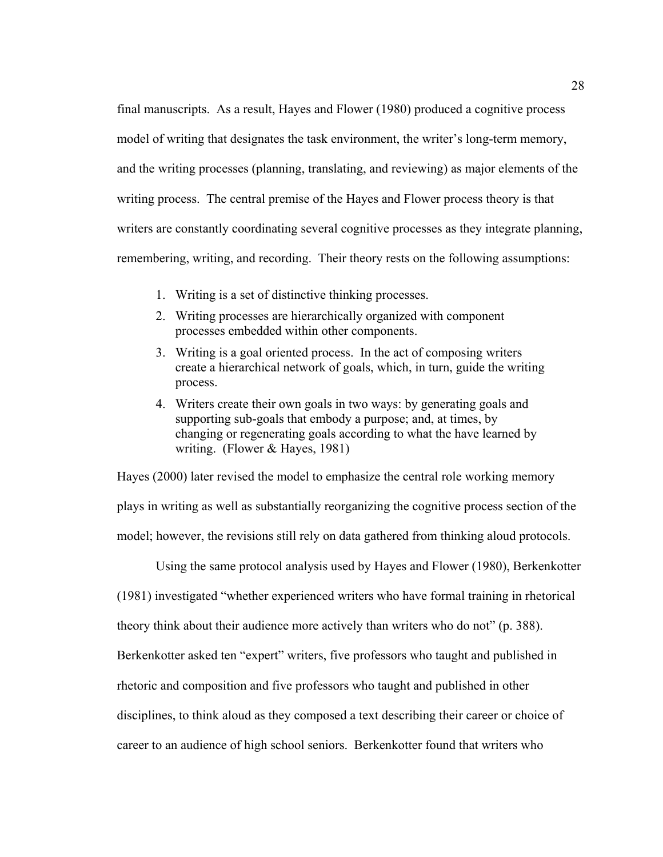final manuscripts. As a result, Hayes and Flower (1980) produced a cognitive process model of writing that designates the task environment, the writer's long-term memory, and the writing processes (planning, translating, and reviewing) as major elements of the writing process. The central premise of the Hayes and Flower process theory is that writers are constantly coordinating several cognitive processes as they integrate planning, remembering, writing, and recording. Their theory rests on the following assumptions:

- 1. Writing is a set of distinctive thinking processes.
- 2. Writing processes are hierarchically organized with component processes embedded within other components.
- 3. Writing is a goal oriented process. In the act of composing writers create a hierarchical network of goals, which, in turn, guide the writing process.
- 4. Writers create their own goals in two ways: by generating goals and supporting sub-goals that embody a purpose; and, at times, by changing or regenerating goals according to what the have learned by writing. (Flower & Hayes, 1981)

Hayes (2000) later revised the model to emphasize the central role working memory plays in writing as well as substantially reorganizing the cognitive process section of the model; however, the revisions still rely on data gathered from thinking aloud protocols.

Using the same protocol analysis used by Hayes and Flower (1980), Berkenkotter

(1981) investigated "whether experienced writers who have formal training in rhetorical

theory think about their audience more actively than writers who do not" (p. 388).

Berkenkotter asked ten "expert" writers, five professors who taught and published in

rhetoric and composition and five professors who taught and published in other

disciplines, to think aloud as they composed a text describing their career or choice of

career to an audience of high school seniors. Berkenkotter found that writers who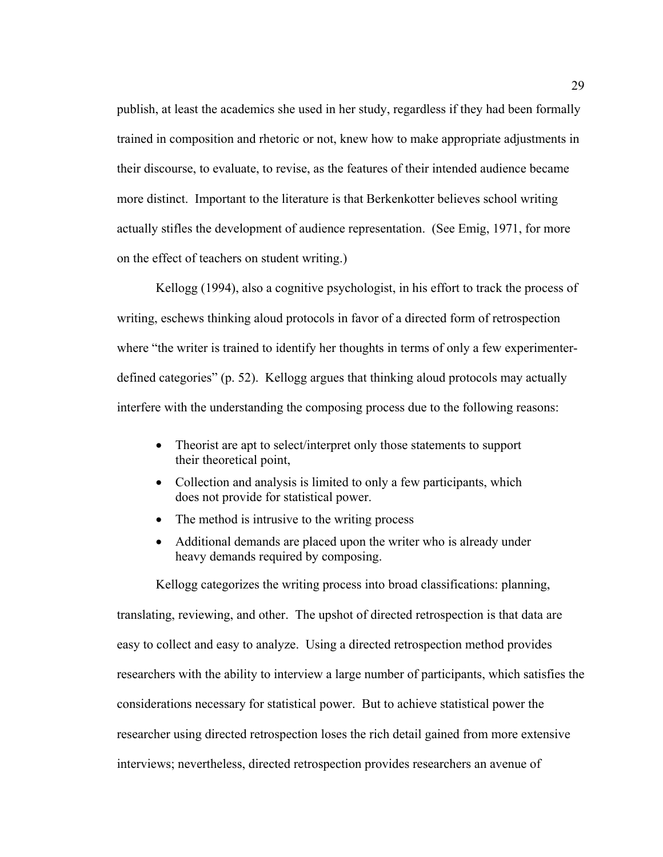publish, at least the academics she used in her study, regardless if they had been formally trained in composition and rhetoric or not, knew how to make appropriate adjustments in their discourse, to evaluate, to revise, as the features of their intended audience became more distinct. Important to the literature is that Berkenkotter believes school writing actually stifles the development of audience representation. (See Emig, 1971, for more on the effect of teachers on student writing.)

Kellogg (1994), also a cognitive psychologist, in his effort to track the process of writing, eschews thinking aloud protocols in favor of a directed form of retrospection where "the writer is trained to identify her thoughts in terms of only a few experimenterdefined categories" (p. 52). Kellogg argues that thinking aloud protocols may actually interfere with the understanding the composing process due to the following reasons:

- Theorist are apt to select/interpret only those statements to support their theoretical point,
- Collection and analysis is limited to only a few participants, which does not provide for statistical power.
- The method is intrusive to the writing process
- Additional demands are placed upon the writer who is already under heavy demands required by composing.

Kellogg categorizes the writing process into broad classifications: planning, translating, reviewing, and other. The upshot of directed retrospection is that data are easy to collect and easy to analyze. Using a directed retrospection method provides researchers with the ability to interview a large number of participants, which satisfies the considerations necessary for statistical power. But to achieve statistical power the researcher using directed retrospection loses the rich detail gained from more extensive interviews; nevertheless, directed retrospection provides researchers an avenue of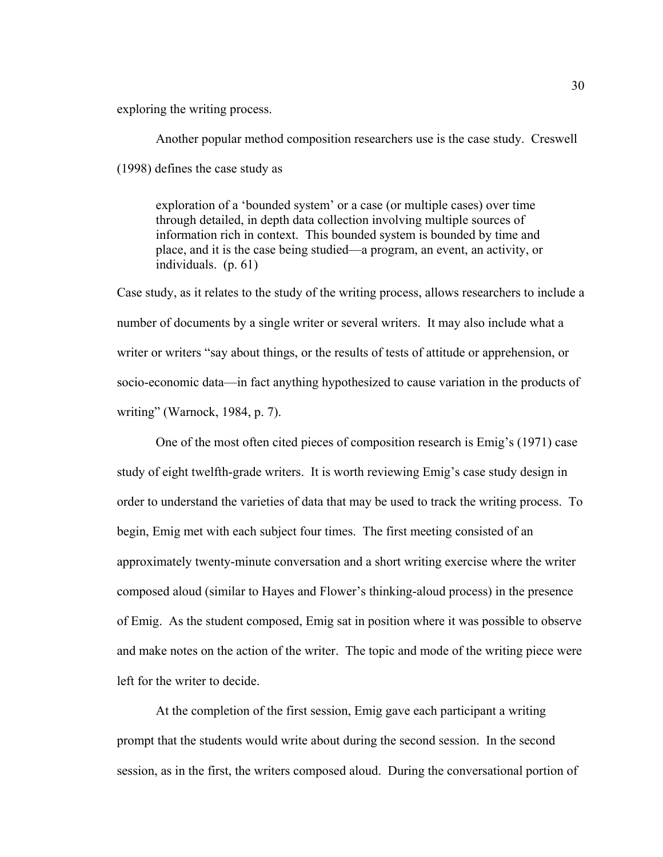exploring the writing process.

Another popular method composition researchers use is the case study. Creswell (1998) defines the case study as

exploration of a 'bounded system' or a case (or multiple cases) over time through detailed, in depth data collection involving multiple sources of information rich in context. This bounded system is bounded by time and place, and it is the case being studied—a program, an event, an activity, or individuals. (p. 61)

Case study, as it relates to the study of the writing process, allows researchers to include a number of documents by a single writer or several writers. It may also include what a writer or writers "say about things, or the results of tests of attitude or apprehension, or socio-economic data—in fact anything hypothesized to cause variation in the products of writing" (Warnock, 1984, p. 7).

One of the most often cited pieces of composition research is Emig's (1971) case study of eight twelfth-grade writers. It is worth reviewing Emig's case study design in order to understand the varieties of data that may be used to track the writing process. To begin, Emig met with each subject four times. The first meeting consisted of an approximately twenty-minute conversation and a short writing exercise where the writer composed aloud (similar to Hayes and Flower's thinking-aloud process) in the presence of Emig. As the student composed, Emig sat in position where it was possible to observe and make notes on the action of the writer. The topic and mode of the writing piece were left for the writer to decide.

At the completion of the first session, Emig gave each participant a writing prompt that the students would write about during the second session. In the second session, as in the first, the writers composed aloud. During the conversational portion of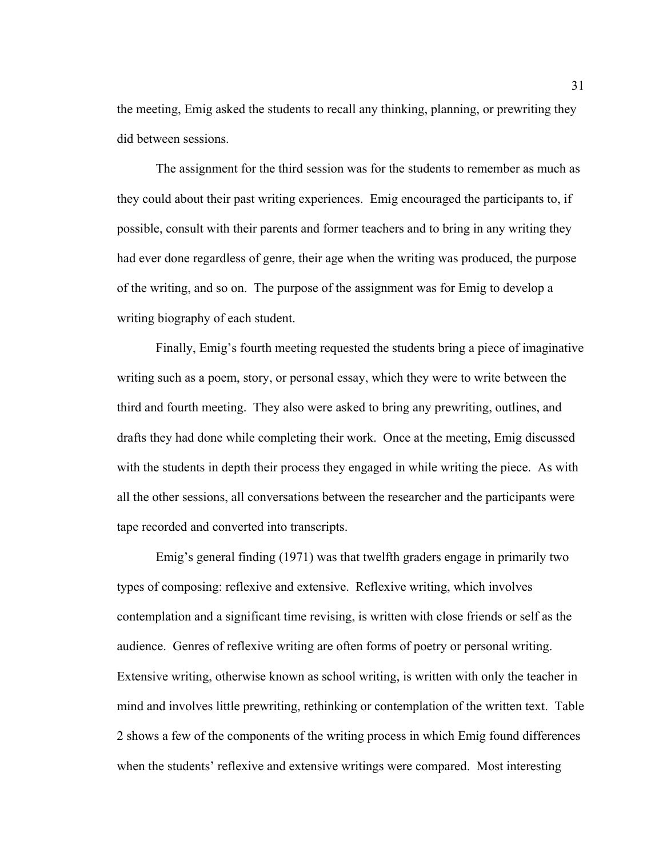the meeting, Emig asked the students to recall any thinking, planning, or prewriting they did between sessions.

The assignment for the third session was for the students to remember as much as they could about their past writing experiences. Emig encouraged the participants to, if possible, consult with their parents and former teachers and to bring in any writing they had ever done regardless of genre, their age when the writing was produced, the purpose of the writing, and so on. The purpose of the assignment was for Emig to develop a writing biography of each student.

Finally, Emig's fourth meeting requested the students bring a piece of imaginative writing such as a poem, story, or personal essay, which they were to write between the third and fourth meeting. They also were asked to bring any prewriting, outlines, and drafts they had done while completing their work. Once at the meeting, Emig discussed with the students in depth their process they engaged in while writing the piece. As with all the other sessions, all conversations between the researcher and the participants were tape recorded and converted into transcripts.

Emig's general finding (1971) was that twelfth graders engage in primarily two types of composing: reflexive and extensive. Reflexive writing, which involves contemplation and a significant time revising, is written with close friends or self as the audience. Genres of reflexive writing are often forms of poetry or personal writing. Extensive writing, otherwise known as school writing, is written with only the teacher in mind and involves little prewriting, rethinking or contemplation of the written text. Table 2 shows a few of the components of the writing process in which Emig found differences when the students' reflexive and extensive writings were compared. Most interesting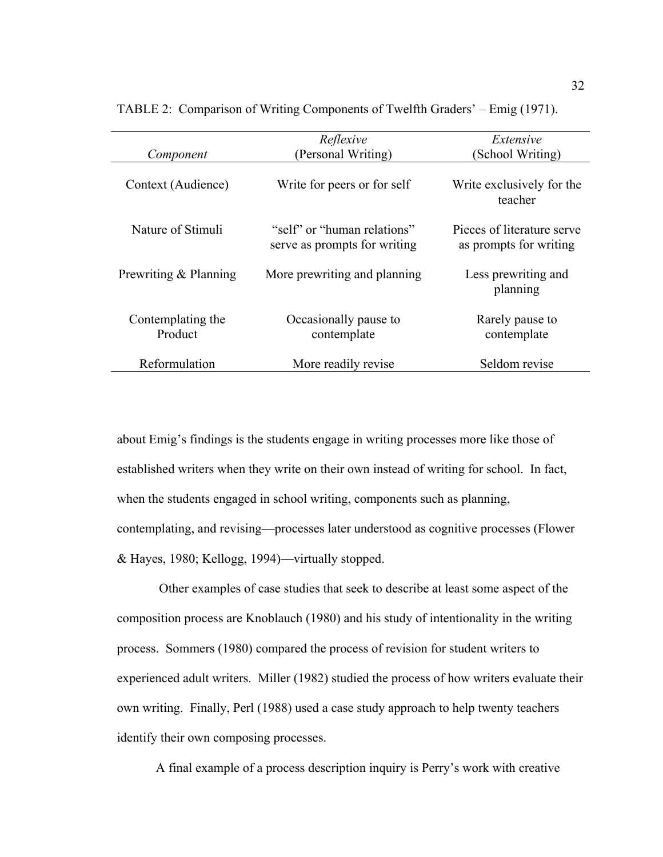| Component                    | Reflexive<br>(Personal Writing)                             | Extensive<br>(School Writing)                        |  |  |
|------------------------------|-------------------------------------------------------------|------------------------------------------------------|--|--|
|                              |                                                             |                                                      |  |  |
| Context (Audience)           | Write for peers or for self                                 | Write exclusively for the<br>teacher                 |  |  |
| Nature of Stimuli            | "self" or "human relations"<br>serve as prompts for writing | Pieces of literature serve<br>as prompts for writing |  |  |
| Prewriting & Planning        | More prewriting and planning                                | Less prewriting and<br>planning                      |  |  |
| Contemplating the<br>Product | Occasionally pause to<br>contemplate                        | Rarely pause to<br>contemplate                       |  |  |
| Reformulation                | More readily revise                                         | Seldom revise                                        |  |  |

TABLE 2: Comparison of Writing Components of Twelfth Graders' – Emig (1971).

about Emig's findings is the students engage in writing processes more like those of established writers when they write on their own instead of writing for school. In fact, when the students engaged in school writing, components such as planning, contemplating, and revising—processes later understood as cognitive processes (Flower & Hayes, 1980; Kellogg, 1994)—virtually stopped.

 Other examples of case studies that seek to describe at least some aspect of the composition process are Knoblauch (1980) and his study of intentionality in the writing process. Sommers (1980) compared the process of revision for student writers to experienced adult writers. Miller (1982) studied the process of how writers evaluate their own writing. Finally, Perl (1988) used a case study approach to help twenty teachers identify their own composing processes.

A final example of a process description inquiry is Perry's work with creative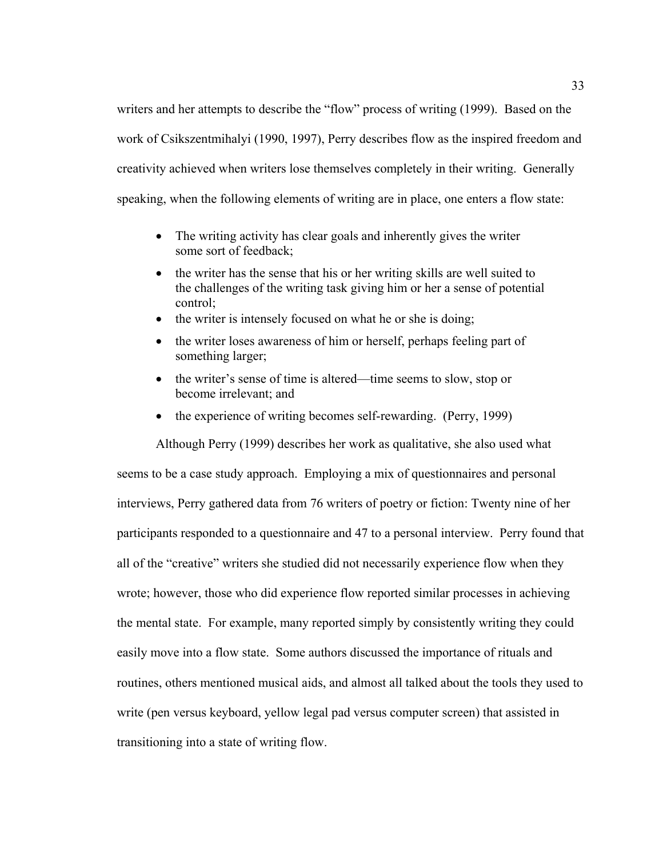writers and her attempts to describe the "flow" process of writing (1999). Based on the work of Csikszentmihalyi (1990, 1997), Perry describes flow as the inspired freedom and creativity achieved when writers lose themselves completely in their writing. Generally speaking, when the following elements of writing are in place, one enters a flow state:

- The writing activity has clear goals and inherently gives the writer some sort of feedback;
- the writer has the sense that his or her writing skills are well suited to the challenges of the writing task giving him or her a sense of potential control;
- the writer is intensely focused on what he or she is doing;
- the writer loses awareness of him or herself, perhaps feeling part of something larger;
- the writer's sense of time is altered—time seems to slow, stop or become irrelevant; and
- the experience of writing becomes self-rewarding. (Perry, 1999)

Although Perry (1999) describes her work as qualitative, she also used what seems to be a case study approach. Employing a mix of questionnaires and personal interviews, Perry gathered data from 76 writers of poetry or fiction: Twenty nine of her participants responded to a questionnaire and 47 to a personal interview. Perry found that all of the "creative" writers she studied did not necessarily experience flow when they wrote; however, those who did experience flow reported similar processes in achieving the mental state. For example, many reported simply by consistently writing they could easily move into a flow state. Some authors discussed the importance of rituals and routines, others mentioned musical aids, and almost all talked about the tools they used to write (pen versus keyboard, yellow legal pad versus computer screen) that assisted in transitioning into a state of writing flow.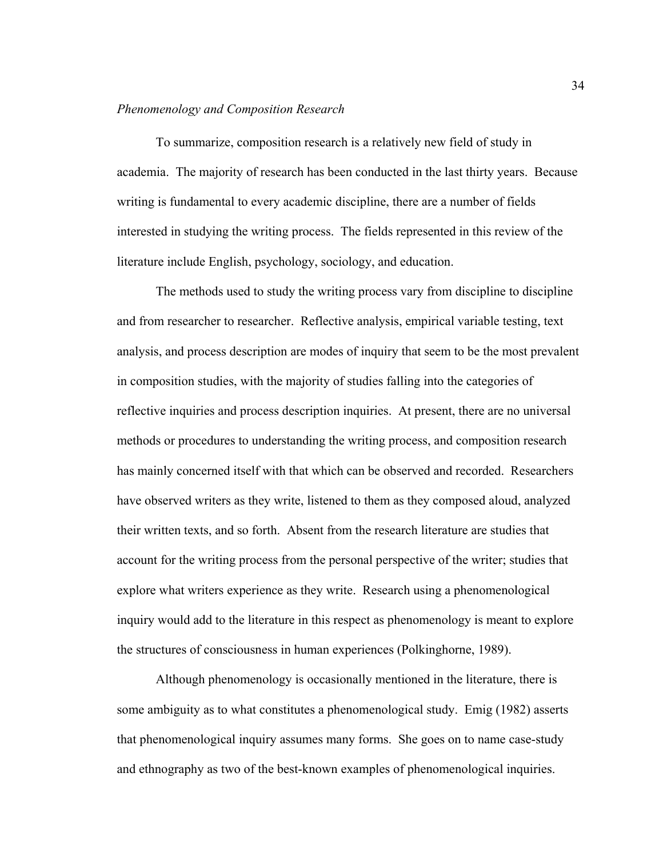#### *Phenomenology and Composition Research*

To summarize, composition research is a relatively new field of study in academia. The majority of research has been conducted in the last thirty years. Because writing is fundamental to every academic discipline, there are a number of fields interested in studying the writing process. The fields represented in this review of the literature include English, psychology, sociology, and education.

The methods used to study the writing process vary from discipline to discipline and from researcher to researcher. Reflective analysis, empirical variable testing, text analysis, and process description are modes of inquiry that seem to be the most prevalent in composition studies, with the majority of studies falling into the categories of reflective inquiries and process description inquiries. At present, there are no universal methods or procedures to understanding the writing process, and composition research has mainly concerned itself with that which can be observed and recorded. Researchers have observed writers as they write, listened to them as they composed aloud, analyzed their written texts, and so forth. Absent from the research literature are studies that account for the writing process from the personal perspective of the writer; studies that explore what writers experience as they write. Research using a phenomenological inquiry would add to the literature in this respect as phenomenology is meant to explore the structures of consciousness in human experiences (Polkinghorne, 1989).

Although phenomenology is occasionally mentioned in the literature, there is some ambiguity as to what constitutes a phenomenological study. Emig (1982) asserts that phenomenological inquiry assumes many forms. She goes on to name case-study and ethnography as two of the best-known examples of phenomenological inquiries.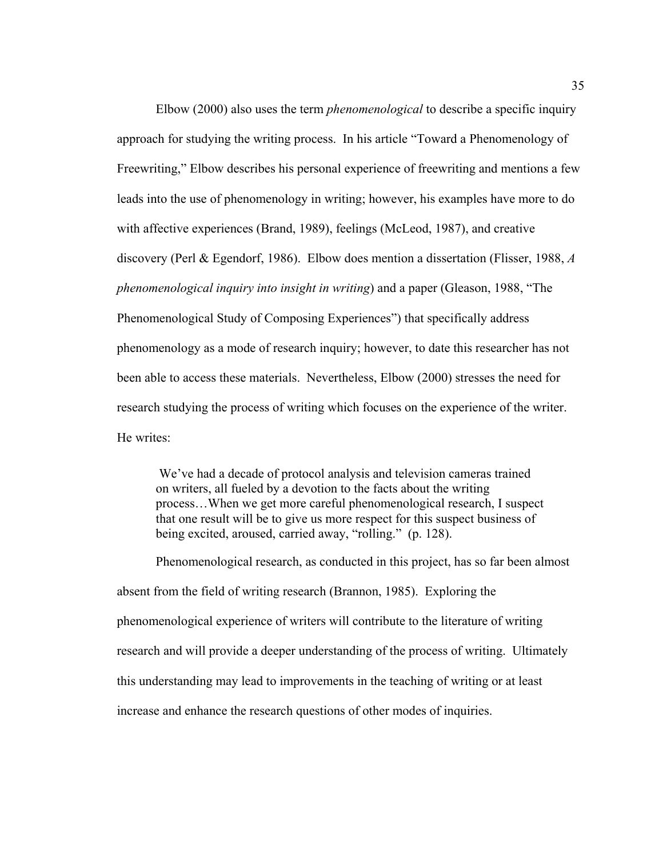Elbow (2000) also uses the term *phenomenological* to describe a specific inquiry approach for studying the writing process. In his article "Toward a Phenomenology of Freewriting," Elbow describes his personal experience of freewriting and mentions a few leads into the use of phenomenology in writing; however, his examples have more to do with affective experiences (Brand, 1989), feelings (McLeod, 1987), and creative discovery (Perl & Egendorf, 1986). Elbow does mention a dissertation (Flisser, 1988, *A phenomenological inquiry into insight in writing*) and a paper (Gleason, 1988, "The Phenomenological Study of Composing Experiences") that specifically address phenomenology as a mode of research inquiry; however, to date this researcher has not been able to access these materials. Nevertheless, Elbow (2000) stresses the need for research studying the process of writing which focuses on the experience of the writer. He writes:

 We've had a decade of protocol analysis and television cameras trained on writers, all fueled by a devotion to the facts about the writing process…When we get more careful phenomenological research, I suspect that one result will be to give us more respect for this suspect business of being excited, aroused, carried away, "rolling." (p. 128).

Phenomenological research, as conducted in this project, has so far been almost absent from the field of writing research (Brannon, 1985). Exploring the phenomenological experience of writers will contribute to the literature of writing research and will provide a deeper understanding of the process of writing. Ultimately this understanding may lead to improvements in the teaching of writing or at least increase and enhance the research questions of other modes of inquiries.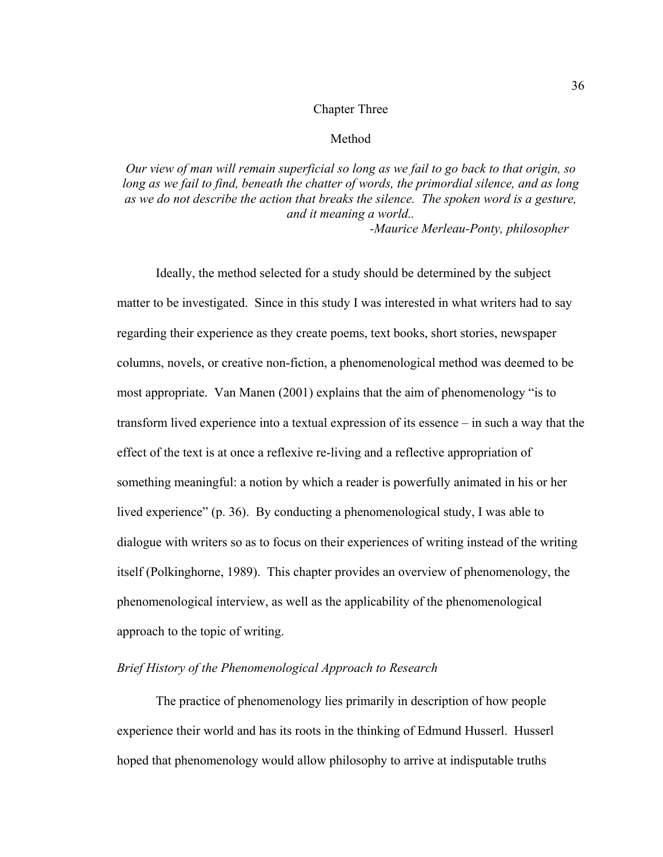## Chapter Three

## Method

*Our view of man will remain superficial so long as we fail to go back to that origin, so long as we fail to find, beneath the chatter of words, the primordial silence, and as long as we do not describe the action that breaks the silence. The spoken word is a gesture, and it meaning a world..* 

 *-Maurice Merleau-Ponty, philosopher* 

Ideally, the method selected for a study should be determined by the subject matter to be investigated. Since in this study I was interested in what writers had to say regarding their experience as they create poems, text books, short stories, newspaper columns, novels, or creative non-fiction, a phenomenological method was deemed to be most appropriate. Van Manen (2001) explains that the aim of phenomenology "is to transform lived experience into a textual expression of its essence – in such a way that the effect of the text is at once a reflexive re-living and a reflective appropriation of something meaningful: a notion by which a reader is powerfully animated in his or her lived experience" (p. 36). By conducting a phenomenological study, I was able to dialogue with writers so as to focus on their experiences of writing instead of the writing itself (Polkinghorne, 1989). This chapter provides an overview of phenomenology, the phenomenological interview, as well as the applicability of the phenomenological approach to the topic of writing.

## *Brief History of the Phenomenological Approach to Research*

 The practice of phenomenology lies primarily in description of how people experience their world and has its roots in the thinking of Edmund Husserl. Husserl hoped that phenomenology would allow philosophy to arrive at indisputable truths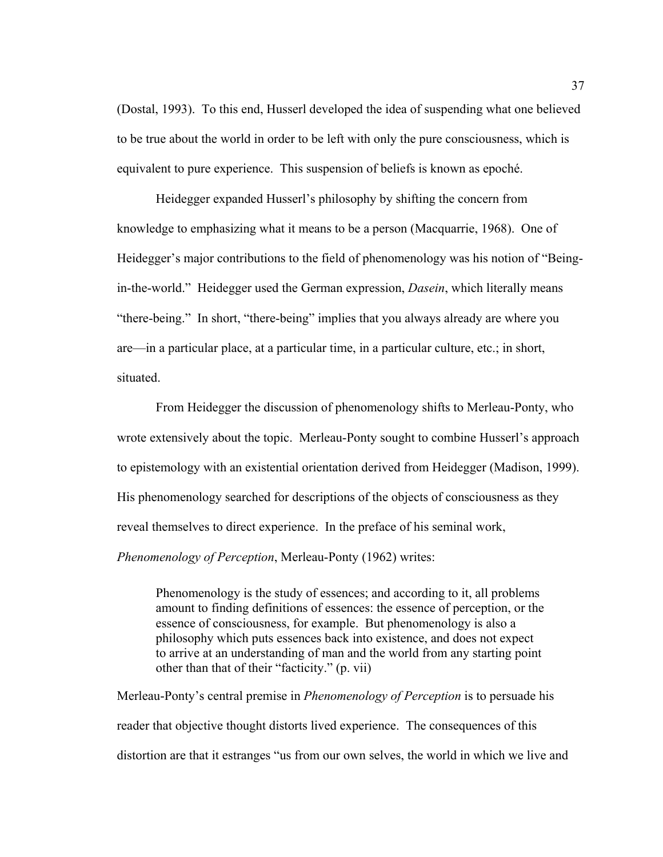(Dostal, 1993). To this end, Husserl developed the idea of suspending what one believed to be true about the world in order to be left with only the pure consciousness, which is equivalent to pure experience. This suspension of beliefs is known as epoché.

 Heidegger expanded Husserl's philosophy by shifting the concern from knowledge to emphasizing what it means to be a person (Macquarrie, 1968). One of Heidegger's major contributions to the field of phenomenology was his notion of "Beingin-the-world." Heidegger used the German expression, *Dasein*, which literally means "there-being." In short, "there-being" implies that you always already are where you are—in a particular place, at a particular time, in a particular culture, etc.; in short, situated.

 From Heidegger the discussion of phenomenology shifts to Merleau-Ponty, who wrote extensively about the topic. Merleau-Ponty sought to combine Husserl's approach to epistemology with an existential orientation derived from Heidegger (Madison, 1999). His phenomenology searched for descriptions of the objects of consciousness as they reveal themselves to direct experience. In the preface of his seminal work, *Phenomenology of Perception*, Merleau-Ponty (1962) writes:

Phenomenology is the study of essences; and according to it, all problems amount to finding definitions of essences: the essence of perception, or the essence of consciousness, for example. But phenomenology is also a philosophy which puts essences back into existence, and does not expect to arrive at an understanding of man and the world from any starting point other than that of their "facticity." (p. vii)

Merleau-Ponty's central premise in *Phenomenology of Perception* is to persuade his reader that objective thought distorts lived experience. The consequences of this distortion are that it estranges "us from our own selves, the world in which we live and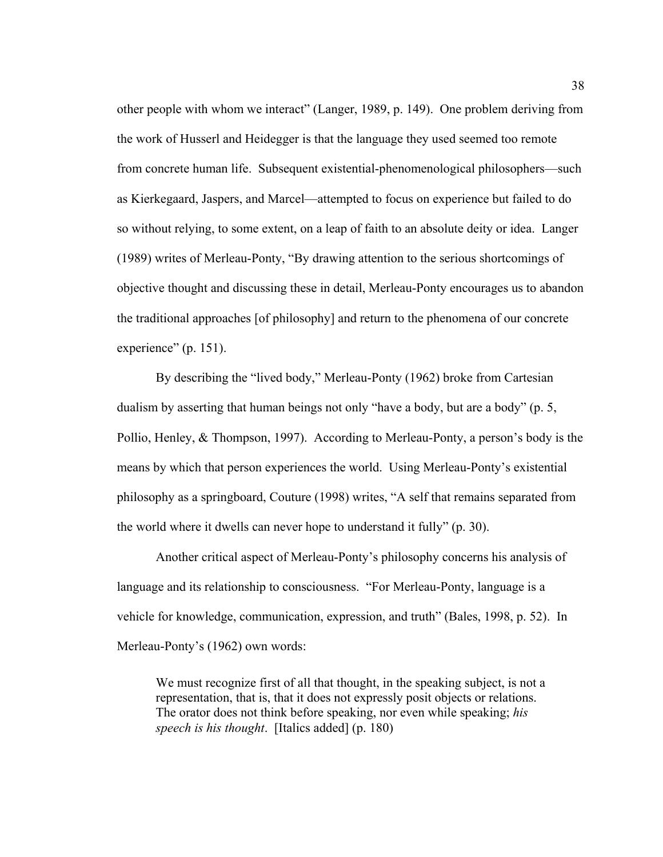other people with whom we interact" (Langer, 1989, p. 149). One problem deriving from the work of Husserl and Heidegger is that the language they used seemed too remote from concrete human life. Subsequent existential-phenomenological philosophers—such as Kierkegaard, Jaspers, and Marcel—attempted to focus on experience but failed to do so without relying, to some extent, on a leap of faith to an absolute deity or idea. Langer (1989) writes of Merleau-Ponty, "By drawing attention to the serious shortcomings of objective thought and discussing these in detail, Merleau-Ponty encourages us to abandon the traditional approaches [of philosophy] and return to the phenomena of our concrete experience" (p. 151).

By describing the "lived body," Merleau-Ponty (1962) broke from Cartesian dualism by asserting that human beings not only "have a body, but are a body" (p. 5, Pollio, Henley, & Thompson, 1997). According to Merleau-Ponty, a person's body is the means by which that person experiences the world. Using Merleau-Ponty's existential philosophy as a springboard, Couture (1998) writes, "A self that remains separated from the world where it dwells can never hope to understand it fully" (p. 30).

Another critical aspect of Merleau-Ponty's philosophy concerns his analysis of language and its relationship to consciousness. "For Merleau-Ponty, language is a vehicle for knowledge, communication, expression, and truth" (Bales, 1998, p. 52). In Merleau-Ponty's (1962) own words:

We must recognize first of all that thought, in the speaking subject, is not a representation, that is, that it does not expressly posit objects or relations. The orator does not think before speaking, nor even while speaking; *his speech is his thought*. [Italics added] (p. 180)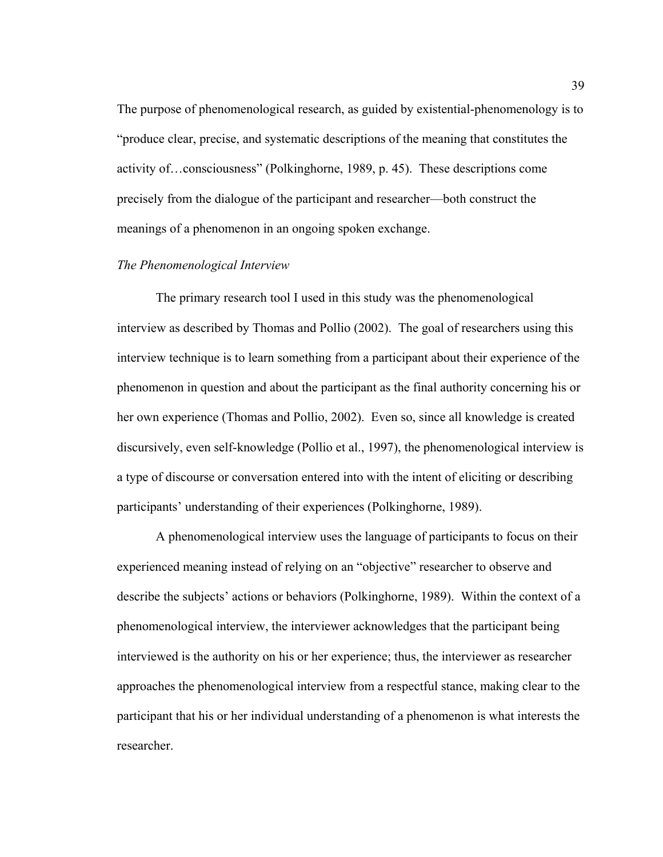The purpose of phenomenological research, as guided by existential-phenomenology is to "produce clear, precise, and systematic descriptions of the meaning that constitutes the activity of…consciousness" (Polkinghorne, 1989, p. 45). These descriptions come precisely from the dialogue of the participant and researcher—both construct the meanings of a phenomenon in an ongoing spoken exchange.

#### *The Phenomenological Interview*

The primary research tool I used in this study was the phenomenological interview as described by Thomas and Pollio (2002). The goal of researchers using this interview technique is to learn something from a participant about their experience of the phenomenon in question and about the participant as the final authority concerning his or her own experience (Thomas and Pollio, 2002). Even so, since all knowledge is created discursively, even self-knowledge (Pollio et al., 1997), the phenomenological interview is a type of discourse or conversation entered into with the intent of eliciting or describing participants' understanding of their experiences (Polkinghorne, 1989).

A phenomenological interview uses the language of participants to focus on their experienced meaning instead of relying on an "objective" researcher to observe and describe the subjects' actions or behaviors (Polkinghorne, 1989). Within the context of a phenomenological interview, the interviewer acknowledges that the participant being interviewed is the authority on his or her experience; thus, the interviewer as researcher approaches the phenomenological interview from a respectful stance, making clear to the participant that his or her individual understanding of a phenomenon is what interests the researcher.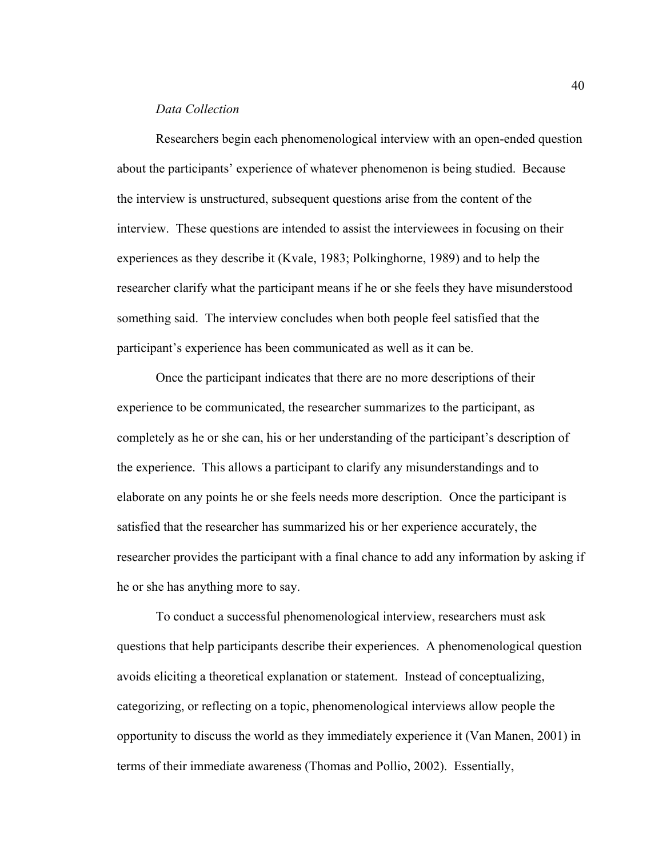### *Data Collection*

Researchers begin each phenomenological interview with an open-ended question about the participants' experience of whatever phenomenon is being studied. Because the interview is unstructured, subsequent questions arise from the content of the interview. These questions are intended to assist the interviewees in focusing on their experiences as they describe it (Kvale, 1983; Polkinghorne, 1989) and to help the researcher clarify what the participant means if he or she feels they have misunderstood something said. The interview concludes when both people feel satisfied that the participant's experience has been communicated as well as it can be.

Once the participant indicates that there are no more descriptions of their experience to be communicated, the researcher summarizes to the participant, as completely as he or she can, his or her understanding of the participant's description of the experience. This allows a participant to clarify any misunderstandings and to elaborate on any points he or she feels needs more description. Once the participant is satisfied that the researcher has summarized his or her experience accurately, the researcher provides the participant with a final chance to add any information by asking if he or she has anything more to say.

To conduct a successful phenomenological interview, researchers must ask questions that help participants describe their experiences. A phenomenological question avoids eliciting a theoretical explanation or statement. Instead of conceptualizing, categorizing, or reflecting on a topic, phenomenological interviews allow people the opportunity to discuss the world as they immediately experience it (Van Manen, 2001) in terms of their immediate awareness (Thomas and Pollio, 2002). Essentially,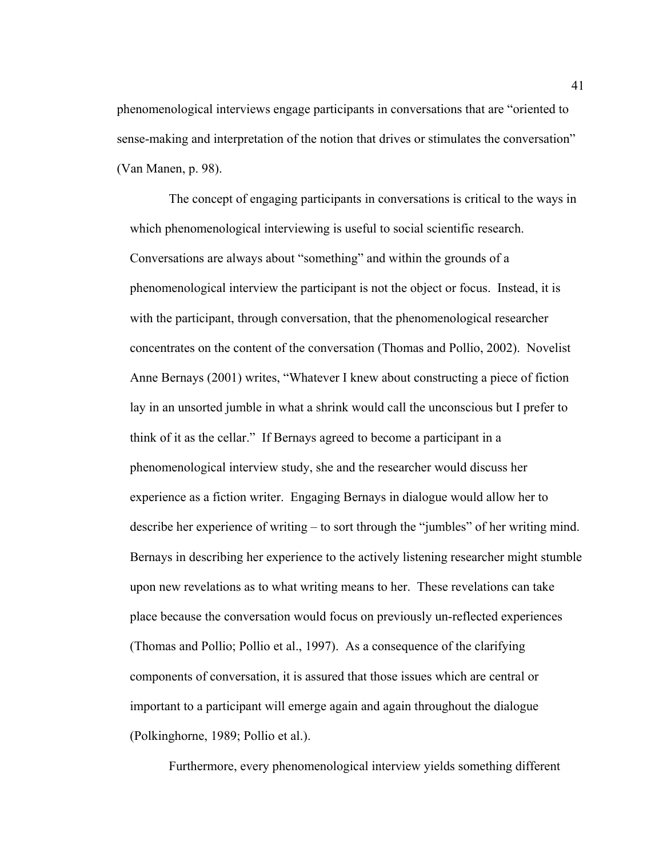phenomenological interviews engage participants in conversations that are "oriented to sense-making and interpretation of the notion that drives or stimulates the conversation" (Van Manen, p. 98).

The concept of engaging participants in conversations is critical to the ways in which phenomenological interviewing is useful to social scientific research. Conversations are always about "something" and within the grounds of a phenomenological interview the participant is not the object or focus. Instead, it is with the participant, through conversation, that the phenomenological researcher concentrates on the content of the conversation (Thomas and Pollio, 2002). Novelist Anne Bernays (2001) writes, "Whatever I knew about constructing a piece of fiction lay in an unsorted jumble in what a shrink would call the unconscious but I prefer to think of it as the cellar." If Bernays agreed to become a participant in a phenomenological interview study, she and the researcher would discuss her experience as a fiction writer. Engaging Bernays in dialogue would allow her to describe her experience of writing – to sort through the "jumbles" of her writing mind. Bernays in describing her experience to the actively listening researcher might stumble upon new revelations as to what writing means to her. These revelations can take place because the conversation would focus on previously un-reflected experiences (Thomas and Pollio; Pollio et al., 1997). As a consequence of the clarifying components of conversation, it is assured that those issues which are central or important to a participant will emerge again and again throughout the dialogue (Polkinghorne, 1989; Pollio et al.).

Furthermore, every phenomenological interview yields something different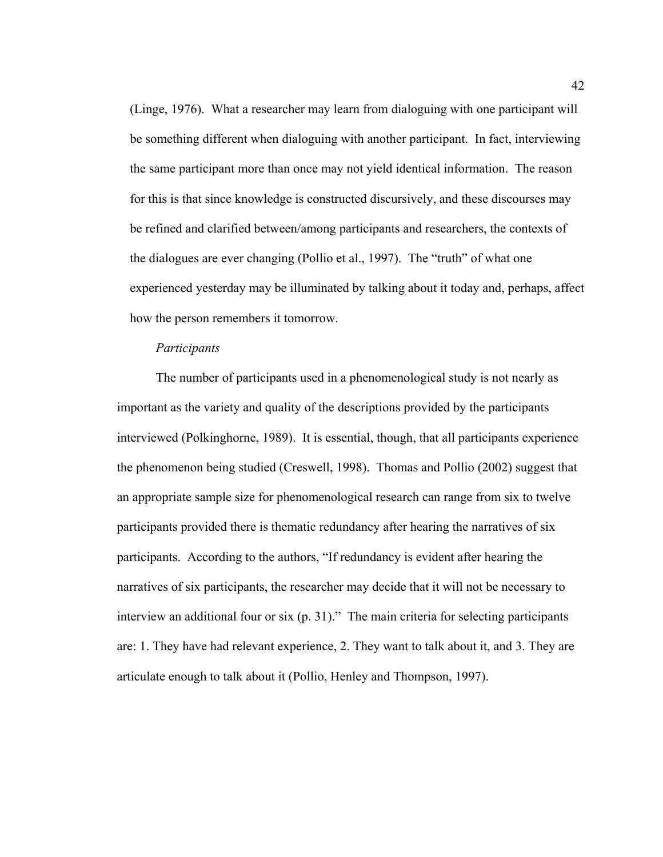(Linge, 1976). What a researcher may learn from dialoguing with one participant will be something different when dialoguing with another participant. In fact, interviewing the same participant more than once may not yield identical information. The reason for this is that since knowledge is constructed discursively, and these discourses may be refined and clarified between/among participants and researchers, the contexts of the dialogues are ever changing (Pollio et al., 1997). The "truth" of what one experienced yesterday may be illuminated by talking about it today and, perhaps, affect how the person remembers it tomorrow.

#### *Participants*

 The number of participants used in a phenomenological study is not nearly as important as the variety and quality of the descriptions provided by the participants interviewed (Polkinghorne, 1989). It is essential, though, that all participants experience the phenomenon being studied (Creswell, 1998). Thomas and Pollio (2002) suggest that an appropriate sample size for phenomenological research can range from six to twelve participants provided there is thematic redundancy after hearing the narratives of six participants. According to the authors, "If redundancy is evident after hearing the narratives of six participants, the researcher may decide that it will not be necessary to interview an additional four or six (p. 31)." The main criteria for selecting participants are: 1. They have had relevant experience, 2. They want to talk about it, and 3. They are articulate enough to talk about it (Pollio, Henley and Thompson, 1997).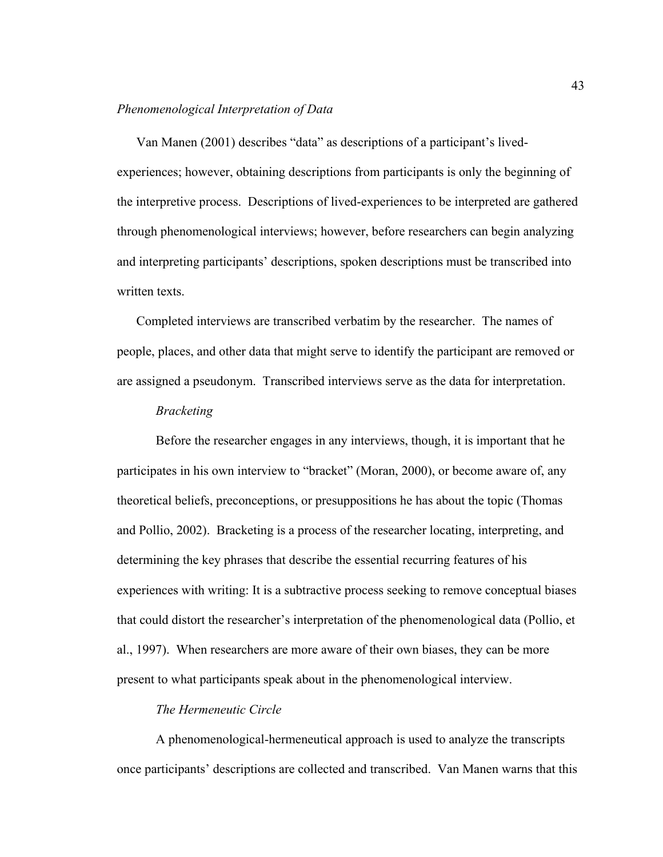## *Phenomenological Interpretation of Data*

Van Manen (2001) describes "data" as descriptions of a participant's livedexperiences; however, obtaining descriptions from participants is only the beginning of the interpretive process. Descriptions of lived-experiences to be interpreted are gathered through phenomenological interviews; however, before researchers can begin analyzing and interpreting participants' descriptions, spoken descriptions must be transcribed into written texts.

Completed interviews are transcribed verbatim by the researcher. The names of people, places, and other data that might serve to identify the participant are removed or are assigned a pseudonym. Transcribed interviews serve as the data for interpretation.

## *Bracketing*

Before the researcher engages in any interviews, though, it is important that he participates in his own interview to "bracket" (Moran, 2000), or become aware of, any theoretical beliefs, preconceptions, or presuppositions he has about the topic (Thomas and Pollio, 2002). Bracketing is a process of the researcher locating, interpreting, and determining the key phrases that describe the essential recurring features of his experiences with writing: It is a subtractive process seeking to remove conceptual biases that could distort the researcher's interpretation of the phenomenological data (Pollio, et al., 1997). When researchers are more aware of their own biases, they can be more present to what participants speak about in the phenomenological interview.

# *The Hermeneutic Circle*

A phenomenological-hermeneutical approach is used to analyze the transcripts once participants' descriptions are collected and transcribed. Van Manen warns that this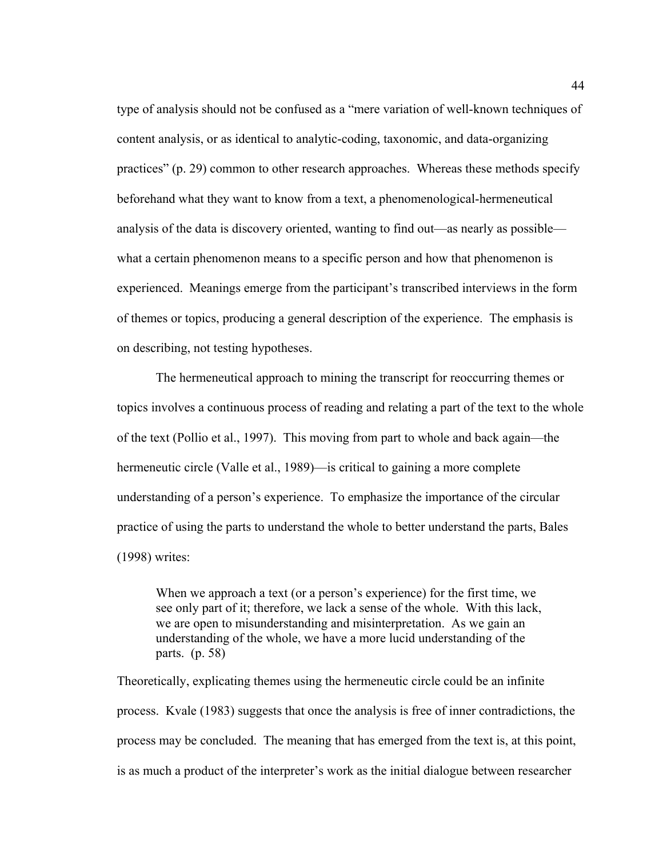type of analysis should not be confused as a "mere variation of well-known techniques of content analysis, or as identical to analytic-coding, taxonomic, and data-organizing practices" (p. 29) common to other research approaches. Whereas these methods specify beforehand what they want to know from a text, a phenomenological-hermeneutical analysis of the data is discovery oriented, wanting to find out—as nearly as possible what a certain phenomenon means to a specific person and how that phenomenon is experienced. Meanings emerge from the participant's transcribed interviews in the form of themes or topics, producing a general description of the experience. The emphasis is on describing, not testing hypotheses.

The hermeneutical approach to mining the transcript for reoccurring themes or topics involves a continuous process of reading and relating a part of the text to the whole of the text (Pollio et al., 1997). This moving from part to whole and back again—the hermeneutic circle (Valle et al., 1989)—is critical to gaining a more complete understanding of a person's experience. To emphasize the importance of the circular practice of using the parts to understand the whole to better understand the parts, Bales (1998) writes:

When we approach a text (or a person's experience) for the first time, we see only part of it; therefore, we lack a sense of the whole. With this lack, we are open to misunderstanding and misinterpretation. As we gain an understanding of the whole, we have a more lucid understanding of the parts. (p. 58)

Theoretically, explicating themes using the hermeneutic circle could be an infinite process. Kvale (1983) suggests that once the analysis is free of inner contradictions, the process may be concluded. The meaning that has emerged from the text is, at this point, is as much a product of the interpreter's work as the initial dialogue between researcher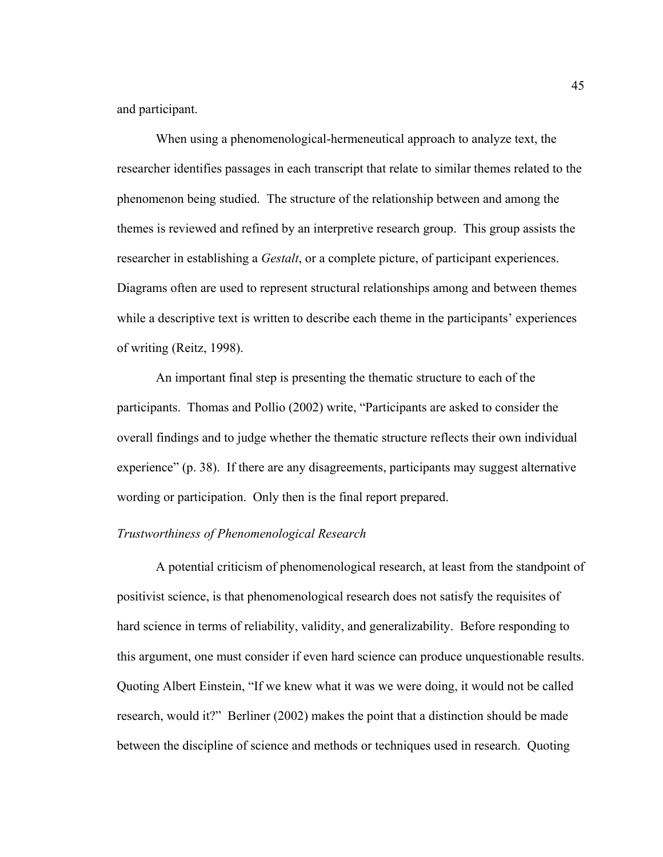and participant.

 When using a phenomenological-hermeneutical approach to analyze text, the researcher identifies passages in each transcript that relate to similar themes related to the phenomenon being studied. The structure of the relationship between and among the themes is reviewed and refined by an interpretive research group. This group assists the researcher in establishing a *Gestalt*, or a complete picture, of participant experiences. Diagrams often are used to represent structural relationships among and between themes while a descriptive text is written to describe each theme in the participants' experiences of writing (Reitz, 1998).

An important final step is presenting the thematic structure to each of the participants. Thomas and Pollio (2002) write, "Participants are asked to consider the overall findings and to judge whether the thematic structure reflects their own individual experience" (p. 38). If there are any disagreements, participants may suggest alternative wording or participation. Only then is the final report prepared.

#### *Trustworthiness of Phenomenological Research*

A potential criticism of phenomenological research, at least from the standpoint of positivist science, is that phenomenological research does not satisfy the requisites of hard science in terms of reliability, validity, and generalizability. Before responding to this argument, one must consider if even hard science can produce unquestionable results. Quoting Albert Einstein, "If we knew what it was we were doing, it would not be called research, would it?" Berliner (2002) makes the point that a distinction should be made between the discipline of science and methods or techniques used in research. Quoting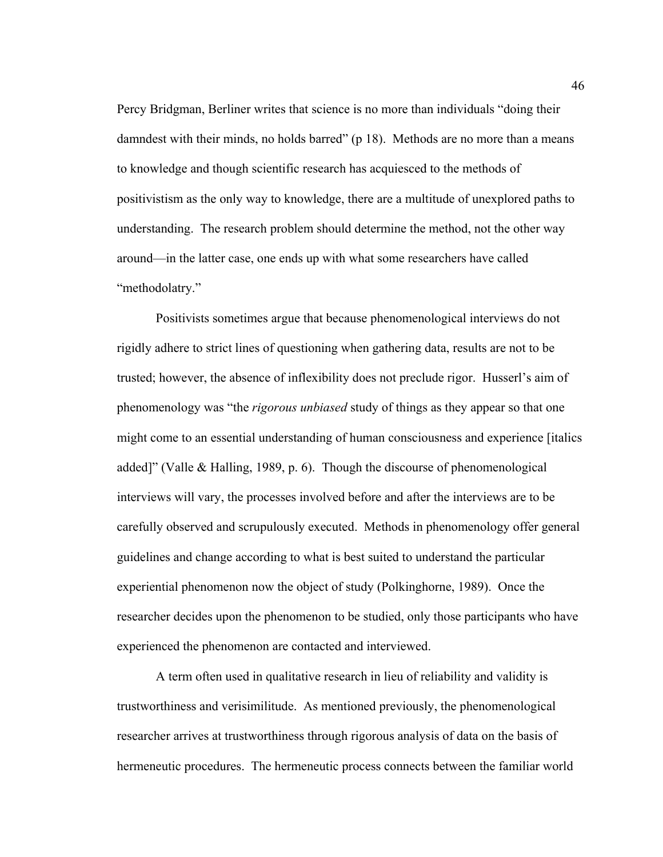Percy Bridgman, Berliner writes that science is no more than individuals "doing their damndest with their minds, no holds barred" (p 18). Methods are no more than a means to knowledge and though scientific research has acquiesced to the methods of positivistism as the only way to knowledge, there are a multitude of unexplored paths to understanding. The research problem should determine the method, not the other way around—in the latter case, one ends up with what some researchers have called "methodolatry."

 Positivists sometimes argue that because phenomenological interviews do not rigidly adhere to strict lines of questioning when gathering data, results are not to be trusted; however, the absence of inflexibility does not preclude rigor. Husserl's aim of phenomenology was "the *rigorous unbiased* study of things as they appear so that one might come to an essential understanding of human consciousness and experience [italics added]" (Valle & Halling, 1989, p. 6). Though the discourse of phenomenological interviews will vary, the processes involved before and after the interviews are to be carefully observed and scrupulously executed. Methods in phenomenology offer general guidelines and change according to what is best suited to understand the particular experiential phenomenon now the object of study (Polkinghorne, 1989). Once the researcher decides upon the phenomenon to be studied, only those participants who have experienced the phenomenon are contacted and interviewed.

 A term often used in qualitative research in lieu of reliability and validity is trustworthiness and verisimilitude. As mentioned previously, the phenomenological researcher arrives at trustworthiness through rigorous analysis of data on the basis of hermeneutic procedures. The hermeneutic process connects between the familiar world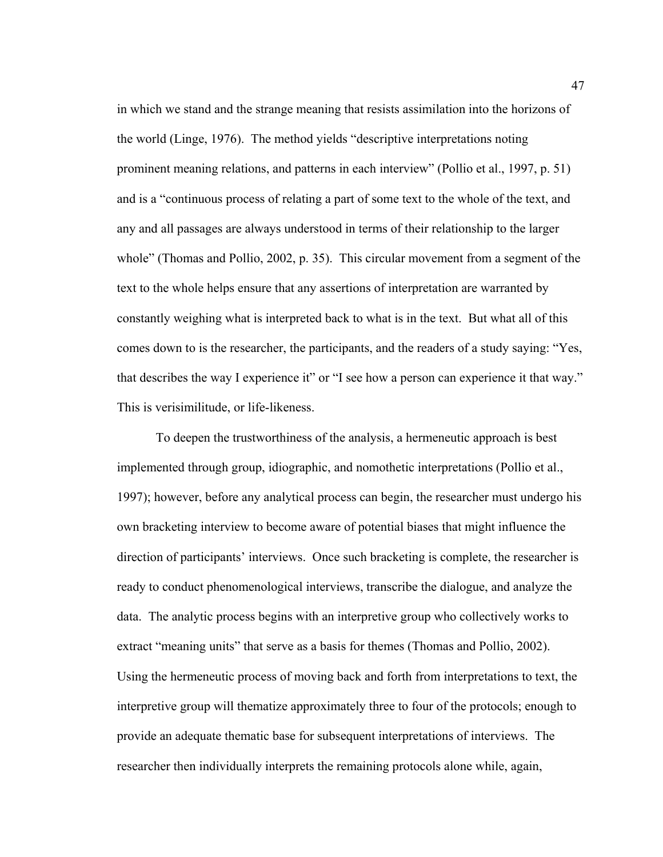in which we stand and the strange meaning that resists assimilation into the horizons of the world (Linge, 1976). The method yields "descriptive interpretations noting prominent meaning relations, and patterns in each interview" (Pollio et al., 1997, p. 51) and is a "continuous process of relating a part of some text to the whole of the text, and any and all passages are always understood in terms of their relationship to the larger whole" (Thomas and Pollio, 2002, p. 35). This circular movement from a segment of the text to the whole helps ensure that any assertions of interpretation are warranted by constantly weighing what is interpreted back to what is in the text. But what all of this comes down to is the researcher, the participants, and the readers of a study saying: "Yes, that describes the way I experience it" or "I see how a person can experience it that way." This is verisimilitude, or life-likeness.

 To deepen the trustworthiness of the analysis, a hermeneutic approach is best implemented through group, idiographic, and nomothetic interpretations (Pollio et al., 1997); however, before any analytical process can begin, the researcher must undergo his own bracketing interview to become aware of potential biases that might influence the direction of participants' interviews. Once such bracketing is complete, the researcher is ready to conduct phenomenological interviews, transcribe the dialogue, and analyze the data. The analytic process begins with an interpretive group who collectively works to extract "meaning units" that serve as a basis for themes (Thomas and Pollio, 2002). Using the hermeneutic process of moving back and forth from interpretations to text, the interpretive group will thematize approximately three to four of the protocols; enough to provide an adequate thematic base for subsequent interpretations of interviews. The researcher then individually interprets the remaining protocols alone while, again,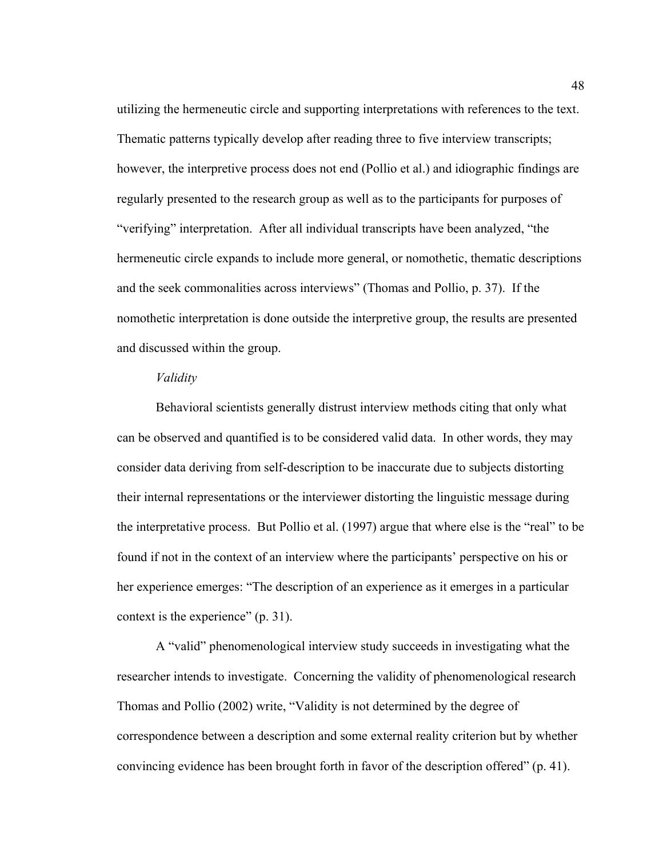utilizing the hermeneutic circle and supporting interpretations with references to the text. Thematic patterns typically develop after reading three to five interview transcripts; however, the interpretive process does not end (Pollio et al.) and idiographic findings are regularly presented to the research group as well as to the participants for purposes of "verifying" interpretation. After all individual transcripts have been analyzed, "the hermeneutic circle expands to include more general, or nomothetic, thematic descriptions and the seek commonalities across interviews" (Thomas and Pollio, p. 37). If the nomothetic interpretation is done outside the interpretive group, the results are presented and discussed within the group.

### *Validity*

 Behavioral scientists generally distrust interview methods citing that only what can be observed and quantified is to be considered valid data. In other words, they may consider data deriving from self-description to be inaccurate due to subjects distorting their internal representations or the interviewer distorting the linguistic message during the interpretative process. But Pollio et al. (1997) argue that where else is the "real" to be found if not in the context of an interview where the participants' perspective on his or her experience emerges: "The description of an experience as it emerges in a particular context is the experience" (p. 31).

 A "valid" phenomenological interview study succeeds in investigating what the researcher intends to investigate. Concerning the validity of phenomenological research Thomas and Pollio (2002) write, "Validity is not determined by the degree of correspondence between a description and some external reality criterion but by whether convincing evidence has been brought forth in favor of the description offered" (p. 41).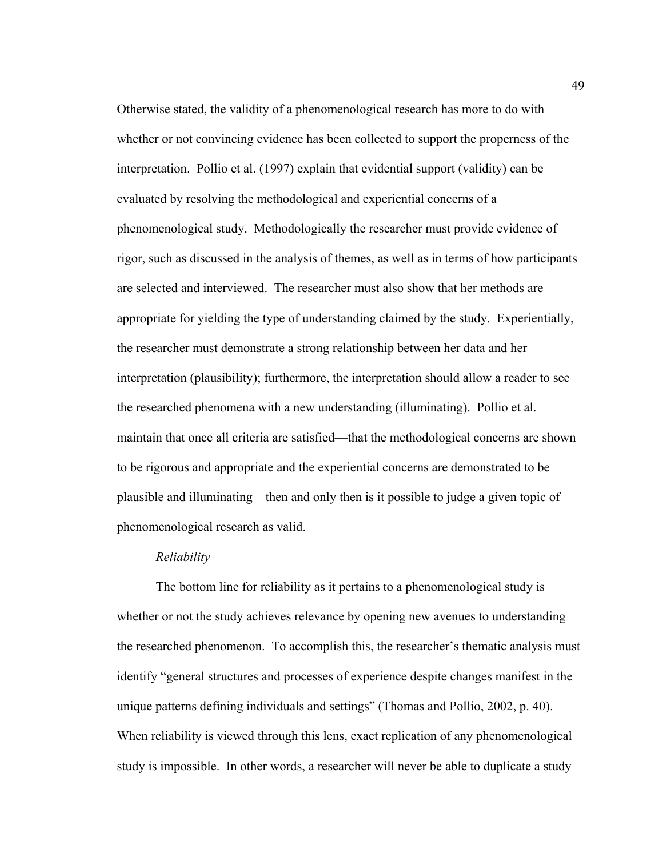Otherwise stated, the validity of a phenomenological research has more to do with whether or not convincing evidence has been collected to support the properness of the interpretation. Pollio et al. (1997) explain that evidential support (validity) can be evaluated by resolving the methodological and experiential concerns of a phenomenological study. Methodologically the researcher must provide evidence of rigor, such as discussed in the analysis of themes, as well as in terms of how participants are selected and interviewed. The researcher must also show that her methods are appropriate for yielding the type of understanding claimed by the study. Experientially, the researcher must demonstrate a strong relationship between her data and her interpretation (plausibility); furthermore, the interpretation should allow a reader to see the researched phenomena with a new understanding (illuminating). Pollio et al. maintain that once all criteria are satisfied—that the methodological concerns are shown to be rigorous and appropriate and the experiential concerns are demonstrated to be plausible and illuminating—then and only then is it possible to judge a given topic of phenomenological research as valid.

## *Reliability*

 The bottom line for reliability as it pertains to a phenomenological study is whether or not the study achieves relevance by opening new avenues to understanding the researched phenomenon. To accomplish this, the researcher's thematic analysis must identify "general structures and processes of experience despite changes manifest in the unique patterns defining individuals and settings" (Thomas and Pollio, 2002, p. 40). When reliability is viewed through this lens, exact replication of any phenomenological study is impossible. In other words, a researcher will never be able to duplicate a study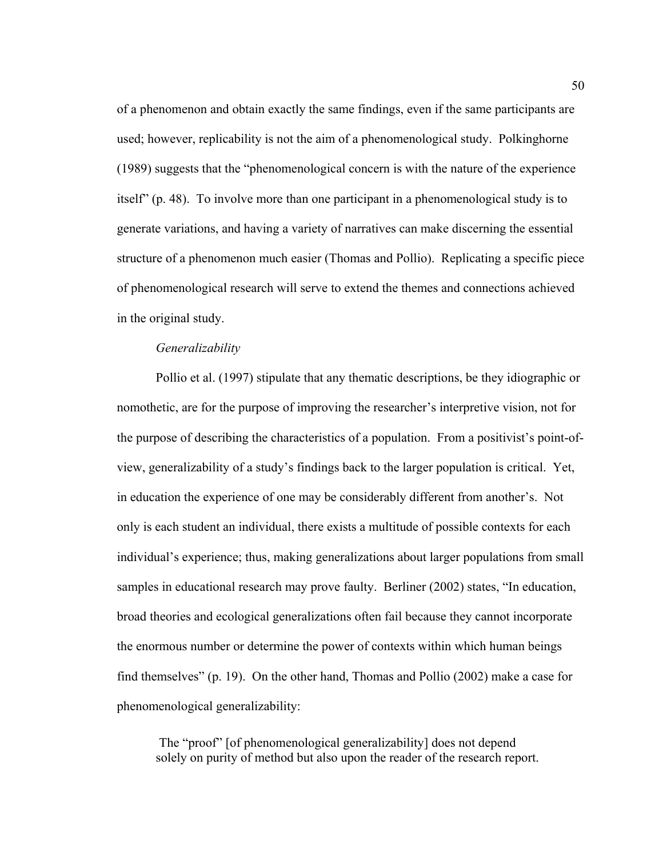of a phenomenon and obtain exactly the same findings, even if the same participants are used; however, replicability is not the aim of a phenomenological study. Polkinghorne (1989) suggests that the "phenomenological concern is with the nature of the experience itself" (p. 48). To involve more than one participant in a phenomenological study is to generate variations, and having a variety of narratives can make discerning the essential structure of a phenomenon much easier (Thomas and Pollio). Replicating a specific piece of phenomenological research will serve to extend the themes and connections achieved in the original study.

#### *Generalizability*

 Pollio et al. (1997) stipulate that any thematic descriptions, be they idiographic or nomothetic, are for the purpose of improving the researcher's interpretive vision, not for the purpose of describing the characteristics of a population. From a positivist's point-ofview, generalizability of a study's findings back to the larger population is critical. Yet, in education the experience of one may be considerably different from another's. Not only is each student an individual, there exists a multitude of possible contexts for each individual's experience; thus, making generalizations about larger populations from small samples in educational research may prove faulty. Berliner (2002) states, "In education, broad theories and ecological generalizations often fail because they cannot incorporate the enormous number or determine the power of contexts within which human beings find themselves" (p. 19). On the other hand, Thomas and Pollio (2002) make a case for phenomenological generalizability:

 The "proof" [of phenomenological generalizability] does not depend solely on purity of method but also upon the reader of the research report.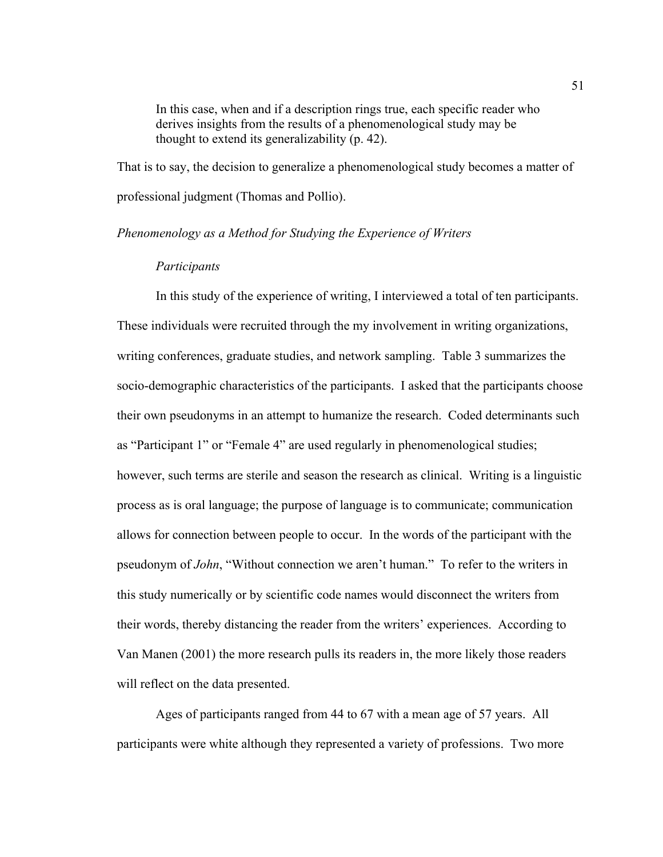In this case, when and if a description rings true, each specific reader who derives insights from the results of a phenomenological study may be thought to extend its generalizability (p. 42).

That is to say, the decision to generalize a phenomenological study becomes a matter of professional judgment (Thomas and Pollio).

#### *Phenomenology as a Method for Studying the Experience of Writers*

#### *Participants*

 In this study of the experience of writing, I interviewed a total of ten participants. These individuals were recruited through the my involvement in writing organizations, writing conferences, graduate studies, and network sampling. Table 3 summarizes the socio-demographic characteristics of the participants. I asked that the participants choose their own pseudonyms in an attempt to humanize the research. Coded determinants such as "Participant 1" or "Female 4" are used regularly in phenomenological studies; however, such terms are sterile and season the research as clinical. Writing is a linguistic process as is oral language; the purpose of language is to communicate; communication allows for connection between people to occur. In the words of the participant with the pseudonym of *John*, "Without connection we aren't human." To refer to the writers in this study numerically or by scientific code names would disconnect the writers from their words, thereby distancing the reader from the writers' experiences. According to Van Manen (2001) the more research pulls its readers in, the more likely those readers will reflect on the data presented.

 Ages of participants ranged from 44 to 67 with a mean age of 57 years. All participants were white although they represented a variety of professions. Two more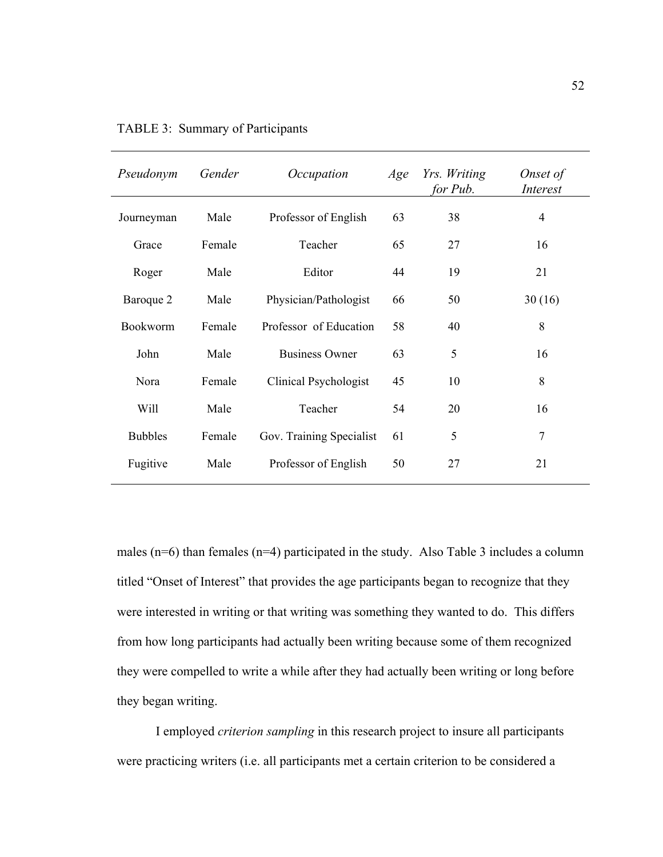| Pseudonym      | Gender | Occupation               | Age | Yrs. Writing<br>for Pub. | Onset of<br><i>Interest</i> |  |
|----------------|--------|--------------------------|-----|--------------------------|-----------------------------|--|
| Journeyman     | Male   | Professor of English     | 63  | 38                       | $\overline{4}$              |  |
| Grace          | Female | Teacher                  | 65  | 27                       | 16                          |  |
| Roger          | Male   | Editor                   | 44  | 19                       | 21                          |  |
| Baroque 2      | Male   | Physician/Pathologist    | 66  | 50                       | 30(16)                      |  |
| Bookworm       | Female | Professor of Education   | 58  | 40                       | 8                           |  |
| John           | Male   | <b>Business Owner</b>    | 63  | 5                        | 16                          |  |
| Nora           | Female | Clinical Psychologist    | 45  | 10                       | 8                           |  |
| <b>Will</b>    | Male   | Teacher                  | 54  | 20                       | 16                          |  |
| <b>Bubbles</b> | Female | Gov. Training Specialist | 61  | 5                        | 7                           |  |
| Fugitive       | Male   | Professor of English     | 50  | 27                       | 21                          |  |
|                |        |                          |     |                          |                             |  |

TABLE 3: Summary of Participants

males ( $n=6$ ) than females ( $n=4$ ) participated in the study. Also Table 3 includes a column titled "Onset of Interest" that provides the age participants began to recognize that they were interested in writing or that writing was something they wanted to do. This differs from how long participants had actually been writing because some of them recognized they were compelled to write a while after they had actually been writing or long before they began writing.

 I employed *criterion sampling* in this research project to insure all participants were practicing writers (i.e. all participants met a certain criterion to be considered a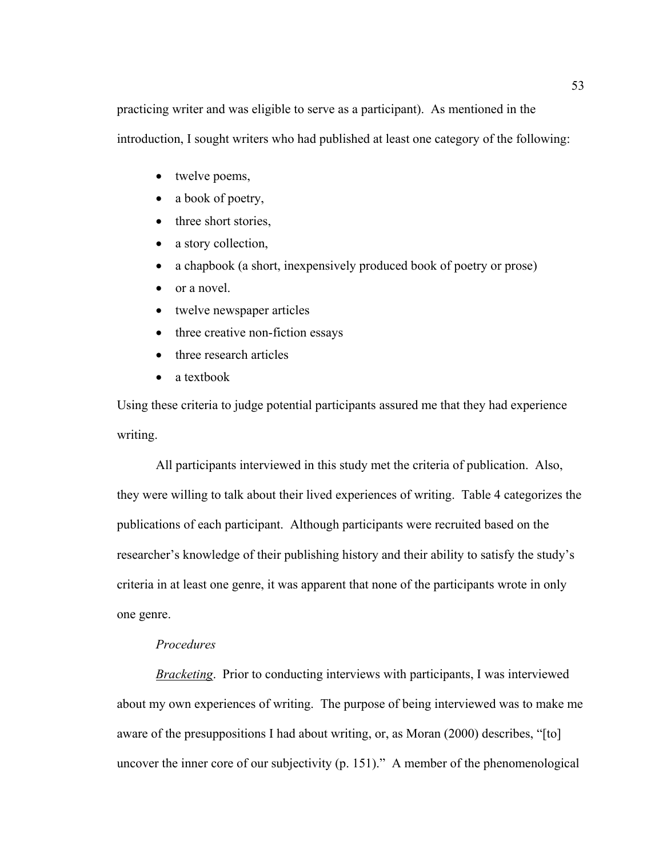practicing writer and was eligible to serve as a participant). As mentioned in the introduction, I sought writers who had published at least one category of the following:

- twelve poems,
- a book of poetry,
- three short stories,
- a story collection,
- a chapbook (a short, inexpensively produced book of poetry or prose)
- or a novel.
- twelve newspaper articles
- three creative non-fiction essays
- three research articles
- a textbook

Using these criteria to judge potential participants assured me that they had experience writing.

 All participants interviewed in this study met the criteria of publication. Also, they were willing to talk about their lived experiences of writing. Table 4 categorizes the publications of each participant. Although participants were recruited based on the researcher's knowledge of their publishing history and their ability to satisfy the study's criteria in at least one genre, it was apparent that none of the participants wrote in only one genre.

## *Procedures*

*Bracketing*. Prior to conducting interviews with participants, I was interviewed about my own experiences of writing. The purpose of being interviewed was to make me aware of the presuppositions I had about writing, or, as Moran (2000) describes, "[to] uncover the inner core of our subjectivity (p. 151)." A member of the phenomenological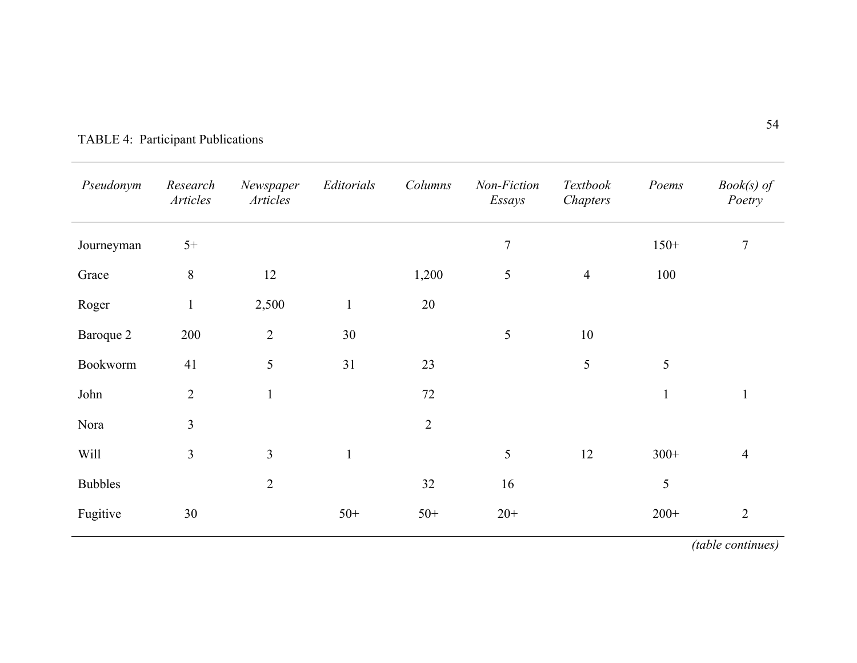| Pseudonym      | Research<br>Articles | Newspaper<br>Articles | Editorials   | Columns        | Non-Fiction<br>Essays | Textbook<br>Chapters | Poems        | $Book(s)$ of<br>Poetry |
|----------------|----------------------|-----------------------|--------------|----------------|-----------------------|----------------------|--------------|------------------------|
| Journeyman     | $5+$                 |                       |              |                | $\overline{7}$        |                      | $150+$       | $\tau$                 |
| Grace          | $\, 8$               | 12                    |              | 1,200          | 5                     | $\overline{4}$       | 100          |                        |
| Roger          | $\mathbf{1}$         | 2,500                 | $\mathbf{1}$ | 20             |                       |                      |              |                        |
| Baroque 2      | 200                  | $\overline{2}$        | 30           |                | 5                     | 10                   |              |                        |
| Bookworm       | 41                   | 5                     | 31           | 23             |                       | 5                    | 5            |                        |
| John           | $\overline{2}$       | $\mathbf{1}$          |              | 72             |                       |                      | $\mathbf{1}$ | $\mathbf{1}$           |
| Nora           | $\overline{3}$       |                       |              | $\overline{2}$ |                       |                      |              |                        |
| Will           | $\mathfrak{Z}$       | 3                     | $\mathbf{1}$ |                | 5                     | 12                   | $300+$       | $\overline{4}$         |
| <b>Bubbles</b> |                      | $\overline{2}$        |              | 32             | 16                    |                      | 5            |                        |
| Fugitive       | 30                   |                       | $50+$        | $50+$          | $20+$                 |                      | $200+$       | $\overline{2}$         |

# TABLE 4: Participant Publications

*(table continues)*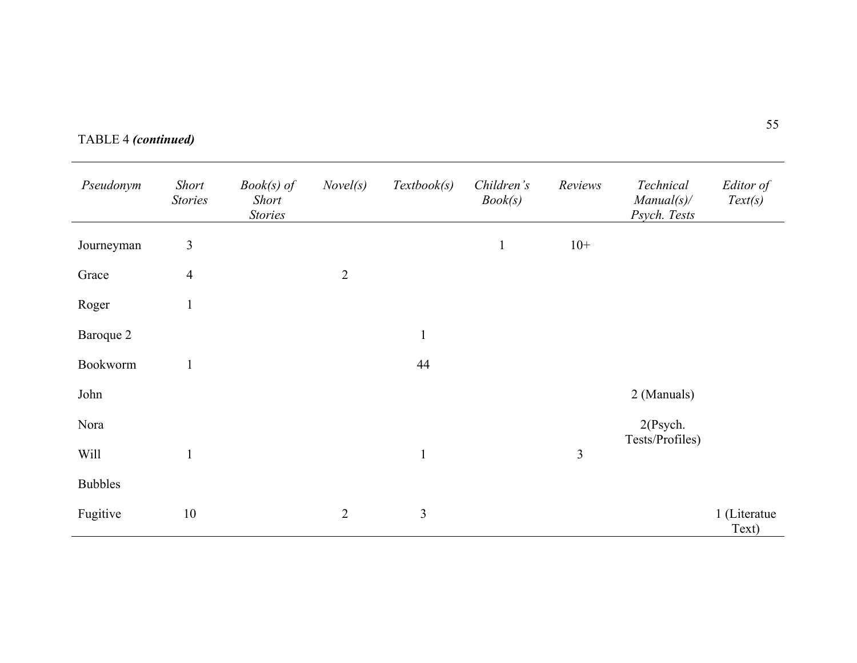|  | <b>TABLE 4 (continued)</b> |  |
|--|----------------------------|--|
|--|----------------------------|--|

| Pseudonym      | <b>Short</b><br><b>Stories</b> | $Book(s)$ of<br><b>Short</b><br><b>Stories</b> | Novel(s)       | Textbook(s)    | Children's<br>Book(s) | Reviews        | Technical<br>$Manual(s)$ /<br>Psych. Tests | Editor of<br>Text(s)  |
|----------------|--------------------------------|------------------------------------------------|----------------|----------------|-----------------------|----------------|--------------------------------------------|-----------------------|
| Journeyman     | $\mathfrak{Z}$                 |                                                |                |                | $\mathbf{1}$          | $10+$          |                                            |                       |
| Grace          | $\overline{4}$                 |                                                | $\overline{2}$ |                |                       |                |                                            |                       |
| Roger          | $\mathbf{1}$                   |                                                |                |                |                       |                |                                            |                       |
| Baroque 2      |                                |                                                |                | $\mathbf{1}$   |                       |                |                                            |                       |
| Bookworm       | $\mathbf{1}$                   |                                                |                | 44             |                       |                |                                            |                       |
| John           |                                |                                                |                |                |                       |                | 2 (Manuals)                                |                       |
| Nora           |                                |                                                |                |                |                       |                | $2$ (Psych.                                |                       |
| Will           | $\mathbf{1}$                   |                                                |                | $\mathbf{1}$   |                       | $\mathfrak{Z}$ | Tests/Profiles)                            |                       |
| <b>Bubbles</b> |                                |                                                |                |                |                       |                |                                            |                       |
| Fugitive       | 10                             |                                                | $\overline{2}$ | $\overline{3}$ |                       |                |                                            | 1 (Literatue<br>Text) |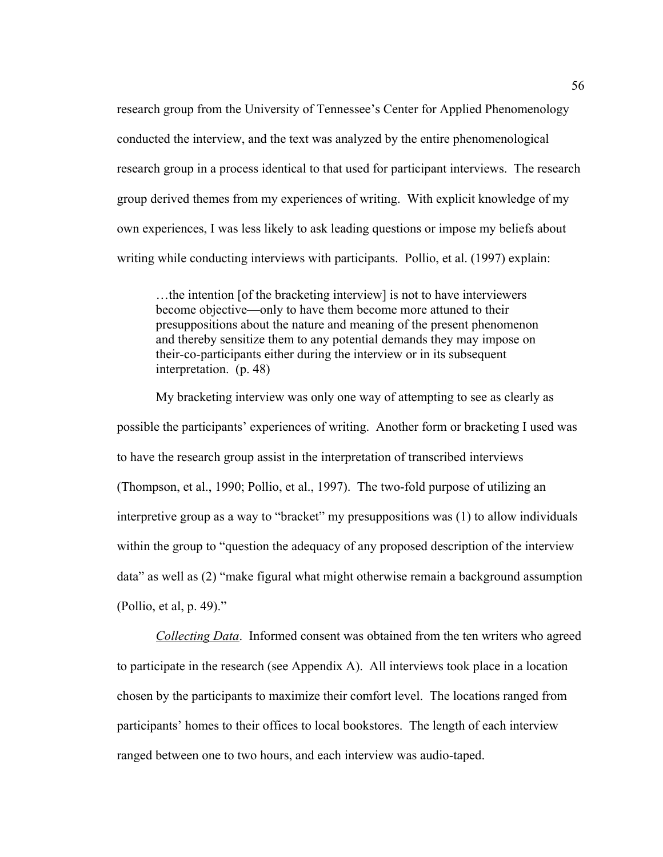research group from the University of Tennessee's Center for Applied Phenomenology conducted the interview, and the text was analyzed by the entire phenomenological research group in a process identical to that used for participant interviews. The research group derived themes from my experiences of writing. With explicit knowledge of my own experiences, I was less likely to ask leading questions or impose my beliefs about writing while conducting interviews with participants. Pollio, et al. (1997) explain:

…the intention [of the bracketing interview] is not to have interviewers become objective—only to have them become more attuned to their presuppositions about the nature and meaning of the present phenomenon and thereby sensitize them to any potential demands they may impose on their-co-participants either during the interview or in its subsequent interpretation. (p. 48)

 My bracketing interview was only one way of attempting to see as clearly as possible the participants' experiences of writing. Another form or bracketing I used was to have the research group assist in the interpretation of transcribed interviews (Thompson, et al., 1990; Pollio, et al., 1997). The two-fold purpose of utilizing an interpretive group as a way to "bracket" my presuppositions was (1) to allow individuals within the group to "question the adequacy of any proposed description of the interview data" as well as (2) "make figural what might otherwise remain a background assumption (Pollio, et al, p. 49)."

*Collecting Data*. Informed consent was obtained from the ten writers who agreed to participate in the research (see Appendix A). All interviews took place in a location chosen by the participants to maximize their comfort level. The locations ranged from participants' homes to their offices to local bookstores. The length of each interview ranged between one to two hours, and each interview was audio-taped.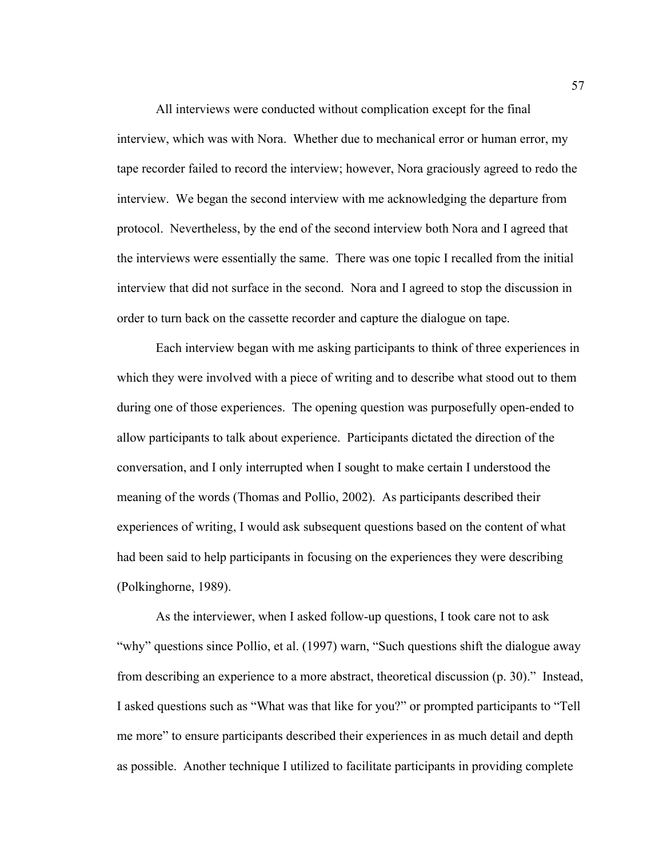All interviews were conducted without complication except for the final interview, which was with Nora. Whether due to mechanical error or human error, my tape recorder failed to record the interview; however, Nora graciously agreed to redo the interview. We began the second interview with me acknowledging the departure from protocol. Nevertheless, by the end of the second interview both Nora and I agreed that the interviews were essentially the same. There was one topic I recalled from the initial interview that did not surface in the second. Nora and I agreed to stop the discussion in order to turn back on the cassette recorder and capture the dialogue on tape.

Each interview began with me asking participants to think of three experiences in which they were involved with a piece of writing and to describe what stood out to them during one of those experiences. The opening question was purposefully open-ended to allow participants to talk about experience. Participants dictated the direction of the conversation, and I only interrupted when I sought to make certain I understood the meaning of the words (Thomas and Pollio, 2002). As participants described their experiences of writing, I would ask subsequent questions based on the content of what had been said to help participants in focusing on the experiences they were describing (Polkinghorne, 1989).

 As the interviewer, when I asked follow-up questions, I took care not to ask "why" questions since Pollio, et al. (1997) warn, "Such questions shift the dialogue away from describing an experience to a more abstract, theoretical discussion (p. 30)." Instead, I asked questions such as "What was that like for you?" or prompted participants to "Tell me more" to ensure participants described their experiences in as much detail and depth as possible. Another technique I utilized to facilitate participants in providing complete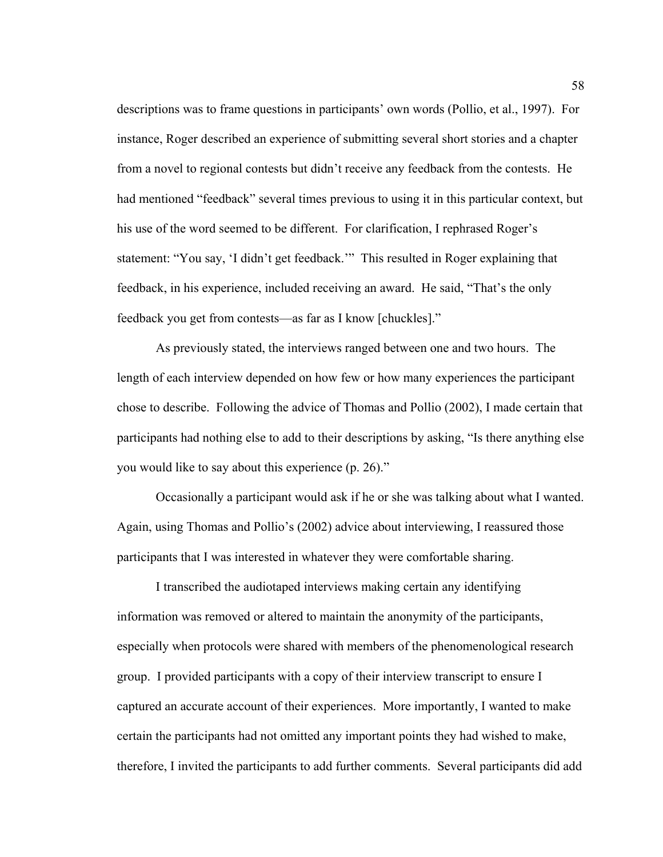descriptions was to frame questions in participants' own words (Pollio, et al., 1997). For instance, Roger described an experience of submitting several short stories and a chapter from a novel to regional contests but didn't receive any feedback from the contests. He had mentioned "feedback" several times previous to using it in this particular context, but his use of the word seemed to be different. For clarification, I rephrased Roger's statement: "You say, 'I didn't get feedback.'" This resulted in Roger explaining that feedback, in his experience, included receiving an award. He said, "That's the only feedback you get from contests—as far as I know [chuckles]."

 As previously stated, the interviews ranged between one and two hours. The length of each interview depended on how few or how many experiences the participant chose to describe. Following the advice of Thomas and Pollio (2002), I made certain that participants had nothing else to add to their descriptions by asking, "Is there anything else you would like to say about this experience (p. 26)."

 Occasionally a participant would ask if he or she was talking about what I wanted. Again, using Thomas and Pollio's (2002) advice about interviewing, I reassured those participants that I was interested in whatever they were comfortable sharing.

 I transcribed the audiotaped interviews making certain any identifying information was removed or altered to maintain the anonymity of the participants, especially when protocols were shared with members of the phenomenological research group. I provided participants with a copy of their interview transcript to ensure I captured an accurate account of their experiences. More importantly, I wanted to make certain the participants had not omitted any important points they had wished to make, therefore, I invited the participants to add further comments. Several participants did add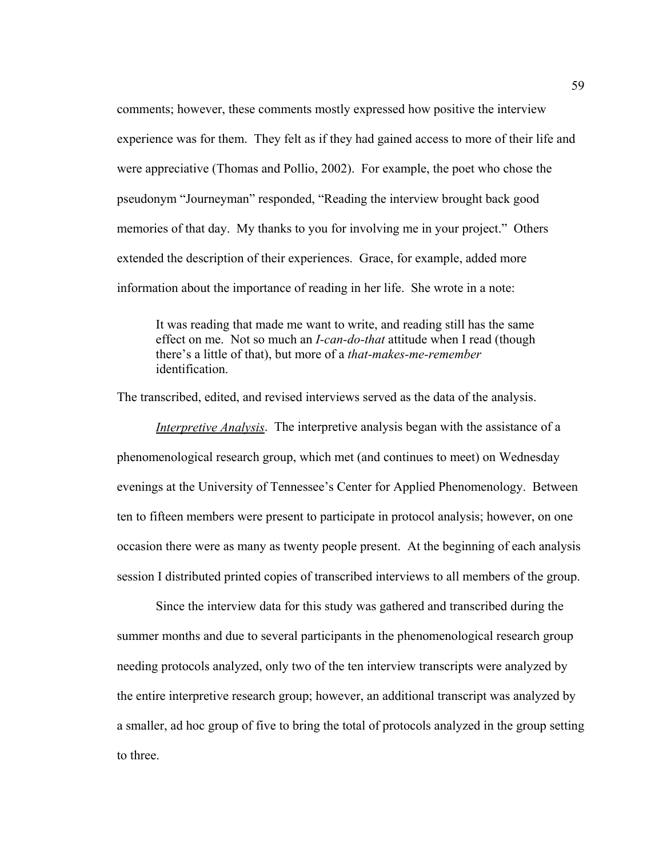comments; however, these comments mostly expressed how positive the interview experience was for them. They felt as if they had gained access to more of their life and were appreciative (Thomas and Pollio, 2002). For example, the poet who chose the pseudonym "Journeyman" responded, "Reading the interview brought back good memories of that day. My thanks to you for involving me in your project." Others extended the description of their experiences. Grace, for example, added more information about the importance of reading in her life. She wrote in a note:

It was reading that made me want to write, and reading still has the same effect on me. Not so much an *I-can-do-that* attitude when I read (though there's a little of that), but more of a *that-makes-me-remember* identification.

The transcribed, edited, and revised interviews served as the data of the analysis.

*Interpretive Analysis*. The interpretive analysis began with the assistance of a phenomenological research group, which met (and continues to meet) on Wednesday evenings at the University of Tennessee's Center for Applied Phenomenology. Between ten to fifteen members were present to participate in protocol analysis; however, on one occasion there were as many as twenty people present. At the beginning of each analysis session I distributed printed copies of transcribed interviews to all members of the group.

 Since the interview data for this study was gathered and transcribed during the summer months and due to several participants in the phenomenological research group needing protocols analyzed, only two of the ten interview transcripts were analyzed by the entire interpretive research group; however, an additional transcript was analyzed by a smaller, ad hoc group of five to bring the total of protocols analyzed in the group setting to three.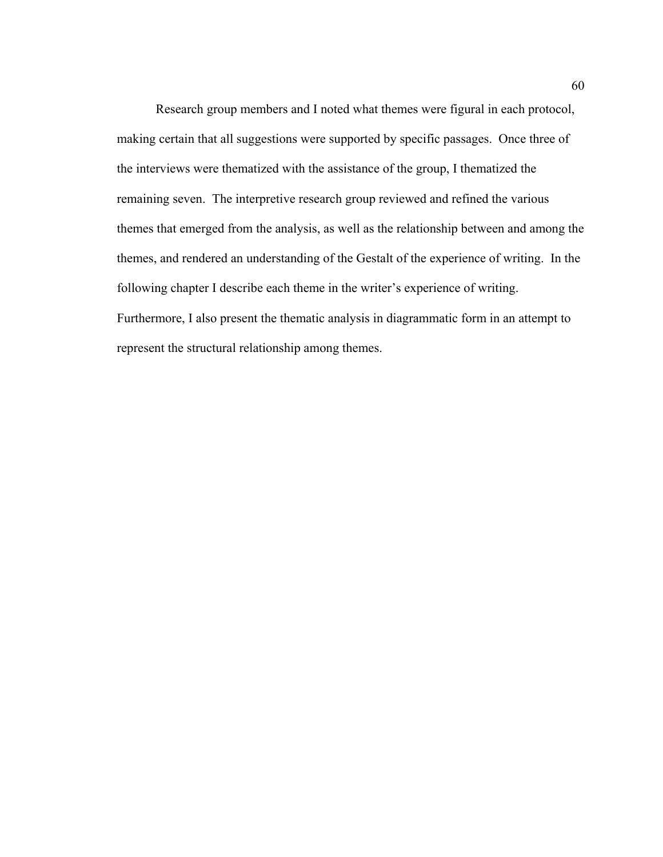Research group members and I noted what themes were figural in each protocol, making certain that all suggestions were supported by specific passages. Once three of the interviews were thematized with the assistance of the group, I thematized the remaining seven. The interpretive research group reviewed and refined the various themes that emerged from the analysis, as well as the relationship between and among the themes, and rendered an understanding of the Gestalt of the experience of writing. In the following chapter I describe each theme in the writer's experience of writing. Furthermore, I also present the thematic analysis in diagrammatic form in an attempt to represent the structural relationship among themes.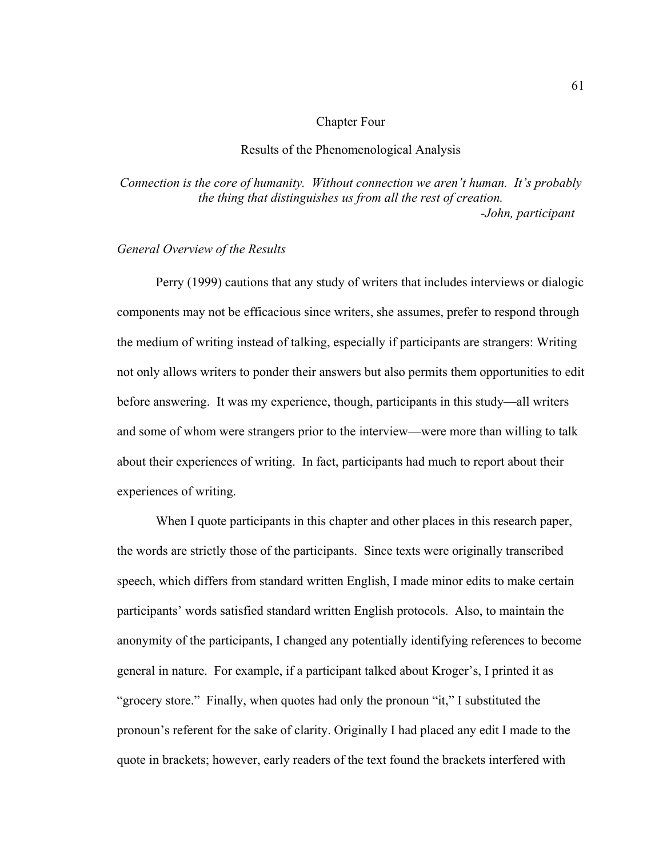#### Chapter Four

#### Results of the Phenomenological Analysis

*Connection is the core of humanity. Without connection we aren't human. It's probably the thing that distinguishes us from all the rest of creation. -John, participant* 

#### *General Overview of the Results*

Perry (1999) cautions that any study of writers that includes interviews or dialogic components may not be efficacious since writers, she assumes, prefer to respond through the medium of writing instead of talking, especially if participants are strangers: Writing not only allows writers to ponder their answers but also permits them opportunities to edit before answering. It was my experience, though, participants in this study—all writers and some of whom were strangers prior to the interview—were more than willing to talk about their experiences of writing. In fact, participants had much to report about their experiences of writing.

When I quote participants in this chapter and other places in this research paper, the words are strictly those of the participants. Since texts were originally transcribed speech, which differs from standard written English, I made minor edits to make certain participants' words satisfied standard written English protocols. Also, to maintain the anonymity of the participants, I changed any potentially identifying references to become general in nature. For example, if a participant talked about Kroger's, I printed it as "grocery store." Finally, when quotes had only the pronoun "it," I substituted the pronoun's referent for the sake of clarity. Originally I had placed any edit I made to the quote in brackets; however, early readers of the text found the brackets interfered with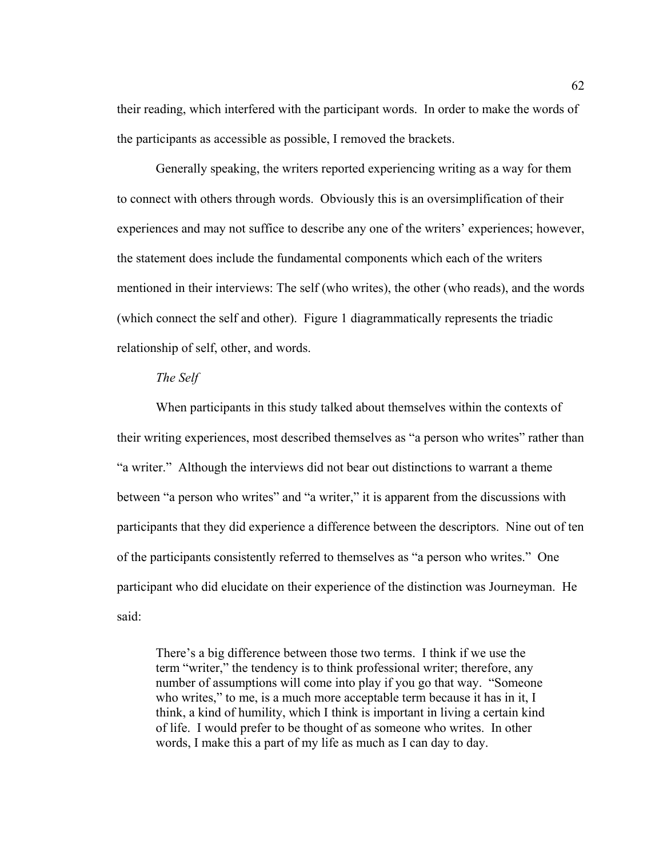their reading, which interfered with the participant words. In order to make the words of the participants as accessible as possible, I removed the brackets.

Generally speaking, the writers reported experiencing writing as a way for them to connect with others through words. Obviously this is an oversimplification of their experiences and may not suffice to describe any one of the writers' experiences; however, the statement does include the fundamental components which each of the writers mentioned in their interviews: The self (who writes), the other (who reads), and the words (which connect the self and other). Figure 1 diagrammatically represents the triadic relationship of self, other, and words.

## *The Self*

When participants in this study talked about themselves within the contexts of their writing experiences, most described themselves as "a person who writes" rather than "a writer." Although the interviews did not bear out distinctions to warrant a theme between "a person who writes" and "a writer," it is apparent from the discussions with participants that they did experience a difference between the descriptors. Nine out of ten of the participants consistently referred to themselves as "a person who writes." One participant who did elucidate on their experience of the distinction was Journeyman. He said:

There's a big difference between those two terms. I think if we use the term "writer," the tendency is to think professional writer; therefore, any number of assumptions will come into play if you go that way. "Someone who writes," to me, is a much more acceptable term because it has in it, I think, a kind of humility, which I think is important in living a certain kind of life. I would prefer to be thought of as someone who writes. In other words, I make this a part of my life as much as I can day to day.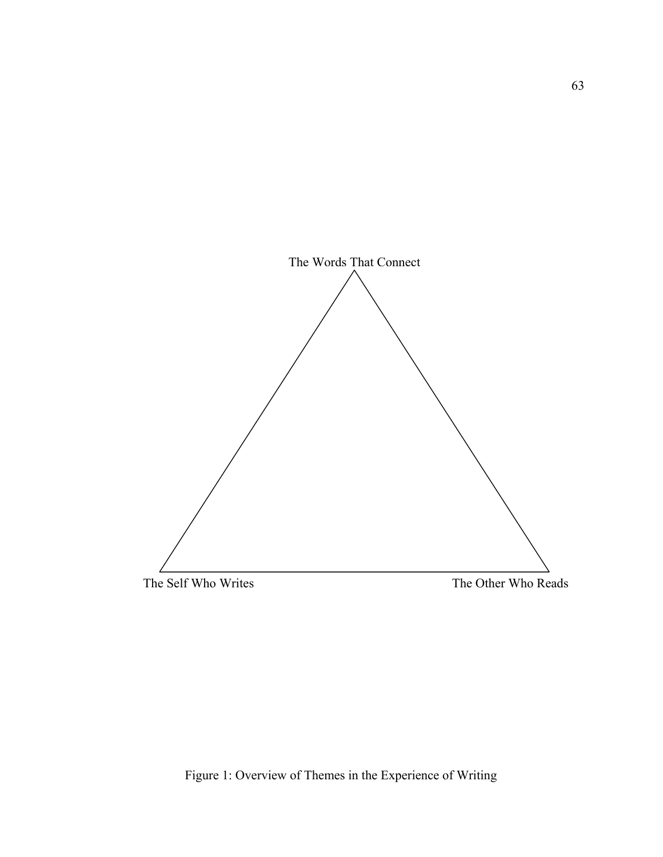

# Figure 1: Overview of Themes in the Experience of Writing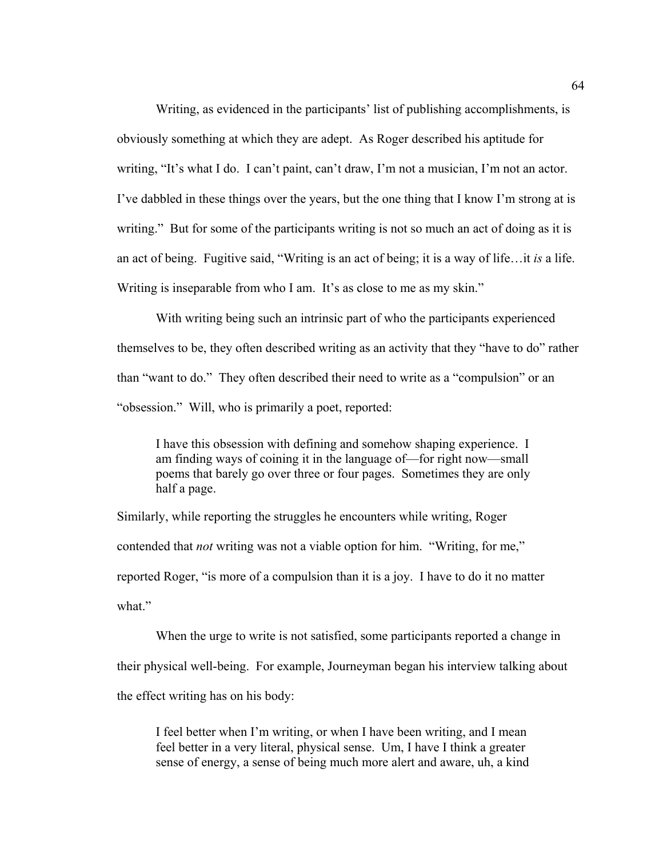Writing, as evidenced in the participants' list of publishing accomplishments, is obviously something at which they are adept. As Roger described his aptitude for writing, "It's what I do. I can't paint, can't draw, I'm not a musician, I'm not an actor. I've dabbled in these things over the years, but the one thing that I know I'm strong at is writing." But for some of the participants writing is not so much an act of doing as it is an act of being. Fugitive said, "Writing is an act of being; it is a way of life…it *is* a life. Writing is inseparable from who I am. It's as close to me as my skin."

With writing being such an intrinsic part of who the participants experienced themselves to be, they often described writing as an activity that they "have to do" rather than "want to do." They often described their need to write as a "compulsion" or an "obsession." Will, who is primarily a poet, reported:

I have this obsession with defining and somehow shaping experience. I am finding ways of coining it in the language of—for right now—small poems that barely go over three or four pages. Sometimes they are only half a page.

Similarly, while reporting the struggles he encounters while writing, Roger contended that *not* writing was not a viable option for him. "Writing, for me," reported Roger, "is more of a compulsion than it is a joy. I have to do it no matter what"

 When the urge to write is not satisfied, some participants reported a change in their physical well-being. For example, Journeyman began his interview talking about the effect writing has on his body:

I feel better when I'm writing, or when I have been writing, and I mean feel better in a very literal, physical sense. Um, I have I think a greater sense of energy, a sense of being much more alert and aware, uh, a kind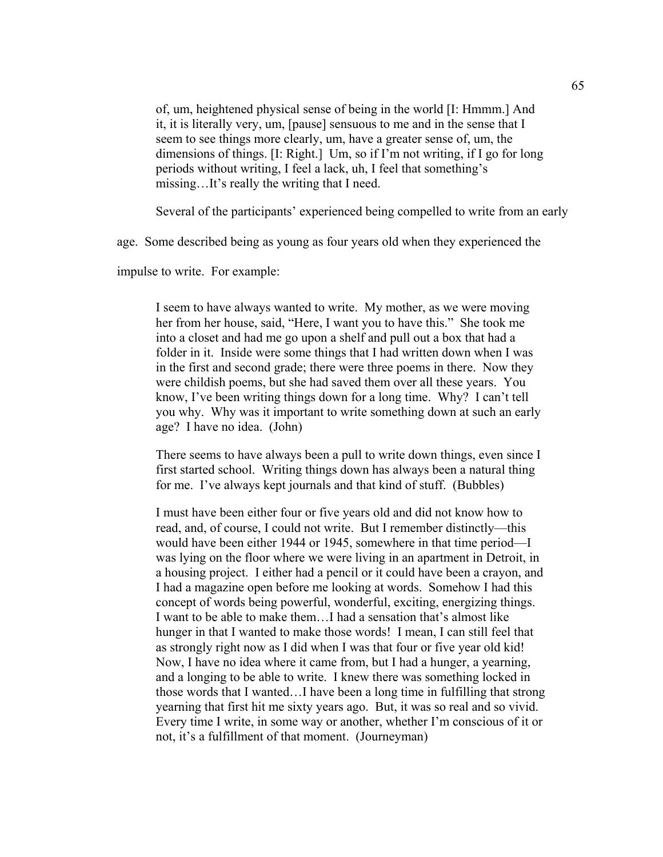of, um, heightened physical sense of being in the world [I: Hmmm.] And it, it is literally very, um, [pause] sensuous to me and in the sense that I seem to see things more clearly, um, have a greater sense of, um, the dimensions of things. [I: Right.] Um, so if I'm not writing, if I go for long periods without writing, I feel a lack, uh, I feel that something's missing…It's really the writing that I need.

Several of the participants' experienced being compelled to write from an early

age. Some described being as young as four years old when they experienced the

impulse to write. For example:

I seem to have always wanted to write. My mother, as we were moving her from her house, said, "Here, I want you to have this." She took me into a closet and had me go upon a shelf and pull out a box that had a folder in it. Inside were some things that I had written down when I was in the first and second grade; there were three poems in there. Now they were childish poems, but she had saved them over all these years. You know, I've been writing things down for a long time. Why? I can't tell you why. Why was it important to write something down at such an early age? I have no idea. (John)

There seems to have always been a pull to write down things, even since I first started school. Writing things down has always been a natural thing for me. I've always kept journals and that kind of stuff. (Bubbles)

I must have been either four or five years old and did not know how to read, and, of course, I could not write. But I remember distinctly—this would have been either 1944 or 1945, somewhere in that time period—I was lying on the floor where we were living in an apartment in Detroit, in a housing project. I either had a pencil or it could have been a crayon, and I had a magazine open before me looking at words. Somehow I had this concept of words being powerful, wonderful, exciting, energizing things. I want to be able to make them…I had a sensation that's almost like hunger in that I wanted to make those words! I mean, I can still feel that as strongly right now as I did when I was that four or five year old kid! Now, I have no idea where it came from, but I had a hunger, a yearning, and a longing to be able to write. I knew there was something locked in those words that I wanted…I have been a long time in fulfilling that strong yearning that first hit me sixty years ago. But, it was so real and so vivid. Every time I write, in some way or another, whether I'm conscious of it or not, it's a fulfillment of that moment. (Journeyman)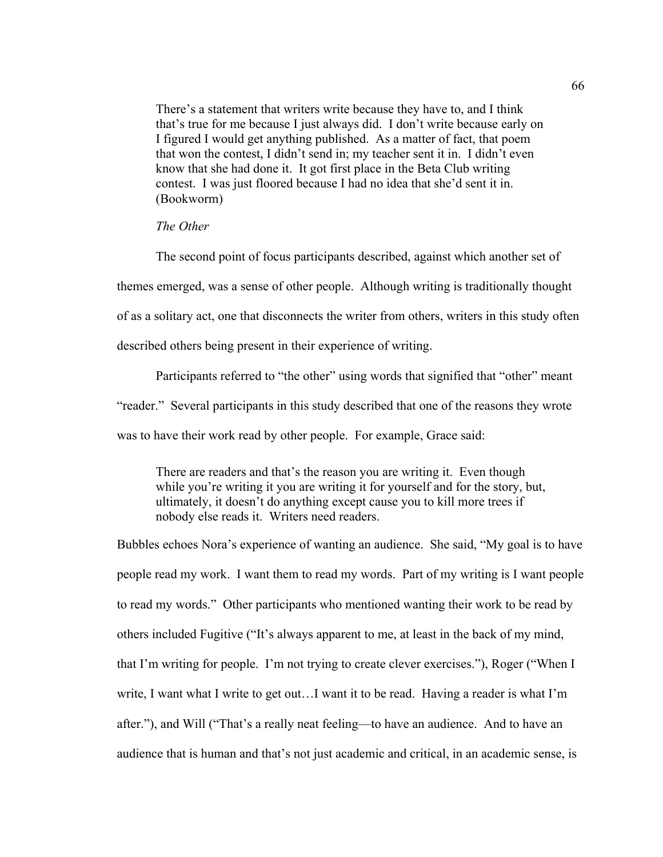There's a statement that writers write because they have to, and I think that's true for me because I just always did. I don't write because early on I figured I would get anything published. As a matter of fact, that poem that won the contest, I didn't send in; my teacher sent it in. I didn't even know that she had done it. It got first place in the Beta Club writing contest. I was just floored because I had no idea that she'd sent it in. (Bookworm)

## *The Other*

The second point of focus participants described, against which another set of

themes emerged, was a sense of other people. Although writing is traditionally thought

of as a solitary act, one that disconnects the writer from others, writers in this study often

described others being present in their experience of writing.

Participants referred to "the other" using words that signified that "other" meant "reader." Several participants in this study described that one of the reasons they wrote was to have their work read by other people. For example, Grace said:

There are readers and that's the reason you are writing it. Even though while you're writing it you are writing it for yourself and for the story, but, ultimately, it doesn't do anything except cause you to kill more trees if nobody else reads it. Writers need readers.

Bubbles echoes Nora's experience of wanting an audience. She said, "My goal is to have people read my work. I want them to read my words. Part of my writing is I want people to read my words." Other participants who mentioned wanting their work to be read by others included Fugitive ("It's always apparent to me, at least in the back of my mind, that I'm writing for people. I'm not trying to create clever exercises."), Roger ("When I write, I want what I write to get out…I want it to be read. Having a reader is what I'm after."), and Will ("That's a really neat feeling—to have an audience. And to have an audience that is human and that's not just academic and critical, in an academic sense, is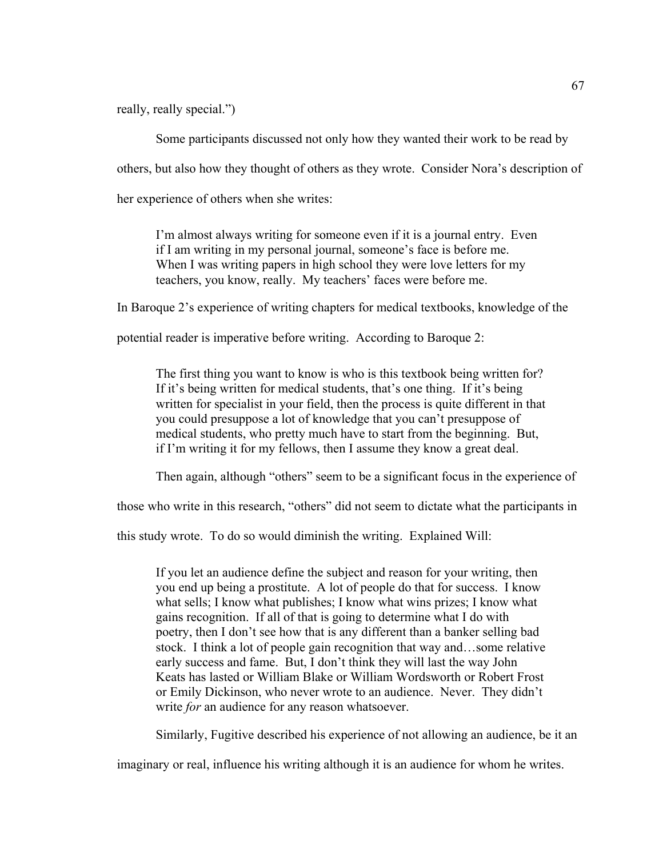really, really special.")

Some participants discussed not only how they wanted their work to be read by others, but also how they thought of others as they wrote. Consider Nora's description of her experience of others when she writes:

I'm almost always writing for someone even if it is a journal entry. Even if I am writing in my personal journal, someone's face is before me. When I was writing papers in high school they were love letters for my teachers, you know, really. My teachers' faces were before me.

In Baroque 2's experience of writing chapters for medical textbooks, knowledge of the

potential reader is imperative before writing. According to Baroque 2:

The first thing you want to know is who is this textbook being written for? If it's being written for medical students, that's one thing. If it's being written for specialist in your field, then the process is quite different in that you could presuppose a lot of knowledge that you can't presuppose of medical students, who pretty much have to start from the beginning. But, if I'm writing it for my fellows, then I assume they know a great deal.

Then again, although "others" seem to be a significant focus in the experience of

those who write in this research, "others" did not seem to dictate what the participants in

this study wrote. To do so would diminish the writing. Explained Will:

If you let an audience define the subject and reason for your writing, then you end up being a prostitute. A lot of people do that for success. I know what sells; I know what publishes; I know what wins prizes; I know what gains recognition. If all of that is going to determine what I do with poetry, then I don't see how that is any different than a banker selling bad stock. I think a lot of people gain recognition that way and…some relative early success and fame. But, I don't think they will last the way John Keats has lasted or William Blake or William Wordsworth or Robert Frost or Emily Dickinson, who never wrote to an audience. Never. They didn't write *for* an audience for any reason whatsoever.

Similarly, Fugitive described his experience of not allowing an audience, be it an

imaginary or real, influence his writing although it is an audience for whom he writes.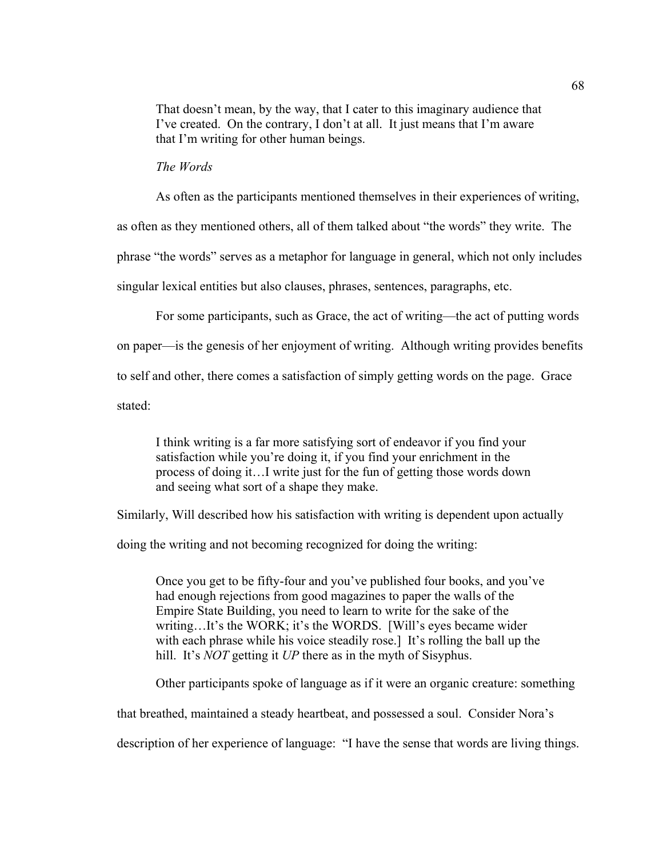That doesn't mean, by the way, that I cater to this imaginary audience that I've created. On the contrary, I don't at all. It just means that I'm aware that I'm writing for other human beings.

## *The Words*

As often as the participants mentioned themselves in their experiences of writing,

as often as they mentioned others, all of them talked about "the words" they write. The

phrase "the words" serves as a metaphor for language in general, which not only includes

singular lexical entities but also clauses, phrases, sentences, paragraphs, etc.

For some participants, such as Grace, the act of writing—the act of putting words

on paper—is the genesis of her enjoyment of writing. Although writing provides benefits

to self and other, there comes a satisfaction of simply getting words on the page. Grace

stated:

I think writing is a far more satisfying sort of endeavor if you find your satisfaction while you're doing it, if you find your enrichment in the process of doing it…I write just for the fun of getting those words down and seeing what sort of a shape they make.

Similarly, Will described how his satisfaction with writing is dependent upon actually

doing the writing and not becoming recognized for doing the writing:

Once you get to be fifty-four and you've published four books, and you've had enough rejections from good magazines to paper the walls of the Empire State Building, you need to learn to write for the sake of the writing…It's the WORK; it's the WORDS. [Will's eyes became wider with each phrase while his voice steadily rose.] It's rolling the ball up the hill. It's *NOT* getting it *UP* there as in the myth of Sisyphus.

Other participants spoke of language as if it were an organic creature: something

that breathed, maintained a steady heartbeat, and possessed a soul. Consider Nora's

description of her experience of language: "I have the sense that words are living things.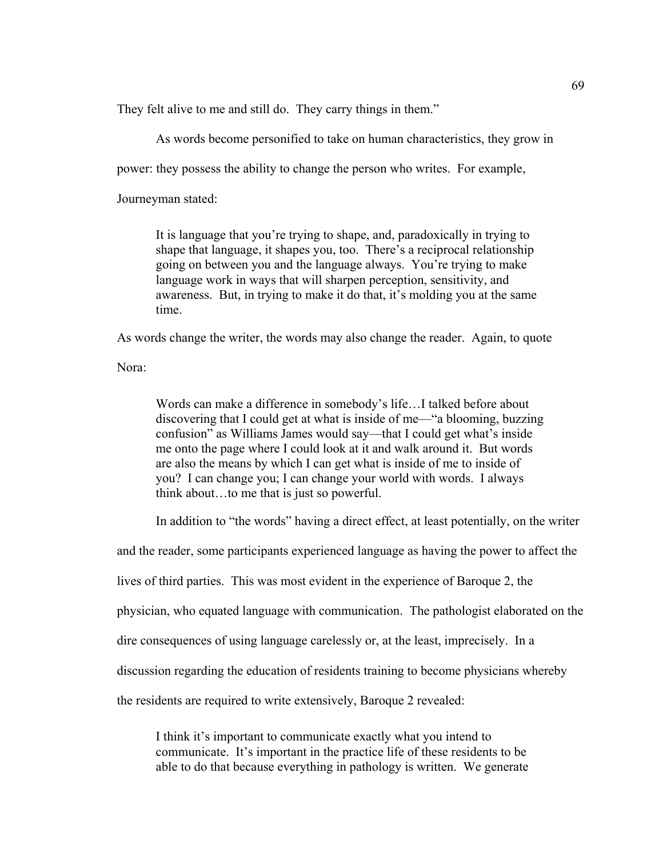They felt alive to me and still do. They carry things in them."

As words become personified to take on human characteristics, they grow in

power: they possess the ability to change the person who writes. For example,

Journeyman stated:

It is language that you're trying to shape, and, paradoxically in trying to shape that language, it shapes you, too. There's a reciprocal relationship going on between you and the language always. You're trying to make language work in ways that will sharpen perception, sensitivity, and awareness. But, in trying to make it do that, it's molding you at the same time.

As words change the writer, the words may also change the reader. Again, to quote

Nora:

Words can make a difference in somebody's life…I talked before about discovering that I could get at what is inside of me—"a blooming, buzzing confusion" as Williams James would say—that I could get what's inside me onto the page where I could look at it and walk around it. But words are also the means by which I can get what is inside of me to inside of you? I can change you; I can change your world with words. I always think about…to me that is just so powerful.

In addition to "the words" having a direct effect, at least potentially, on the writer

and the reader, some participants experienced language as having the power to affect the

lives of third parties. This was most evident in the experience of Baroque 2, the

physician, who equated language with communication. The pathologist elaborated on the

dire consequences of using language carelessly or, at the least, imprecisely. In a

discussion regarding the education of residents training to become physicians whereby

the residents are required to write extensively, Baroque 2 revealed:

I think it's important to communicate exactly what you intend to communicate. It's important in the practice life of these residents to be able to do that because everything in pathology is written. We generate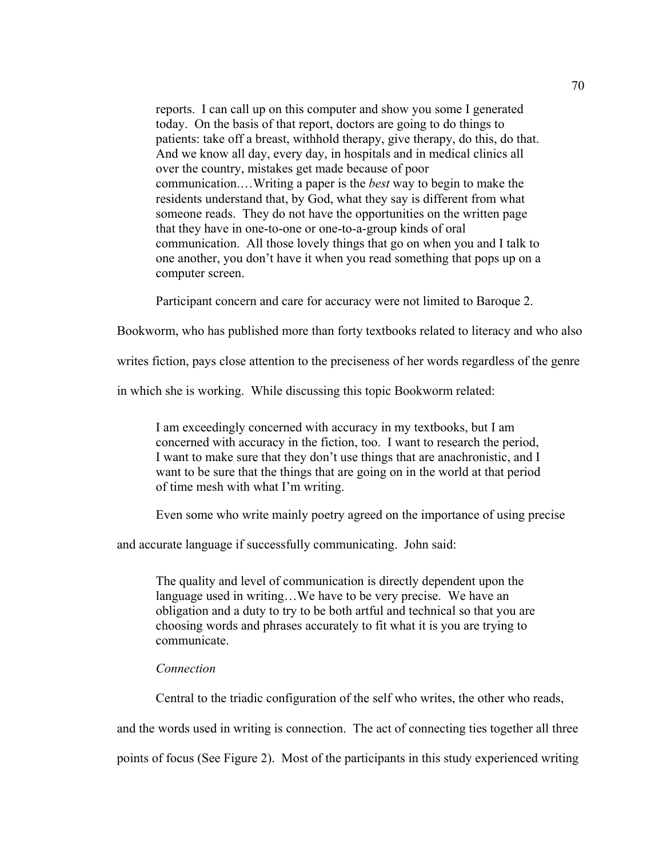reports. I can call up on this computer and show you some I generated today. On the basis of that report, doctors are going to do things to patients: take off a breast, withhold therapy, give therapy, do this, do that. And we know all day, every day, in hospitals and in medical clinics all over the country, mistakes get made because of poor communication.…Writing a paper is the *best* way to begin to make the residents understand that, by God, what they say is different from what someone reads. They do not have the opportunities on the written page that they have in one-to-one or one-to-a-group kinds of oral communication. All those lovely things that go on when you and I talk to one another, you don't have it when you read something that pops up on a computer screen.

Participant concern and care for accuracy were not limited to Baroque 2.

Bookworm, who has published more than forty textbooks related to literacy and who also

writes fiction, pays close attention to the preciseness of her words regardless of the genre

in which she is working. While discussing this topic Bookworm related:

I am exceedingly concerned with accuracy in my textbooks, but I am concerned with accuracy in the fiction, too. I want to research the period, I want to make sure that they don't use things that are anachronistic, and I want to be sure that the things that are going on in the world at that period of time mesh with what I'm writing.

Even some who write mainly poetry agreed on the importance of using precise

and accurate language if successfully communicating. John said:

The quality and level of communication is directly dependent upon the language used in writing…We have to be very precise. We have an obligation and a duty to try to be both artful and technical so that you are choosing words and phrases accurately to fit what it is you are trying to communicate.

#### *Connection*

Central to the triadic configuration of the self who writes, the other who reads,

and the words used in writing is connection. The act of connecting ties together all three

points of focus (See Figure 2). Most of the participants in this study experienced writing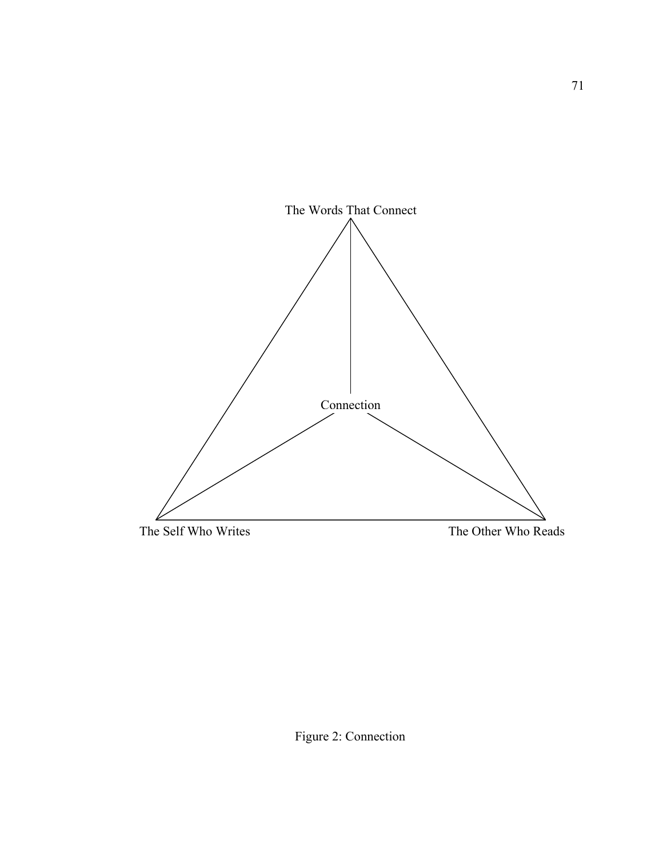

Figure 2: Connection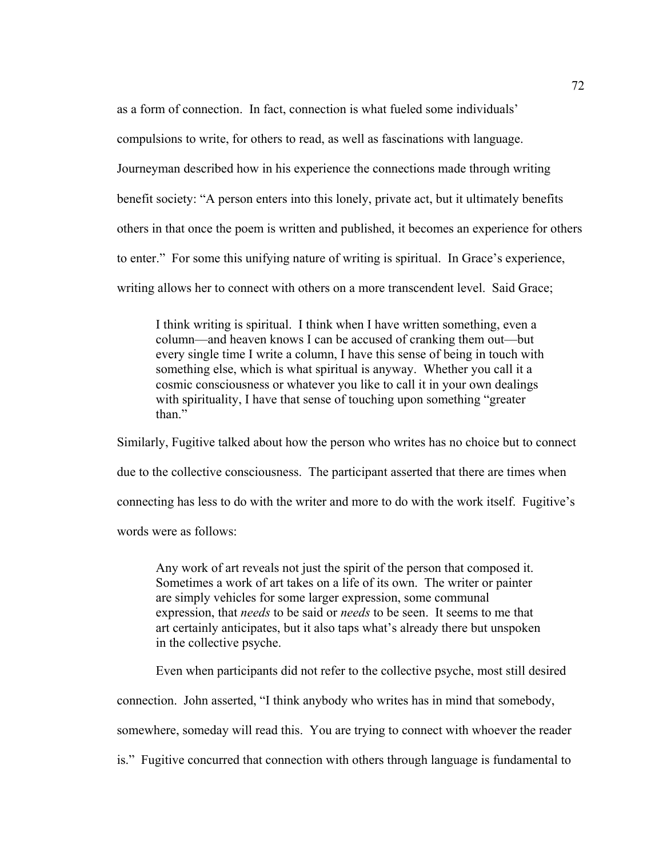as a form of connection. In fact, connection is what fueled some individuals'

compulsions to write, for others to read, as well as fascinations with language.

Journeyman described how in his experience the connections made through writing

benefit society: "A person enters into this lonely, private act, but it ultimately benefits

others in that once the poem is written and published, it becomes an experience for others

to enter." For some this unifying nature of writing is spiritual. In Grace's experience,

writing allows her to connect with others on a more transcendent level. Said Grace;

I think writing is spiritual. I think when I have written something, even a column—and heaven knows I can be accused of cranking them out—but every single time I write a column, I have this sense of being in touch with something else, which is what spiritual is anyway. Whether you call it a cosmic consciousness or whatever you like to call it in your own dealings with spirituality, I have that sense of touching upon something "greater" than."

Similarly, Fugitive talked about how the person who writes has no choice but to connect due to the collective consciousness. The participant asserted that there are times when connecting has less to do with the writer and more to do with the work itself. Fugitive's words were as follows:

Any work of art reveals not just the spirit of the person that composed it. Sometimes a work of art takes on a life of its own. The writer or painter are simply vehicles for some larger expression, some communal expression, that *needs* to be said or *needs* to be seen. It seems to me that art certainly anticipates, but it also taps what's already there but unspoken in the collective psyche.

Even when participants did not refer to the collective psyche, most still desired

connection. John asserted, "I think anybody who writes has in mind that somebody,

somewhere, someday will read this. You are trying to connect with whoever the reader

is." Fugitive concurred that connection with others through language is fundamental to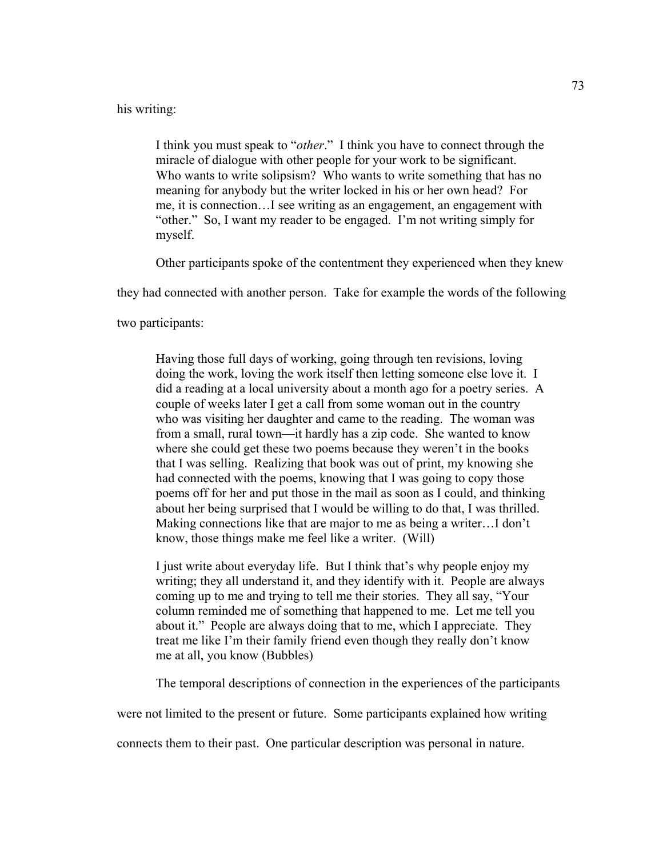## his writing:

I think you must speak to "*other*." I think you have to connect through the miracle of dialogue with other people for your work to be significant. Who wants to write solipsism? Who wants to write something that has no meaning for anybody but the writer locked in his or her own head? For me, it is connection…I see writing as an engagement, an engagement with "other." So, I want my reader to be engaged. I'm not writing simply for myself.

Other participants spoke of the contentment they experienced when they knew

they had connected with another person. Take for example the words of the following

two participants:

Having those full days of working, going through ten revisions, loving doing the work, loving the work itself then letting someone else love it. I did a reading at a local university about a month ago for a poetry series. A couple of weeks later I get a call from some woman out in the country who was visiting her daughter and came to the reading. The woman was from a small, rural town—it hardly has a zip code. She wanted to know where she could get these two poems because they weren't in the books that I was selling. Realizing that book was out of print, my knowing she had connected with the poems, knowing that I was going to copy those poems off for her and put those in the mail as soon as I could, and thinking about her being surprised that I would be willing to do that, I was thrilled. Making connections like that are major to me as being a writer…I don't know, those things make me feel like a writer. (Will)

I just write about everyday life. But I think that's why people enjoy my writing; they all understand it, and they identify with it. People are always coming up to me and trying to tell me their stories. They all say, "Your column reminded me of something that happened to me. Let me tell you about it." People are always doing that to me, which I appreciate. They treat me like I'm their family friend even though they really don't know me at all, you know (Bubbles)

The temporal descriptions of connection in the experiences of the participants

were not limited to the present or future. Some participants explained how writing

connects them to their past. One particular description was personal in nature.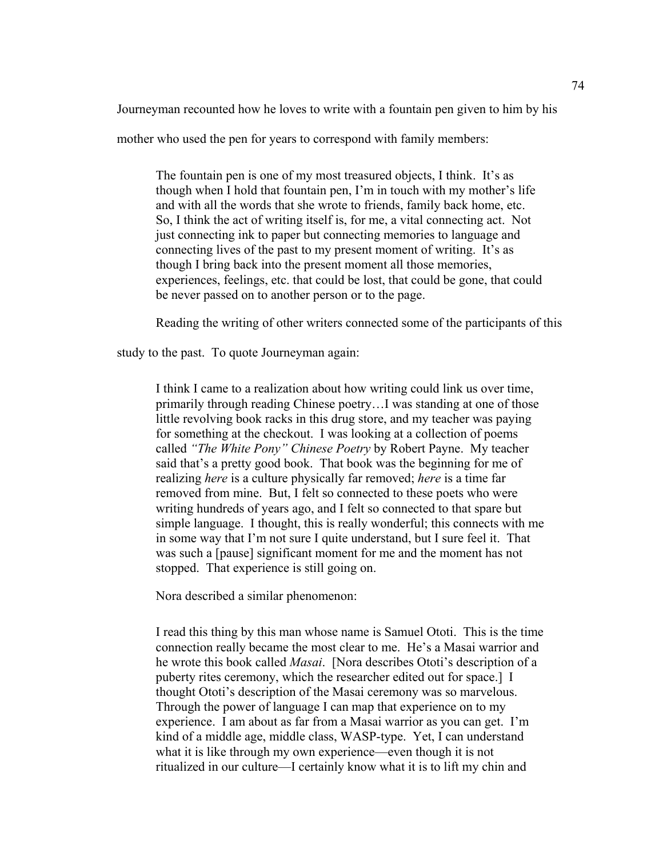Journeyman recounted how he loves to write with a fountain pen given to him by his

mother who used the pen for years to correspond with family members:

The fountain pen is one of my most treasured objects, I think. It's as though when I hold that fountain pen, I'm in touch with my mother's life and with all the words that she wrote to friends, family back home, etc. So, I think the act of writing itself is, for me, a vital connecting act. Not just connecting ink to paper but connecting memories to language and connecting lives of the past to my present moment of writing. It's as though I bring back into the present moment all those memories, experiences, feelings, etc. that could be lost, that could be gone, that could be never passed on to another person or to the page.

Reading the writing of other writers connected some of the participants of this

study to the past. To quote Journeyman again:

I think I came to a realization about how writing could link us over time, primarily through reading Chinese poetry…I was standing at one of those little revolving book racks in this drug store, and my teacher was paying for something at the checkout. I was looking at a collection of poems called *"The White Pony" Chinese Poetry* by Robert Payne. My teacher said that's a pretty good book. That book was the beginning for me of realizing *here* is a culture physically far removed; *here* is a time far removed from mine. But, I felt so connected to these poets who were writing hundreds of years ago, and I felt so connected to that spare but simple language. I thought, this is really wonderful; this connects with me in some way that I'm not sure I quite understand, but I sure feel it. That was such a [pause] significant moment for me and the moment has not stopped. That experience is still going on.

Nora described a similar phenomenon:

I read this thing by this man whose name is Samuel Ototi. This is the time connection really became the most clear to me. He's a Masai warrior and he wrote this book called *Masai*. [Nora describes Ototi's description of a puberty rites ceremony, which the researcher edited out for space.] I thought Ototi's description of the Masai ceremony was so marvelous. Through the power of language I can map that experience on to my experience. I am about as far from a Masai warrior as you can get. I'm kind of a middle age, middle class, WASP-type. Yet, I can understand what it is like through my own experience—even though it is not ritualized in our culture—I certainly know what it is to lift my chin and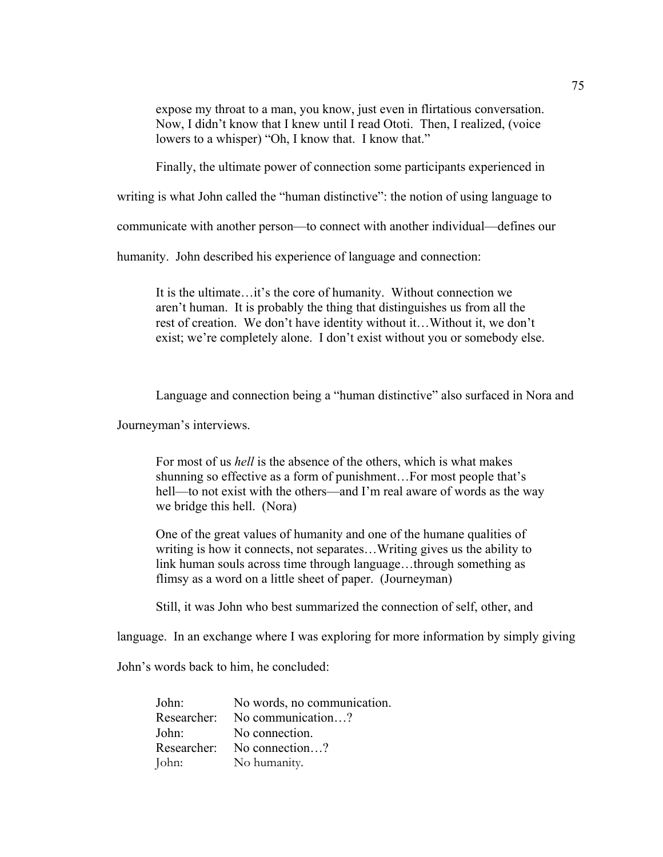expose my throat to a man, you know, just even in flirtatious conversation. Now, I didn't know that I knew until I read Ototi. Then, I realized, (voice lowers to a whisper) "Oh, I know that. I know that."

Finally, the ultimate power of connection some participants experienced in

writing is what John called the "human distinctive": the notion of using language to

communicate with another person—to connect with another individual—defines our

humanity. John described his experience of language and connection:

It is the ultimate…it's the core of humanity. Without connection we aren't human. It is probably the thing that distinguishes us from all the rest of creation. We don't have identity without it…Without it, we don't exist; we're completely alone. I don't exist without you or somebody else.

Language and connection being a "human distinctive" also surfaced in Nora and

Journeyman's interviews.

For most of us *hell* is the absence of the others, which is what makes shunning so effective as a form of punishment…For most people that's hell—to not exist with the others—and I'm real aware of words as the way we bridge this hell. (Nora)

One of the great values of humanity and one of the humane qualities of writing is how it connects, not separates…Writing gives us the ability to link human souls across time through language…through something as flimsy as a word on a little sheet of paper. (Journeyman)

Still, it was John who best summarized the connection of self, other, and

language. In an exchange where I was exploring for more information by simply giving

John's words back to him, he concluded:

John: No words, no communication. Researcher: No communication ? John: No connection. Researcher: No connection...? John: No humanity.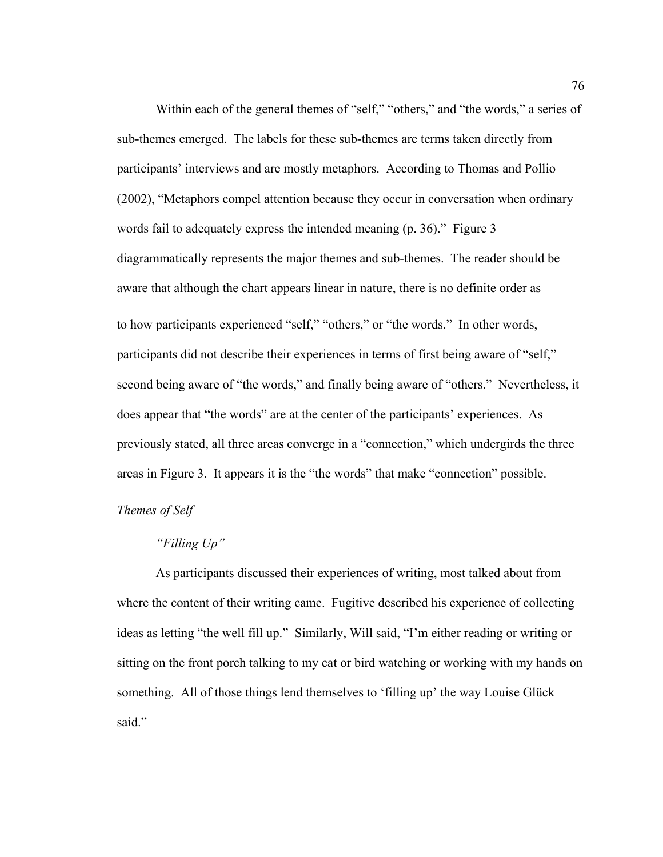Within each of the general themes of "self," "others," and "the words," a series of sub-themes emerged. The labels for these sub-themes are terms taken directly from participants' interviews and are mostly metaphors. According to Thomas and Pollio (2002), "Metaphors compel attention because they occur in conversation when ordinary words fail to adequately express the intended meaning (p. 36)." Figure 3 diagrammatically represents the major themes and sub-themes. The reader should be aware that although the chart appears linear in nature, there is no definite order as to how participants experienced "self," "others," or "the words." In other words, participants did not describe their experiences in terms of first being aware of "self," second being aware of "the words," and finally being aware of "others." Nevertheless, it does appear that "the words" are at the center of the participants' experiences. As previously stated, all three areas converge in a "connection," which undergirds the three areas in Figure 3. It appears it is the "the words" that make "connection" possible.

#### *Themes of Self*

## *"Filling Up"*

As participants discussed their experiences of writing, most talked about from where the content of their writing came. Fugitive described his experience of collecting ideas as letting "the well fill up." Similarly, Will said, "I'm either reading or writing or sitting on the front porch talking to my cat or bird watching or working with my hands on something. All of those things lend themselves to 'filling up' the way Louise Glück said."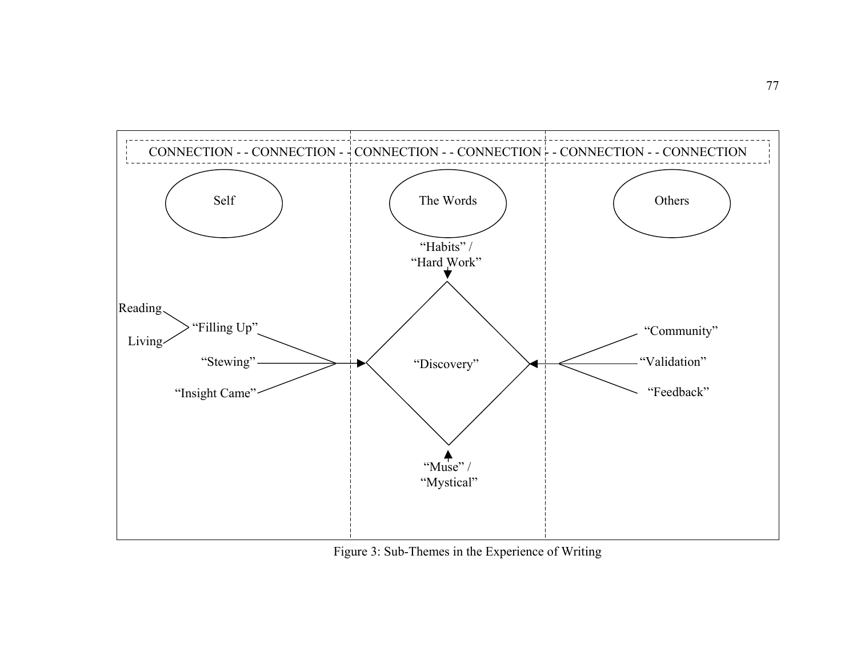

Figure 3: Sub-Themes in the Experience of Writing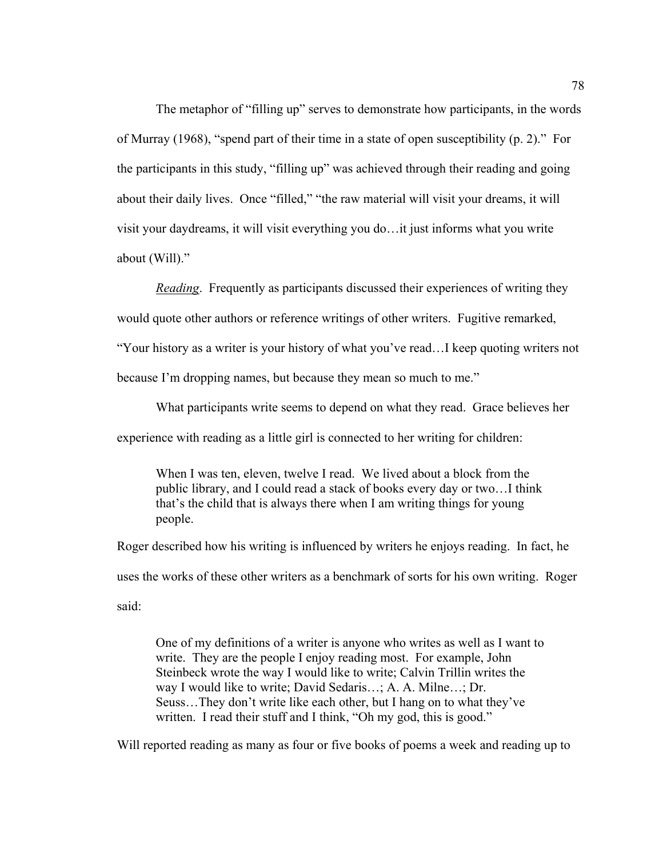The metaphor of "filling up" serves to demonstrate how participants, in the words of Murray (1968), "spend part of their time in a state of open susceptibility (p. 2)." For the participants in this study, "filling up" was achieved through their reading and going about their daily lives. Once "filled," "the raw material will visit your dreams, it will visit your daydreams, it will visit everything you do…it just informs what you write about (Will)."

*Reading*. Frequently as participants discussed their experiences of writing they

would quote other authors or reference writings of other writers. Fugitive remarked,

"Your history as a writer is your history of what you've read…I keep quoting writers not

because I'm dropping names, but because they mean so much to me."

What participants write seems to depend on what they read. Grace believes her

experience with reading as a little girl is connected to her writing for children:

When I was ten, eleven, twelve I read. We lived about a block from the public library, and I could read a stack of books every day or two…I think that's the child that is always there when I am writing things for young people.

Roger described how his writing is influenced by writers he enjoys reading. In fact, he uses the works of these other writers as a benchmark of sorts for his own writing. Roger said:

One of my definitions of a writer is anyone who writes as well as I want to write. They are the people I enjoy reading most. For example, John Steinbeck wrote the way I would like to write; Calvin Trillin writes the way I would like to write; David Sedaris…; A. A. Milne…; Dr. Seuss…They don't write like each other, but I hang on to what they've written. I read their stuff and I think, "Oh my god, this is good."

Will reported reading as many as four or five books of poems a week and reading up to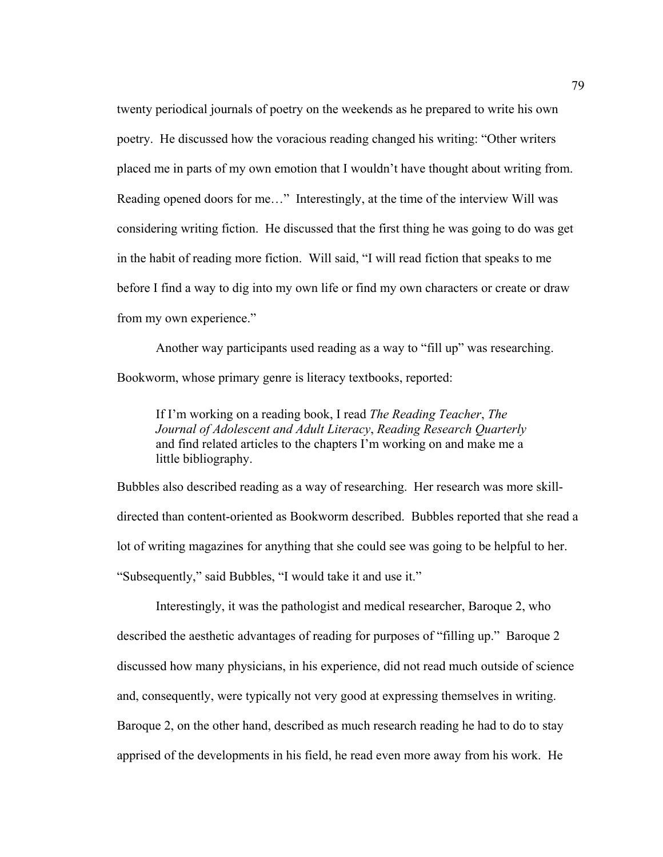twenty periodical journals of poetry on the weekends as he prepared to write his own poetry. He discussed how the voracious reading changed his writing: "Other writers placed me in parts of my own emotion that I wouldn't have thought about writing from. Reading opened doors for me…" Interestingly, at the time of the interview Will was considering writing fiction. He discussed that the first thing he was going to do was get in the habit of reading more fiction. Will said, "I will read fiction that speaks to me before I find a way to dig into my own life or find my own characters or create or draw from my own experience."

Another way participants used reading as a way to "fill up" was researching. Bookworm, whose primary genre is literacy textbooks, reported:

If I'm working on a reading book, I read *The Reading Teacher*, *The Journal of Adolescent and Adult Literacy*, *Reading Research Quarterly* and find related articles to the chapters I'm working on and make me a little bibliography.

Bubbles also described reading as a way of researching. Her research was more skilldirected than content-oriented as Bookworm described. Bubbles reported that she read a lot of writing magazines for anything that she could see was going to be helpful to her. "Subsequently," said Bubbles, "I would take it and use it."

Interestingly, it was the pathologist and medical researcher, Baroque 2, who described the aesthetic advantages of reading for purposes of "filling up." Baroque 2 discussed how many physicians, in his experience, did not read much outside of science and, consequently, were typically not very good at expressing themselves in writing. Baroque 2, on the other hand, described as much research reading he had to do to stay apprised of the developments in his field, he read even more away from his work. He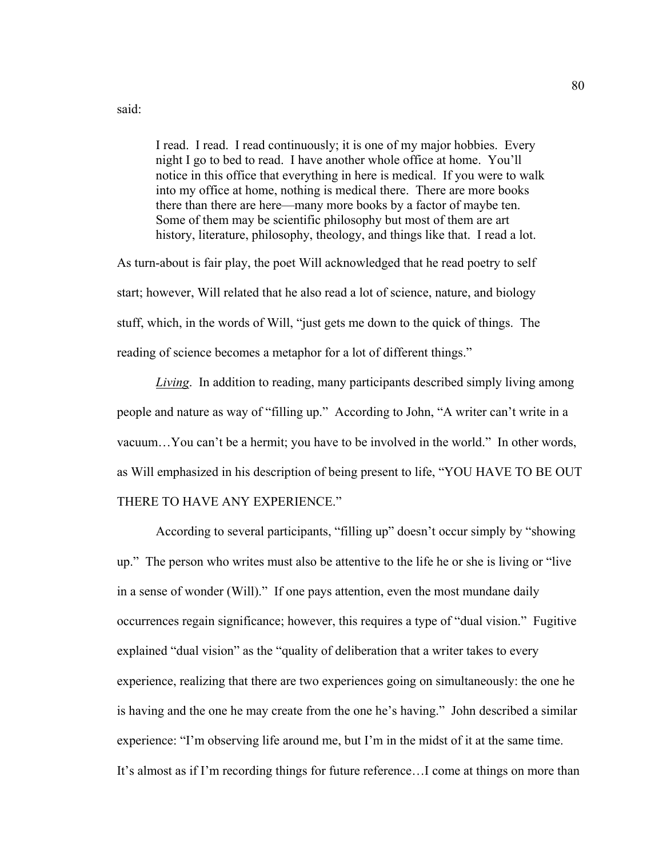said:

I read. I read. I read continuously; it is one of my major hobbies. Every night I go to bed to read. I have another whole office at home. You'll notice in this office that everything in here is medical. If you were to walk into my office at home, nothing is medical there. There are more books there than there are here—many more books by a factor of maybe ten. Some of them may be scientific philosophy but most of them are art history, literature, philosophy, theology, and things like that. I read a lot.

As turn-about is fair play, the poet Will acknowledged that he read poetry to self start; however, Will related that he also read a lot of science, nature, and biology stuff, which, in the words of Will, "just gets me down to the quick of things. The reading of science becomes a metaphor for a lot of different things."

*Living*. In addition to reading, many participants described simply living among people and nature as way of "filling up." According to John, "A writer can't write in a vacuum…You can't be a hermit; you have to be involved in the world." In other words, as Will emphasized in his description of being present to life, "YOU HAVE TO BE OUT THERE TO HAVE ANY EXPERIENCE."

According to several participants, "filling up" doesn't occur simply by "showing up." The person who writes must also be attentive to the life he or she is living or "live in a sense of wonder (Will)." If one pays attention, even the most mundane daily occurrences regain significance; however, this requires a type of "dual vision." Fugitive explained "dual vision" as the "quality of deliberation that a writer takes to every experience, realizing that there are two experiences going on simultaneously: the one he is having and the one he may create from the one he's having." John described a similar experience: "I'm observing life around me, but I'm in the midst of it at the same time. It's almost as if I'm recording things for future reference…I come at things on more than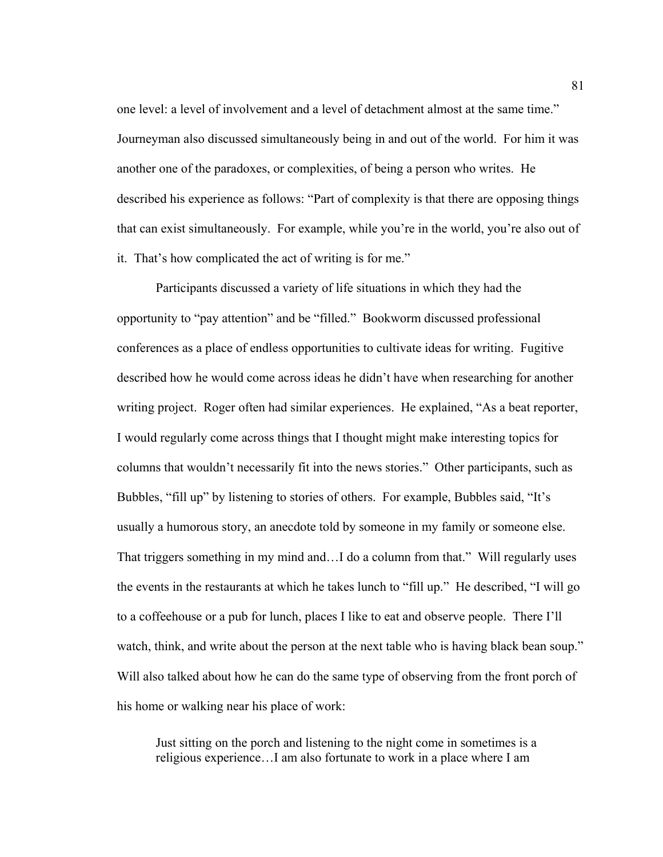one level: a level of involvement and a level of detachment almost at the same time." Journeyman also discussed simultaneously being in and out of the world. For him it was another one of the paradoxes, or complexities, of being a person who writes. He described his experience as follows: "Part of complexity is that there are opposing things that can exist simultaneously. For example, while you're in the world, you're also out of it. That's how complicated the act of writing is for me."

Participants discussed a variety of life situations in which they had the opportunity to "pay attention" and be "filled." Bookworm discussed professional conferences as a place of endless opportunities to cultivate ideas for writing. Fugitive described how he would come across ideas he didn't have when researching for another writing project. Roger often had similar experiences. He explained, "As a beat reporter, I would regularly come across things that I thought might make interesting topics for columns that wouldn't necessarily fit into the news stories." Other participants, such as Bubbles, "fill up" by listening to stories of others. For example, Bubbles said, "It's usually a humorous story, an anecdote told by someone in my family or someone else. That triggers something in my mind and…I do a column from that." Will regularly uses the events in the restaurants at which he takes lunch to "fill up." He described, "I will go to a coffeehouse or a pub for lunch, places I like to eat and observe people. There I'll watch, think, and write about the person at the next table who is having black bean soup." Will also talked about how he can do the same type of observing from the front porch of his home or walking near his place of work:

Just sitting on the porch and listening to the night come in sometimes is a religious experience…I am also fortunate to work in a place where I am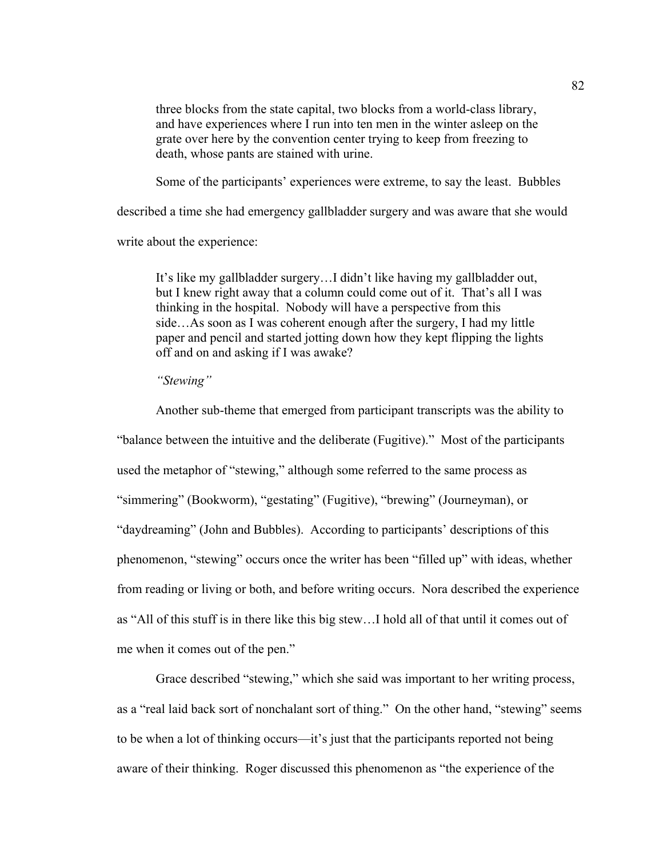three blocks from the state capital, two blocks from a world-class library, and have experiences where I run into ten men in the winter asleep on the grate over here by the convention center trying to keep from freezing to death, whose pants are stained with urine.

Some of the participants' experiences were extreme, to say the least. Bubbles

described a time she had emergency gallbladder surgery and was aware that she would

write about the experience:

It's like my gallbladder surgery…I didn't like having my gallbladder out, but I knew right away that a column could come out of it. That's all I was thinking in the hospital. Nobody will have a perspective from this side…As soon as I was coherent enough after the surgery, I had my little paper and pencil and started jotting down how they kept flipping the lights off and on and asking if I was awake?

*"Stewing"* 

Another sub-theme that emerged from participant transcripts was the ability to "balance between the intuitive and the deliberate (Fugitive)." Most of the participants used the metaphor of "stewing," although some referred to the same process as "simmering" (Bookworm), "gestating" (Fugitive), "brewing" (Journeyman), or "daydreaming" (John and Bubbles). According to participants' descriptions of this phenomenon, "stewing" occurs once the writer has been "filled up" with ideas, whether from reading or living or both, and before writing occurs. Nora described the experience as "All of this stuff is in there like this big stew…I hold all of that until it comes out of me when it comes out of the pen."

Grace described "stewing," which she said was important to her writing process, as a "real laid back sort of nonchalant sort of thing." On the other hand, "stewing" seems to be when a lot of thinking occurs—it's just that the participants reported not being aware of their thinking. Roger discussed this phenomenon as "the experience of the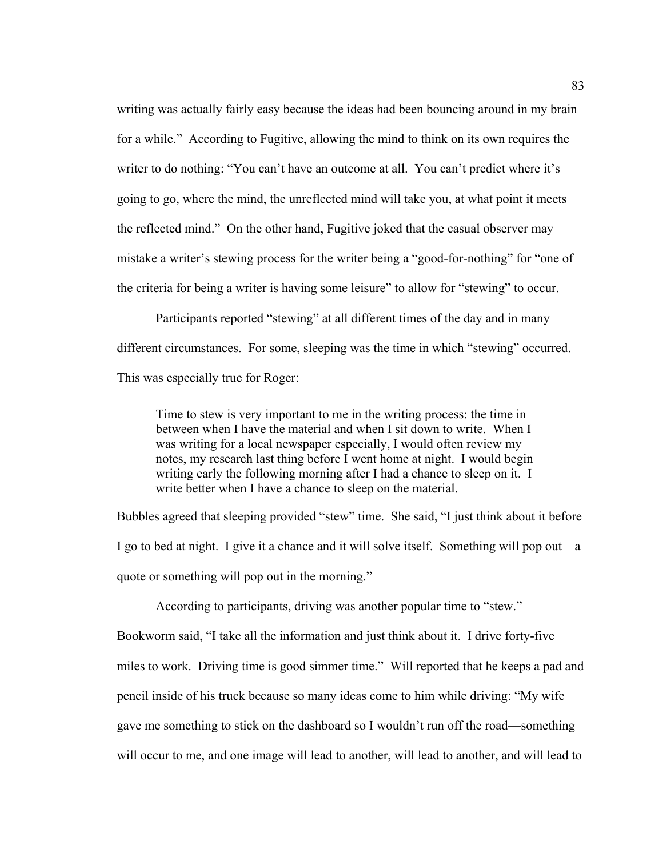writing was actually fairly easy because the ideas had been bouncing around in my brain for a while." According to Fugitive, allowing the mind to think on its own requires the writer to do nothing: "You can't have an outcome at all. You can't predict where it's going to go, where the mind, the unreflected mind will take you, at what point it meets the reflected mind." On the other hand, Fugitive joked that the casual observer may mistake a writer's stewing process for the writer being a "good-for-nothing" for "one of the criteria for being a writer is having some leisure" to allow for "stewing" to occur.

Participants reported "stewing" at all different times of the day and in many different circumstances. For some, sleeping was the time in which "stewing" occurred. This was especially true for Roger:

Time to stew is very important to me in the writing process: the time in between when I have the material and when I sit down to write. When I was writing for a local newspaper especially, I would often review my notes, my research last thing before I went home at night. I would begin writing early the following morning after I had a chance to sleep on it. I write better when I have a chance to sleep on the material.

Bubbles agreed that sleeping provided "stew" time. She said, "I just think about it before I go to bed at night. I give it a chance and it will solve itself. Something will pop out—a quote or something will pop out in the morning."

According to participants, driving was another popular time to "stew." Bookworm said, "I take all the information and just think about it. I drive forty-five miles to work. Driving time is good simmer time." Will reported that he keeps a pad and pencil inside of his truck because so many ideas come to him while driving: "My wife gave me something to stick on the dashboard so I wouldn't run off the road—something will occur to me, and one image will lead to another, will lead to another, and will lead to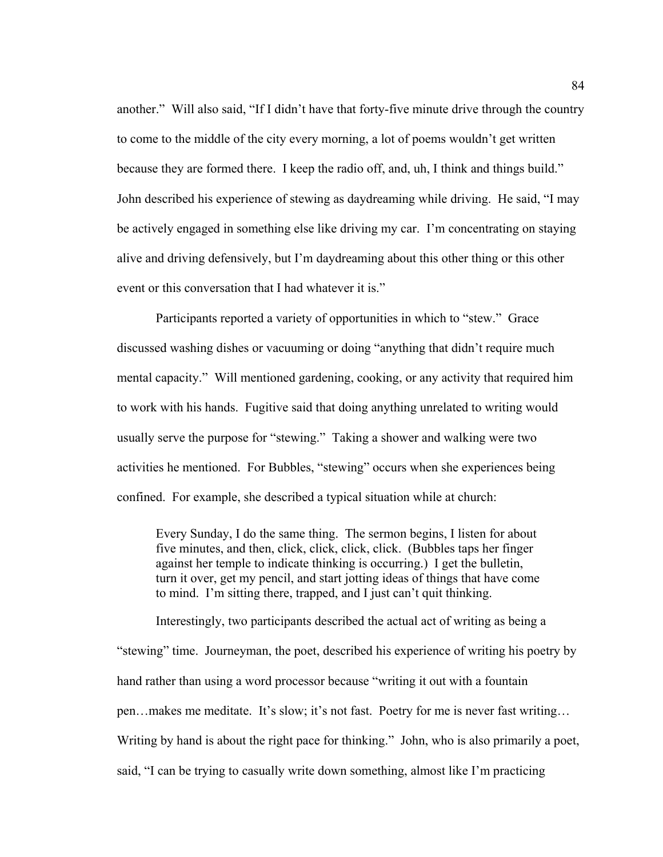another." Will also said, "If I didn't have that forty-five minute drive through the country to come to the middle of the city every morning, a lot of poems wouldn't get written because they are formed there. I keep the radio off, and, uh, I think and things build." John described his experience of stewing as daydreaming while driving. He said, "I may be actively engaged in something else like driving my car. I'm concentrating on staying alive and driving defensively, but I'm daydreaming about this other thing or this other event or this conversation that I had whatever it is."

Participants reported a variety of opportunities in which to "stew." Grace discussed washing dishes or vacuuming or doing "anything that didn't require much mental capacity." Will mentioned gardening, cooking, or any activity that required him to work with his hands. Fugitive said that doing anything unrelated to writing would usually serve the purpose for "stewing." Taking a shower and walking were two activities he mentioned. For Bubbles, "stewing" occurs when she experiences being confined. For example, she described a typical situation while at church:

Every Sunday, I do the same thing. The sermon begins, I listen for about five minutes, and then, click, click, click, click. (Bubbles taps her finger against her temple to indicate thinking is occurring.) I get the bulletin, turn it over, get my pencil, and start jotting ideas of things that have come to mind. I'm sitting there, trapped, and I just can't quit thinking.

Interestingly, two participants described the actual act of writing as being a "stewing" time. Journeyman, the poet, described his experience of writing his poetry by hand rather than using a word processor because "writing it out with a fountain pen…makes me meditate. It's slow; it's not fast. Poetry for me is never fast writing… Writing by hand is about the right pace for thinking." John, who is also primarily a poet, said, "I can be trying to casually write down something, almost like I'm practicing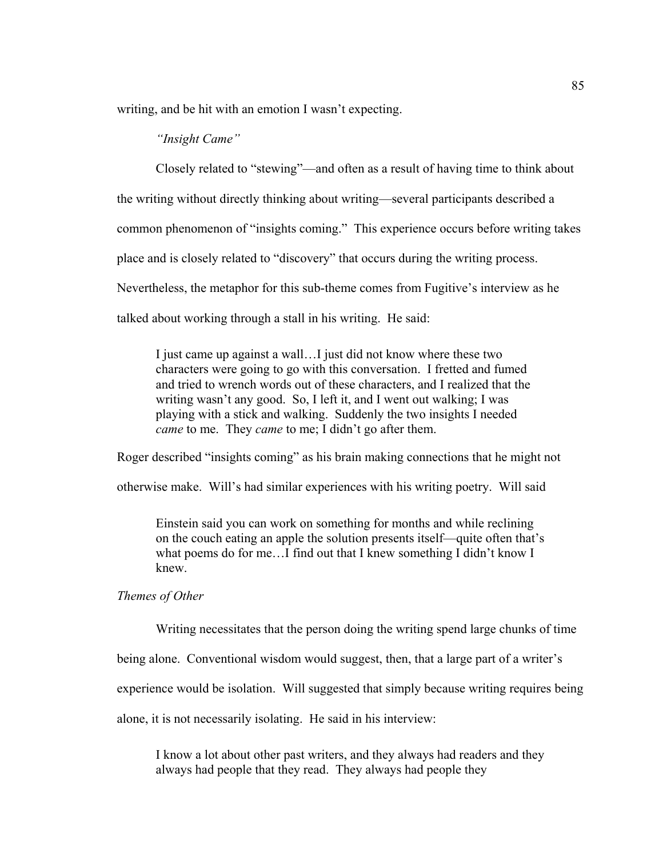writing, and be hit with an emotion I wasn't expecting.

## *"Insight Came"*

Closely related to "stewing"—and often as a result of having time to think about the writing without directly thinking about writing—several participants described a common phenomenon of "insights coming." This experience occurs before writing takes place and is closely related to "discovery" that occurs during the writing process. Nevertheless, the metaphor for this sub-theme comes from Fugitive's interview as he talked about working through a stall in his writing. He said:

I just came up against a wall…I just did not know where these two characters were going to go with this conversation. I fretted and fumed and tried to wrench words out of these characters, and I realized that the writing wasn't any good. So, I left it, and I went out walking; I was playing with a stick and walking. Suddenly the two insights I needed *came* to me. They *came* to me; I didn't go after them.

Roger described "insights coming" as his brain making connections that he might not

otherwise make. Will's had similar experiences with his writing poetry. Will said

Einstein said you can work on something for months and while reclining on the couch eating an apple the solution presents itself—quite often that's what poems do for me…I find out that I knew something I didn't know I knew.

## *Themes of Other*

Writing necessitates that the person doing the writing spend large chunks of time

being alone. Conventional wisdom would suggest, then, that a large part of a writer's

experience would be isolation. Will suggested that simply because writing requires being

alone, it is not necessarily isolating. He said in his interview:

I know a lot about other past writers, and they always had readers and they always had people that they read. They always had people they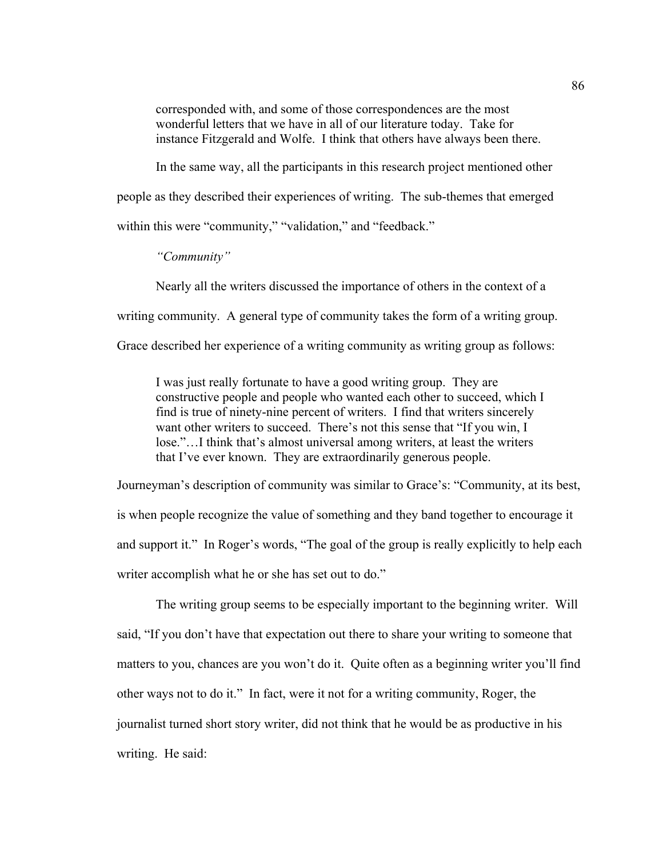corresponded with, and some of those correspondences are the most wonderful letters that we have in all of our literature today. Take for instance Fitzgerald and Wolfe. I think that others have always been there.

In the same way, all the participants in this research project mentioned other people as they described their experiences of writing. The sub-themes that emerged within this were "community," "validation," and "feedback."

*"Community"* 

Nearly all the writers discussed the importance of others in the context of a

writing community. A general type of community takes the form of a writing group.

Grace described her experience of a writing community as writing group as follows:

I was just really fortunate to have a good writing group. They are constructive people and people who wanted each other to succeed, which I find is true of ninety-nine percent of writers. I find that writers sincerely want other writers to succeed. There's not this sense that "If you win, I lose."…I think that's almost universal among writers, at least the writers that I've ever known. They are extraordinarily generous people.

Journeyman's description of community was similar to Grace's: "Community, at its best, is when people recognize the value of something and they band together to encourage it and support it." In Roger's words, "The goal of the group is really explicitly to help each writer accomplish what he or she has set out to do."

The writing group seems to be especially important to the beginning writer. Will said, "If you don't have that expectation out there to share your writing to someone that matters to you, chances are you won't do it. Quite often as a beginning writer you'll find other ways not to do it." In fact, were it not for a writing community, Roger, the journalist turned short story writer, did not think that he would be as productive in his writing. He said: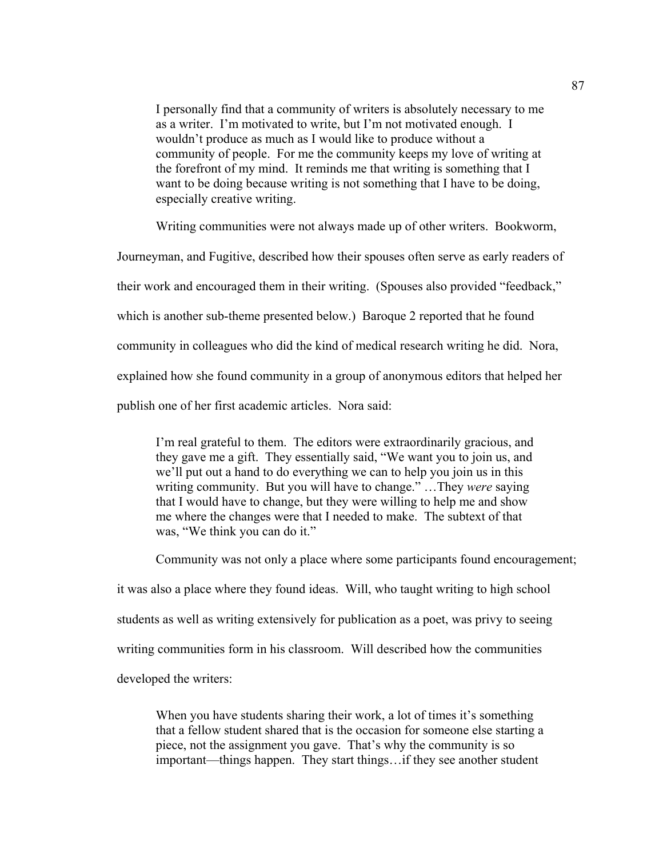I personally find that a community of writers is absolutely necessary to me as a writer. I'm motivated to write, but I'm not motivated enough. I wouldn't produce as much as I would like to produce without a community of people. For me the community keeps my love of writing at the forefront of my mind. It reminds me that writing is something that I want to be doing because writing is not something that I have to be doing, especially creative writing.

Writing communities were not always made up of other writers. Bookworm,

Journeyman, and Fugitive, described how their spouses often serve as early readers of their work and encouraged them in their writing. (Spouses also provided "feedback," which is another sub-theme presented below.) Baroque 2 reported that he found community in colleagues who did the kind of medical research writing he did. Nora, explained how she found community in a group of anonymous editors that helped her publish one of her first academic articles. Nora said:

I'm real grateful to them. The editors were extraordinarily gracious, and they gave me a gift. They essentially said, "We want you to join us, and we'll put out a hand to do everything we can to help you join us in this writing community. But you will have to change." …They *were* saying that I would have to change, but they were willing to help me and show me where the changes were that I needed to make. The subtext of that was, "We think you can do it."

Community was not only a place where some participants found encouragement;

it was also a place where they found ideas. Will, who taught writing to high school students as well as writing extensively for publication as a poet, was privy to seeing writing communities form in his classroom. Will described how the communities developed the writers:

When you have students sharing their work, a lot of times it's something that a fellow student shared that is the occasion for someone else starting a piece, not the assignment you gave. That's why the community is so important—things happen. They start things…if they see another student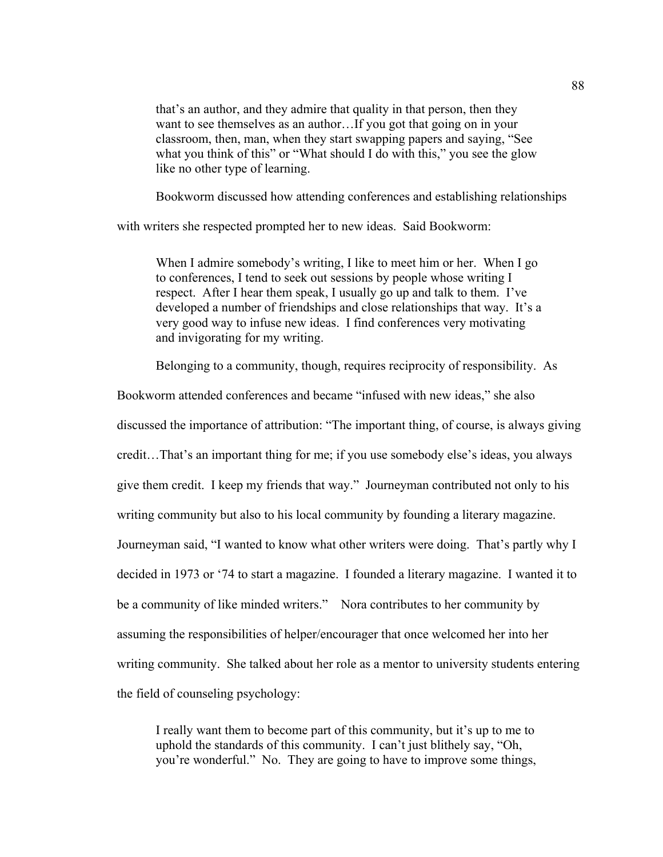that's an author, and they admire that quality in that person, then they want to see themselves as an author…If you got that going on in your classroom, then, man, when they start swapping papers and saying, "See what you think of this" or "What should I do with this," you see the glow like no other type of learning.

Bookworm discussed how attending conferences and establishing relationships

with writers she respected prompted her to new ideas. Said Bookworm:

When I admire somebody's writing, I like to meet him or her. When I go to conferences, I tend to seek out sessions by people whose writing I respect. After I hear them speak, I usually go up and talk to them. I've developed a number of friendships and close relationships that way. It's a very good way to infuse new ideas. I find conferences very motivating and invigorating for my writing.

Belonging to a community, though, requires reciprocity of responsibility. As

Bookworm attended conferences and became "infused with new ideas," she also discussed the importance of attribution: "The important thing, of course, is always giving credit…That's an important thing for me; if you use somebody else's ideas, you always give them credit. I keep my friends that way." Journeyman contributed not only to his writing community but also to his local community by founding a literary magazine. Journeyman said, "I wanted to know what other writers were doing. That's partly why I decided in 1973 or '74 to start a magazine. I founded a literary magazine. I wanted it to be a community of like minded writers." Nora contributes to her community by assuming the responsibilities of helper/encourager that once welcomed her into her writing community. She talked about her role as a mentor to university students entering the field of counseling psychology:

I really want them to become part of this community, but it's up to me to uphold the standards of this community. I can't just blithely say, "Oh, you're wonderful." No. They are going to have to improve some things,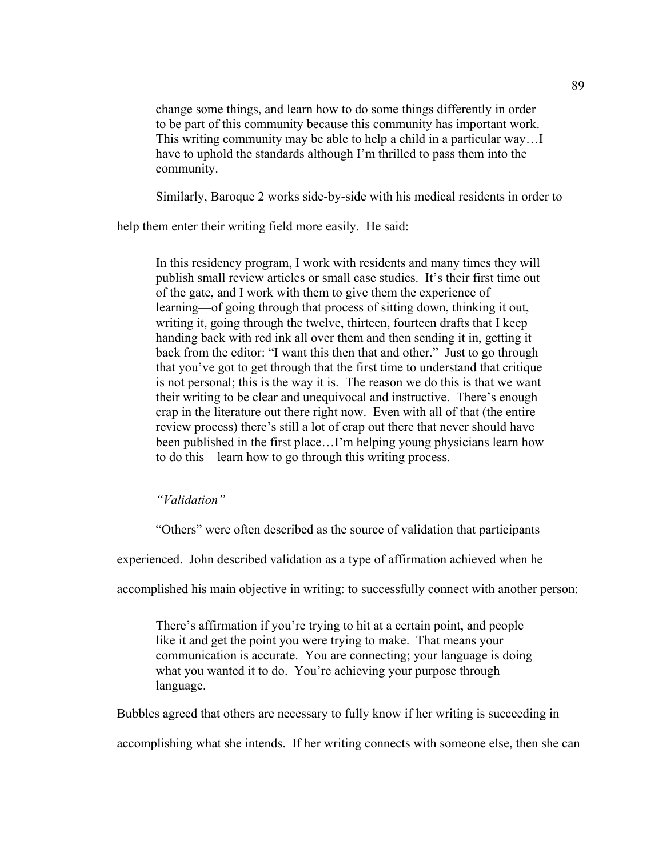change some things, and learn how to do some things differently in order to be part of this community because this community has important work. This writing community may be able to help a child in a particular way…I have to uphold the standards although I'm thrilled to pass them into the community.

Similarly, Baroque 2 works side-by-side with his medical residents in order to

help them enter their writing field more easily. He said:

In this residency program, I work with residents and many times they will publish small review articles or small case studies. It's their first time out of the gate, and I work with them to give them the experience of learning—of going through that process of sitting down, thinking it out, writing it, going through the twelve, thirteen, fourteen drafts that I keep handing back with red ink all over them and then sending it in, getting it back from the editor: "I want this then that and other." Just to go through that you've got to get through that the first time to understand that critique is not personal; this is the way it is. The reason we do this is that we want their writing to be clear and unequivocal and instructive. There's enough crap in the literature out there right now. Even with all of that (the entire review process) there's still a lot of crap out there that never should have been published in the first place…I'm helping young physicians learn how to do this—learn how to go through this writing process.

*"Validation"* 

"Others" were often described as the source of validation that participants

experienced. John described validation as a type of affirmation achieved when he

accomplished his main objective in writing: to successfully connect with another person:

There's affirmation if you're trying to hit at a certain point, and people like it and get the point you were trying to make. That means your communication is accurate. You are connecting; your language is doing what you wanted it to do. You're achieving your purpose through language.

Bubbles agreed that others are necessary to fully know if her writing is succeeding in

accomplishing what she intends. If her writing connects with someone else, then she can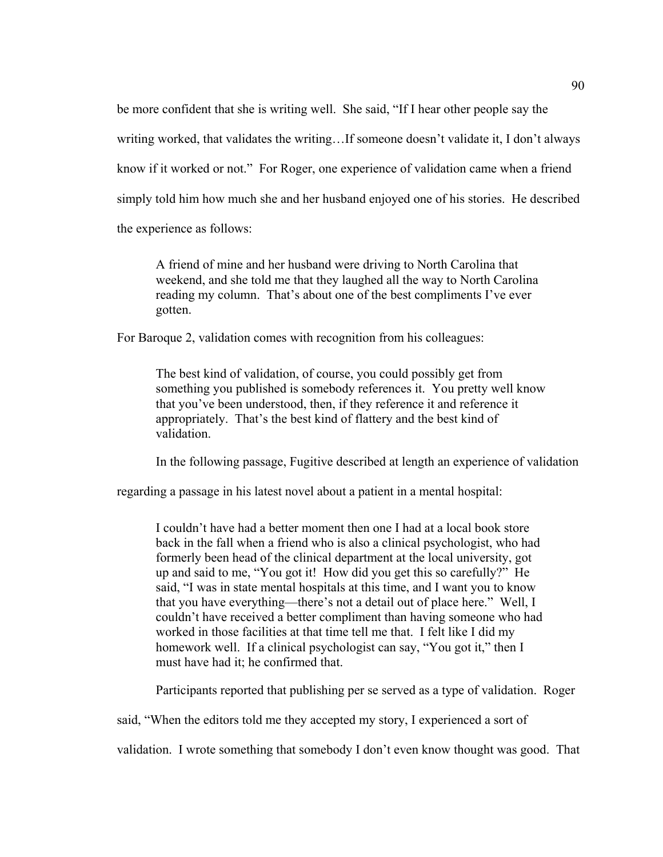be more confident that she is writing well. She said, "If I hear other people say the writing worked, that validates the writing…If someone doesn't validate it, I don't always know if it worked or not." For Roger, one experience of validation came when a friend simply told him how much she and her husband enjoyed one of his stories. He described the experience as follows:

A friend of mine and her husband were driving to North Carolina that weekend, and she told me that they laughed all the way to North Carolina reading my column. That's about one of the best compliments I've ever gotten.

For Baroque 2, validation comes with recognition from his colleagues:

The best kind of validation, of course, you could possibly get from something you published is somebody references it. You pretty well know that you've been understood, then, if they reference it and reference it appropriately. That's the best kind of flattery and the best kind of validation.

In the following passage, Fugitive described at length an experience of validation

regarding a passage in his latest novel about a patient in a mental hospital:

I couldn't have had a better moment then one I had at a local book store back in the fall when a friend who is also a clinical psychologist, who had formerly been head of the clinical department at the local university, got up and said to me, "You got it! How did you get this so carefully?" He said, "I was in state mental hospitals at this time, and I want you to know that you have everything—there's not a detail out of place here." Well, I couldn't have received a better compliment than having someone who had worked in those facilities at that time tell me that. I felt like I did my homework well. If a clinical psychologist can say, "You got it," then I must have had it; he confirmed that.

Participants reported that publishing per se served as a type of validation. Roger

said, "When the editors told me they accepted my story, I experienced a sort of

validation. I wrote something that somebody I don't even know thought was good. That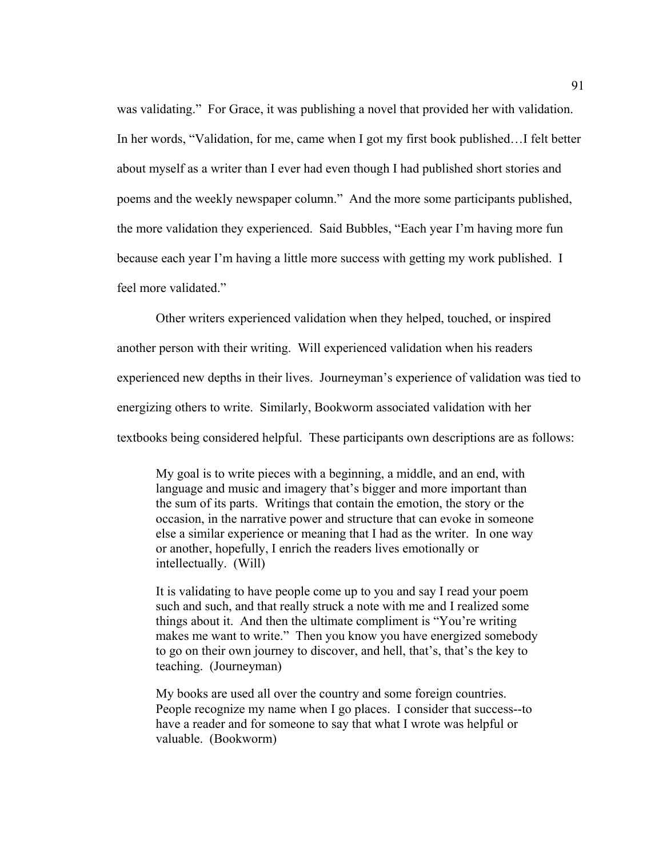was validating." For Grace, it was publishing a novel that provided her with validation. In her words, "Validation, for me, came when I got my first book published…I felt better about myself as a writer than I ever had even though I had published short stories and poems and the weekly newspaper column." And the more some participants published, the more validation they experienced. Said Bubbles, "Each year I'm having more fun because each year I'm having a little more success with getting my work published. I feel more validated."

Other writers experienced validation when they helped, touched, or inspired another person with their writing. Will experienced validation when his readers experienced new depths in their lives. Journeyman's experience of validation was tied to energizing others to write. Similarly, Bookworm associated validation with her textbooks being considered helpful. These participants own descriptions are as follows:

My goal is to write pieces with a beginning, a middle, and an end, with language and music and imagery that's bigger and more important than the sum of its parts. Writings that contain the emotion, the story or the occasion, in the narrative power and structure that can evoke in someone else a similar experience or meaning that I had as the writer. In one way or another, hopefully, I enrich the readers lives emotionally or intellectually. (Will)

It is validating to have people come up to you and say I read your poem such and such, and that really struck a note with me and I realized some things about it. And then the ultimate compliment is "You're writing makes me want to write." Then you know you have energized somebody to go on their own journey to discover, and hell, that's, that's the key to teaching. (Journeyman)

My books are used all over the country and some foreign countries. People recognize my name when I go places. I consider that success--to have a reader and for someone to say that what I wrote was helpful or valuable. (Bookworm)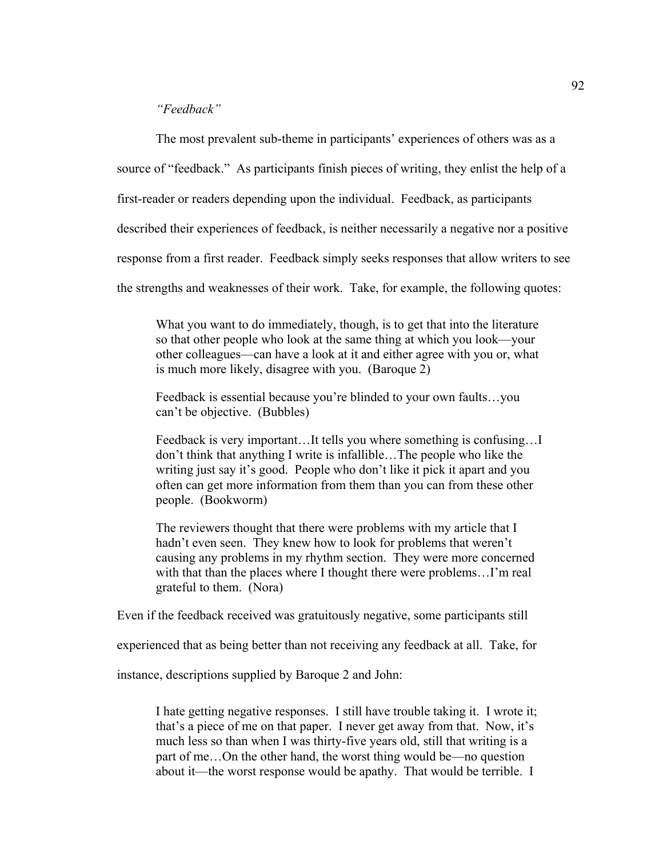## *"Feedback"*

The most prevalent sub-theme in participants' experiences of others was as a

source of "feedback." As participants finish pieces of writing, they enlist the help of a

first-reader or readers depending upon the individual. Feedback, as participants

described their experiences of feedback, is neither necessarily a negative nor a positive

response from a first reader. Feedback simply seeks responses that allow writers to see

the strengths and weaknesses of their work. Take, for example, the following quotes:

What you want to do immediately, though, is to get that into the literature so that other people who look at the same thing at which you look—your other colleagues—can have a look at it and either agree with you or, what is much more likely, disagree with you. (Baroque 2)

Feedback is essential because you're blinded to your own faults…you can't be objective. (Bubbles)

Feedback is very important…It tells you where something is confusing…I don't think that anything I write is infallible…The people who like the writing just say it's good. People who don't like it pick it apart and you often can get more information from them than you can from these other people. (Bookworm)

The reviewers thought that there were problems with my article that I hadn't even seen. They knew how to look for problems that weren't causing any problems in my rhythm section. They were more concerned with that than the places where I thought there were problems...I'm real grateful to them. (Nora)

Even if the feedback received was gratuitously negative, some participants still

experienced that as being better than not receiving any feedback at all. Take, for

instance, descriptions supplied by Baroque 2 and John:

I hate getting negative responses. I still have trouble taking it. I wrote it; that's a piece of me on that paper. I never get away from that. Now, it's much less so than when I was thirty-five years old, still that writing is a part of me…On the other hand, the worst thing would be—no question about it—the worst response would be apathy. That would be terrible. I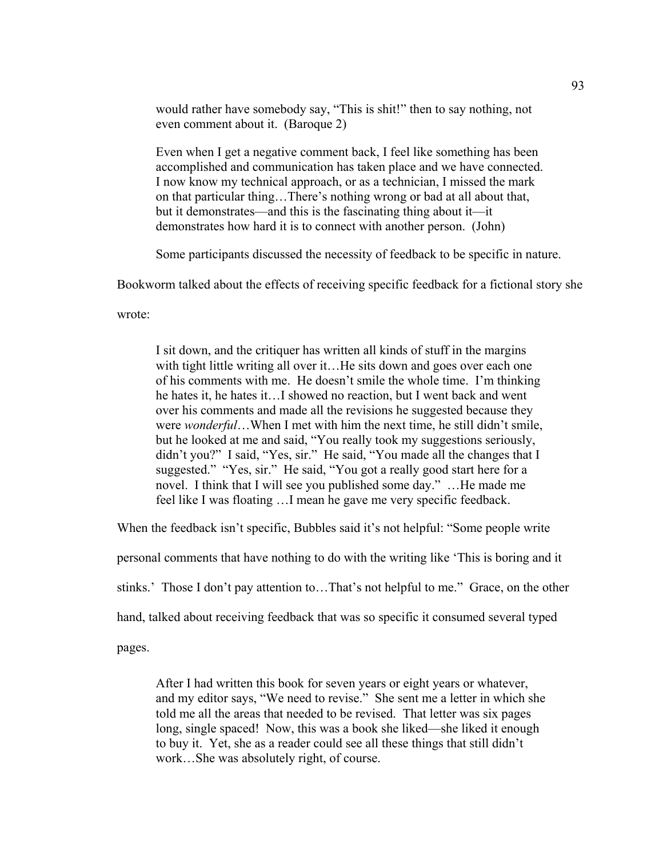would rather have somebody say, "This is shit!" then to say nothing, not even comment about it. (Baroque 2)

Even when I get a negative comment back, I feel like something has been accomplished and communication has taken place and we have connected. I now know my technical approach, or as a technician, I missed the mark on that particular thing…There's nothing wrong or bad at all about that, but it demonstrates—and this is the fascinating thing about it—it demonstrates how hard it is to connect with another person. (John)

Some participants discussed the necessity of feedback to be specific in nature.

Bookworm talked about the effects of receiving specific feedback for a fictional story she

wrote:

I sit down, and the critiquer has written all kinds of stuff in the margins with tight little writing all over it... He sits down and goes over each one of his comments with me. He doesn't smile the whole time. I'm thinking he hates it, he hates it…I showed no reaction, but I went back and went over his comments and made all the revisions he suggested because they were *wonderful*…When I met with him the next time, he still didn't smile, but he looked at me and said, "You really took my suggestions seriously, didn't you?" I said, "Yes, sir." He said, "You made all the changes that I suggested." "Yes, sir." He said, "You got a really good start here for a novel. I think that I will see you published some day." ... He made me feel like I was floating …I mean he gave me very specific feedback.

When the feedback isn't specific, Bubbles said it's not helpful: "Some people write

personal comments that have nothing to do with the writing like 'This is boring and it

stinks.' Those I don't pay attention to…That's not helpful to me." Grace, on the other

hand, talked about receiving feedback that was so specific it consumed several typed

pages.

After I had written this book for seven years or eight years or whatever, and my editor says, "We need to revise." She sent me a letter in which she told me all the areas that needed to be revised. That letter was six pages long, single spaced! Now, this was a book she liked—she liked it enough to buy it. Yet, she as a reader could see all these things that still didn't work…She was absolutely right, of course.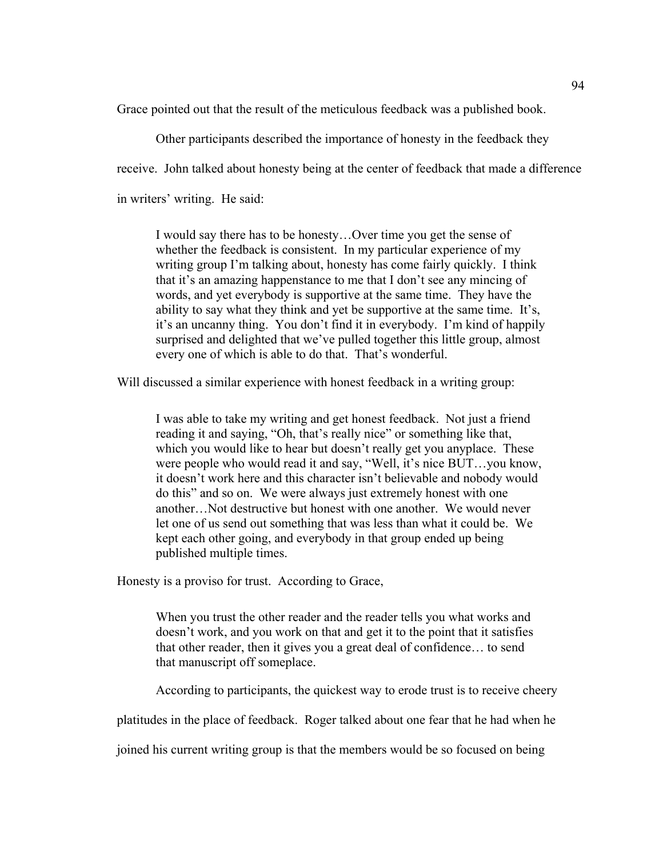Grace pointed out that the result of the meticulous feedback was a published book.

Other participants described the importance of honesty in the feedback they receive. John talked about honesty being at the center of feedback that made a difference in writers' writing. He said:

I would say there has to be honesty…Over time you get the sense of whether the feedback is consistent. In my particular experience of my writing group I'm talking about, honesty has come fairly quickly. I think that it's an amazing happenstance to me that I don't see any mincing of words, and yet everybody is supportive at the same time. They have the ability to say what they think and yet be supportive at the same time. It's, it's an uncanny thing. You don't find it in everybody. I'm kind of happily surprised and delighted that we've pulled together this little group, almost every one of which is able to do that. That's wonderful.

Will discussed a similar experience with honest feedback in a writing group:

I was able to take my writing and get honest feedback. Not just a friend reading it and saying, "Oh, that's really nice" or something like that, which you would like to hear but doesn't really get you any place. These were people who would read it and say, "Well, it's nice BUT…you know, it doesn't work here and this character isn't believable and nobody would do this" and so on. We were always just extremely honest with one another…Not destructive but honest with one another. We would never let one of us send out something that was less than what it could be. We kept each other going, and everybody in that group ended up being published multiple times.

Honesty is a proviso for trust. According to Grace,

When you trust the other reader and the reader tells you what works and doesn't work, and you work on that and get it to the point that it satisfies that other reader, then it gives you a great deal of confidence… to send that manuscript off someplace.

According to participants, the quickest way to erode trust is to receive cheery

platitudes in the place of feedback. Roger talked about one fear that he had when he

joined his current writing group is that the members would be so focused on being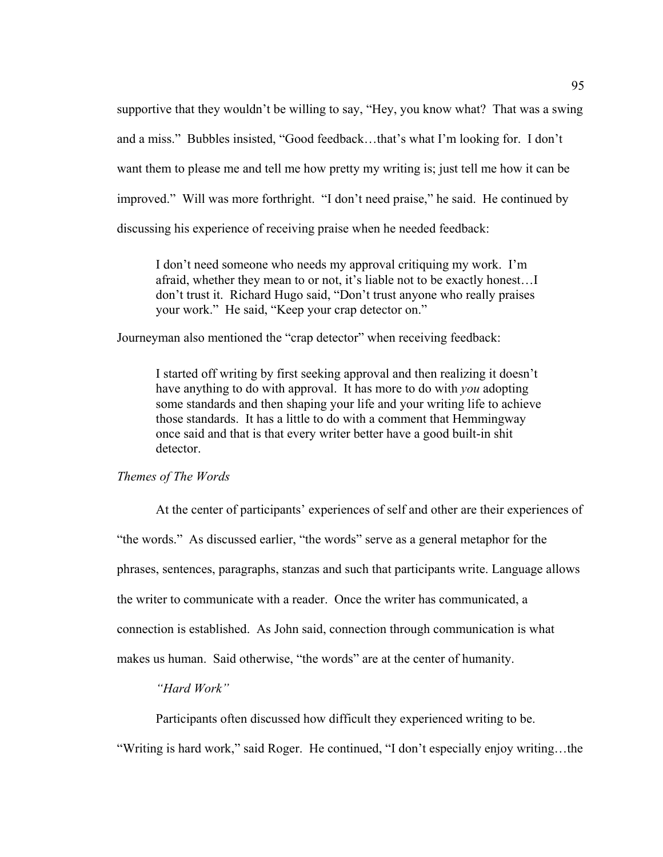supportive that they wouldn't be willing to say, "Hey, you know what? That was a swing and a miss." Bubbles insisted, "Good feedback…that's what I'm looking for. I don't want them to please me and tell me how pretty my writing is; just tell me how it can be improved." Will was more forthright. "I don't need praise," he said. He continued by discussing his experience of receiving praise when he needed feedback:

I don't need someone who needs my approval critiquing my work. I'm afraid, whether they mean to or not, it's liable not to be exactly honest…I don't trust it. Richard Hugo said, "Don't trust anyone who really praises your work." He said, "Keep your crap detector on."

Journeyman also mentioned the "crap detector" when receiving feedback:

I started off writing by first seeking approval and then realizing it doesn't have anything to do with approval. It has more to do with *you* adopting some standards and then shaping your life and your writing life to achieve those standards. It has a little to do with a comment that Hemmingway once said and that is that every writer better have a good built-in shit detector.

#### *Themes of The Words*

At the center of participants' experiences of self and other are their experiences of "the words." As discussed earlier, "the words" serve as a general metaphor for the phrases, sentences, paragraphs, stanzas and such that participants write. Language allows the writer to communicate with a reader. Once the writer has communicated, a connection is established. As John said, connection through communication is what makes us human. Said otherwise, "the words" are at the center of humanity.

#### *"Hard Work"*

Participants often discussed how difficult they experienced writing to be.

"Writing is hard work," said Roger. He continued, "I don't especially enjoy writing…the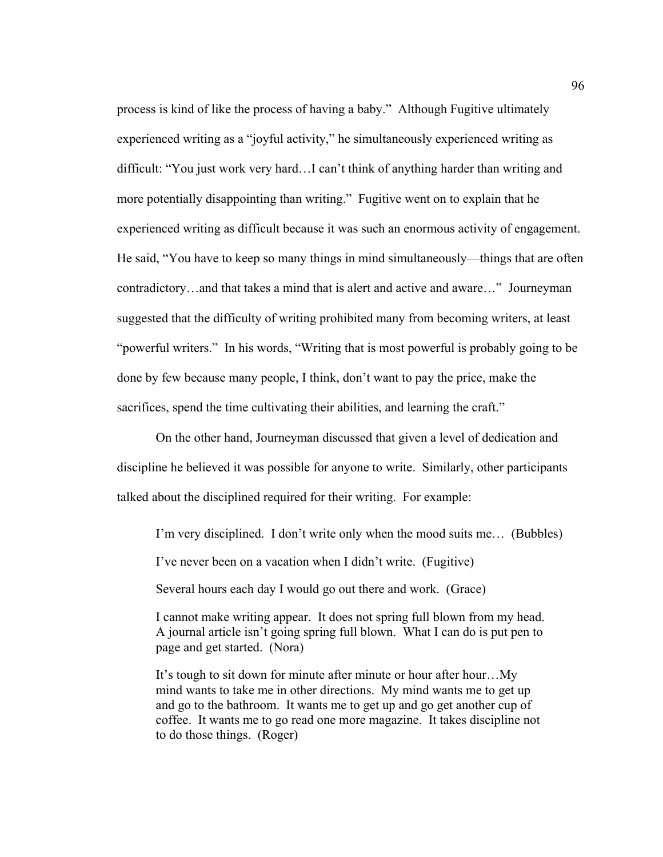process is kind of like the process of having a baby." Although Fugitive ultimately experienced writing as a "joyful activity," he simultaneously experienced writing as difficult: "You just work very hard…I can't think of anything harder than writing and more potentially disappointing than writing." Fugitive went on to explain that he experienced writing as difficult because it was such an enormous activity of engagement. He said, "You have to keep so many things in mind simultaneously—things that are often contradictory…and that takes a mind that is alert and active and aware…" Journeyman suggested that the difficulty of writing prohibited many from becoming writers, at least "powerful writers." In his words, "Writing that is most powerful is probably going to be done by few because many people, I think, don't want to pay the price, make the sacrifices, spend the time cultivating their abilities, and learning the craft."

On the other hand, Journeyman discussed that given a level of dedication and discipline he believed it was possible for anyone to write. Similarly, other participants talked about the disciplined required for their writing. For example:

I'm very disciplined. I don't write only when the mood suits me… (Bubbles)

I've never been on a vacation when I didn't write. (Fugitive)

Several hours each day I would go out there and work. (Grace)

I cannot make writing appear. It does not spring full blown from my head. A journal article isn't going spring full blown. What I can do is put pen to page and get started. (Nora)

It's tough to sit down for minute after minute or hour after hour…My mind wants to take me in other directions. My mind wants me to get up and go to the bathroom. It wants me to get up and go get another cup of coffee. It wants me to go read one more magazine. It takes discipline not to do those things. (Roger)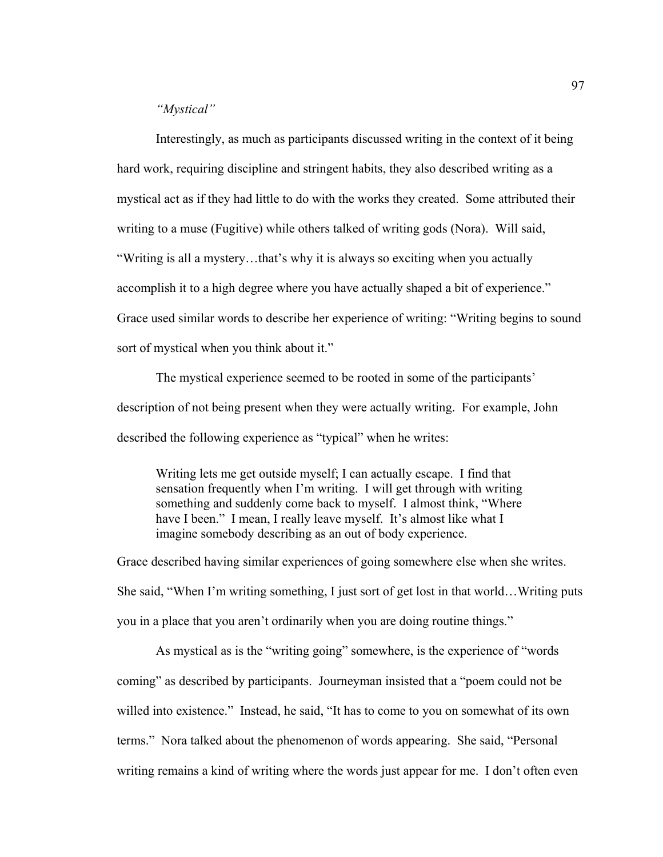#### *"Mystical"*

Interestingly, as much as participants discussed writing in the context of it being hard work, requiring discipline and stringent habits, they also described writing as a mystical act as if they had little to do with the works they created. Some attributed their writing to a muse (Fugitive) while others talked of writing gods (Nora). Will said, "Writing is all a mystery…that's why it is always so exciting when you actually accomplish it to a high degree where you have actually shaped a bit of experience." Grace used similar words to describe her experience of writing: "Writing begins to sound sort of mystical when you think about it."

The mystical experience seemed to be rooted in some of the participants' description of not being present when they were actually writing. For example, John described the following experience as "typical" when he writes:

Writing lets me get outside myself; I can actually escape. I find that sensation frequently when I'm writing. I will get through with writing something and suddenly come back to myself. I almost think, "Where have I been." I mean, I really leave myself. It's almost like what I imagine somebody describing as an out of body experience.

Grace described having similar experiences of going somewhere else when she writes. She said, "When I'm writing something, I just sort of get lost in that world…Writing puts you in a place that you aren't ordinarily when you are doing routine things."

As mystical as is the "writing going" somewhere, is the experience of "words coming" as described by participants. Journeyman insisted that a "poem could not be willed into existence." Instead, he said, "It has to come to you on somewhat of its own terms." Nora talked about the phenomenon of words appearing. She said, "Personal writing remains a kind of writing where the words just appear for me. I don't often even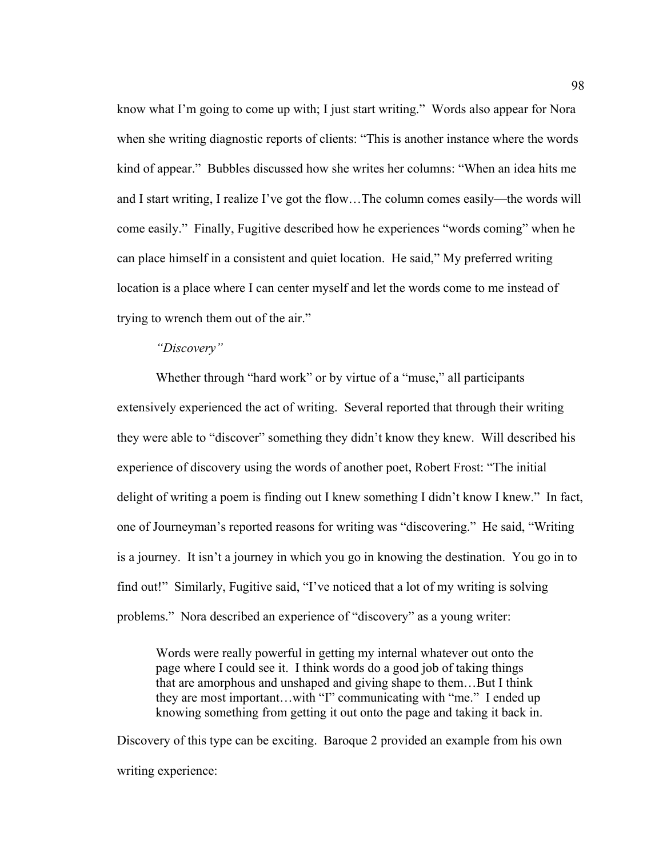know what I'm going to come up with; I just start writing." Words also appear for Nora when she writing diagnostic reports of clients: "This is another instance where the words kind of appear." Bubbles discussed how she writes her columns: "When an idea hits me and I start writing, I realize I've got the flow…The column comes easily—the words will come easily." Finally, Fugitive described how he experiences "words coming" when he can place himself in a consistent and quiet location. He said," My preferred writing location is a place where I can center myself and let the words come to me instead of trying to wrench them out of the air."

#### *"Discovery"*

Whether through "hard work" or by virtue of a "muse," all participants extensively experienced the act of writing. Several reported that through their writing they were able to "discover" something they didn't know they knew. Will described his experience of discovery using the words of another poet, Robert Frost: "The initial delight of writing a poem is finding out I knew something I didn't know I knew." In fact, one of Journeyman's reported reasons for writing was "discovering." He said, "Writing is a journey. It isn't a journey in which you go in knowing the destination. You go in to find out!" Similarly, Fugitive said, "I've noticed that a lot of my writing is solving problems." Nora described an experience of "discovery" as a young writer:

Words were really powerful in getting my internal whatever out onto the page where I could see it. I think words do a good job of taking things that are amorphous and unshaped and giving shape to them…But I think they are most important…with "I" communicating with "me." I ended up knowing something from getting it out onto the page and taking it back in.

Discovery of this type can be exciting. Baroque 2 provided an example from his own writing experience: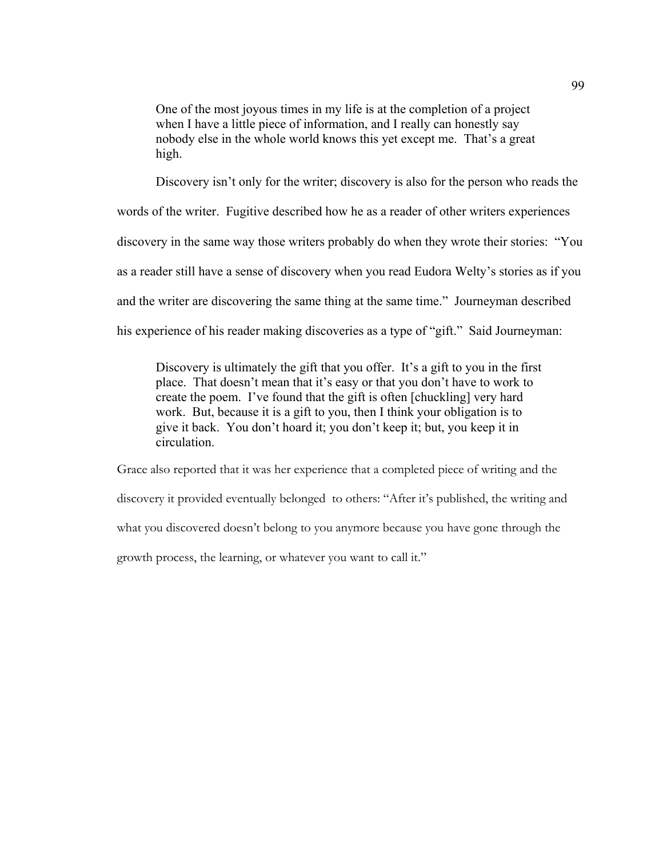One of the most joyous times in my life is at the completion of a project when I have a little piece of information, and I really can honestly say nobody else in the whole world knows this yet except me. That's a great high.

Discovery isn't only for the writer; discovery is also for the person who reads the words of the writer. Fugitive described how he as a reader of other writers experiences discovery in the same way those writers probably do when they wrote their stories: "You as a reader still have a sense of discovery when you read Eudora Welty's stories as if you and the writer are discovering the same thing at the same time." Journeyman described his experience of his reader making discoveries as a type of "gift." Said Journeyman:

Discovery is ultimately the gift that you offer. It's a gift to you in the first place. That doesn't mean that it's easy or that you don't have to work to create the poem. I've found that the gift is often [chuckling] very hard work. But, because it is a gift to you, then I think your obligation is to give it back. You don't hoard it; you don't keep it; but, you keep it in circulation.

Grace also reported that it was her experience that a completed piece of writing and the discovery it provided eventually belonged to others: "After it's published, the writing and what you discovered doesn't belong to you anymore because you have gone through the growth process, the learning, or whatever you want to call it."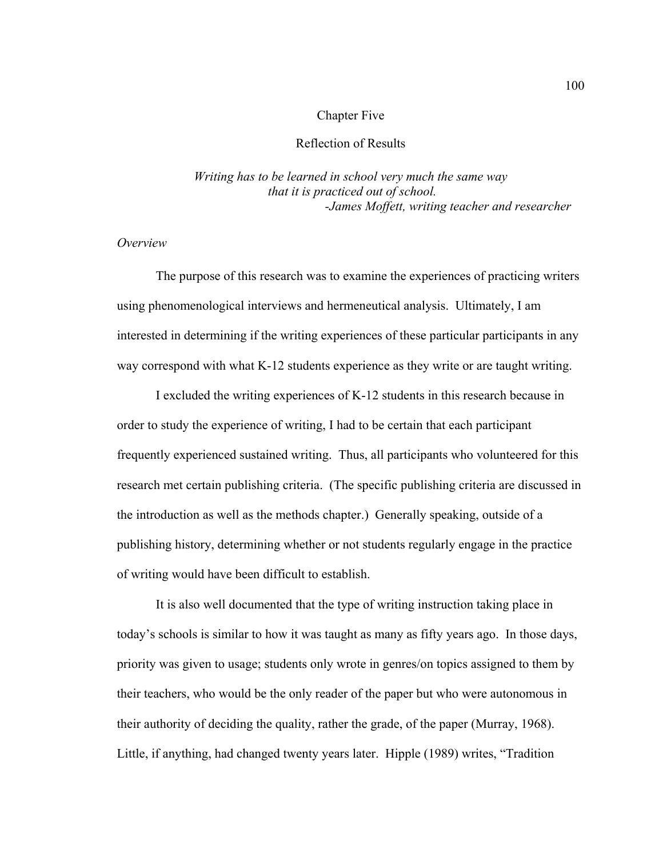# Chapter Five

# Reflection of Results

*Writing has to be learned in school very much the same way that it is practiced out of school. -James Moffett, writing teacher and researcher* 

#### *Overview*

The purpose of this research was to examine the experiences of practicing writers using phenomenological interviews and hermeneutical analysis. Ultimately, I am interested in determining if the writing experiences of these particular participants in any way correspond with what K-12 students experience as they write or are taught writing.

I excluded the writing experiences of K-12 students in this research because in order to study the experience of writing, I had to be certain that each participant frequently experienced sustained writing. Thus, all participants who volunteered for this research met certain publishing criteria. (The specific publishing criteria are discussed in the introduction as well as the methods chapter.) Generally speaking, outside of a publishing history, determining whether or not students regularly engage in the practice of writing would have been difficult to establish.

It is also well documented that the type of writing instruction taking place in today's schools is similar to how it was taught as many as fifty years ago. In those days, priority was given to usage; students only wrote in genres/on topics assigned to them by their teachers, who would be the only reader of the paper but who were autonomous in their authority of deciding the quality, rather the grade, of the paper (Murray, 1968). Little, if anything, had changed twenty years later. Hipple (1989) writes, "Tradition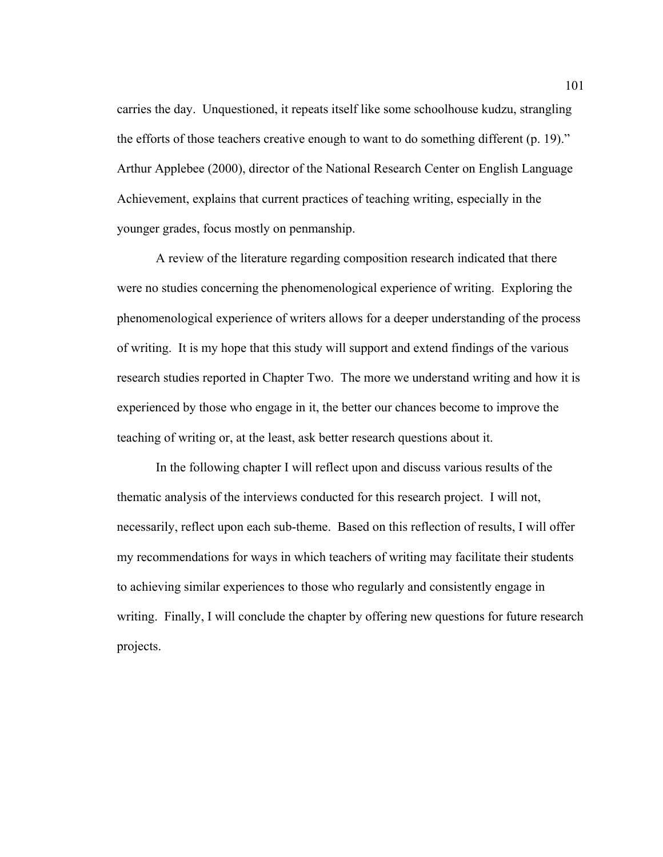carries the day. Unquestioned, it repeats itself like some schoolhouse kudzu, strangling the efforts of those teachers creative enough to want to do something different (p. 19)." Arthur Applebee (2000), director of the National Research Center on English Language Achievement, explains that current practices of teaching writing, especially in the younger grades, focus mostly on penmanship.

A review of the literature regarding composition research indicated that there were no studies concerning the phenomenological experience of writing. Exploring the phenomenological experience of writers allows for a deeper understanding of the process of writing. It is my hope that this study will support and extend findings of the various research studies reported in Chapter Two. The more we understand writing and how it is experienced by those who engage in it, the better our chances become to improve the teaching of writing or, at the least, ask better research questions about it.

In the following chapter I will reflect upon and discuss various results of the thematic analysis of the interviews conducted for this research project. I will not, necessarily, reflect upon each sub-theme. Based on this reflection of results, I will offer my recommendations for ways in which teachers of writing may facilitate their students to achieving similar experiences to those who regularly and consistently engage in writing. Finally, I will conclude the chapter by offering new questions for future research projects.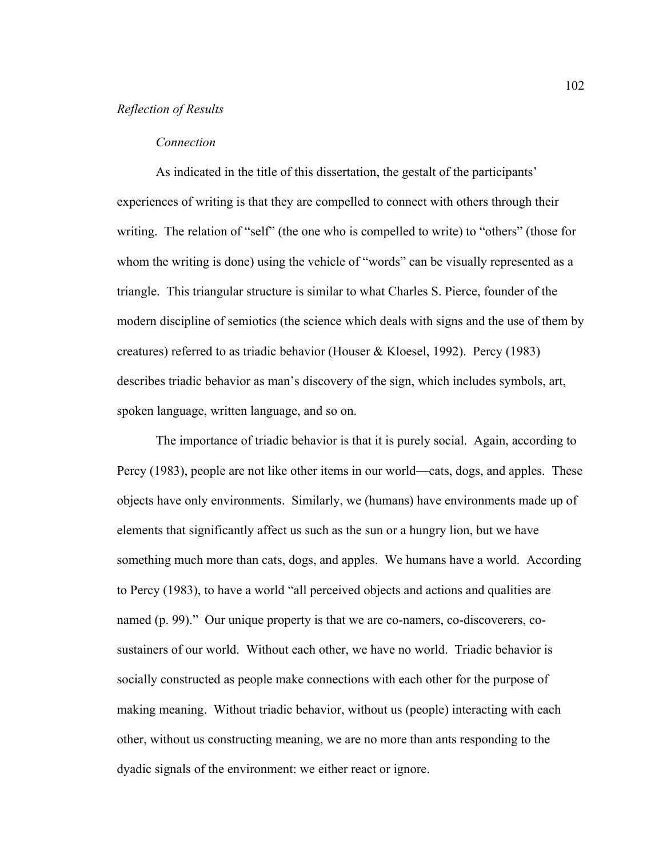# *Reflection of Results*

#### *Connection*

As indicated in the title of this dissertation, the gestalt of the participants' experiences of writing is that they are compelled to connect with others through their writing. The relation of "self" (the one who is compelled to write) to "others" (those for whom the writing is done) using the vehicle of "words" can be visually represented as a triangle. This triangular structure is similar to what Charles S. Pierce, founder of the modern discipline of semiotics (the science which deals with signs and the use of them by creatures) referred to as triadic behavior (Houser & Kloesel, 1992). Percy (1983) describes triadic behavior as man's discovery of the sign, which includes symbols, art, spoken language, written language, and so on.

The importance of triadic behavior is that it is purely social. Again, according to Percy (1983), people are not like other items in our world—cats, dogs, and apples. These objects have only environments. Similarly, we (humans) have environments made up of elements that significantly affect us such as the sun or a hungry lion, but we have something much more than cats, dogs, and apples. We humans have a world. According to Percy (1983), to have a world "all perceived objects and actions and qualities are named (p. 99)." Our unique property is that we are co-namers, co-discoverers, cosustainers of our world. Without each other, we have no world. Triadic behavior is socially constructed as people make connections with each other for the purpose of making meaning. Without triadic behavior, without us (people) interacting with each other, without us constructing meaning, we are no more than ants responding to the dyadic signals of the environment: we either react or ignore.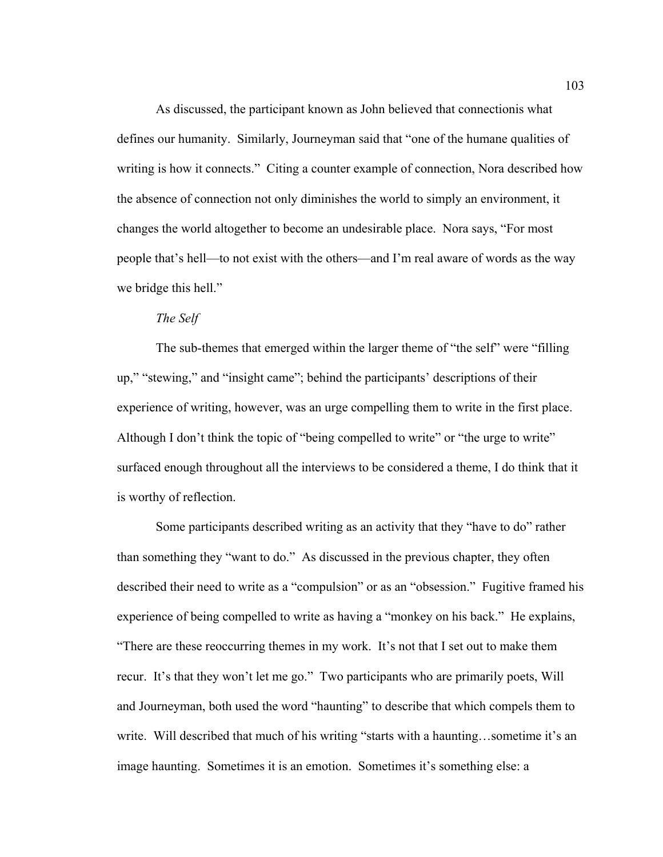As discussed, the participant known as John believed that connectionis what defines our humanity. Similarly, Journeyman said that "one of the humane qualities of writing is how it connects." Citing a counter example of connection, Nora described how the absence of connection not only diminishes the world to simply an environment, it changes the world altogether to become an undesirable place. Nora says, "For most people that's hell—to not exist with the others—and I'm real aware of words as the way we bridge this hell."

#### *The Self*

The sub-themes that emerged within the larger theme of "the self" were "filling up," "stewing," and "insight came"; behind the participants' descriptions of their experience of writing, however, was an urge compelling them to write in the first place. Although I don't think the topic of "being compelled to write" or "the urge to write" surfaced enough throughout all the interviews to be considered a theme, I do think that it is worthy of reflection.

Some participants described writing as an activity that they "have to do" rather than something they "want to do." As discussed in the previous chapter, they often described their need to write as a "compulsion" or as an "obsession." Fugitive framed his experience of being compelled to write as having a "monkey on his back." He explains, "There are these reoccurring themes in my work. It's not that I set out to make them recur. It's that they won't let me go." Two participants who are primarily poets, Will and Journeyman, both used the word "haunting" to describe that which compels them to write. Will described that much of his writing "starts with a haunting...sometime it's an image haunting. Sometimes it is an emotion. Sometimes it's something else: a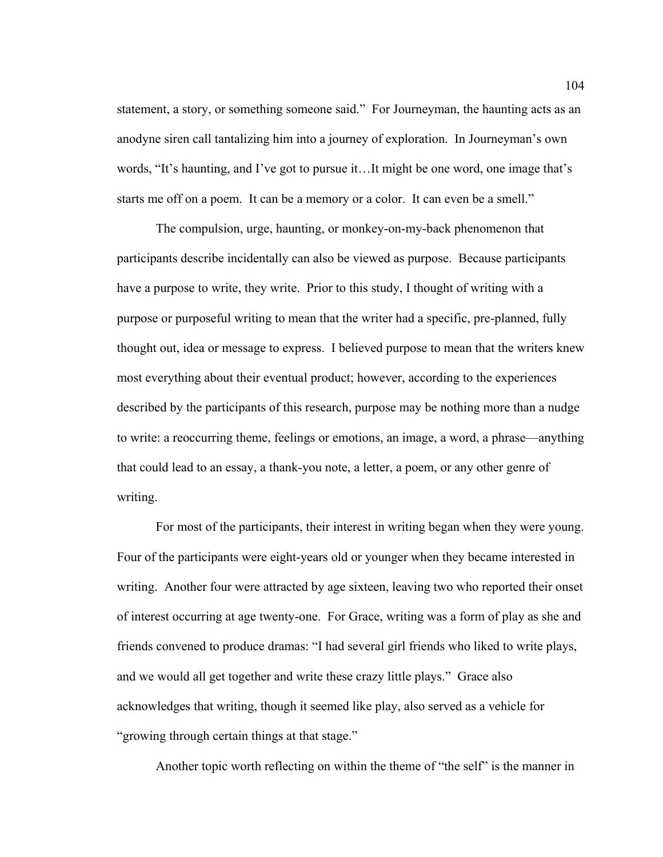statement, a story, or something someone said." For Journeyman, the haunting acts as an anodyne siren call tantalizing him into a journey of exploration. In Journeyman's own words, "It's haunting, and I've got to pursue it…It might be one word, one image that's starts me off on a poem. It can be a memory or a color. It can even be a smell."

The compulsion, urge, haunting, or monkey-on-my-back phenomenon that participants describe incidentally can also be viewed as purpose. Because participants have a purpose to write, they write. Prior to this study, I thought of writing with a purpose or purposeful writing to mean that the writer had a specific, pre-planned, fully thought out, idea or message to express. I believed purpose to mean that the writers knew most everything about their eventual product; however, according to the experiences described by the participants of this research, purpose may be nothing more than a nudge to write: a reoccurring theme, feelings or emotions, an image, a word, a phrase—anything that could lead to an essay, a thank-you note, a letter, a poem, or any other genre of writing.

For most of the participants, their interest in writing began when they were young. Four of the participants were eight-years old or younger when they became interested in writing. Another four were attracted by age sixteen, leaving two who reported their onset of interest occurring at age twenty-one. For Grace, writing was a form of play as she and friends convened to produce dramas: "I had several girl friends who liked to write plays, and we would all get together and write these crazy little plays." Grace also acknowledges that writing, though it seemed like play, also served as a vehicle for "growing through certain things at that stage."

Another topic worth reflecting on within the theme of "the self" is the manner in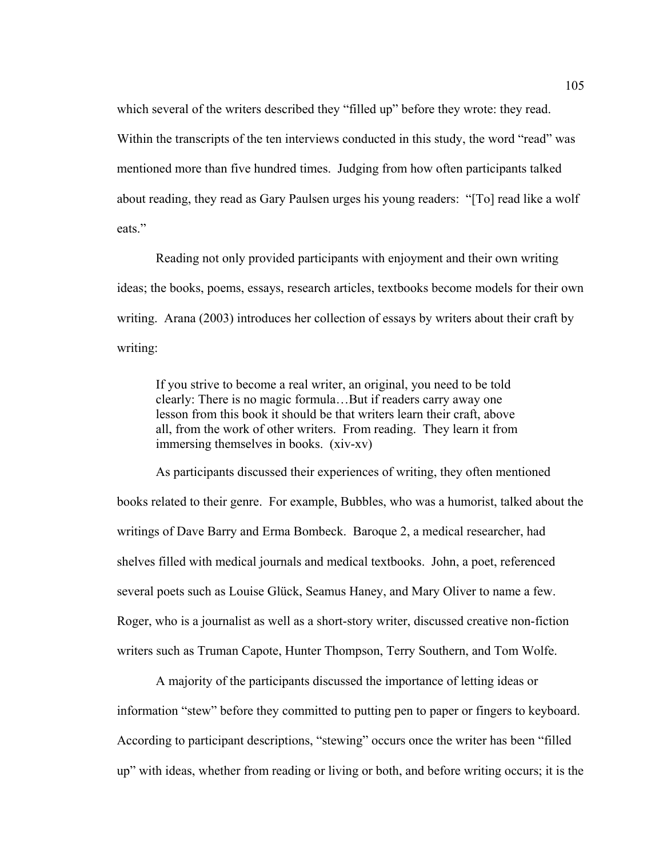which several of the writers described they "filled up" before they wrote: they read. Within the transcripts of the ten interviews conducted in this study, the word "read" was mentioned more than five hundred times. Judging from how often participants talked about reading, they read as Gary Paulsen urges his young readers: "[To] read like a wolf eats."

Reading not only provided participants with enjoyment and their own writing ideas; the books, poems, essays, research articles, textbooks become models for their own writing. Arana (2003) introduces her collection of essays by writers about their craft by writing:

If you strive to become a real writer, an original, you need to be told clearly: There is no magic formula…But if readers carry away one lesson from this book it should be that writers learn their craft, above all, from the work of other writers. From reading. They learn it from immersing themselves in books. (xiv-xv)

As participants discussed their experiences of writing, they often mentioned books related to their genre. For example, Bubbles, who was a humorist, talked about the writings of Dave Barry and Erma Bombeck. Baroque 2, a medical researcher, had shelves filled with medical journals and medical textbooks. John, a poet, referenced several poets such as Louise Glück, Seamus Haney, and Mary Oliver to name a few. Roger, who is a journalist as well as a short-story writer, discussed creative non-fiction writers such as Truman Capote, Hunter Thompson, Terry Southern, and Tom Wolfe.

A majority of the participants discussed the importance of letting ideas or information "stew" before they committed to putting pen to paper or fingers to keyboard. According to participant descriptions, "stewing" occurs once the writer has been "filled up" with ideas, whether from reading or living or both, and before writing occurs; it is the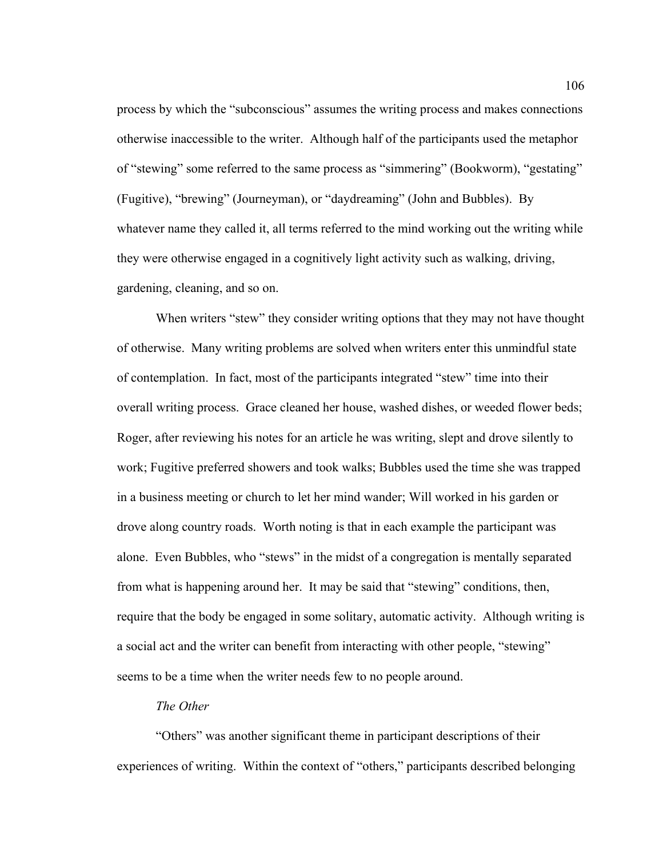process by which the "subconscious" assumes the writing process and makes connections otherwise inaccessible to the writer. Although half of the participants used the metaphor of "stewing" some referred to the same process as "simmering" (Bookworm), "gestating" (Fugitive), "brewing" (Journeyman), or "daydreaming" (John and Bubbles). By whatever name they called it, all terms referred to the mind working out the writing while they were otherwise engaged in a cognitively light activity such as walking, driving, gardening, cleaning, and so on.

When writers "stew" they consider writing options that they may not have thought of otherwise. Many writing problems are solved when writers enter this unmindful state of contemplation. In fact, most of the participants integrated "stew" time into their overall writing process. Grace cleaned her house, washed dishes, or weeded flower beds; Roger, after reviewing his notes for an article he was writing, slept and drove silently to work; Fugitive preferred showers and took walks; Bubbles used the time she was trapped in a business meeting or church to let her mind wander; Will worked in his garden or drove along country roads. Worth noting is that in each example the participant was alone. Even Bubbles, who "stews" in the midst of a congregation is mentally separated from what is happening around her. It may be said that "stewing" conditions, then, require that the body be engaged in some solitary, automatic activity. Although writing is a social act and the writer can benefit from interacting with other people, "stewing" seems to be a time when the writer needs few to no people around.

#### *The Other*

"Others" was another significant theme in participant descriptions of their experiences of writing. Within the context of "others," participants described belonging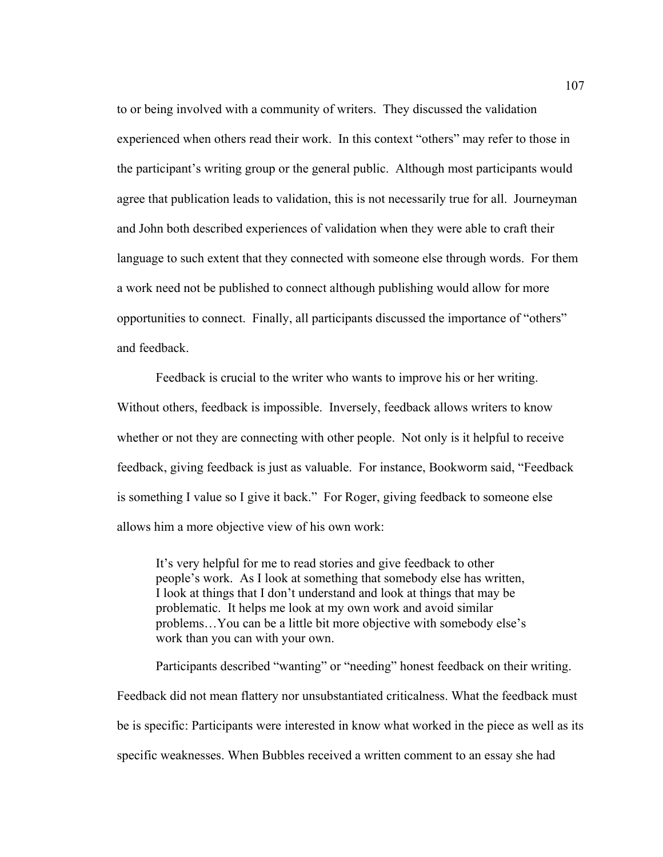to or being involved with a community of writers. They discussed the validation experienced when others read their work. In this context "others" may refer to those in the participant's writing group or the general public. Although most participants would agree that publication leads to validation, this is not necessarily true for all. Journeyman and John both described experiences of validation when they were able to craft their language to such extent that they connected with someone else through words. For them a work need not be published to connect although publishing would allow for more opportunities to connect. Finally, all participants discussed the importance of "others" and feedback.

Feedback is crucial to the writer who wants to improve his or her writing. Without others, feedback is impossible. Inversely, feedback allows writers to know whether or not they are connecting with other people. Not only is it helpful to receive feedback, giving feedback is just as valuable. For instance, Bookworm said, "Feedback is something I value so I give it back." For Roger, giving feedback to someone else allows him a more objective view of his own work:

It's very helpful for me to read stories and give feedback to other people's work. As I look at something that somebody else has written, I look at things that I don't understand and look at things that may be problematic. It helps me look at my own work and avoid similar problems…You can be a little bit more objective with somebody else's work than you can with your own.

Participants described "wanting" or "needing" honest feedback on their writing. Feedback did not mean flattery nor unsubstantiated criticalness. What the feedback must be is specific: Participants were interested in know what worked in the piece as well as its specific weaknesses. When Bubbles received a written comment to an essay she had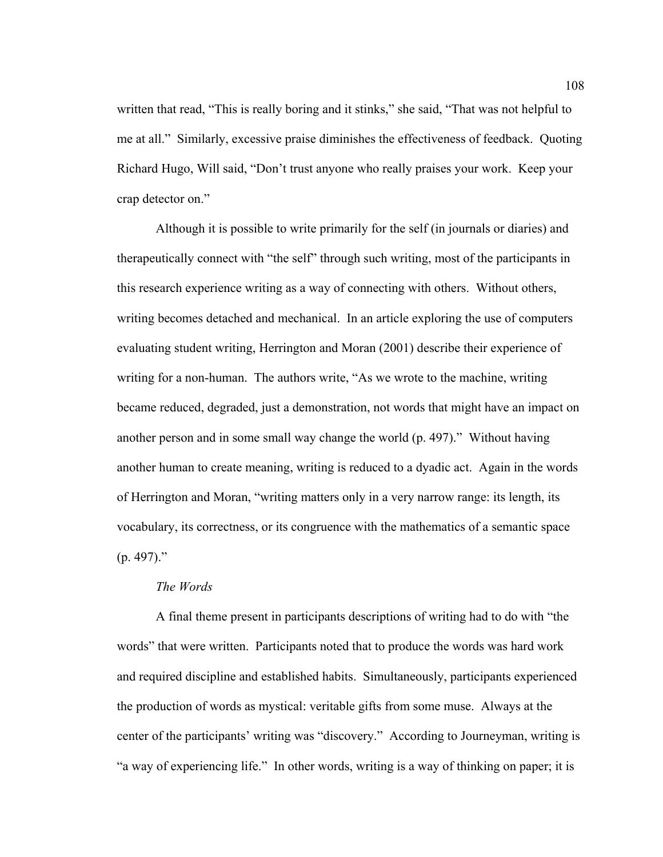written that read, "This is really boring and it stinks," she said, "That was not helpful to me at all." Similarly, excessive praise diminishes the effectiveness of feedback. Quoting Richard Hugo, Will said, "Don't trust anyone who really praises your work. Keep your crap detector on."

Although it is possible to write primarily for the self (in journals or diaries) and therapeutically connect with "the self" through such writing, most of the participants in this research experience writing as a way of connecting with others. Without others, writing becomes detached and mechanical. In an article exploring the use of computers evaluating student writing, Herrington and Moran (2001) describe their experience of writing for a non-human. The authors write, "As we wrote to the machine, writing became reduced, degraded, just a demonstration, not words that might have an impact on another person and in some small way change the world (p. 497)." Without having another human to create meaning, writing is reduced to a dyadic act. Again in the words of Herrington and Moran, "writing matters only in a very narrow range: its length, its vocabulary, its correctness, or its congruence with the mathematics of a semantic space  $(p. 497)$ ."

#### *The Words*

A final theme present in participants descriptions of writing had to do with "the words" that were written. Participants noted that to produce the words was hard work and required discipline and established habits. Simultaneously, participants experienced the production of words as mystical: veritable gifts from some muse. Always at the center of the participants' writing was "discovery." According to Journeyman, writing is "a way of experiencing life." In other words, writing is a way of thinking on paper; it is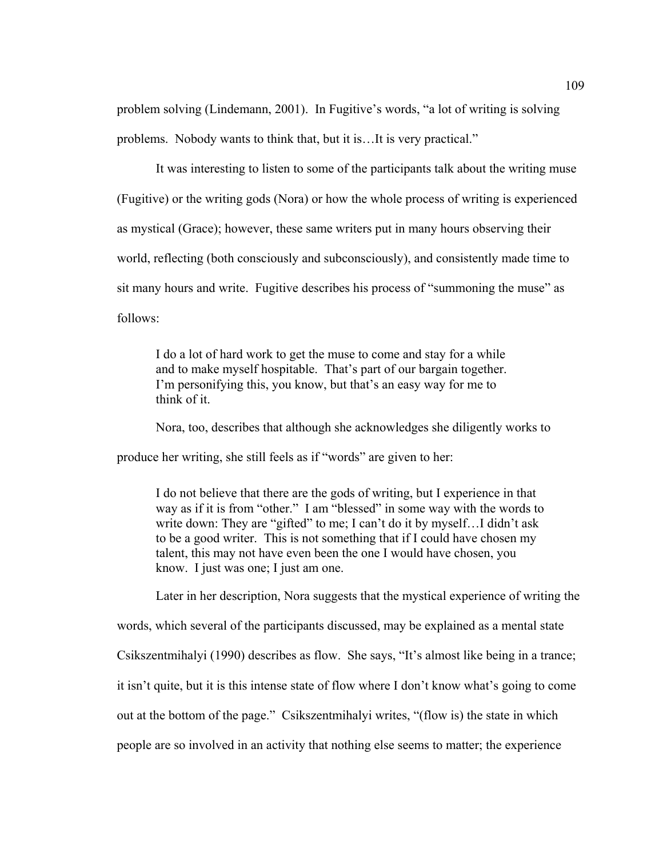problem solving (Lindemann, 2001). In Fugitive's words, "a lot of writing is solving problems. Nobody wants to think that, but it is…It is very practical."

It was interesting to listen to some of the participants talk about the writing muse (Fugitive) or the writing gods (Nora) or how the whole process of writing is experienced as mystical (Grace); however, these same writers put in many hours observing their world, reflecting (both consciously and subconsciously), and consistently made time to sit many hours and write. Fugitive describes his process of "summoning the muse" as follows:

I do a lot of hard work to get the muse to come and stay for a while and to make myself hospitable. That's part of our bargain together. I'm personifying this, you know, but that's an easy way for me to think of it.

Nora, too, describes that although she acknowledges she diligently works to produce her writing, she still feels as if "words" are given to her:

I do not believe that there are the gods of writing, but I experience in that way as if it is from "other." I am "blessed" in some way with the words to write down: They are "gifted" to me; I can't do it by myself...I didn't ask to be a good writer. This is not something that if I could have chosen my talent, this may not have even been the one I would have chosen, you know. I just was one; I just am one.

Later in her description, Nora suggests that the mystical experience of writing the

words, which several of the participants discussed, may be explained as a mental state

Csikszentmihalyi (1990) describes as flow. She says, "It's almost like being in a trance;

it isn't quite, but it is this intense state of flow where I don't know what's going to come

out at the bottom of the page." Csikszentmihalyi writes, "(flow is) the state in which

people are so involved in an activity that nothing else seems to matter; the experience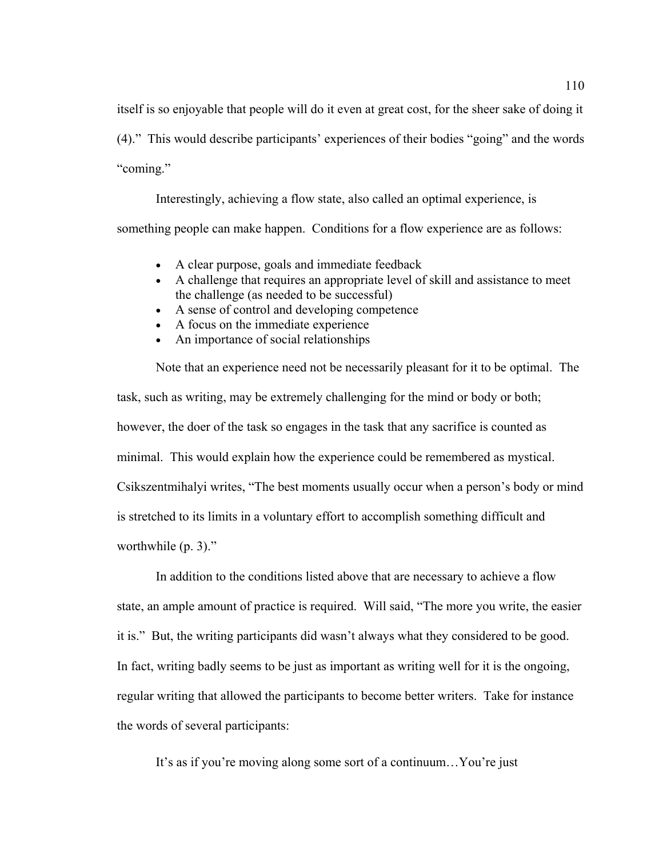itself is so enjoyable that people will do it even at great cost, for the sheer sake of doing it (4)." This would describe participants' experiences of their bodies "going" and the words "coming."

Interestingly, achieving a flow state, also called an optimal experience, is something people can make happen. Conditions for a flow experience are as follows:

- A clear purpose, goals and immediate feedback
- A challenge that requires an appropriate level of skill and assistance to meet the challenge (as needed to be successful)
- A sense of control and developing competence
- A focus on the immediate experience
- An importance of social relationships

Note that an experience need not be necessarily pleasant for it to be optimal. The task, such as writing, may be extremely challenging for the mind or body or both; however, the doer of the task so engages in the task that any sacrifice is counted as minimal. This would explain how the experience could be remembered as mystical. Csikszentmihalyi writes, "The best moments usually occur when a person's body or mind is stretched to its limits in a voluntary effort to accomplish something difficult and worthwhile (p. 3)."

In addition to the conditions listed above that are necessary to achieve a flow state, an ample amount of practice is required. Will said, "The more you write, the easier it is." But, the writing participants did wasn't always what they considered to be good. In fact, writing badly seems to be just as important as writing well for it is the ongoing, regular writing that allowed the participants to become better writers. Take for instance the words of several participants:

It's as if you're moving along some sort of a continuum…You're just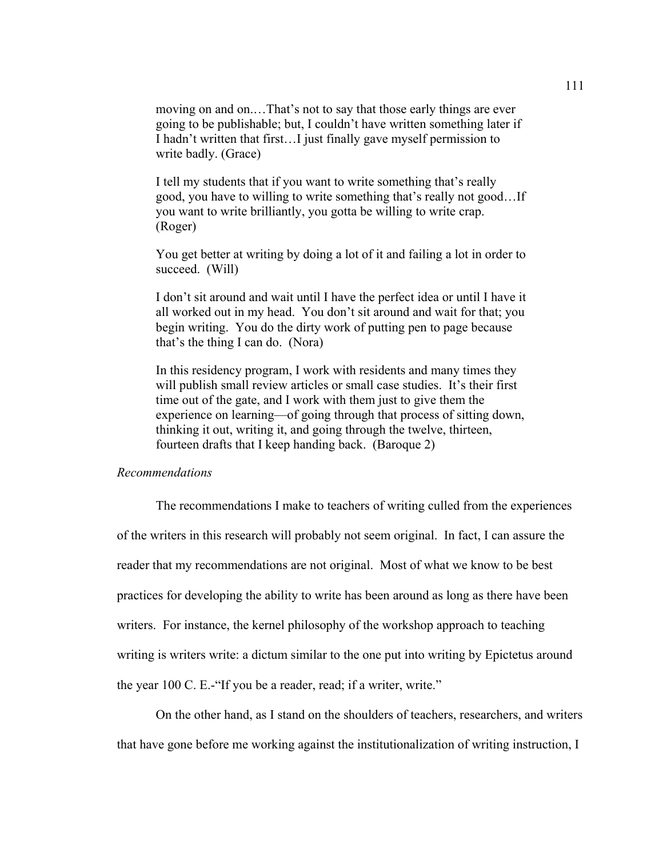moving on and on.…That's not to say that those early things are ever going to be publishable; but, I couldn't have written something later if I hadn't written that first…I just finally gave myself permission to write badly. (Grace)

I tell my students that if you want to write something that's really good, you have to willing to write something that's really not good…If you want to write brilliantly, you gotta be willing to write crap. (Roger)

You get better at writing by doing a lot of it and failing a lot in order to succeed. (Will)

I don't sit around and wait until I have the perfect idea or until I have it all worked out in my head. You don't sit around and wait for that; you begin writing. You do the dirty work of putting pen to page because that's the thing I can do. (Nora)

In this residency program, I work with residents and many times they will publish small review articles or small case studies. It's their first time out of the gate, and I work with them just to give them the experience on learning—of going through that process of sitting down, thinking it out, writing it, and going through the twelve, thirteen, fourteen drafts that I keep handing back. (Baroque 2)

# *Recommendations*

The recommendations I make to teachers of writing culled from the experiences of the writers in this research will probably not seem original. In fact, I can assure the reader that my recommendations are not original. Most of what we know to be best practices for developing the ability to write has been around as long as there have been writers. For instance, the kernel philosophy of the workshop approach to teaching writing is writers write: a dictum similar to the one put into writing by Epictetus around the year 100 C. E.-"If you be a reader, read; if a writer, write."

On the other hand, as I stand on the shoulders of teachers, researchers, and writers that have gone before me working against the institutionalization of writing instruction, I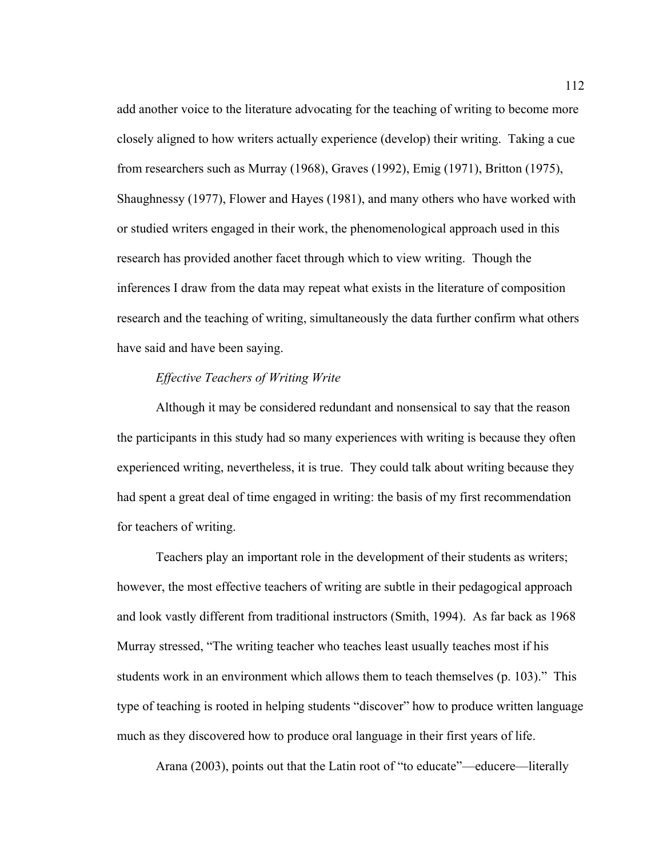add another voice to the literature advocating for the teaching of writing to become more closely aligned to how writers actually experience (develop) their writing. Taking a cue from researchers such as Murray (1968), Graves (1992), Emig (1971), Britton (1975), Shaughnessy (1977), Flower and Hayes (1981), and many others who have worked with or studied writers engaged in their work, the phenomenological approach used in this research has provided another facet through which to view writing. Though the inferences I draw from the data may repeat what exists in the literature of composition research and the teaching of writing, simultaneously the data further confirm what others have said and have been saying.

# *Effective Teachers of Writing Write*

Although it may be considered redundant and nonsensical to say that the reason the participants in this study had so many experiences with writing is because they often experienced writing, nevertheless, it is true. They could talk about writing because they had spent a great deal of time engaged in writing: the basis of my first recommendation for teachers of writing.

Teachers play an important role in the development of their students as writers; however, the most effective teachers of writing are subtle in their pedagogical approach and look vastly different from traditional instructors (Smith, 1994). As far back as 1968 Murray stressed, "The writing teacher who teaches least usually teaches most if his students work in an environment which allows them to teach themselves (p. 103)." This type of teaching is rooted in helping students "discover" how to produce written language much as they discovered how to produce oral language in their first years of life.

Arana (2003), points out that the Latin root of "to educate"—educere—literally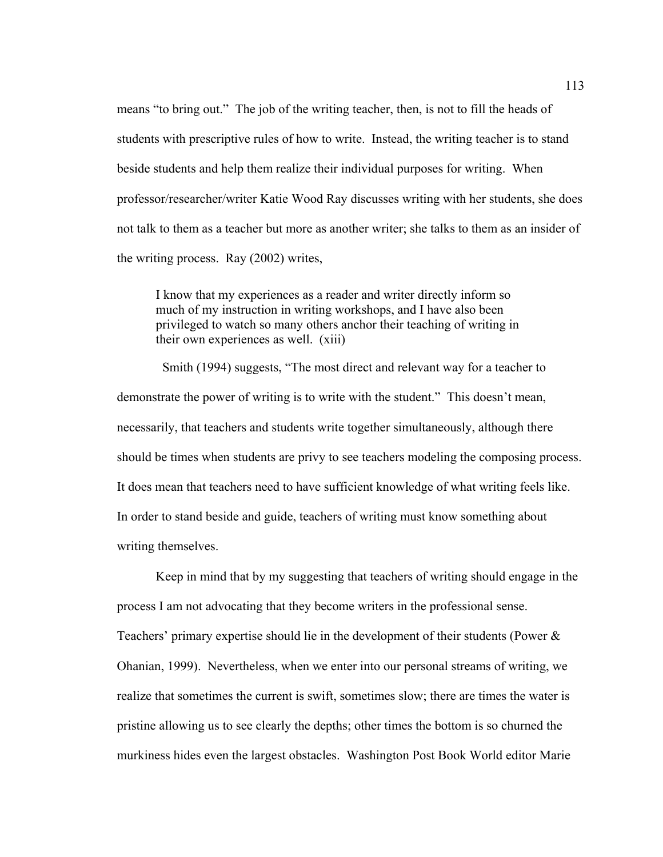means "to bring out." The job of the writing teacher, then, is not to fill the heads of students with prescriptive rules of how to write. Instead, the writing teacher is to stand beside students and help them realize their individual purposes for writing. When professor/researcher/writer Katie Wood Ray discusses writing with her students, she does not talk to them as a teacher but more as another writer; she talks to them as an insider of the writing process. Ray (2002) writes,

I know that my experiences as a reader and writer directly inform so much of my instruction in writing workshops, and I have also been privileged to watch so many others anchor their teaching of writing in their own experiences as well. (xiii)

 Smith (1994) suggests, "The most direct and relevant way for a teacher to demonstrate the power of writing is to write with the student." This doesn't mean, necessarily, that teachers and students write together simultaneously, although there should be times when students are privy to see teachers modeling the composing process. It does mean that teachers need to have sufficient knowledge of what writing feels like. In order to stand beside and guide, teachers of writing must know something about writing themselves.

Keep in mind that by my suggesting that teachers of writing should engage in the process I am not advocating that they become writers in the professional sense. Teachers' primary expertise should lie in the development of their students (Power & Ohanian, 1999). Nevertheless, when we enter into our personal streams of writing, we realize that sometimes the current is swift, sometimes slow; there are times the water is pristine allowing us to see clearly the depths; other times the bottom is so churned the murkiness hides even the largest obstacles. Washington Post Book World editor Marie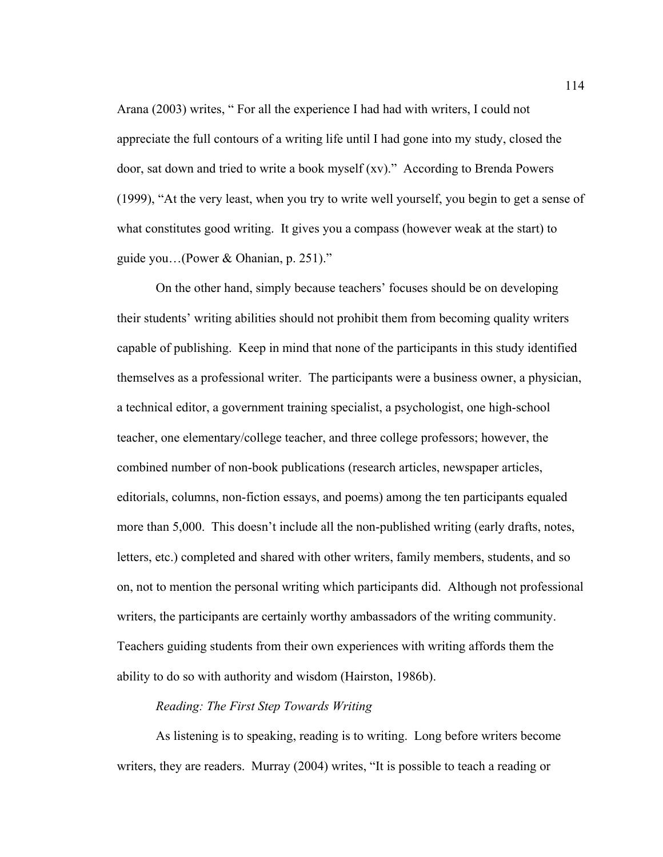Arana (2003) writes, " For all the experience I had had with writers, I could not appreciate the full contours of a writing life until I had gone into my study, closed the door, sat down and tried to write a book myself (xv)." According to Brenda Powers (1999), "At the very least, when you try to write well yourself, you begin to get a sense of what constitutes good writing. It gives you a compass (however weak at the start) to guide you…(Power & Ohanian, p. 251)."

On the other hand, simply because teachers' focuses should be on developing their students' writing abilities should not prohibit them from becoming quality writers capable of publishing. Keep in mind that none of the participants in this study identified themselves as a professional writer. The participants were a business owner, a physician, a technical editor, a government training specialist, a psychologist, one high-school teacher, one elementary/college teacher, and three college professors; however, the combined number of non-book publications (research articles, newspaper articles, editorials, columns, non-fiction essays, and poems) among the ten participants equaled more than 5,000. This doesn't include all the non-published writing (early drafts, notes, letters, etc.) completed and shared with other writers, family members, students, and so on, not to mention the personal writing which participants did. Although not professional writers, the participants are certainly worthy ambassadors of the writing community. Teachers guiding students from their own experiences with writing affords them the ability to do so with authority and wisdom (Hairston, 1986b).

# *Reading: The First Step Towards Writing*

As listening is to speaking, reading is to writing. Long before writers become writers, they are readers. Murray (2004) writes, "It is possible to teach a reading or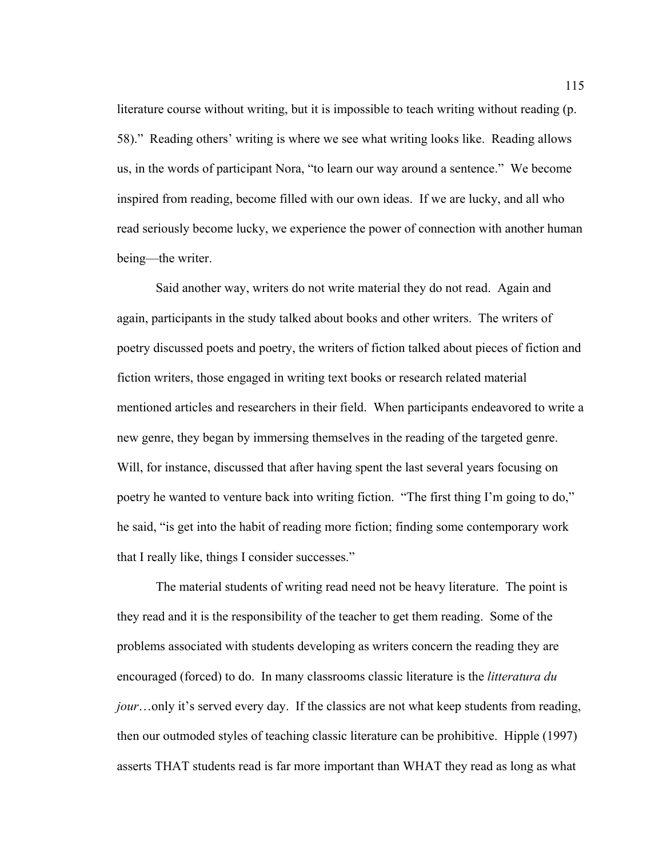literature course without writing, but it is impossible to teach writing without reading (p. 58)." Reading others' writing is where we see what writing looks like. Reading allows us, in the words of participant Nora, "to learn our way around a sentence." We become inspired from reading, become filled with our own ideas. If we are lucky, and all who read seriously become lucky, we experience the power of connection with another human being—the writer.

Said another way, writers do not write material they do not read. Again and again, participants in the study talked about books and other writers. The writers of poetry discussed poets and poetry, the writers of fiction talked about pieces of fiction and fiction writers, those engaged in writing text books or research related material mentioned articles and researchers in their field. When participants endeavored to write a new genre, they began by immersing themselves in the reading of the targeted genre. Will, for instance, discussed that after having spent the last several years focusing on poetry he wanted to venture back into writing fiction. "The first thing I'm going to do," he said, "is get into the habit of reading more fiction; finding some contemporary work that I really like, things I consider successes."

The material students of writing read need not be heavy literature. The point is they read and it is the responsibility of the teacher to get them reading. Some of the problems associated with students developing as writers concern the reading they are encouraged (forced) to do. In many classrooms classic literature is the *litteratura du jour*…only it's served every day. If the classics are not what keep students from reading, then our outmoded styles of teaching classic literature can be prohibitive. Hipple (1997) asserts THAT students read is far more important than WHAT they read as long as what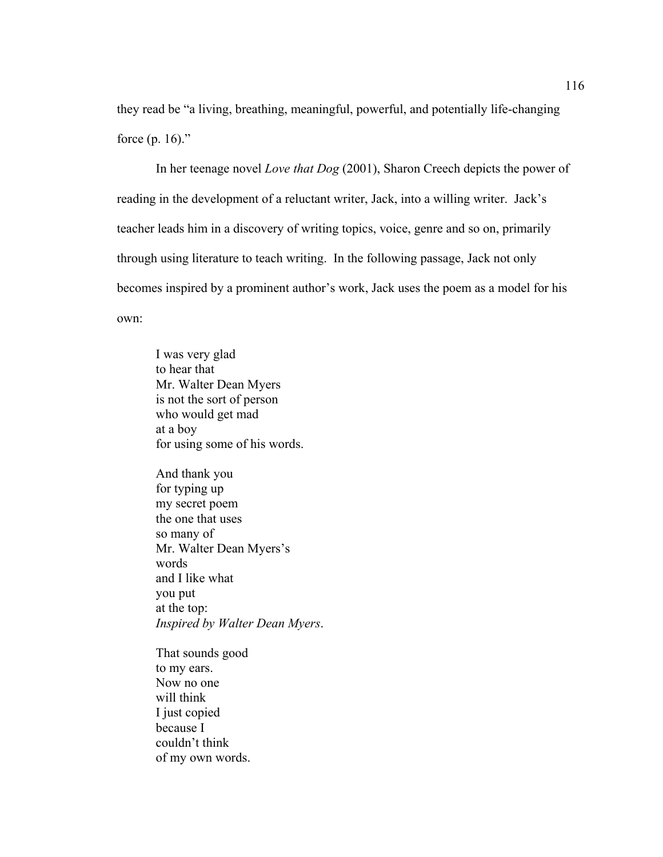they read be "a living, breathing, meaningful, powerful, and potentially life-changing force  $(p. 16)$ ."

In her teenage novel *Love that Dog* (2001), Sharon Creech depicts the power of reading in the development of a reluctant writer, Jack, into a willing writer. Jack's teacher leads him in a discovery of writing topics, voice, genre and so on, primarily through using literature to teach writing. In the following passage, Jack not only becomes inspired by a prominent author's work, Jack uses the poem as a model for his own:

I was very glad to hear that Mr. Walter Dean Myers is not the sort of person who would get mad at a boy for using some of his words.

And thank you for typing up my secret poem the one that uses so many of Mr. Walter Dean Myers's words and I like what you put at the top: *Inspired by Walter Dean Myers*.

That sounds good to my ears. Now no one will think I just copied because I couldn't think of my own words.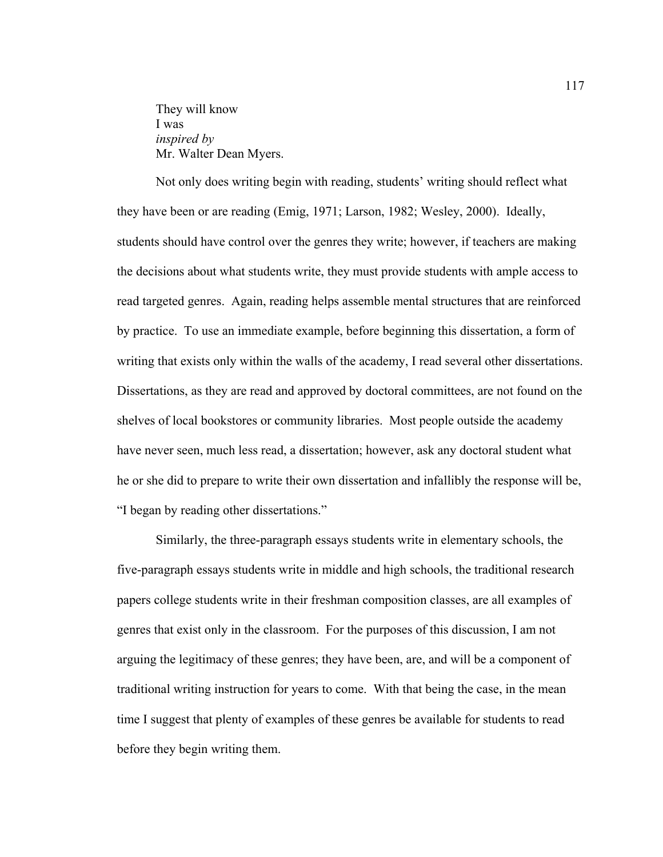They will know I was *inspired by*  Mr. Walter Dean Myers.

Not only does writing begin with reading, students' writing should reflect what they have been or are reading (Emig, 1971; Larson, 1982; Wesley, 2000). Ideally, students should have control over the genres they write; however, if teachers are making the decisions about what students write, they must provide students with ample access to read targeted genres. Again, reading helps assemble mental structures that are reinforced by practice. To use an immediate example, before beginning this dissertation, a form of writing that exists only within the walls of the academy, I read several other dissertations. Dissertations, as they are read and approved by doctoral committees, are not found on the shelves of local bookstores or community libraries. Most people outside the academy have never seen, much less read, a dissertation; however, ask any doctoral student what he or she did to prepare to write their own dissertation and infallibly the response will be, "I began by reading other dissertations."

Similarly, the three-paragraph essays students write in elementary schools, the five-paragraph essays students write in middle and high schools, the traditional research papers college students write in their freshman composition classes, are all examples of genres that exist only in the classroom. For the purposes of this discussion, I am not arguing the legitimacy of these genres; they have been, are, and will be a component of traditional writing instruction for years to come. With that being the case, in the mean time I suggest that plenty of examples of these genres be available for students to read before they begin writing them.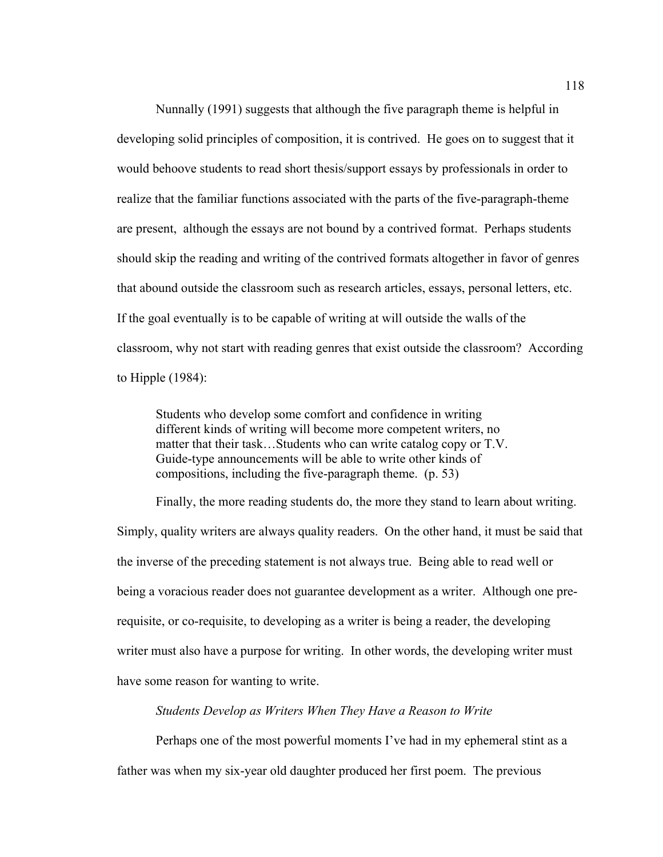Nunnally (1991) suggests that although the five paragraph theme is helpful in developing solid principles of composition, it is contrived. He goes on to suggest that it would behoove students to read short thesis/support essays by professionals in order to realize that the familiar functions associated with the parts of the five-paragraph-theme are present, although the essays are not bound by a contrived format. Perhaps students should skip the reading and writing of the contrived formats altogether in favor of genres that abound outside the classroom such as research articles, essays, personal letters, etc. If the goal eventually is to be capable of writing at will outside the walls of the classroom, why not start with reading genres that exist outside the classroom? According to Hipple (1984):

Students who develop some comfort and confidence in writing different kinds of writing will become more competent writers, no matter that their task…Students who can write catalog copy or T.V. Guide-type announcements will be able to write other kinds of compositions, including the five-paragraph theme. (p. 53)

Finally, the more reading students do, the more they stand to learn about writing. Simply, quality writers are always quality readers. On the other hand, it must be said that the inverse of the preceding statement is not always true. Being able to read well or being a voracious reader does not guarantee development as a writer. Although one prerequisite, or co-requisite, to developing as a writer is being a reader, the developing writer must also have a purpose for writing. In other words, the developing writer must have some reason for wanting to write.

### *Students Develop as Writers When They Have a Reason to Write*

Perhaps one of the most powerful moments I've had in my ephemeral stint as a father was when my six-year old daughter produced her first poem. The previous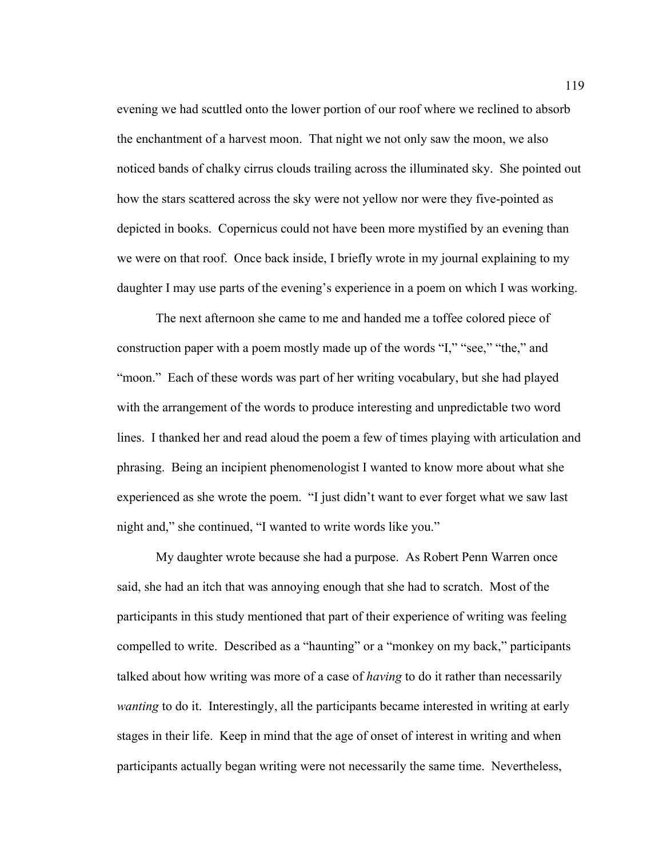evening we had scuttled onto the lower portion of our roof where we reclined to absorb the enchantment of a harvest moon. That night we not only saw the moon, we also noticed bands of chalky cirrus clouds trailing across the illuminated sky. She pointed out how the stars scattered across the sky were not yellow nor were they five-pointed as depicted in books. Copernicus could not have been more mystified by an evening than we were on that roof. Once back inside, I briefly wrote in my journal explaining to my daughter I may use parts of the evening's experience in a poem on which I was working.

The next afternoon she came to me and handed me a toffee colored piece of construction paper with a poem mostly made up of the words "I," "see," "the," and "moon." Each of these words was part of her writing vocabulary, but she had played with the arrangement of the words to produce interesting and unpredictable two word lines. I thanked her and read aloud the poem a few of times playing with articulation and phrasing. Being an incipient phenomenologist I wanted to know more about what she experienced as she wrote the poem. "I just didn't want to ever forget what we saw last night and," she continued, "I wanted to write words like you."

My daughter wrote because she had a purpose. As Robert Penn Warren once said, she had an itch that was annoying enough that she had to scratch. Most of the participants in this study mentioned that part of their experience of writing was feeling compelled to write. Described as a "haunting" or a "monkey on my back," participants talked about how writing was more of a case of *having* to do it rather than necessarily *wanting* to do it. Interestingly, all the participants became interested in writing at early stages in their life. Keep in mind that the age of onset of interest in writing and when participants actually began writing were not necessarily the same time. Nevertheless,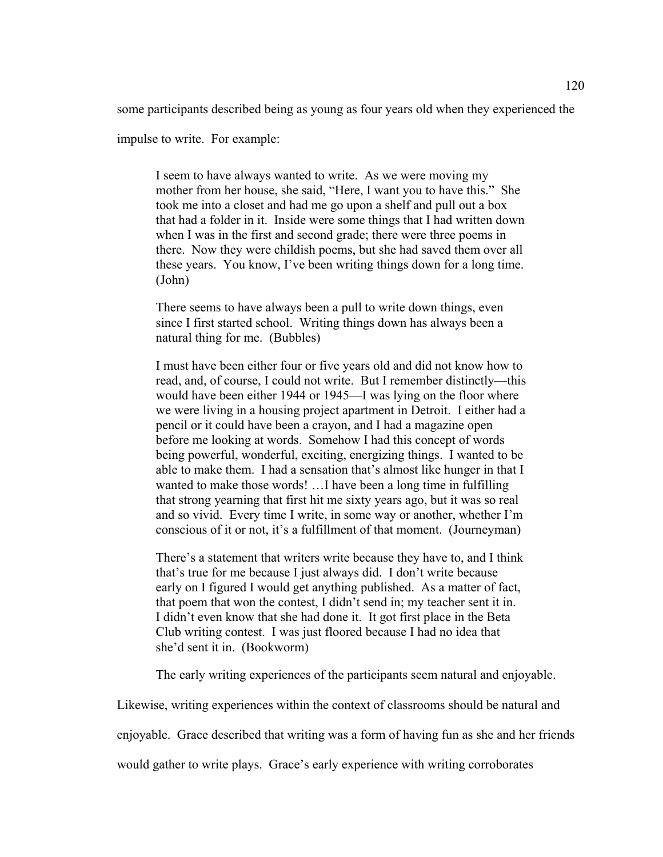some participants described being as young as four years old when they experienced the

impulse to write. For example:

I seem to have always wanted to write. As we were moving my mother from her house, she said, "Here, I want you to have this." She took me into a closet and had me go upon a shelf and pull out a box that had a folder in it. Inside were some things that I had written down when I was in the first and second grade; there were three poems in there. Now they were childish poems, but she had saved them over all these years. You know, I've been writing things down for a long time. (John)

There seems to have always been a pull to write down things, even since I first started school. Writing things down has always been a natural thing for me. (Bubbles)

I must have been either four or five years old and did not know how to read, and, of course, I could not write. But I remember distinctly—this would have been either 1944 or 1945—I was lying on the floor where we were living in a housing project apartment in Detroit. I either had a pencil or it could have been a crayon, and I had a magazine open before me looking at words. Somehow I had this concept of words being powerful, wonderful, exciting, energizing things. I wanted to be able to make them. I had a sensation that's almost like hunger in that I wanted to make those words! …I have been a long time in fulfilling that strong yearning that first hit me sixty years ago, but it was so real and so vivid. Every time I write, in some way or another, whether I'm conscious of it or not, it's a fulfillment of that moment. (Journeyman)

There's a statement that writers write because they have to, and I think that's true for me because I just always did. I don't write because early on I figured I would get anything published. As a matter of fact, that poem that won the contest, I didn't send in; my teacher sent it in. I didn't even know that she had done it. It got first place in the Beta Club writing contest. I was just floored because I had no idea that she'd sent it in. (Bookworm)

The early writing experiences of the participants seem natural and enjoyable.

Likewise, writing experiences within the context of classrooms should be natural and

enjoyable. Grace described that writing was a form of having fun as she and her friends

would gather to write plays. Grace's early experience with writing corroborates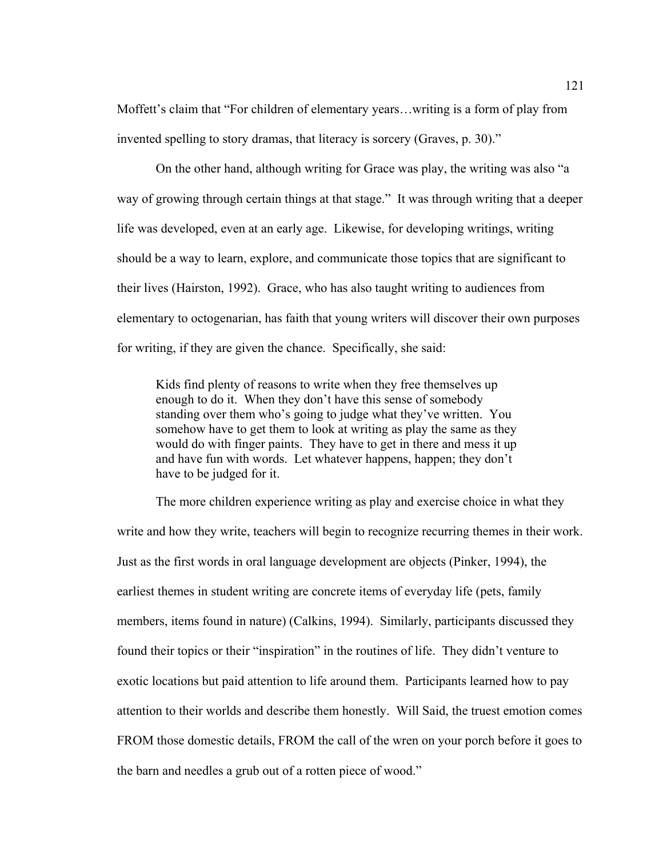Moffett's claim that "For children of elementary years…writing is a form of play from invented spelling to story dramas, that literacy is sorcery (Graves, p. 30)."

On the other hand, although writing for Grace was play, the writing was also "a way of growing through certain things at that stage." It was through writing that a deeper life was developed, even at an early age. Likewise, for developing writings, writing should be a way to learn, explore, and communicate those topics that are significant to their lives (Hairston, 1992). Grace, who has also taught writing to audiences from elementary to octogenarian, has faith that young writers will discover their own purposes for writing, if they are given the chance. Specifically, she said:

Kids find plenty of reasons to write when they free themselves up enough to do it. When they don't have this sense of somebody standing over them who's going to judge what they've written. You somehow have to get them to look at writing as play the same as they would do with finger paints. They have to get in there and mess it up and have fun with words. Let whatever happens, happen; they don't have to be judged for it.

The more children experience writing as play and exercise choice in what they write and how they write, teachers will begin to recognize recurring themes in their work. Just as the first words in oral language development are objects (Pinker, 1994), the earliest themes in student writing are concrete items of everyday life (pets, family members, items found in nature) (Calkins, 1994). Similarly, participants discussed they found their topics or their "inspiration" in the routines of life. They didn't venture to exotic locations but paid attention to life around them. Participants learned how to pay attention to their worlds and describe them honestly. Will Said, the truest emotion comes FROM those domestic details, FROM the call of the wren on your porch before it goes to the barn and needles a grub out of a rotten piece of wood."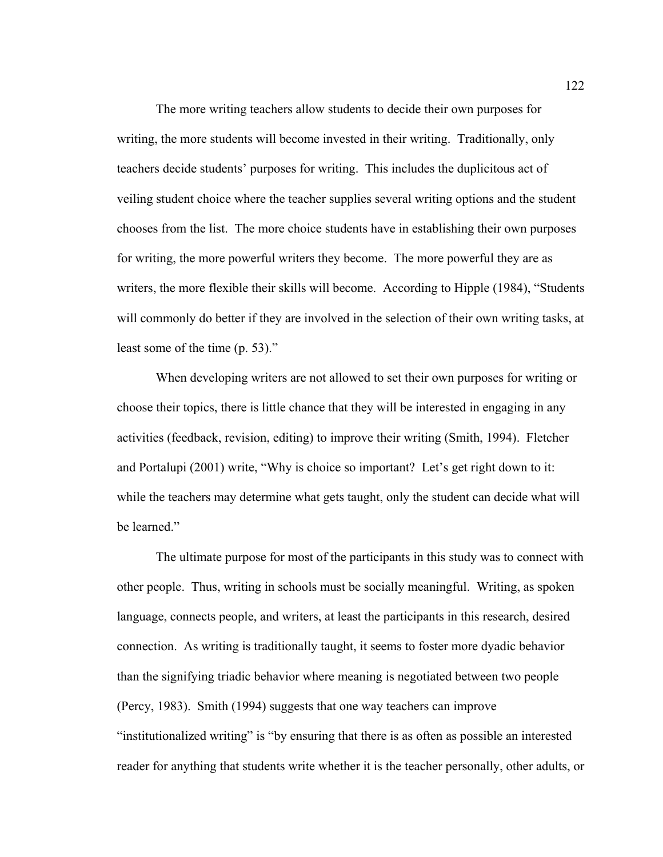The more writing teachers allow students to decide their own purposes for writing, the more students will become invested in their writing. Traditionally, only teachers decide students' purposes for writing. This includes the duplicitous act of veiling student choice where the teacher supplies several writing options and the student chooses from the list. The more choice students have in establishing their own purposes for writing, the more powerful writers they become. The more powerful they are as writers, the more flexible their skills will become. According to Hipple (1984), "Students will commonly do better if they are involved in the selection of their own writing tasks, at least some of the time (p. 53)."

When developing writers are not allowed to set their own purposes for writing or choose their topics, there is little chance that they will be interested in engaging in any activities (feedback, revision, editing) to improve their writing (Smith, 1994). Fletcher and Portalupi (2001) write, "Why is choice so important? Let's get right down to it: while the teachers may determine what gets taught, only the student can decide what will be learned."

The ultimate purpose for most of the participants in this study was to connect with other people. Thus, writing in schools must be socially meaningful. Writing, as spoken language, connects people, and writers, at least the participants in this research, desired connection. As writing is traditionally taught, it seems to foster more dyadic behavior than the signifying triadic behavior where meaning is negotiated between two people (Percy, 1983). Smith (1994) suggests that one way teachers can improve "institutionalized writing" is "by ensuring that there is as often as possible an interested reader for anything that students write whether it is the teacher personally, other adults, or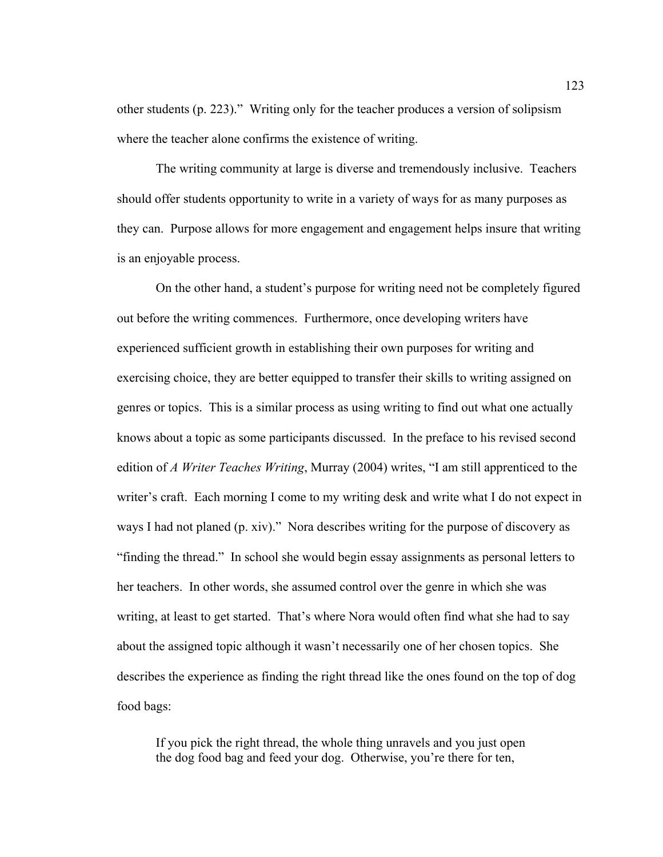other students (p. 223)." Writing only for the teacher produces a version of solipsism where the teacher alone confirms the existence of writing.

The writing community at large is diverse and tremendously inclusive. Teachers should offer students opportunity to write in a variety of ways for as many purposes as they can. Purpose allows for more engagement and engagement helps insure that writing is an enjoyable process.

On the other hand, a student's purpose for writing need not be completely figured out before the writing commences. Furthermore, once developing writers have experienced sufficient growth in establishing their own purposes for writing and exercising choice, they are better equipped to transfer their skills to writing assigned on genres or topics. This is a similar process as using writing to find out what one actually knows about a topic as some participants discussed. In the preface to his revised second edition of *A Writer Teaches Writing*, Murray (2004) writes, "I am still apprenticed to the writer's craft. Each morning I come to my writing desk and write what I do not expect in ways I had not planed (p. xiv)." Nora describes writing for the purpose of discovery as "finding the thread." In school she would begin essay assignments as personal letters to her teachers. In other words, she assumed control over the genre in which she was writing, at least to get started. That's where Nora would often find what she had to say about the assigned topic although it wasn't necessarily one of her chosen topics. She describes the experience as finding the right thread like the ones found on the top of dog food bags:

If you pick the right thread, the whole thing unravels and you just open the dog food bag and feed your dog. Otherwise, you're there for ten,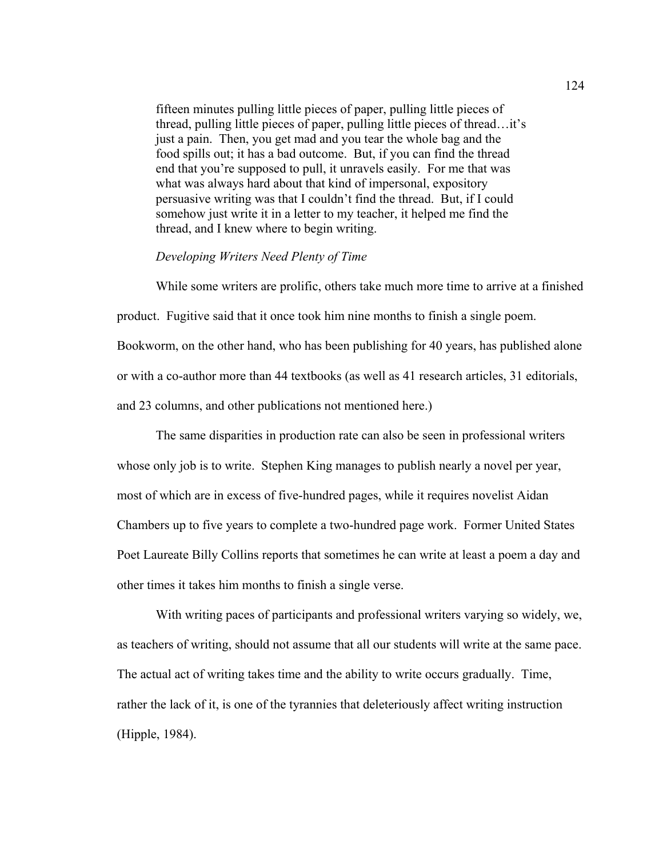fifteen minutes pulling little pieces of paper, pulling little pieces of thread, pulling little pieces of paper, pulling little pieces of thread…it's just a pain. Then, you get mad and you tear the whole bag and the food spills out; it has a bad outcome. But, if you can find the thread end that you're supposed to pull, it unravels easily. For me that was what was always hard about that kind of impersonal, expository persuasive writing was that I couldn't find the thread. But, if I could somehow just write it in a letter to my teacher, it helped me find the thread, and I knew where to begin writing.

#### *Developing Writers Need Plenty of Time*

 While some writers are prolific, others take much more time to arrive at a finished product. Fugitive said that it once took him nine months to finish a single poem. Bookworm, on the other hand, who has been publishing for 40 years, has published alone or with a co-author more than 44 textbooks (as well as 41 research articles, 31 editorials, and 23 columns, and other publications not mentioned here.)

The same disparities in production rate can also be seen in professional writers whose only job is to write. Stephen King manages to publish nearly a novel per year, most of which are in excess of five-hundred pages, while it requires novelist Aidan Chambers up to five years to complete a two-hundred page work. Former United States Poet Laureate Billy Collins reports that sometimes he can write at least a poem a day and other times it takes him months to finish a single verse.

With writing paces of participants and professional writers varying so widely, we, as teachers of writing, should not assume that all our students will write at the same pace. The actual act of writing takes time and the ability to write occurs gradually. Time, rather the lack of it, is one of the tyrannies that deleteriously affect writing instruction (Hipple, 1984).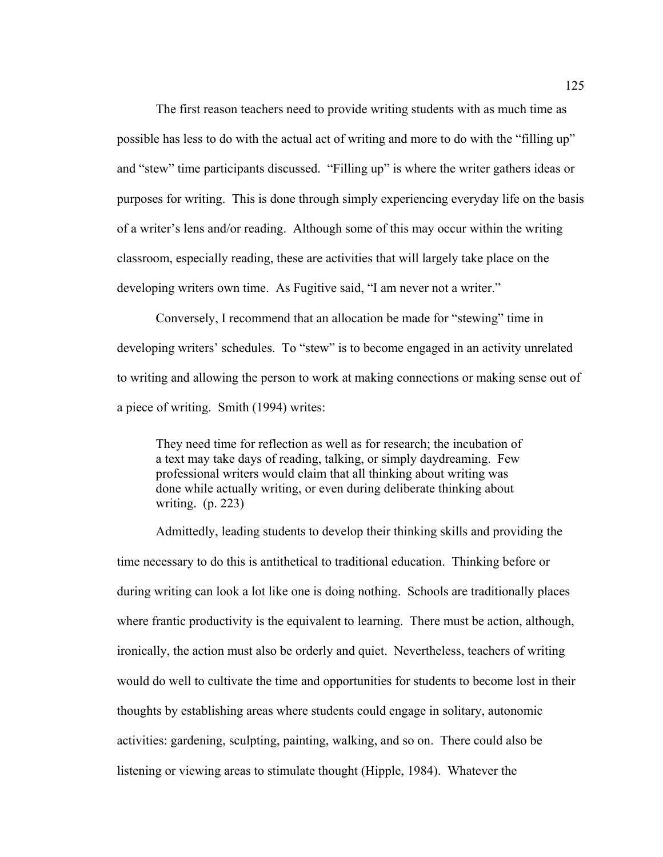The first reason teachers need to provide writing students with as much time as possible has less to do with the actual act of writing and more to do with the "filling up" and "stew" time participants discussed. "Filling up" is where the writer gathers ideas or purposes for writing. This is done through simply experiencing everyday life on the basis of a writer's lens and/or reading. Although some of this may occur within the writing classroom, especially reading, these are activities that will largely take place on the developing writers own time. As Fugitive said, "I am never not a writer."

Conversely, I recommend that an allocation be made for "stewing" time in developing writers' schedules. To "stew" is to become engaged in an activity unrelated to writing and allowing the person to work at making connections or making sense out of a piece of writing. Smith (1994) writes:

They need time for reflection as well as for research; the incubation of a text may take days of reading, talking, or simply daydreaming. Few professional writers would claim that all thinking about writing was done while actually writing, or even during deliberate thinking about writing. (p. 223)

Admittedly, leading students to develop their thinking skills and providing the time necessary to do this is antithetical to traditional education. Thinking before or during writing can look a lot like one is doing nothing. Schools are traditionally places where frantic productivity is the equivalent to learning. There must be action, although, ironically, the action must also be orderly and quiet. Nevertheless, teachers of writing would do well to cultivate the time and opportunities for students to become lost in their thoughts by establishing areas where students could engage in solitary, autonomic activities: gardening, sculpting, painting, walking, and so on. There could also be listening or viewing areas to stimulate thought (Hipple, 1984). Whatever the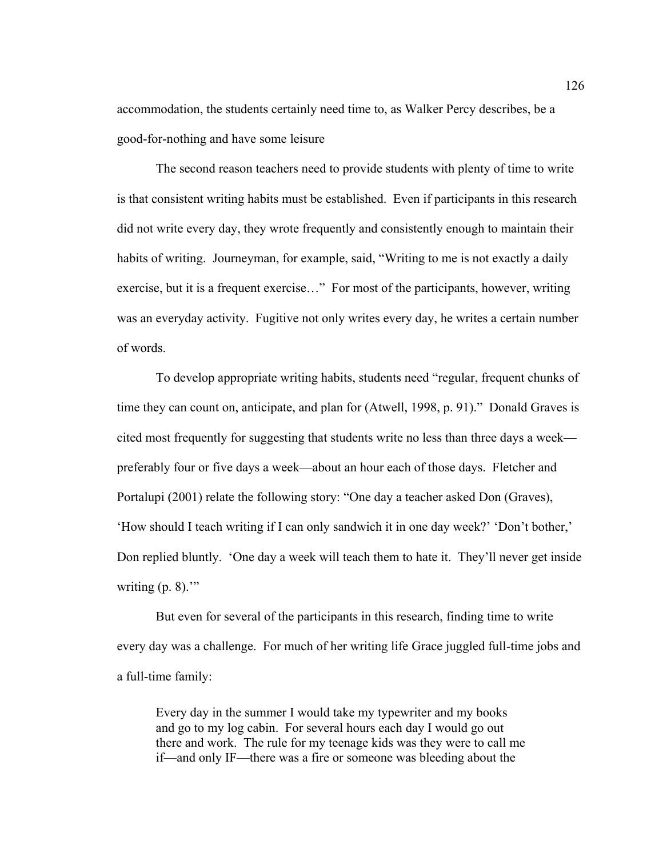accommodation, the students certainly need time to, as Walker Percy describes, be a good-for-nothing and have some leisure

The second reason teachers need to provide students with plenty of time to write is that consistent writing habits must be established. Even if participants in this research did not write every day, they wrote frequently and consistently enough to maintain their habits of writing. Journeyman, for example, said, "Writing to me is not exactly a daily exercise, but it is a frequent exercise…" For most of the participants, however, writing was an everyday activity. Fugitive not only writes every day, he writes a certain number of words.

To develop appropriate writing habits, students need "regular, frequent chunks of time they can count on, anticipate, and plan for (Atwell, 1998, p. 91)." Donald Graves is cited most frequently for suggesting that students write no less than three days a week preferably four or five days a week—about an hour each of those days. Fletcher and Portalupi (2001) relate the following story: "One day a teacher asked Don (Graves), 'How should I teach writing if I can only sandwich it in one day week?' 'Don't bother,' Don replied bluntly. 'One day a week will teach them to hate it. They'll never get inside writing  $(p, 8)$ ."

But even for several of the participants in this research, finding time to write every day was a challenge. For much of her writing life Grace juggled full-time jobs and a full-time family:

Every day in the summer I would take my typewriter and my books and go to my log cabin. For several hours each day I would go out there and work. The rule for my teenage kids was they were to call me if—and only IF—there was a fire or someone was bleeding about the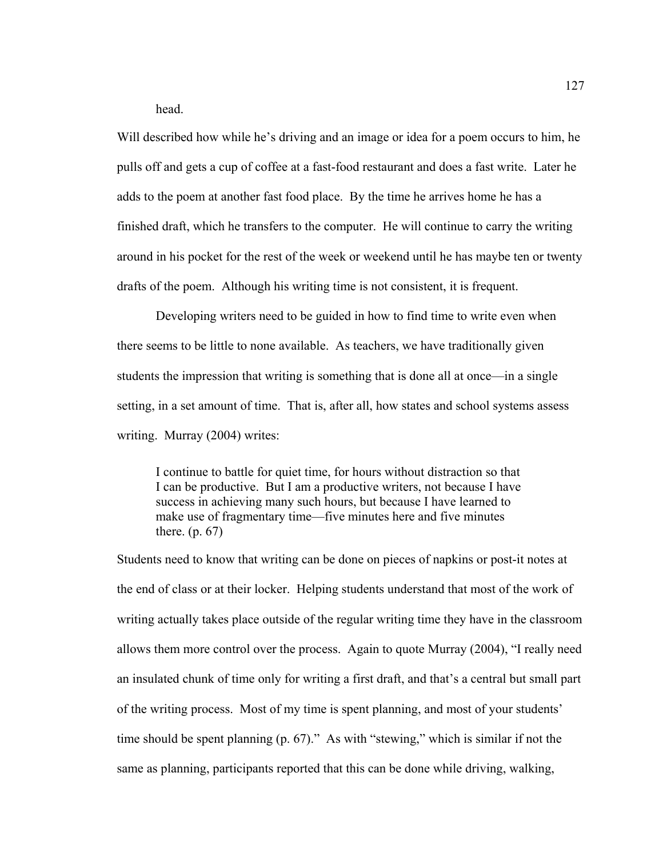head.

Will described how while he's driving and an image or idea for a poem occurs to him, he pulls off and gets a cup of coffee at a fast-food restaurant and does a fast write. Later he adds to the poem at another fast food place. By the time he arrives home he has a finished draft, which he transfers to the computer. He will continue to carry the writing around in his pocket for the rest of the week or weekend until he has maybe ten or twenty drafts of the poem. Although his writing time is not consistent, it is frequent.

Developing writers need to be guided in how to find time to write even when there seems to be little to none available. As teachers, we have traditionally given students the impression that writing is something that is done all at once—in a single setting, in a set amount of time. That is, after all, how states and school systems assess writing. Murray (2004) writes:

I continue to battle for quiet time, for hours without distraction so that I can be productive. But I am a productive writers, not because I have success in achieving many such hours, but because I have learned to make use of fragmentary time—five minutes here and five minutes there. (p. 67)

Students need to know that writing can be done on pieces of napkins or post-it notes at the end of class or at their locker. Helping students understand that most of the work of writing actually takes place outside of the regular writing time they have in the classroom allows them more control over the process. Again to quote Murray (2004), "I really need an insulated chunk of time only for writing a first draft, and that's a central but small part of the writing process. Most of my time is spent planning, and most of your students' time should be spent planning (p. 67)." As with "stewing," which is similar if not the same as planning, participants reported that this can be done while driving, walking,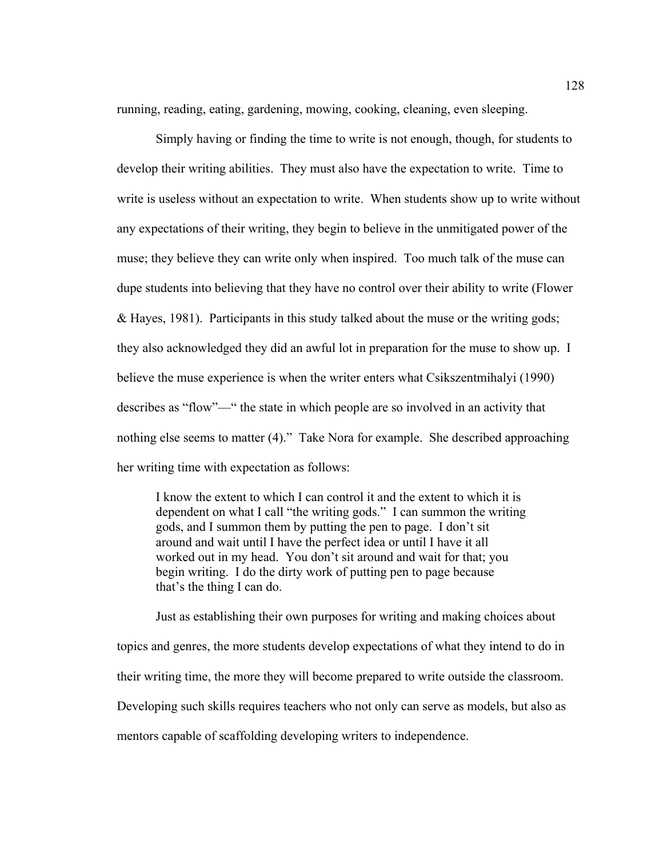running, reading, eating, gardening, mowing, cooking, cleaning, even sleeping.

Simply having or finding the time to write is not enough, though, for students to develop their writing abilities. They must also have the expectation to write. Time to write is useless without an expectation to write. When students show up to write without any expectations of their writing, they begin to believe in the unmitigated power of the muse; they believe they can write only when inspired. Too much talk of the muse can dupe students into believing that they have no control over their ability to write (Flower & Hayes, 1981). Participants in this study talked about the muse or the writing gods; they also acknowledged they did an awful lot in preparation for the muse to show up. I believe the muse experience is when the writer enters what Csikszentmihalyi (1990) describes as "flow"—" the state in which people are so involved in an activity that nothing else seems to matter (4)." Take Nora for example. She described approaching her writing time with expectation as follows:

I know the extent to which I can control it and the extent to which it is dependent on what I call "the writing gods." I can summon the writing gods, and I summon them by putting the pen to page. I don't sit around and wait until I have the perfect idea or until I have it all worked out in my head. You don't sit around and wait for that; you begin writing. I do the dirty work of putting pen to page because that's the thing I can do.

Just as establishing their own purposes for writing and making choices about topics and genres, the more students develop expectations of what they intend to do in their writing time, the more they will become prepared to write outside the classroom. Developing such skills requires teachers who not only can serve as models, but also as mentors capable of scaffolding developing writers to independence.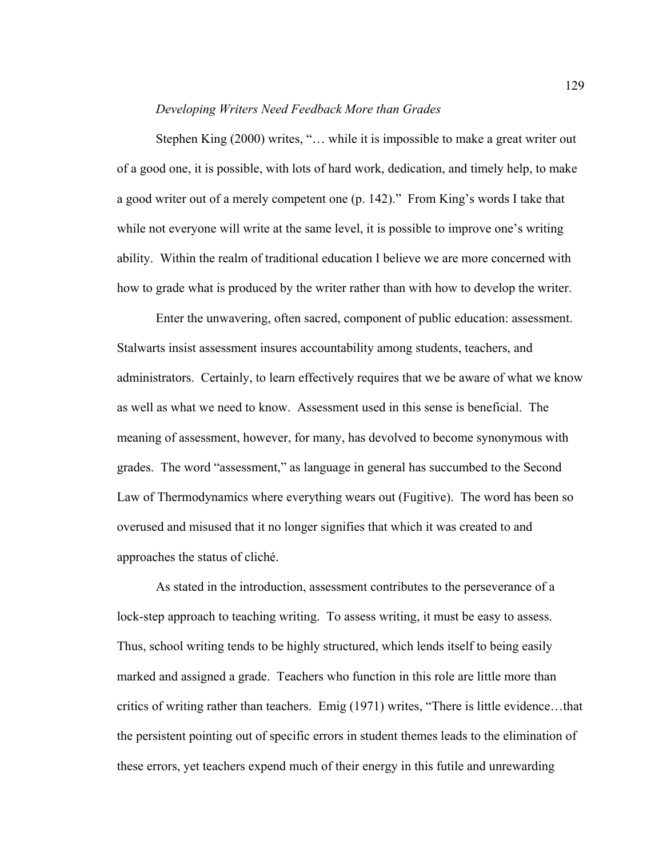### *Developing Writers Need Feedback More than Grades*

Stephen King (2000) writes, "… while it is impossible to make a great writer out of a good one, it is possible, with lots of hard work, dedication, and timely help, to make a good writer out of a merely competent one (p. 142)." From King's words I take that while not everyone will write at the same level, it is possible to improve one's writing ability. Within the realm of traditional education I believe we are more concerned with how to grade what is produced by the writer rather than with how to develop the writer.

Enter the unwavering, often sacred, component of public education: assessment. Stalwarts insist assessment insures accountability among students, teachers, and administrators. Certainly, to learn effectively requires that we be aware of what we know as well as what we need to know. Assessment used in this sense is beneficial. The meaning of assessment, however, for many, has devolved to become synonymous with grades. The word "assessment," as language in general has succumbed to the Second Law of Thermodynamics where everything wears out (Fugitive). The word has been so overused and misused that it no longer signifies that which it was created to and approaches the status of cliché.

As stated in the introduction, assessment contributes to the perseverance of a lock-step approach to teaching writing. To assess writing, it must be easy to assess. Thus, school writing tends to be highly structured, which lends itself to being easily marked and assigned a grade. Teachers who function in this role are little more than critics of writing rather than teachers. Emig (1971) writes, "There is little evidence…that the persistent pointing out of specific errors in student themes leads to the elimination of these errors, yet teachers expend much of their energy in this futile and unrewarding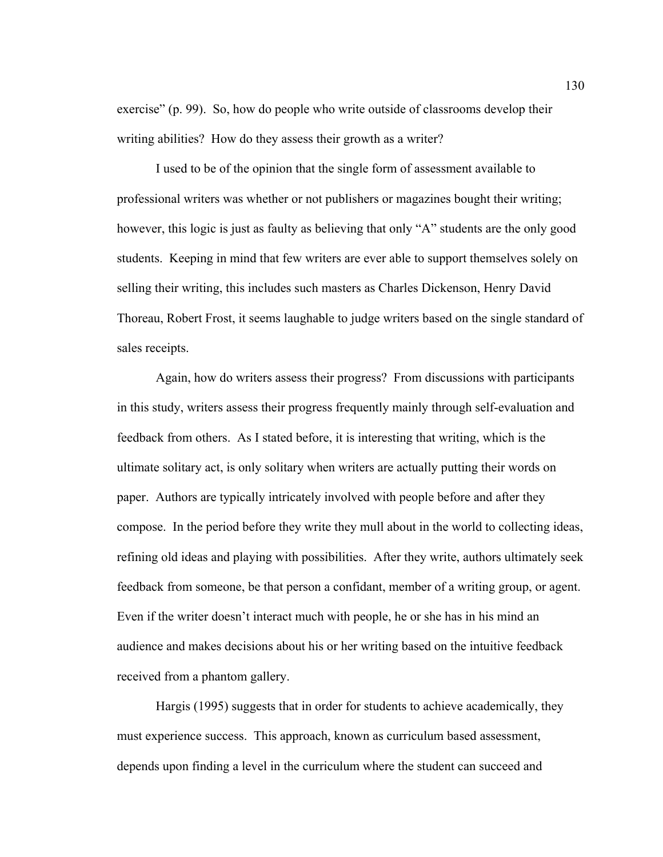exercise" (p. 99). So, how do people who write outside of classrooms develop their writing abilities? How do they assess their growth as a writer?

 I used to be of the opinion that the single form of assessment available to professional writers was whether or not publishers or magazines bought their writing; however, this logic is just as faulty as believing that only "A" students are the only good students. Keeping in mind that few writers are ever able to support themselves solely on selling their writing, this includes such masters as Charles Dickenson, Henry David Thoreau, Robert Frost, it seems laughable to judge writers based on the single standard of sales receipts.

 Again, how do writers assess their progress? From discussions with participants in this study, writers assess their progress frequently mainly through self-evaluation and feedback from others. As I stated before, it is interesting that writing, which is the ultimate solitary act, is only solitary when writers are actually putting their words on paper. Authors are typically intricately involved with people before and after they compose. In the period before they write they mull about in the world to collecting ideas, refining old ideas and playing with possibilities. After they write, authors ultimately seek feedback from someone, be that person a confidant, member of a writing group, or agent. Even if the writer doesn't interact much with people, he or she has in his mind an audience and makes decisions about his or her writing based on the intuitive feedback received from a phantom gallery.

 Hargis (1995) suggests that in order for students to achieve academically, they must experience success. This approach, known as curriculum based assessment, depends upon finding a level in the curriculum where the student can succeed and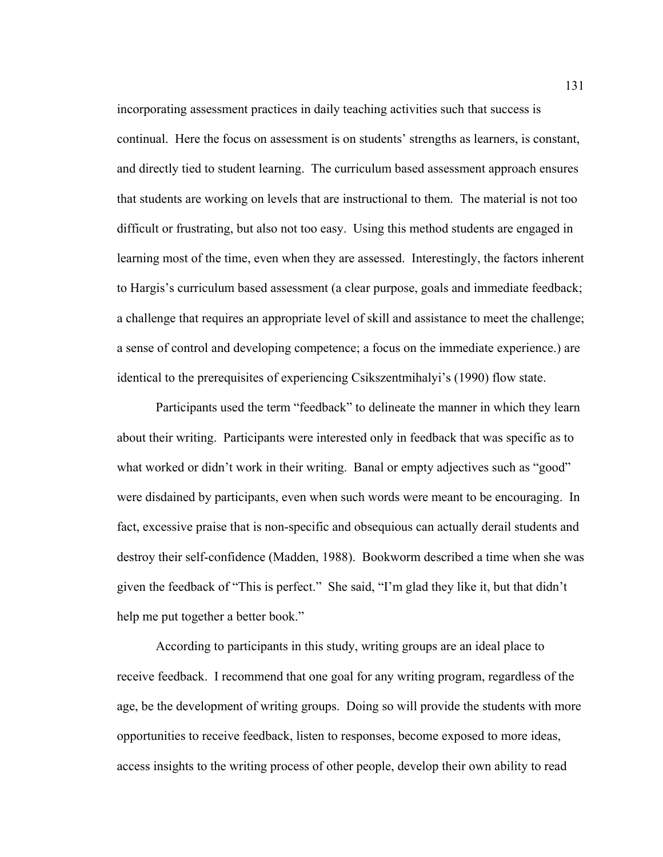incorporating assessment practices in daily teaching activities such that success is continual. Here the focus on assessment is on students' strengths as learners, is constant, and directly tied to student learning. The curriculum based assessment approach ensures that students are working on levels that are instructional to them. The material is not too difficult or frustrating, but also not too easy. Using this method students are engaged in learning most of the time, even when they are assessed. Interestingly, the factors inherent to Hargis's curriculum based assessment (a clear purpose, goals and immediate feedback; a challenge that requires an appropriate level of skill and assistance to meet the challenge; a sense of control and developing competence; a focus on the immediate experience.) are identical to the prerequisites of experiencing Csikszentmihalyi's (1990) flow state.

 Participants used the term "feedback" to delineate the manner in which they learn about their writing. Participants were interested only in feedback that was specific as to what worked or didn't work in their writing. Banal or empty adjectives such as "good" were disdained by participants, even when such words were meant to be encouraging. In fact, excessive praise that is non-specific and obsequious can actually derail students and destroy their self-confidence (Madden, 1988). Bookworm described a time when she was given the feedback of "This is perfect." She said, "I'm glad they like it, but that didn't help me put together a better book."

According to participants in this study, writing groups are an ideal place to receive feedback. I recommend that one goal for any writing program, regardless of the age, be the development of writing groups. Doing so will provide the students with more opportunities to receive feedback, listen to responses, become exposed to more ideas, access insights to the writing process of other people, develop their own ability to read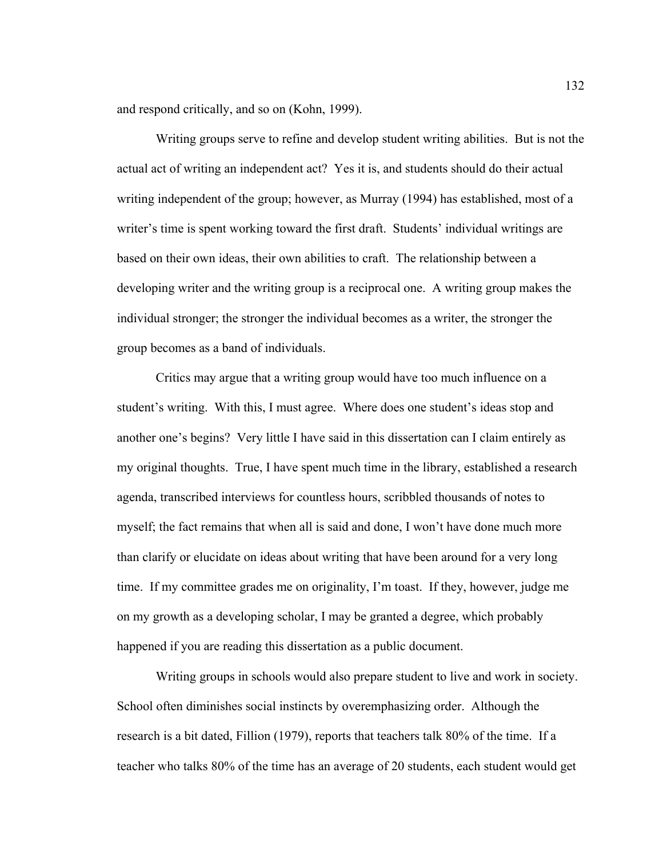and respond critically, and so on (Kohn, 1999).

Writing groups serve to refine and develop student writing abilities. But is not the actual act of writing an independent act? Yes it is, and students should do their actual writing independent of the group; however, as Murray (1994) has established, most of a writer's time is spent working toward the first draft. Students' individual writings are based on their own ideas, their own abilities to craft. The relationship between a developing writer and the writing group is a reciprocal one. A writing group makes the individual stronger; the stronger the individual becomes as a writer, the stronger the group becomes as a band of individuals.

Critics may argue that a writing group would have too much influence on a student's writing. With this, I must agree. Where does one student's ideas stop and another one's begins? Very little I have said in this dissertation can I claim entirely as my original thoughts. True, I have spent much time in the library, established a research agenda, transcribed interviews for countless hours, scribbled thousands of notes to myself; the fact remains that when all is said and done, I won't have done much more than clarify or elucidate on ideas about writing that have been around for a very long time. If my committee grades me on originality, I'm toast. If they, however, judge me on my growth as a developing scholar, I may be granted a degree, which probably happened if you are reading this dissertation as a public document.

Writing groups in schools would also prepare student to live and work in society. School often diminishes social instincts by overemphasizing order. Although the research is a bit dated, Fillion (1979), reports that teachers talk 80% of the time. If a teacher who talks 80% of the time has an average of 20 students, each student would get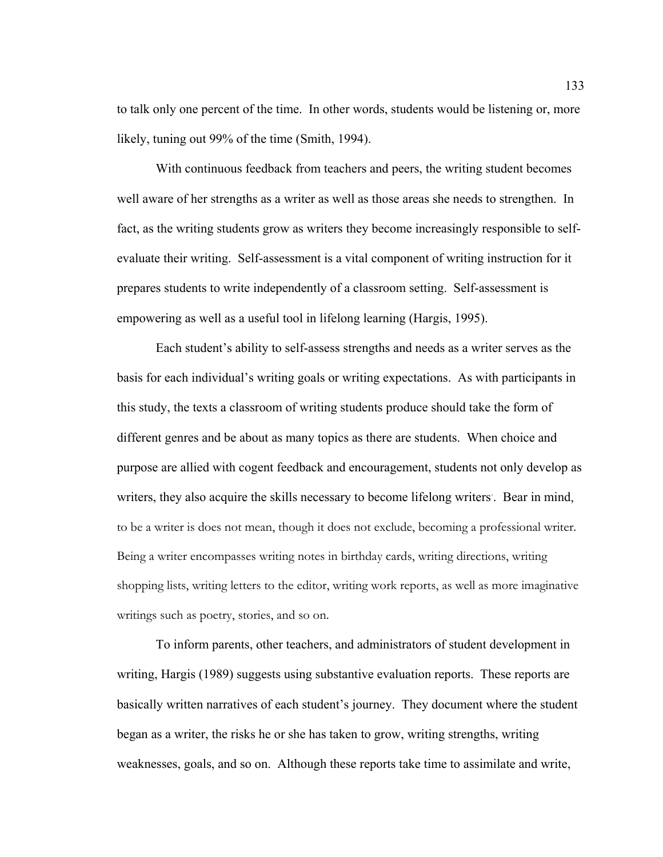to talk only one percent of the time. In other words, students would be listening or, more likely, tuning out 99% of the time (Smith, 1994).

 With continuous feedback from teachers and peers, the writing student becomes well aware of her strengths as a writer as well as those areas she needs to strengthen. In fact, as the writing students grow as writers they become increasingly responsible to selfevaluate their writing. Self-assessment is a vital component of writing instruction for it prepares students to write independently of a classroom setting. Self-assessment is empowering as well as a useful tool in lifelong learning (Hargis, 1995).

 Each student's ability to self-assess strengths and needs as a writer serves as the basis for each individual's writing goals or writing expectations. As with participants in this study, the texts a classroom of writing students produce should take the form of different genres and be about as many topics as there are students. When choice and purpose are allied with cogent feedback and encouragement, students not only develop as writers, they also acquire the skills necessary to become lifelong writers. . Bear in mind, to be a writer is does not mean, though it does not exclude, becoming a professional writer. Being a writer encompasses writing notes in birthday cards, writing directions, writing shopping lists, writing letters to the editor, writing work reports, as well as more imaginative writings such as poetry, stories, and so on.

 To inform parents, other teachers, and administrators of student development in writing, Hargis (1989) suggests using substantive evaluation reports. These reports are basically written narratives of each student's journey. They document where the student began as a writer, the risks he or she has taken to grow, writing strengths, writing weaknesses, goals, and so on. Although these reports take time to assimilate and write,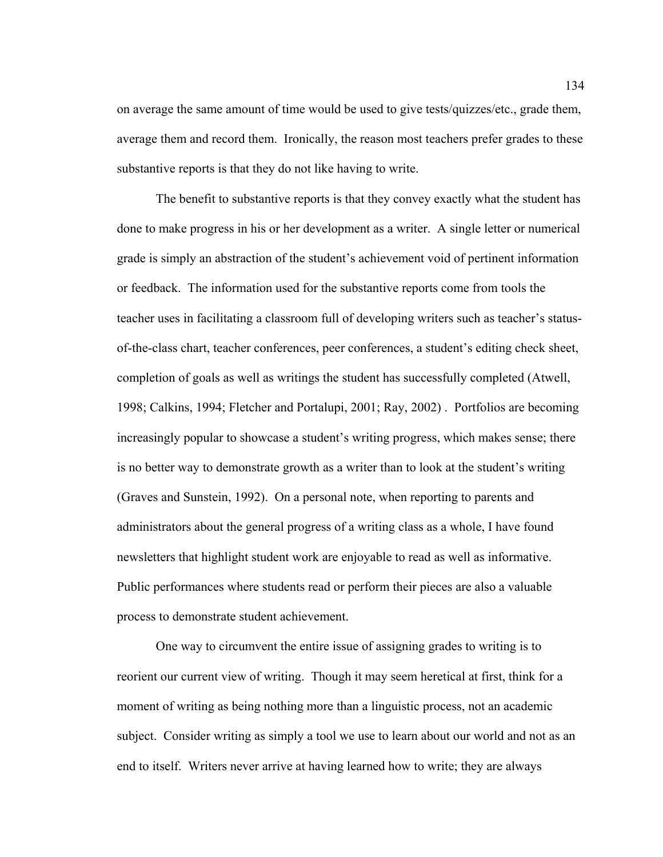on average the same amount of time would be used to give tests/quizzes/etc., grade them, average them and record them. Ironically, the reason most teachers prefer grades to these substantive reports is that they do not like having to write.

 The benefit to substantive reports is that they convey exactly what the student has done to make progress in his or her development as a writer. A single letter or numerical grade is simply an abstraction of the student's achievement void of pertinent information or feedback. The information used for the substantive reports come from tools the teacher uses in facilitating a classroom full of developing writers such as teacher's statusof-the-class chart, teacher conferences, peer conferences, a student's editing check sheet, completion of goals as well as writings the student has successfully completed (Atwell, 1998; Calkins, 1994; Fletcher and Portalupi, 2001; Ray, 2002) . Portfolios are becoming increasingly popular to showcase a student's writing progress, which makes sense; there is no better way to demonstrate growth as a writer than to look at the student's writing (Graves and Sunstein, 1992). On a personal note, when reporting to parents and administrators about the general progress of a writing class as a whole, I have found newsletters that highlight student work are enjoyable to read as well as informative. Public performances where students read or perform their pieces are also a valuable process to demonstrate student achievement.

One way to circumvent the entire issue of assigning grades to writing is to reorient our current view of writing. Though it may seem heretical at first, think for a moment of writing as being nothing more than a linguistic process, not an academic subject. Consider writing as simply a tool we use to learn about our world and not as an end to itself. Writers never arrive at having learned how to write; they are always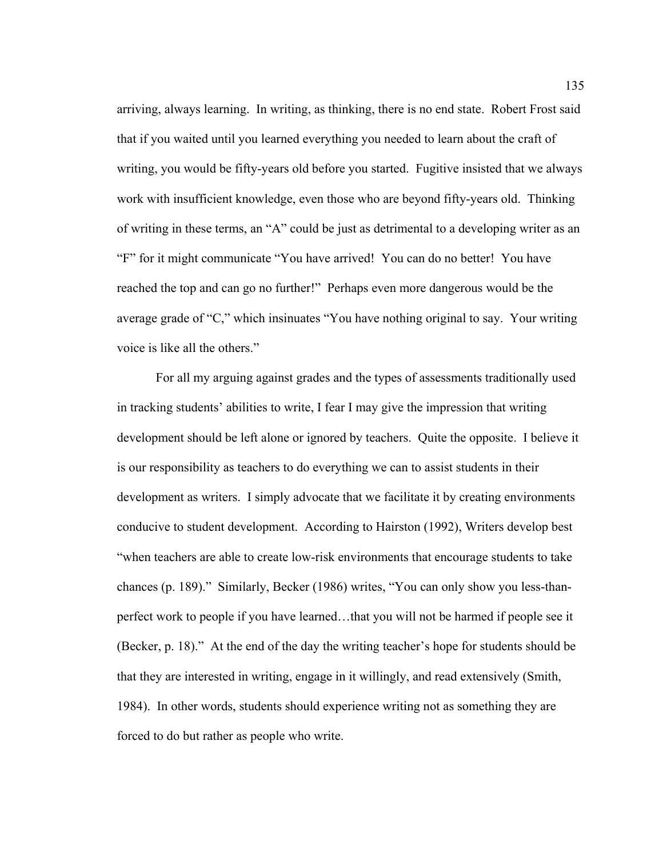arriving, always learning. In writing, as thinking, there is no end state. Robert Frost said that if you waited until you learned everything you needed to learn about the craft of writing, you would be fifty-years old before you started. Fugitive insisted that we always work with insufficient knowledge, even those who are beyond fifty-years old. Thinking of writing in these terms, an "A" could be just as detrimental to a developing writer as an "F" for it might communicate "You have arrived! You can do no better! You have reached the top and can go no further!" Perhaps even more dangerous would be the average grade of "C," which insinuates "You have nothing original to say. Your writing voice is like all the others."

For all my arguing against grades and the types of assessments traditionally used in tracking students' abilities to write, I fear I may give the impression that writing development should be left alone or ignored by teachers. Quite the opposite. I believe it is our responsibility as teachers to do everything we can to assist students in their development as writers. I simply advocate that we facilitate it by creating environments conducive to student development. According to Hairston (1992), Writers develop best "when teachers are able to create low-risk environments that encourage students to take chances (p. 189)." Similarly, Becker (1986) writes, "You can only show you less-thanperfect work to people if you have learned…that you will not be harmed if people see it (Becker, p. 18)." At the end of the day the writing teacher's hope for students should be that they are interested in writing, engage in it willingly, and read extensively (Smith, 1984). In other words, students should experience writing not as something they are forced to do but rather as people who write.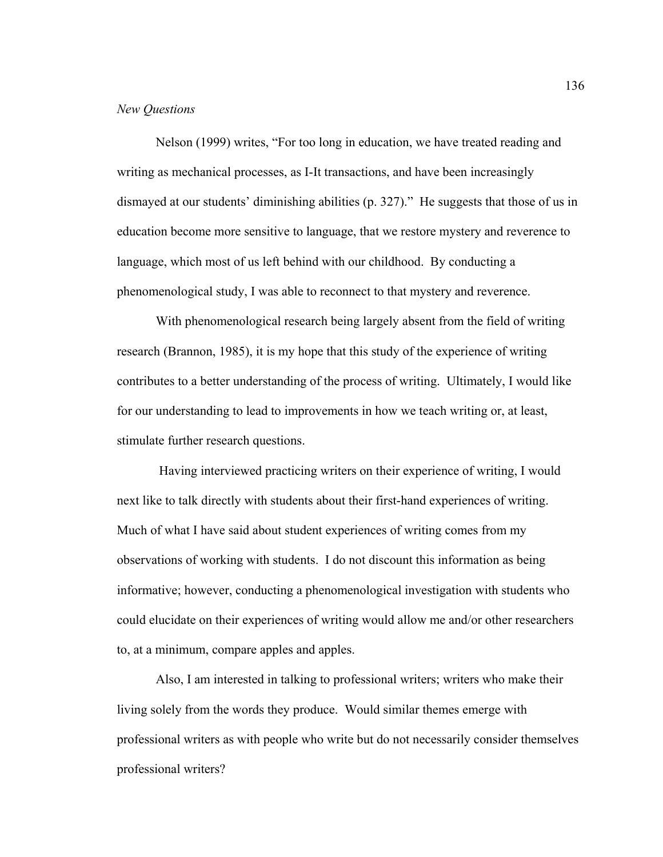## *New Questions*

Nelson (1999) writes, "For too long in education, we have treated reading and writing as mechanical processes, as I-It transactions, and have been increasingly dismayed at our students' diminishing abilities (p. 327)." He suggests that those of us in education become more sensitive to language, that we restore mystery and reverence to language, which most of us left behind with our childhood. By conducting a phenomenological study, I was able to reconnect to that mystery and reverence.

With phenomenological research being largely absent from the field of writing research (Brannon, 1985), it is my hope that this study of the experience of writing contributes to a better understanding of the process of writing. Ultimately, I would like for our understanding to lead to improvements in how we teach writing or, at least, stimulate further research questions.

 Having interviewed practicing writers on their experience of writing, I would next like to talk directly with students about their first-hand experiences of writing. Much of what I have said about student experiences of writing comes from my observations of working with students. I do not discount this information as being informative; however, conducting a phenomenological investigation with students who could elucidate on their experiences of writing would allow me and/or other researchers to, at a minimum, compare apples and apples.

Also, I am interested in talking to professional writers; writers who make their living solely from the words they produce. Would similar themes emerge with professional writers as with people who write but do not necessarily consider themselves professional writers?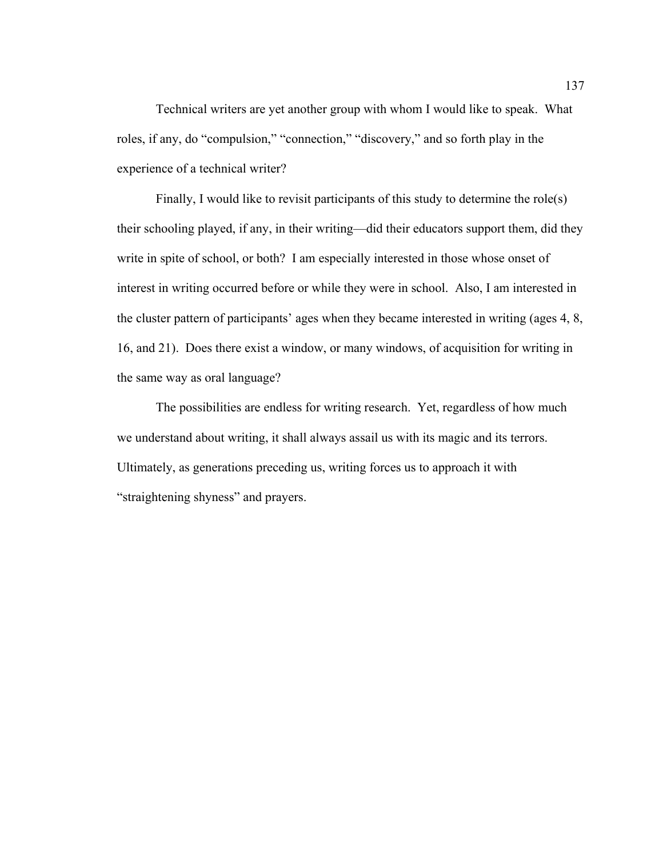Technical writers are yet another group with whom I would like to speak. What roles, if any, do "compulsion," "connection," "discovery," and so forth play in the experience of a technical writer?

Finally, I would like to revisit participants of this study to determine the role(s) their schooling played, if any, in their writing—did their educators support them, did they write in spite of school, or both? I am especially interested in those whose onset of interest in writing occurred before or while they were in school. Also, I am interested in the cluster pattern of participants' ages when they became interested in writing (ages 4, 8, 16, and 21). Does there exist a window, or many windows, of acquisition for writing in the same way as oral language?

The possibilities are endless for writing research. Yet, regardless of how much we understand about writing, it shall always assail us with its magic and its terrors. Ultimately, as generations preceding us, writing forces us to approach it with "straightening shyness" and prayers.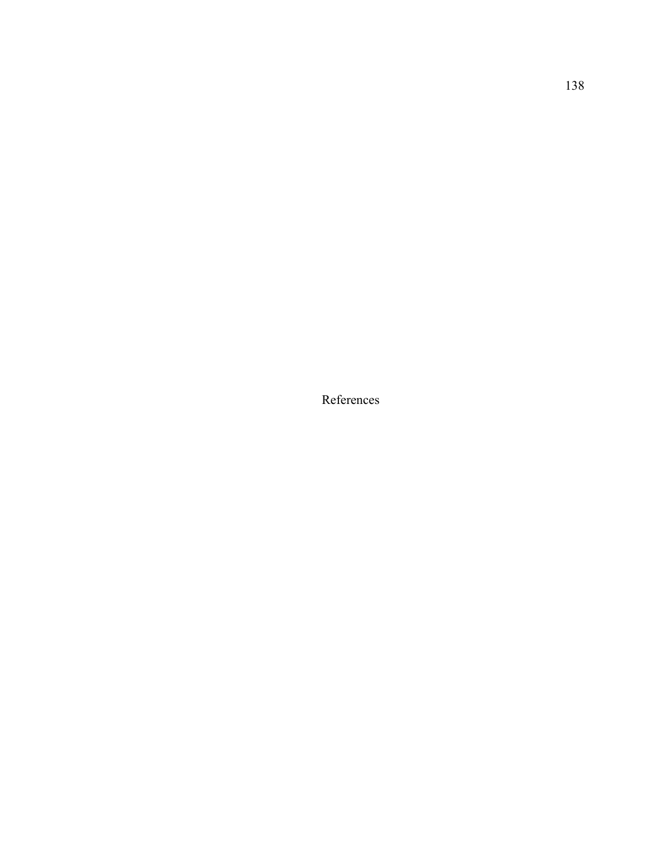References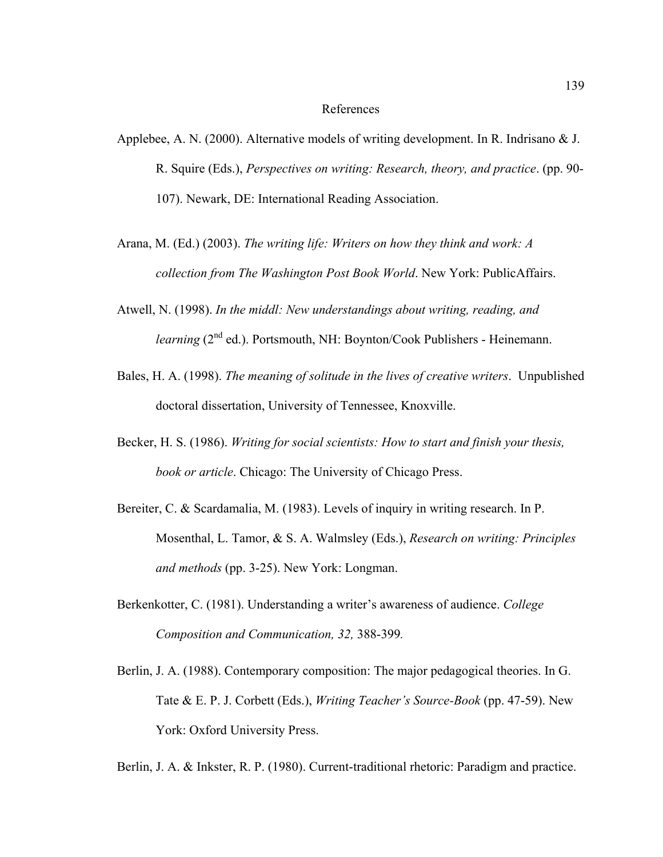## References

- Applebee, A. N. (2000). Alternative models of writing development. In R. Indrisano & J. R. Squire (Eds.), *Perspectives on writing: Research, theory, and practice*. (pp. 90- 107). Newark, DE: International Reading Association.
- Arana, M. (Ed.) (2003). *The writing life: Writers on how they think and work: A collection from The Washington Post Book World*. New York: PublicAffairs.
- Atwell, N. (1998). *In the middl: New understandings about writing, reading, and learning* (2<sup>nd</sup> ed.). Portsmouth, NH: Boynton/Cook Publishers - Heinemann.
- Bales, H. A. (1998). *The meaning of solitude in the lives of creative writers*. Unpublished doctoral dissertation, University of Tennessee, Knoxville.
- Becker, H. S. (1986). *Writing for social scientists: How to start and finish your thesis, book or article*. Chicago: The University of Chicago Press.
- Bereiter, C. & Scardamalia, M. (1983). Levels of inquiry in writing research. In P. Mosenthal, L. Tamor, & S. A. Walmsley (Eds.), *Research on writing: Principles and methods* (pp. 3-25). New York: Longman.
- Berkenkotter, C. (1981). Understanding a writer's awareness of audience. *College Composition and Communication, 32,* 388-399*.*
- Berlin, J. A. (1988). Contemporary composition: The major pedagogical theories. In G. Tate & E. P. J. Corbett (Eds.), *Writing Teacher's Source-Book* (pp. 47-59). New York: Oxford University Press.
- Berlin, J. A. & Inkster, R. P. (1980). Current-traditional rhetoric: Paradigm and practice.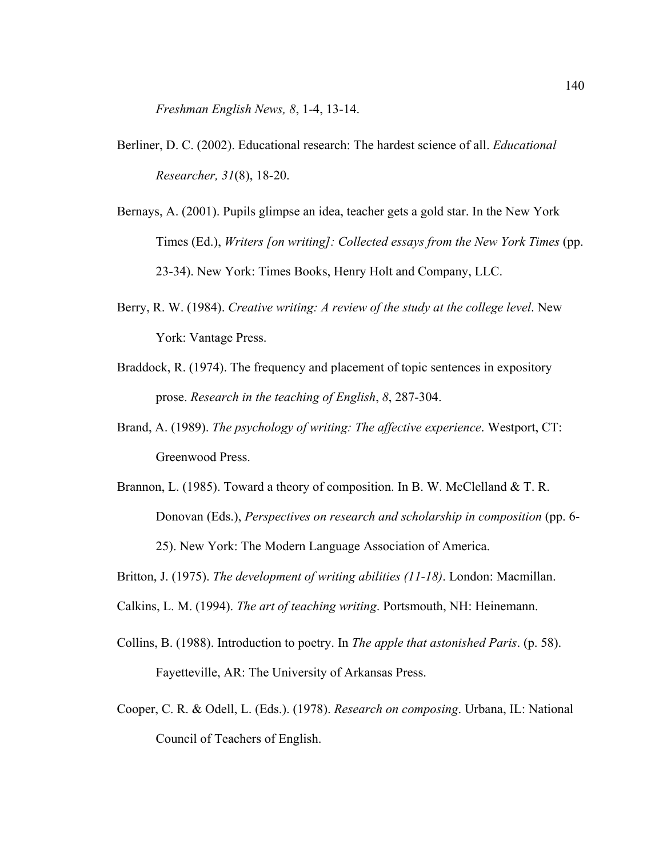*Freshman English News, 8*, 1-4, 13-14.

- Berliner, D. C. (2002). Educational research: The hardest science of all. *Educational Researcher, 31*(8), 18-20.
- Bernays, A. (2001). Pupils glimpse an idea, teacher gets a gold star. In the New York Times (Ed.), *Writers [on writing]: Collected essays from the New York Times* (pp. 23-34). New York: Times Books, Henry Holt and Company, LLC.
- Berry, R. W. (1984). *Creative writing: A review of the study at the college level*. New York: Vantage Press.
- Braddock, R. (1974). The frequency and placement of topic sentences in expository prose. *Research in the teaching of English*, *8*, 287-304.
- Brand, A. (1989). *The psychology of writing: The affective experience*. Westport, CT: Greenwood Press.
- Brannon, L. (1985). Toward a theory of composition. In B. W. McClelland & T. R. Donovan (Eds.), *Perspectives on research and scholarship in composition* (pp. 6- 25). New York: The Modern Language Association of America.
- Britton, J. (1975). *The development of writing abilities (11-18)*. London: Macmillan.
- Calkins, L. M. (1994). *The art of teaching writing*. Portsmouth, NH: Heinemann.
- Collins, B. (1988). Introduction to poetry. In *The apple that astonished Paris*. (p. 58). Fayetteville, AR: The University of Arkansas Press.
- Cooper, C. R. & Odell, L. (Eds.). (1978). *Research on composing*. Urbana, IL: National Council of Teachers of English.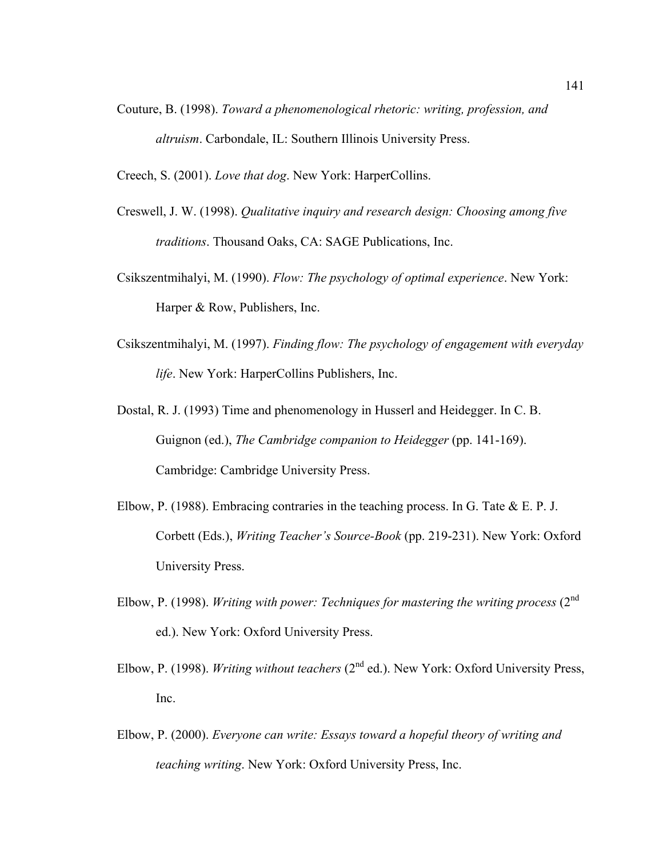- Couture, B. (1998). *Toward a phenomenological rhetoric: writing, profession, and altruism*. Carbondale, IL: Southern Illinois University Press.
- Creech, S. (2001). *Love that dog*. New York: HarperCollins.
- Creswell, J. W. (1998). *Qualitative inquiry and research design: Choosing among five traditions*. Thousand Oaks, CA: SAGE Publications, Inc.
- Csikszentmihalyi, M. (1990). *Flow: The psychology of optimal experience*. New York: Harper & Row, Publishers, Inc.
- Csikszentmihalyi, M. (1997). *Finding flow: The psychology of engagement with everyday life*. New York: HarperCollins Publishers, Inc.
- Dostal, R. J. (1993) Time and phenomenology in Husserl and Heidegger. In C. B. Guignon (ed.), *The Cambridge companion to Heidegger* (pp. 141-169). Cambridge: Cambridge University Press.
- Elbow, P. (1988). Embracing contraries in the teaching process. In G. Tate  $\&$  E. P. J. Corbett (Eds.), *Writing Teacher's Source-Book* (pp. 219-231). New York: Oxford University Press.
- Elbow, P. (1998). *Writing with power: Techniques for mastering the writing process* (2nd ed.). New York: Oxford University Press.
- Elbow, P. (1998). *Writing without teachers* (2<sup>nd</sup> ed.). New York: Oxford University Press, Inc.
- Elbow, P. (2000). *Everyone can write: Essays toward a hopeful theory of writing and teaching writing*. New York: Oxford University Press, Inc.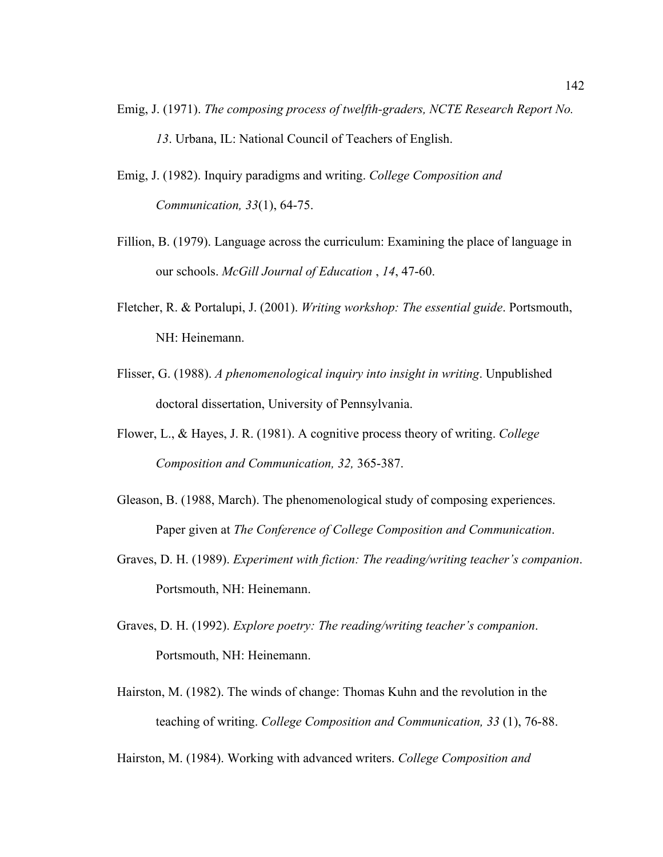- Emig, J. (1971). *The composing process of twelfth-graders, NCTE Research Report No. 13*. Urbana, IL: National Council of Teachers of English.
- Emig, J. (1982). Inquiry paradigms and writing. *College Composition and Communication, 33*(1), 64-75.
- Fillion, B. (1979). Language across the curriculum: Examining the place of language in our schools. *McGill Journal of Education* , *14*, 47-60.
- Fletcher, R. & Portalupi, J. (2001). *Writing workshop: The essential guide*. Portsmouth, NH: Heinemann.
- Flisser, G. (1988). *A phenomenological inquiry into insight in writing*. Unpublished doctoral dissertation, University of Pennsylvania.
- Flower, L., & Hayes, J. R. (1981). A cognitive process theory of writing. *College Composition and Communication, 32,* 365-387.
- Gleason, B. (1988, March). The phenomenological study of composing experiences. Paper given at *The Conference of College Composition and Communication*.
- Graves, D. H. (1989). *Experiment with fiction: The reading/writing teacher's companion*. Portsmouth, NH: Heinemann.
- Graves, D. H. (1992). *Explore poetry: The reading/writing teacher's companion*. Portsmouth, NH: Heinemann.
- Hairston, M. (1982). The winds of change: Thomas Kuhn and the revolution in the teaching of writing. *College Composition and Communication, 33* (1), 76-88.

Hairston, M. (1984). Working with advanced writers. *College Composition and*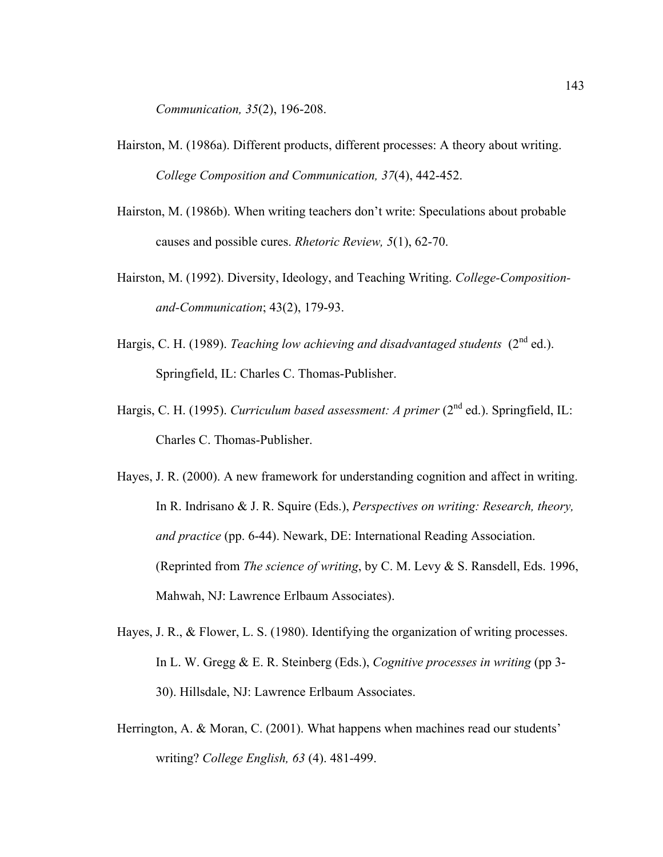*Communication, 35*(2), 196-208.

- Hairston, M. (1986a). Different products, different processes: A theory about writing. *College Composition and Communication, 37*(4), 442-452.
- Hairston, M. (1986b). When writing teachers don't write: Speculations about probable causes and possible cures. *Rhetoric Review, 5*(1), 62-70.
- Hairston, M. (1992). Diversity, Ideology, and Teaching Writing. *College-Compositionand-Communication*; 43(2), 179-93.
- Hargis, C. H. (1989). *Teaching low achieving and disadvantaged students* (2<sup>nd</sup> ed.). Springfield, IL: Charles C. Thomas-Publisher.
- Hargis, C. H. (1995). *Curriculum based assessment: A primer* (2<sup>nd</sup> ed.). Springfield, IL: Charles C. Thomas-Publisher.
- Hayes, J. R. (2000). A new framework for understanding cognition and affect in writing. In R. Indrisano & J. R. Squire (Eds.), *Perspectives on writing: Research, theory, and practice* (pp. 6-44). Newark, DE: International Reading Association. (Reprinted from *The science of writing*, by C. M. Levy & S. Ransdell, Eds. 1996, Mahwah, NJ: Lawrence Erlbaum Associates).
- Hayes, J. R., & Flower, L. S. (1980). Identifying the organization of writing processes. In L. W. Gregg & E. R. Steinberg (Eds.), *Cognitive processes in writing* (pp 3- 30). Hillsdale, NJ: Lawrence Erlbaum Associates.
- Herrington, A. & Moran, C. (2001). What happens when machines read our students' writing? *College English, 63* (4). 481-499.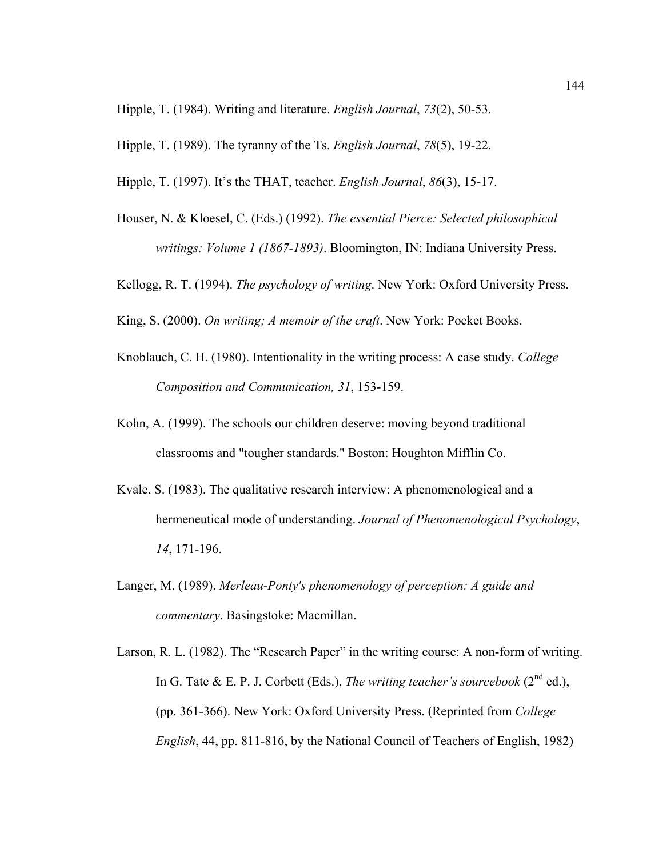Hipple, T. (1984). Writing and literature. *English Journal*, *73*(2), 50-53.

Hipple, T. (1989). The tyranny of the Ts. *English Journal*, *78*(5), 19-22.

Hipple, T. (1997). It's the THAT, teacher. *English Journal*, *86*(3), 15-17.

Houser, N. & Kloesel, C. (Eds.) (1992). *The essential Pierce: Selected philosophical writings: Volume 1 (1867-1893)*. Bloomington, IN: Indiana University Press.

Kellogg, R. T. (1994). *The psychology of writing*. New York: Oxford University Press.

King, S. (2000). *On writing; A memoir of the craft*. New York: Pocket Books.

- Knoblauch, C. H. (1980). Intentionality in the writing process: A case study. *College Composition and Communication, 31*, 153-159.
- Kohn, A. (1999). The schools our children deserve: moving beyond traditional classrooms and "tougher standards." Boston: Houghton Mifflin Co.
- Kvale, S. (1983). The qualitative research interview: A phenomenological and a hermeneutical mode of understanding. *Journal of Phenomenological Psychology*, *14*, 171-196.
- Langer, M. (1989). *Merleau-Ponty's phenomenology of perception: A guide and commentary*. Basingstoke: Macmillan.
- Larson, R. L. (1982). The "Research Paper" in the writing course: A non-form of writing. In G. Tate & E. P. J. Corbett (Eds.), *The writing teacher's sourcebook* ( $2^{nd}$  ed.), (pp. 361-366). New York: Oxford University Press. (Reprinted from *College English*, 44, pp. 811-816, by the National Council of Teachers of English, 1982)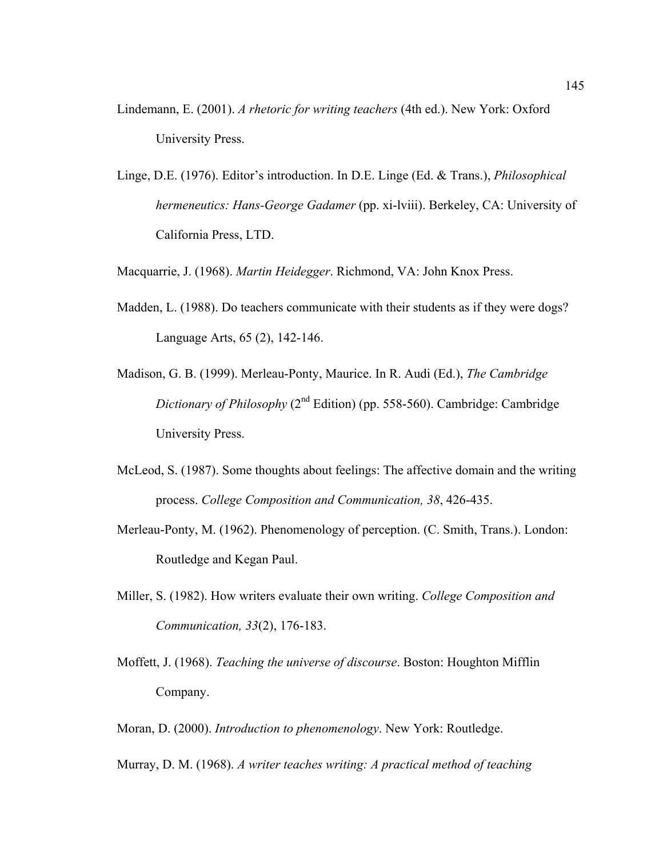- Lindemann, E. (2001). *A rhetoric for writing teachers* (4th ed.). New York: Oxford University Press.
- Linge, D.E. (1976). Editor's introduction. In D.E. Linge (Ed. & Trans.), *Philosophical hermeneutics: Hans-George Gadamer* (pp. xi-lviii). Berkeley, CA: University of California Press, LTD.

Macquarrie, J. (1968). *Martin Heidegger*. Richmond, VA: John Knox Press.

- Madden, L. (1988). Do teachers communicate with their students as if they were dogs? Language Arts, 65 (2), 142-146.
- Madison, G. B. (1999). Merleau-Ponty, Maurice. In R. Audi (Ed.), *The Cambridge Dictionary of Philosophy* (2<sup>nd</sup> Edition) (pp. 558-560). Cambridge: Cambridge University Press.
- McLeod, S. (1987). Some thoughts about feelings: The affective domain and the writing process. *College Composition and Communication, 38*, 426-435.
- Merleau-Ponty, M. (1962). Phenomenology of perception. (C. Smith, Trans.). London: Routledge and Kegan Paul.
- Miller, S. (1982). How writers evaluate their own writing. *College Composition and Communication, 33*(2), 176-183.
- Moffett, J. (1968). *Teaching the universe of discourse*. Boston: Houghton Mifflin Company.
- Moran, D. (2000). *Introduction to phenomenology*. New York: Routledge.
- Murray, D. M. (1968). *A writer teaches writing: A practical method of teaching*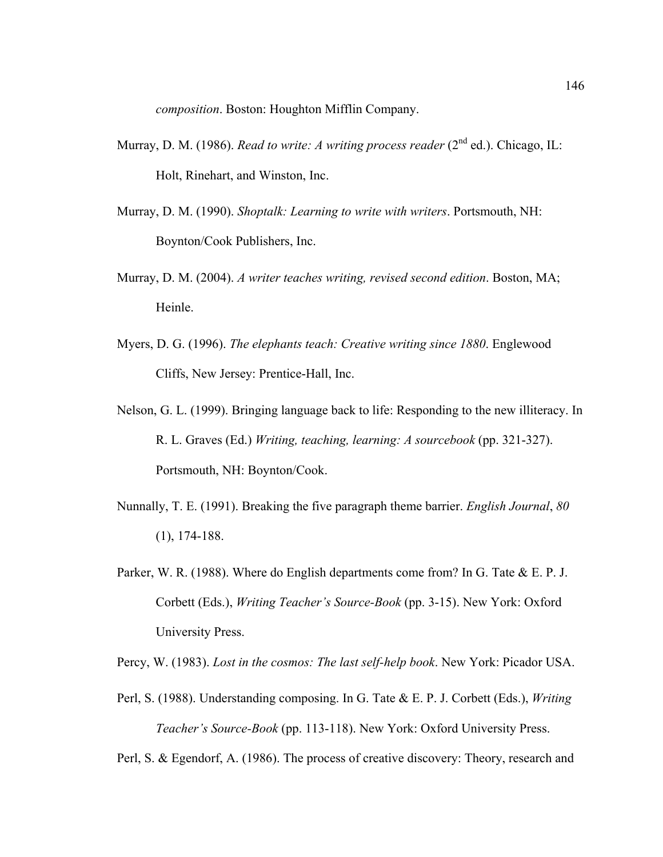*composition*. Boston: Houghton Mifflin Company.

- Murray, D. M. (1986). *Read to write: A writing process reader* (2<sup>nd</sup> ed.). Chicago, IL: Holt, Rinehart, and Winston, Inc.
- Murray, D. M. (1990). *Shoptalk: Learning to write with writers*. Portsmouth, NH: Boynton/Cook Publishers, Inc.
- Murray, D. M. (2004). *A writer teaches writing, revised second edition*. Boston, MA; Heinle.
- Myers, D. G. (1996). *The elephants teach: Creative writing since 1880*. Englewood Cliffs, New Jersey: Prentice-Hall, Inc.
- Nelson, G. L. (1999). Bringing language back to life: Responding to the new illiteracy. In R. L. Graves (Ed.) *Writing, teaching, learning: A sourcebook* (pp. 321-327). Portsmouth, NH: Boynton/Cook.
- Nunnally, T. E. (1991). Breaking the five paragraph theme barrier. *English Journal*, *80* (1), 174-188.
- Parker, W. R. (1988). Where do English departments come from? In G. Tate & E. P. J. Corbett (Eds.), *Writing Teacher's Source-Book* (pp. 3-15). New York: Oxford University Press.

Percy, W. (1983). *Lost in the cosmos: The last self-help book*. New York: Picador USA.

Perl, S. (1988). Understanding composing. In G. Tate & E. P. J. Corbett (Eds.), *Writing Teacher's Source-Book* (pp. 113-118). New York: Oxford University Press.

Perl, S. & Egendorf, A. (1986). The process of creative discovery: Theory, research and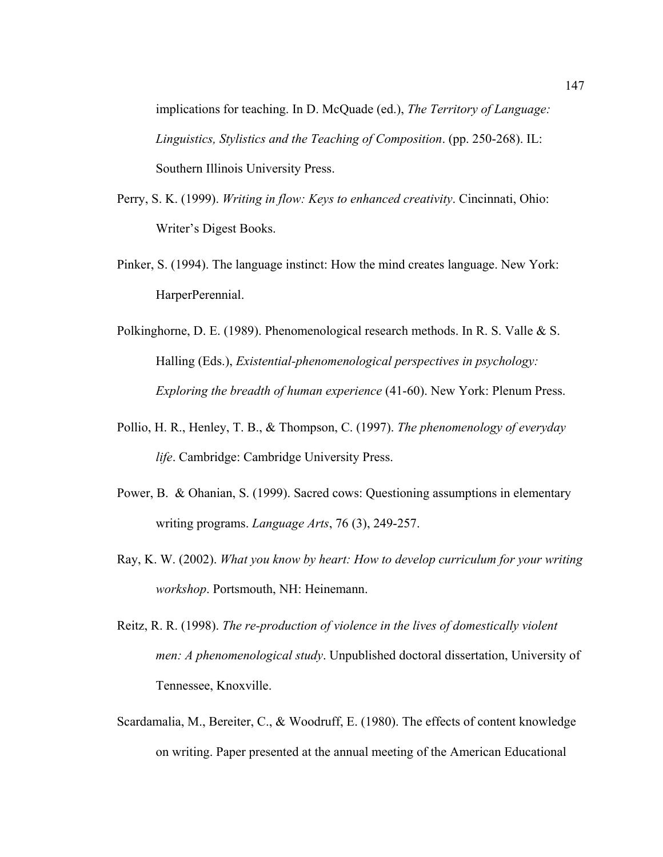implications for teaching. In D. McQuade (ed.), *The Territory of Language: Linguistics, Stylistics and the Teaching of Composition*. (pp. 250-268). IL: Southern Illinois University Press.

- Perry, S. K. (1999). *Writing in flow: Keys to enhanced creativity*. Cincinnati, Ohio: Writer's Digest Books.
- Pinker, S. (1994). The language instinct: How the mind creates language. New York: HarperPerennial.
- Polkinghorne, D. E. (1989). Phenomenological research methods. In R. S. Valle & S. Halling (Eds.), *Existential-phenomenological perspectives in psychology: Exploring the breadth of human experience* (41-60). New York: Plenum Press.
- Pollio, H. R., Henley, T. B., & Thompson, C. (1997). *The phenomenology of everyday life*. Cambridge: Cambridge University Press.
- Power, B. & Ohanian, S. (1999). Sacred cows: Questioning assumptions in elementary writing programs. *Language Arts*, 76 (3), 249-257.
- Ray, K. W. (2002). *What you know by heart: How to develop curriculum for your writing workshop*. Portsmouth, NH: Heinemann.
- Reitz, R. R. (1998). *The re-production of violence in the lives of domestically violent men: A phenomenological study*. Unpublished doctoral dissertation, University of Tennessee, Knoxville.
- Scardamalia, M., Bereiter, C., & Woodruff, E. (1980). The effects of content knowledge on writing. Paper presented at the annual meeting of the American Educational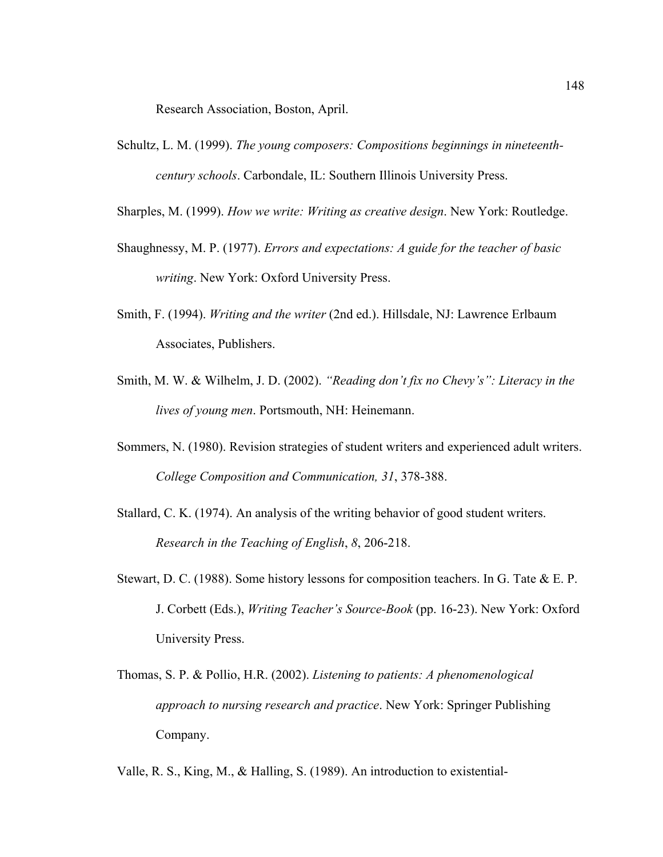Research Association, Boston, April.

- Schultz, L. M. (1999). *The young composers: Compositions beginnings in nineteenthcentury schools*. Carbondale, IL: Southern Illinois University Press.
- Sharples, M. (1999). *How we write: Writing as creative design*. New York: Routledge.
- Shaughnessy, M. P. (1977). *Errors and expectations: A guide for the teacher of basic writing*. New York: Oxford University Press.
- Smith, F. (1994). *Writing and the writer* (2nd ed.). Hillsdale, NJ: Lawrence Erlbaum Associates, Publishers.
- Smith, M. W. & Wilhelm, J. D. (2002). *"Reading don't fix no Chevy's": Literacy in the lives of young men*. Portsmouth, NH: Heinemann.
- Sommers, N. (1980). Revision strategies of student writers and experienced adult writers. *College Composition and Communication, 31*, 378-388.
- Stallard, C. K. (1974). An analysis of the writing behavior of good student writers. *Research in the Teaching of English*, *8*, 206-218.
- Stewart, D. C. (1988). Some history lessons for composition teachers. In G. Tate & E. P. J. Corbett (Eds.), *Writing Teacher's Source-Book* (pp. 16-23). New York: Oxford University Press.
- Thomas, S. P. & Pollio, H.R. (2002). *Listening to patients: A phenomenological approach to nursing research and practice*. New York: Springer Publishing Company.
- Valle, R. S., King, M., & Halling, S. (1989). An introduction to existential-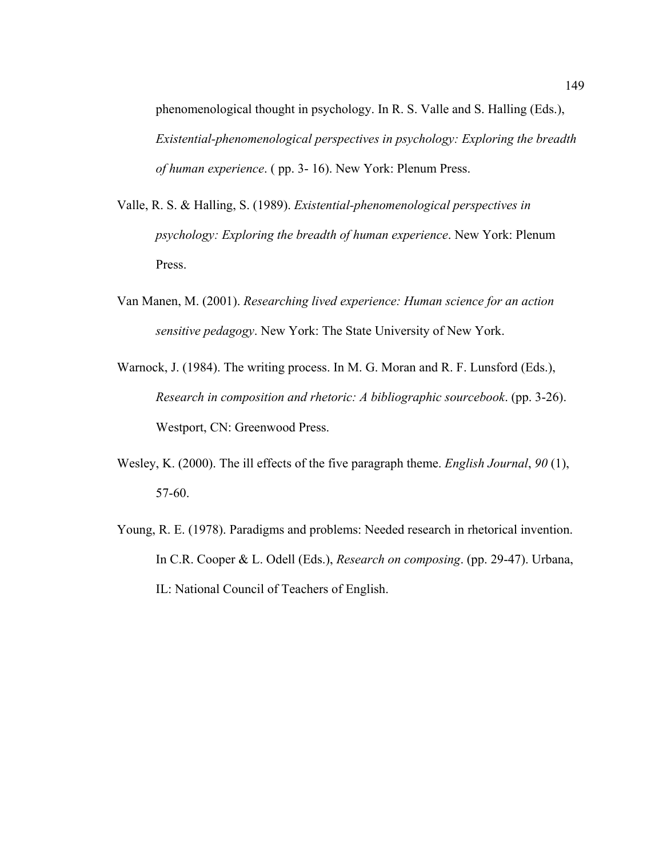phenomenological thought in psychology. In R. S. Valle and S. Halling (Eds.), *Existential-phenomenological perspectives in psychology: Exploring the breadth of human experience*. ( pp. 3- 16). New York: Plenum Press.

- Valle, R. S. & Halling, S. (1989). *Existential-phenomenological perspectives in psychology: Exploring the breadth of human experience*. New York: Plenum Press.
- Van Manen, M. (2001). *Researching lived experience: Human science for an action sensitive pedagogy*. New York: The State University of New York.
- Warnock, J. (1984). The writing process. In M. G. Moran and R. F. Lunsford (Eds.), *Research in composition and rhetoric: A bibliographic sourcebook*. (pp. 3-26). Westport, CN: Greenwood Press.
- Wesley, K. (2000). The ill effects of the five paragraph theme. *English Journal*, *90* (1), 57-60.
- Young, R. E. (1978). Paradigms and problems: Needed research in rhetorical invention. In C.R. Cooper & L. Odell (Eds.), *Research on composing*. (pp. 29-47). Urbana, IL: National Council of Teachers of English.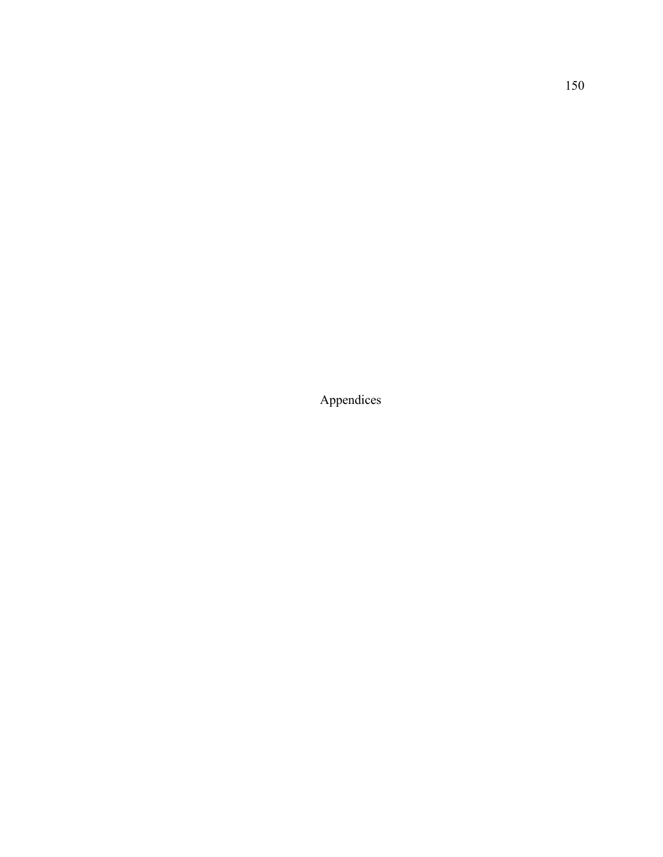Appendices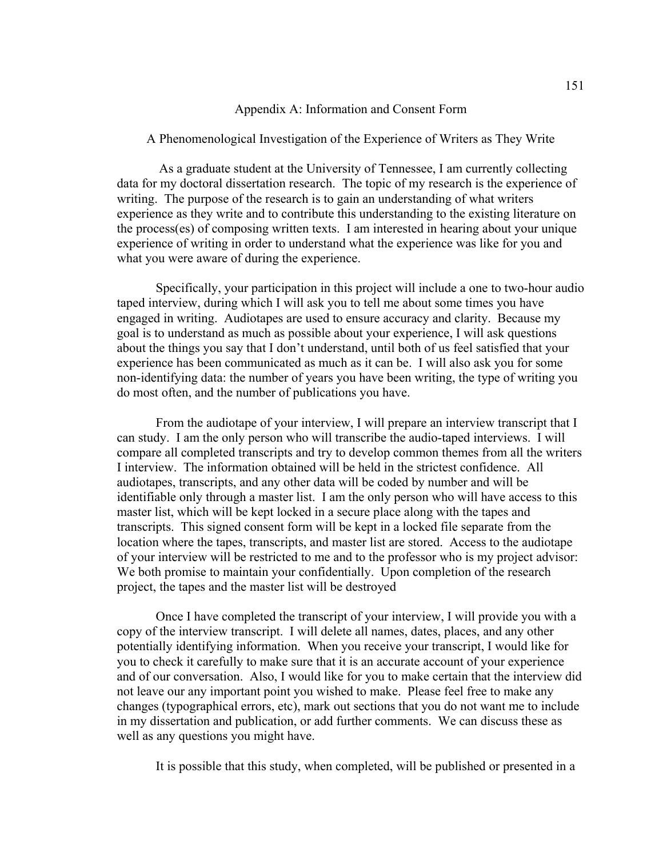## Appendix A: Information and Consent Form

A Phenomenological Investigation of the Experience of Writers as They Write

 As a graduate student at the University of Tennessee, I am currently collecting data for my doctoral dissertation research. The topic of my research is the experience of writing. The purpose of the research is to gain an understanding of what writers experience as they write and to contribute this understanding to the existing literature on the process(es) of composing written texts. I am interested in hearing about your unique experience of writing in order to understand what the experience was like for you and what you were aware of during the experience.

 Specifically, your participation in this project will include a one to two-hour audio taped interview, during which I will ask you to tell me about some times you have engaged in writing. Audiotapes are used to ensure accuracy and clarity. Because my goal is to understand as much as possible about your experience, I will ask questions about the things you say that I don't understand, until both of us feel satisfied that your experience has been communicated as much as it can be. I will also ask you for some non-identifying data: the number of years you have been writing, the type of writing you do most often, and the number of publications you have.

 From the audiotape of your interview, I will prepare an interview transcript that I can study. I am the only person who will transcribe the audio-taped interviews. I will compare all completed transcripts and try to develop common themes from all the writers I interview. The information obtained will be held in the strictest confidence. All audiotapes, transcripts, and any other data will be coded by number and will be identifiable only through a master list. I am the only person who will have access to this master list, which will be kept locked in a secure place along with the tapes and transcripts. This signed consent form will be kept in a locked file separate from the location where the tapes, transcripts, and master list are stored. Access to the audiotape of your interview will be restricted to me and to the professor who is my project advisor: We both promise to maintain your confidentially. Upon completion of the research project, the tapes and the master list will be destroyed

 Once I have completed the transcript of your interview, I will provide you with a copy of the interview transcript. I will delete all names, dates, places, and any other potentially identifying information. When you receive your transcript, I would like for you to check it carefully to make sure that it is an accurate account of your experience and of our conversation. Also, I would like for you to make certain that the interview did not leave our any important point you wished to make. Please feel free to make any changes (typographical errors, etc), mark out sections that you do not want me to include in my dissertation and publication, or add further comments. We can discuss these as well as any questions you might have.

It is possible that this study, when completed, will be published or presented in a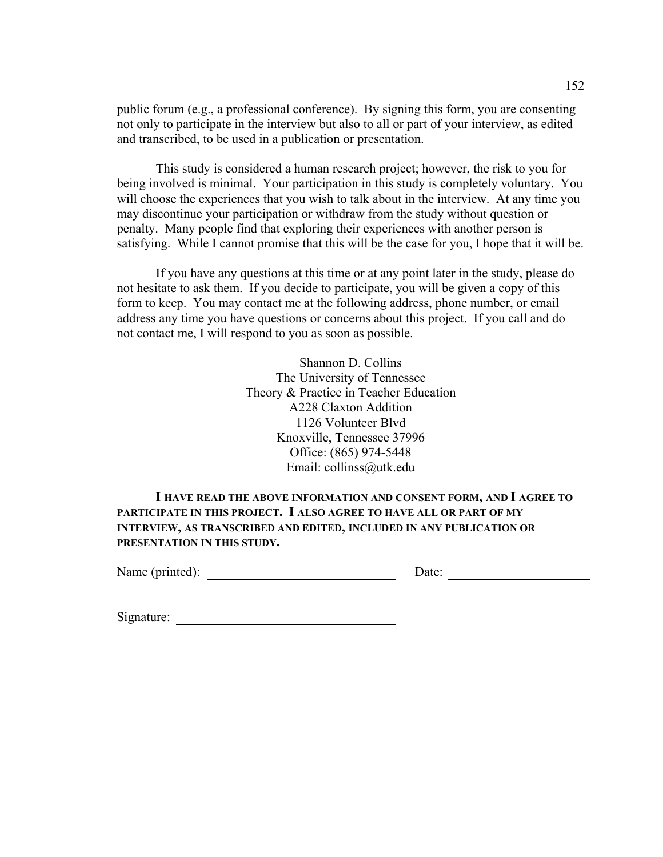public forum (e.g., a professional conference). By signing this form, you are consenting not only to participate in the interview but also to all or part of your interview, as edited and transcribed, to be used in a publication or presentation.

This study is considered a human research project; however, the risk to you for being involved is minimal. Your participation in this study is completely voluntary. You will choose the experiences that you wish to talk about in the interview. At any time you may discontinue your participation or withdraw from the study without question or penalty. Many people find that exploring their experiences with another person is satisfying. While I cannot promise that this will be the case for you, I hope that it will be.

If you have any questions at this time or at any point later in the study, please do not hesitate to ask them. If you decide to participate, you will be given a copy of this form to keep. You may contact me at the following address, phone number, or email address any time you have questions or concerns about this project. If you call and do not contact me, I will respond to you as soon as possible.

> Shannon D. Collins The University of Tennessee Theory & Practice in Teacher Education A228 Claxton Addition 1126 Volunteer Blvd Knoxville, Tennessee 37996 Office: (865) 974-5448 Email: collinss@utk.edu

 **I HAVE READ THE ABOVE INFORMATION AND CONSENT FORM, AND I AGREE TO PARTICIPATE IN THIS PROJECT. I ALSO AGREE TO HAVE ALL OR PART OF MY INTERVIEW, AS TRANSCRIBED AND EDITED, INCLUDED IN ANY PUBLICATION OR PRESENTATION IN THIS STUDY.** 

Name (printed): Date: Date:

Signature: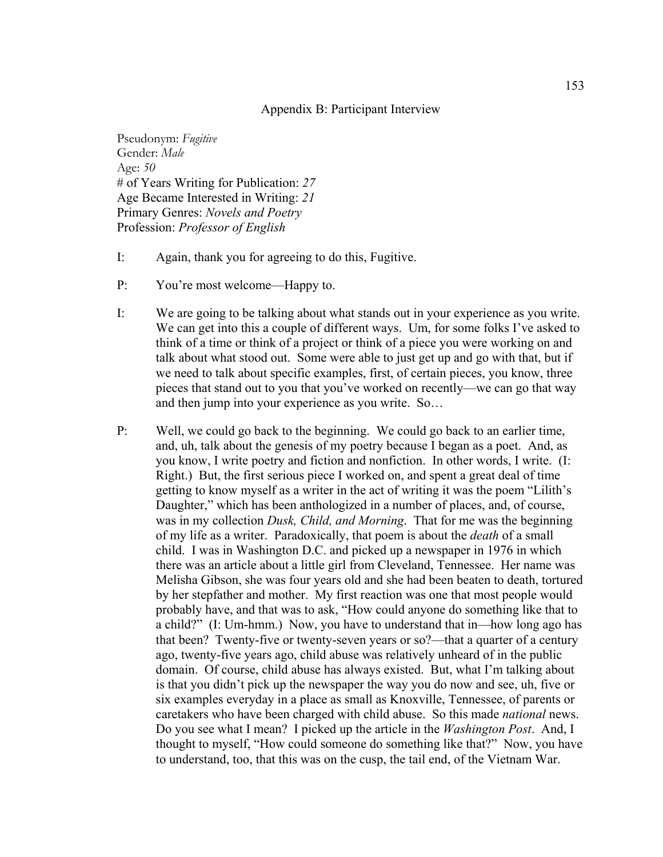## Appendix B: Participant Interview

Pseudonym: *Fugitive* Gender: *Male* Age: *50* # of Years Writing for Publication: *27* Age Became Interested in Writing: *21* Primary Genres: *Novels and Poetry* Profession: *Professor of English*

- I: Again, thank you for agreeing to do this, Fugitive.
- P: You're most welcome—Happy to.
- I: We are going to be talking about what stands out in your experience as you write. We can get into this a couple of different ways. Um, for some folks I've asked to think of a time or think of a project or think of a piece you were working on and talk about what stood out. Some were able to just get up and go with that, but if we need to talk about specific examples, first, of certain pieces, you know, three pieces that stand out to you that you've worked on recently—we can go that way and then jump into your experience as you write. So…
- P: Well, we could go back to the beginning. We could go back to an earlier time, and, uh, talk about the genesis of my poetry because I began as a poet. And, as you know, I write poetry and fiction and nonfiction. In other words, I write. (I: Right.) But, the first serious piece I worked on, and spent a great deal of time getting to know myself as a writer in the act of writing it was the poem "Lilith's Daughter," which has been anthologized in a number of places, and, of course, was in my collection *Dusk, Child, and Morning*. That for me was the beginning of my life as a writer. Paradoxically, that poem is about the *death* of a small child. I was in Washington D.C. and picked up a newspaper in 1976 in which there was an article about a little girl from Cleveland, Tennessee. Her name was Melisha Gibson, she was four years old and she had been beaten to death, tortured by her stepfather and mother. My first reaction was one that most people would probably have, and that was to ask, "How could anyone do something like that to a child?" (I: Um-hmm.) Now, you have to understand that in—how long ago has that been? Twenty-five or twenty-seven years or so?—that a quarter of a century ago, twenty-five years ago, child abuse was relatively unheard of in the public domain. Of course, child abuse has always existed. But, what I'm talking about is that you didn't pick up the newspaper the way you do now and see, uh, five or six examples everyday in a place as small as Knoxville, Tennessee, of parents or caretakers who have been charged with child abuse. So this made *national* news. Do you see what I mean? I picked up the article in the *Washington Post*. And, I thought to myself, "How could someone do something like that?" Now, you have to understand, too, that this was on the cusp, the tail end, of the Vietnam War.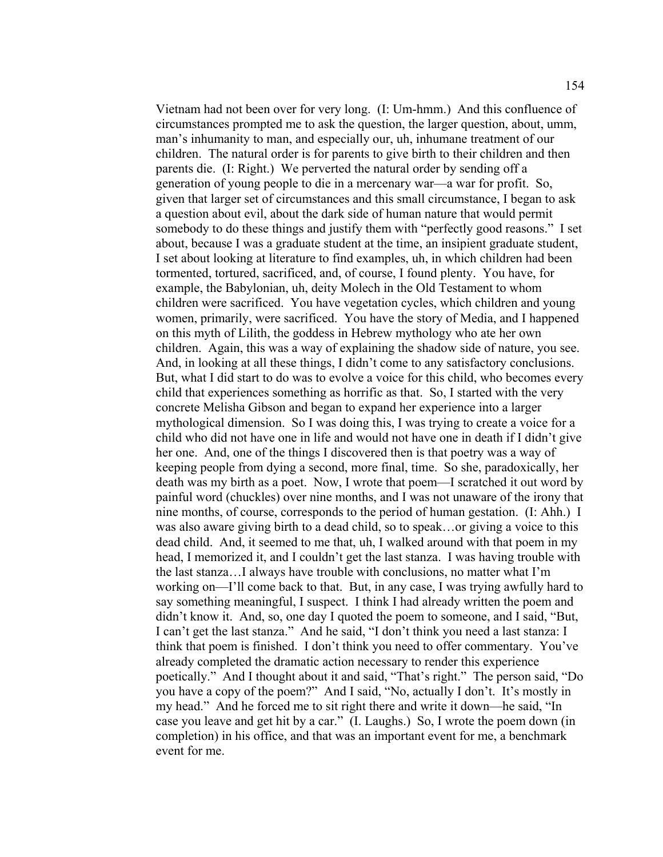Vietnam had not been over for very long. (I: Um-hmm.) And this confluence of circumstances prompted me to ask the question, the larger question, about, umm, man's inhumanity to man, and especially our, uh, inhumane treatment of our children. The natural order is for parents to give birth to their children and then parents die. (I: Right.) We perverted the natural order by sending off a generation of young people to die in a mercenary war—a war for profit. So, given that larger set of circumstances and this small circumstance, I began to ask a question about evil, about the dark side of human nature that would permit somebody to do these things and justify them with "perfectly good reasons." I set about, because I was a graduate student at the time, an insipient graduate student, I set about looking at literature to find examples, uh, in which children had been tormented, tortured, sacrificed, and, of course, I found plenty. You have, for example, the Babylonian, uh, deity Molech in the Old Testament to whom children were sacrificed. You have vegetation cycles, which children and young women, primarily, were sacrificed. You have the story of Media, and I happened on this myth of Lilith, the goddess in Hebrew mythology who ate her own children. Again, this was a way of explaining the shadow side of nature, you see. And, in looking at all these things, I didn't come to any satisfactory conclusions. But, what I did start to do was to evolve a voice for this child, who becomes every child that experiences something as horrific as that. So, I started with the very concrete Melisha Gibson and began to expand her experience into a larger mythological dimension. So I was doing this, I was trying to create a voice for a child who did not have one in life and would not have one in death if I didn't give her one. And, one of the things I discovered then is that poetry was a way of keeping people from dying a second, more final, time. So she, paradoxically, her death was my birth as a poet. Now, I wrote that poem—I scratched it out word by painful word (chuckles) over nine months, and I was not unaware of the irony that nine months, of course, corresponds to the period of human gestation. (I: Ahh.) I was also aware giving birth to a dead child, so to speak…or giving a voice to this dead child. And, it seemed to me that, uh, I walked around with that poem in my head, I memorized it, and I couldn't get the last stanza. I was having trouble with the last stanza…I always have trouble with conclusions, no matter what I'm working on—I'll come back to that. But, in any case, I was trying awfully hard to say something meaningful, I suspect. I think I had already written the poem and didn't know it. And, so, one day I quoted the poem to someone, and I said, "But, I can't get the last stanza." And he said, "I don't think you need a last stanza: I think that poem is finished. I don't think you need to offer commentary. You've already completed the dramatic action necessary to render this experience poetically." And I thought about it and said, "That's right." The person said, "Do you have a copy of the poem?" And I said, "No, actually I don't. It's mostly in my head." And he forced me to sit right there and write it down—he said, "In case you leave and get hit by a car." (I. Laughs.) So, I wrote the poem down (in completion) in his office, and that was an important event for me, a benchmark event for me.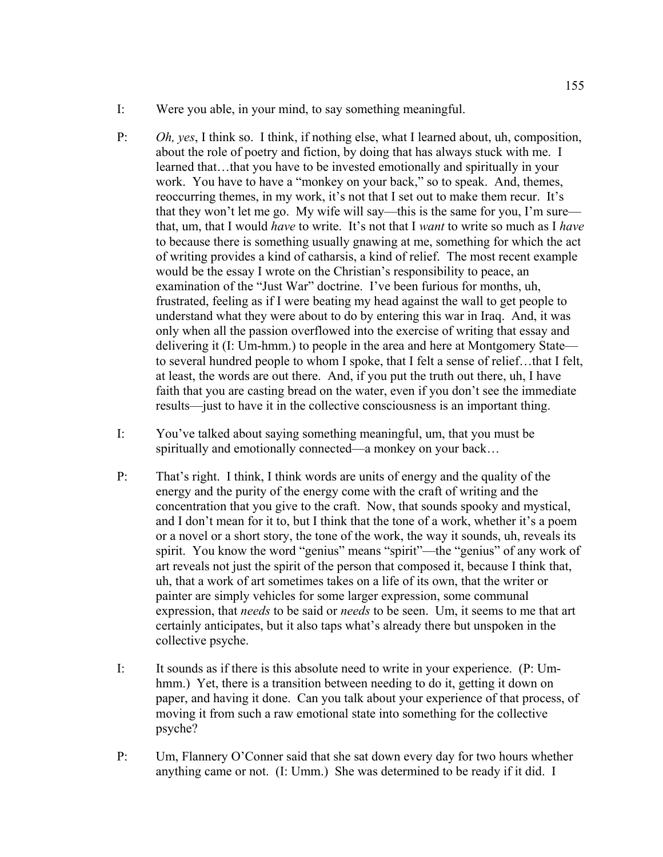- I: Were you able, in your mind, to say something meaningful.
- P: *Oh, yes*, I think so. I think, if nothing else, what I learned about, uh, composition, about the role of poetry and fiction, by doing that has always stuck with me. I learned that…that you have to be invested emotionally and spiritually in your work. You have to have a "monkey on your back," so to speak. And, themes, reoccurring themes, in my work, it's not that I set out to make them recur. It's that they won't let me go. My wife will say—this is the same for you, I'm sure that, um, that I would *have* to write. It's not that I *want* to write so much as I *have* to because there is something usually gnawing at me, something for which the act of writing provides a kind of catharsis, a kind of relief. The most recent example would be the essay I wrote on the Christian's responsibility to peace, an examination of the "Just War" doctrine. I've been furious for months, uh, frustrated, feeling as if I were beating my head against the wall to get people to understand what they were about to do by entering this war in Iraq. And, it was only when all the passion overflowed into the exercise of writing that essay and delivering it (I: Um-hmm.) to people in the area and here at Montgomery State to several hundred people to whom I spoke, that I felt a sense of relief…that I felt, at least, the words are out there. And, if you put the truth out there, uh, I have faith that you are casting bread on the water, even if you don't see the immediate results—just to have it in the collective consciousness is an important thing.
- I: You've talked about saying something meaningful, um, that you must be spiritually and emotionally connected—a monkey on your back…
- P: That's right. I think, I think words are units of energy and the quality of the energy and the purity of the energy come with the craft of writing and the concentration that you give to the craft. Now, that sounds spooky and mystical, and I don't mean for it to, but I think that the tone of a work, whether it's a poem or a novel or a short story, the tone of the work, the way it sounds, uh, reveals its spirit. You know the word "genius" means "spirit"—the "genius" of any work of art reveals not just the spirit of the person that composed it, because I think that, uh, that a work of art sometimes takes on a life of its own, that the writer or painter are simply vehicles for some larger expression, some communal expression, that *needs* to be said or *needs* to be seen. Um, it seems to me that art certainly anticipates, but it also taps what's already there but unspoken in the collective psyche.
- I: It sounds as if there is this absolute need to write in your experience. (P: Umhmm.) Yet, there is a transition between needing to do it, getting it down on paper, and having it done. Can you talk about your experience of that process, of moving it from such a raw emotional state into something for the collective psyche?
- P: Um, Flannery O'Conner said that she sat down every day for two hours whether anything came or not. (I: Umm.) She was determined to be ready if it did. I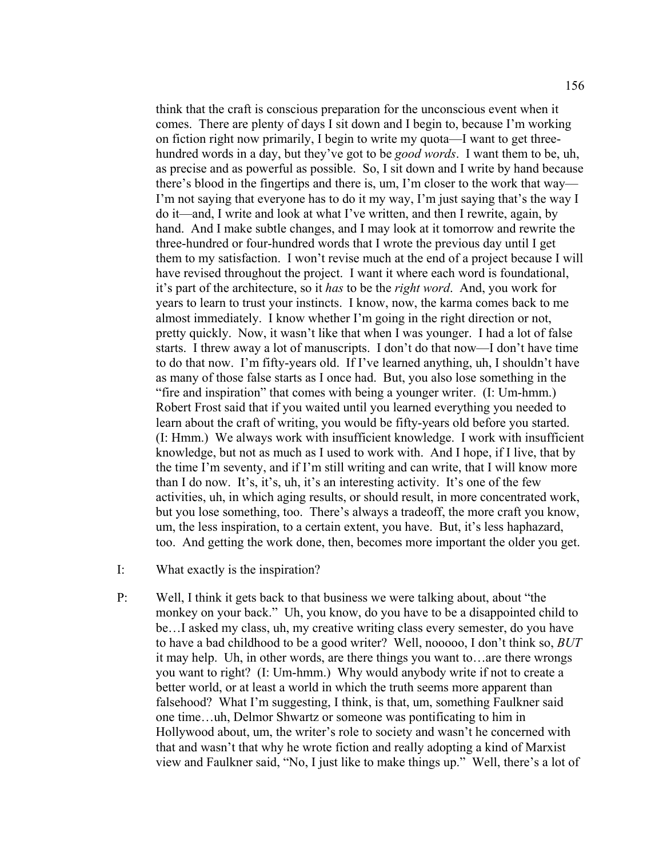think that the craft is conscious preparation for the unconscious event when it comes. There are plenty of days I sit down and I begin to, because I'm working on fiction right now primarily, I begin to write my quota—I want to get threehundred words in a day, but they've got to be *good words*. I want them to be, uh, as precise and as powerful as possible. So, I sit down and I write by hand because there's blood in the fingertips and there is, um, I'm closer to the work that way— I'm not saying that everyone has to do it my way, I'm just saying that's the way I do it—and, I write and look at what I've written, and then I rewrite, again, by hand. And I make subtle changes, and I may look at it tomorrow and rewrite the three-hundred or four-hundred words that I wrote the previous day until I get them to my satisfaction. I won't revise much at the end of a project because I will have revised throughout the project. I want it where each word is foundational, it's part of the architecture, so it *has* to be the *right word*. And, you work for years to learn to trust your instincts. I know, now, the karma comes back to me almost immediately. I know whether I'm going in the right direction or not, pretty quickly. Now, it wasn't like that when I was younger. I had a lot of false starts. I threw away a lot of manuscripts. I don't do that now—I don't have time to do that now. I'm fifty-years old. If I've learned anything, uh, I shouldn't have as many of those false starts as I once had. But, you also lose something in the "fire and inspiration" that comes with being a younger writer. (I: Um-hmm.) Robert Frost said that if you waited until you learned everything you needed to learn about the craft of writing, you would be fifty-years old before you started. (I: Hmm.) We always work with insufficient knowledge. I work with insufficient knowledge, but not as much as I used to work with. And I hope, if I live, that by the time I'm seventy, and if I'm still writing and can write, that I will know more than I do now. It's, it's, uh, it's an interesting activity. It's one of the few activities, uh, in which aging results, or should result, in more concentrated work, but you lose something, too. There's always a tradeoff, the more craft you know, um, the less inspiration, to a certain extent, you have. But, it's less haphazard, too. And getting the work done, then, becomes more important the older you get.

- I: What exactly is the inspiration?
- P: Well, I think it gets back to that business we were talking about, about "the monkey on your back." Uh, you know, do you have to be a disappointed child to be…I asked my class, uh, my creative writing class every semester, do you have to have a bad childhood to be a good writer? Well, nooooo, I don't think so, *BUT* it may help. Uh, in other words, are there things you want to…are there wrongs you want to right? (I: Um-hmm.) Why would anybody write if not to create a better world, or at least a world in which the truth seems more apparent than falsehood? What I'm suggesting, I think, is that, um, something Faulkner said one time…uh, Delmor Shwartz or someone was pontificating to him in Hollywood about, um, the writer's role to society and wasn't he concerned with that and wasn't that why he wrote fiction and really adopting a kind of Marxist view and Faulkner said, "No, I just like to make things up." Well, there's a lot of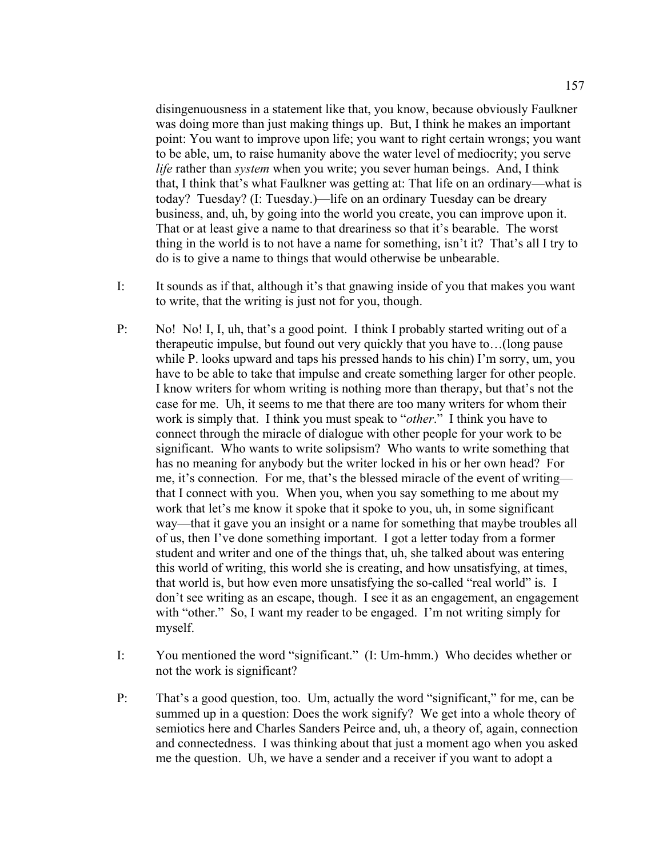disingenuousness in a statement like that, you know, because obviously Faulkner was doing more than just making things up. But, I think he makes an important point: You want to improve upon life; you want to right certain wrongs; you want to be able, um, to raise humanity above the water level of mediocrity; you serve *life* rather than *system* when you write; you sever human beings. And, I think that, I think that's what Faulkner was getting at: That life on an ordinary—what is today? Tuesday? (I: Tuesday.)—life on an ordinary Tuesday can be dreary business, and, uh, by going into the world you create, you can improve upon it. That or at least give a name to that dreariness so that it's bearable. The worst thing in the world is to not have a name for something, isn't it? That's all I try to do is to give a name to things that would otherwise be unbearable.

- I: It sounds as if that, although it's that gnawing inside of you that makes you want to write, that the writing is just not for you, though.
- P: No! No! I, I, uh, that's a good point. I think I probably started writing out of a therapeutic impulse, but found out very quickly that you have to…(long pause while P. looks upward and taps his pressed hands to his chin) I'm sorry, um, you have to be able to take that impulse and create something larger for other people. I know writers for whom writing is nothing more than therapy, but that's not the case for me. Uh, it seems to me that there are too many writers for whom their work is simply that. I think you must speak to "*other*." I think you have to connect through the miracle of dialogue with other people for your work to be significant. Who wants to write solipsism? Who wants to write something that has no meaning for anybody but the writer locked in his or her own head? For me, it's connection. For me, that's the blessed miracle of the event of writing that I connect with you. When you, when you say something to me about my work that let's me know it spoke that it spoke to you, uh, in some significant way—that it gave you an insight or a name for something that maybe troubles all of us, then I've done something important. I got a letter today from a former student and writer and one of the things that, uh, she talked about was entering this world of writing, this world she is creating, and how unsatisfying, at times, that world is, but how even more unsatisfying the so-called "real world" is. I don't see writing as an escape, though. I see it as an engagement, an engagement with "other." So, I want my reader to be engaged. I'm not writing simply for myself.
- I: You mentioned the word "significant." (I: Um-hmm.) Who decides whether or not the work is significant?
- P: That's a good question, too. Um, actually the word "significant," for me, can be summed up in a question: Does the work signify? We get into a whole theory of semiotics here and Charles Sanders Peirce and, uh, a theory of, again, connection and connectedness. I was thinking about that just a moment ago when you asked me the question. Uh, we have a sender and a receiver if you want to adopt a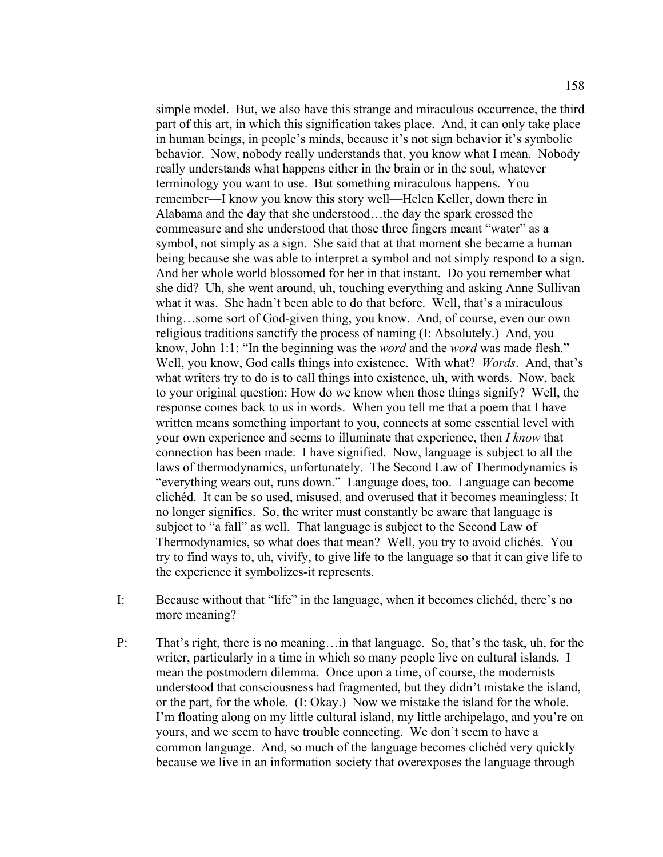simple model. But, we also have this strange and miraculous occurrence, the third part of this art, in which this signification takes place. And, it can only take place in human beings, in people's minds, because it's not sign behavior it's symbolic behavior. Now, nobody really understands that, you know what I mean. Nobody really understands what happens either in the brain or in the soul, whatever terminology you want to use. But something miraculous happens. You remember—I know you know this story well—Helen Keller, down there in Alabama and the day that she understood…the day the spark crossed the commeasure and she understood that those three fingers meant "water" as a symbol, not simply as a sign. She said that at that moment she became a human being because she was able to interpret a symbol and not simply respond to a sign. And her whole world blossomed for her in that instant. Do you remember what she did? Uh, she went around, uh, touching everything and asking Anne Sullivan what it was. She hadn't been able to do that before. Well, that's a miraculous thing…some sort of God-given thing, you know. And, of course, even our own religious traditions sanctify the process of naming (I: Absolutely.) And, you know, John 1:1: "In the beginning was the *word* and the *word* was made flesh." Well, you know, God calls things into existence. With what? *Words*. And, that's what writers try to do is to call things into existence, uh, with words. Now, back to your original question: How do we know when those things signify? Well, the response comes back to us in words. When you tell me that a poem that I have written means something important to you, connects at some essential level with your own experience and seems to illuminate that experience, then *I know* that connection has been made. I have signified. Now, language is subject to all the laws of thermodynamics, unfortunately. The Second Law of Thermodynamics is "everything wears out, runs down." Language does, too. Language can become clichéd. It can be so used, misused, and overused that it becomes meaningless: It no longer signifies. So, the writer must constantly be aware that language is subject to "a fall" as well. That language is subject to the Second Law of Thermodynamics, so what does that mean? Well, you try to avoid clichés. You try to find ways to, uh, vivify, to give life to the language so that it can give life to the experience it symbolizes-it represents.

- I: Because without that "life" in the language, when it becomes clichéd, there's no more meaning?
- P: That's right, there is no meaning... in that language. So, that's the task, uh, for the writer, particularly in a time in which so many people live on cultural islands. I mean the postmodern dilemma. Once upon a time, of course, the modernists understood that consciousness had fragmented, but they didn't mistake the island, or the part, for the whole. (I: Okay.) Now we mistake the island for the whole. I'm floating along on my little cultural island, my little archipelago, and you're on yours, and we seem to have trouble connecting. We don't seem to have a common language. And, so much of the language becomes clichéd very quickly because we live in an information society that overexposes the language through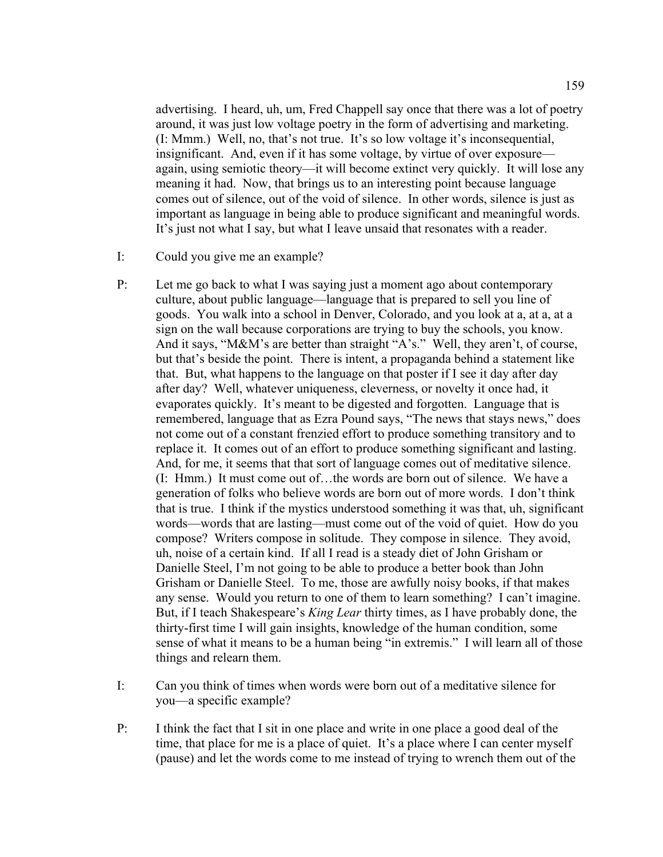advertising. I heard, uh, um, Fred Chappell say once that there was a lot of poetry around, it was just low voltage poetry in the form of advertising and marketing. (I: Mmm.) Well, no, that's not true. It's so low voltage it's inconsequential, insignificant. And, even if it has some voltage, by virtue of over exposure again, using semiotic theory—it will become extinct very quickly. It will lose any meaning it had. Now, that brings us to an interesting point because language comes out of silence, out of the void of silence. In other words, silence is just as important as language in being able to produce significant and meaningful words. It's just not what I say, but what I leave unsaid that resonates with a reader.

- I: Could you give me an example?
- P: Let me go back to what I was saying just a moment ago about contemporary culture, about public language—language that is prepared to sell you line of goods. You walk into a school in Denver, Colorado, and you look at a, at a, at a sign on the wall because corporations are trying to buy the schools, you know. And it says, "M&M's are better than straight "A's." Well, they aren't, of course, but that's beside the point. There is intent, a propaganda behind a statement like that. But, what happens to the language on that poster if I see it day after day after day? Well, whatever uniqueness, cleverness, or novelty it once had, it evaporates quickly. It's meant to be digested and forgotten. Language that is remembered, language that as Ezra Pound says, "The news that stays news," does not come out of a constant frenzied effort to produce something transitory and to replace it. It comes out of an effort to produce something significant and lasting. And, for me, it seems that that sort of language comes out of meditative silence. (I: Hmm.) It must come out of…the words are born out of silence. We have a generation of folks who believe words are born out of more words. I don't think that is true. I think if the mystics understood something it was that, uh, significant words—words that are lasting—must come out of the void of quiet. How do you compose? Writers compose in solitude. They compose in silence. They avoid, uh, noise of a certain kind. If all I read is a steady diet of John Grisham or Danielle Steel, I'm not going to be able to produce a better book than John Grisham or Danielle Steel. To me, those are awfully noisy books, if that makes any sense. Would you return to one of them to learn something? I can't imagine. But, if I teach Shakespeare's *King Lear* thirty times, as I have probably done, the thirty-first time I will gain insights, knowledge of the human condition, some sense of what it means to be a human being "in extremis." I will learn all of those things and relearn them.
- I: Can you think of times when words were born out of a meditative silence for you—a specific example?
- P: I think the fact that I sit in one place and write in one place a good deal of the time, that place for me is a place of quiet. It's a place where I can center myself (pause) and let the words come to me instead of trying to wrench them out of the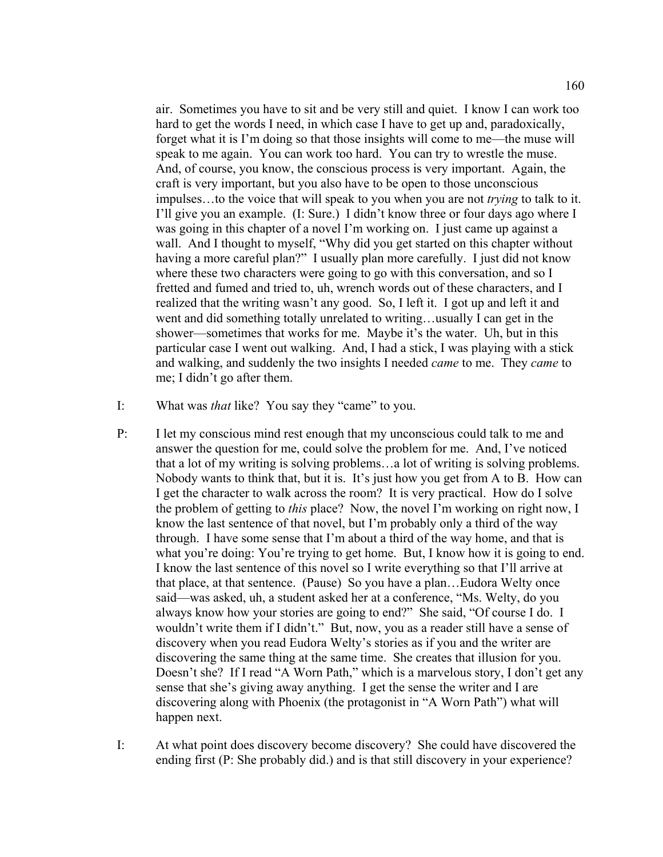air. Sometimes you have to sit and be very still and quiet. I know I can work too hard to get the words I need, in which case I have to get up and, paradoxically, forget what it is I'm doing so that those insights will come to me—the muse will speak to me again. You can work too hard. You can try to wrestle the muse. And, of course, you know, the conscious process is very important. Again, the craft is very important, but you also have to be open to those unconscious impulses…to the voice that will speak to you when you are not *trying* to talk to it. I'll give you an example. (I: Sure.) I didn't know three or four days ago where I was going in this chapter of a novel I'm working on. I just came up against a wall. And I thought to myself, "Why did you get started on this chapter without having a more careful plan?" I usually plan more carefully. I just did not know where these two characters were going to go with this conversation, and so I fretted and fumed and tried to, uh, wrench words out of these characters, and I realized that the writing wasn't any good. So, I left it. I got up and left it and went and did something totally unrelated to writing…usually I can get in the shower—sometimes that works for me. Maybe it's the water. Uh, but in this particular case I went out walking. And, I had a stick, I was playing with a stick and walking, and suddenly the two insights I needed *came* to me. They *came* to me; I didn't go after them.

- I: What was *that* like? You say they "came" to you.
- P: I let my conscious mind rest enough that my unconscious could talk to me and answer the question for me, could solve the problem for me. And, I've noticed that a lot of my writing is solving problems…a lot of writing is solving problems. Nobody wants to think that, but it is. It's just how you get from A to B. How can I get the character to walk across the room? It is very practical. How do I solve the problem of getting to *this* place? Now, the novel I'm working on right now, I know the last sentence of that novel, but I'm probably only a third of the way through. I have some sense that I'm about a third of the way home, and that is what you're doing: You're trying to get home. But, I know how it is going to end. I know the last sentence of this novel so I write everything so that I'll arrive at that place, at that sentence. (Pause) So you have a plan…Eudora Welty once said—was asked, uh, a student asked her at a conference, "Ms. Welty, do you always know how your stories are going to end?" She said, "Of course I do. I wouldn't write them if I didn't." But, now, you as a reader still have a sense of discovery when you read Eudora Welty's stories as if you and the writer are discovering the same thing at the same time. She creates that illusion for you. Doesn't she? If I read "A Worn Path," which is a marvelous story, I don't get any sense that she's giving away anything. I get the sense the writer and I are discovering along with Phoenix (the protagonist in "A Worn Path") what will happen next.
- I: At what point does discovery become discovery? She could have discovered the ending first (P: She probably did.) and is that still discovery in your experience?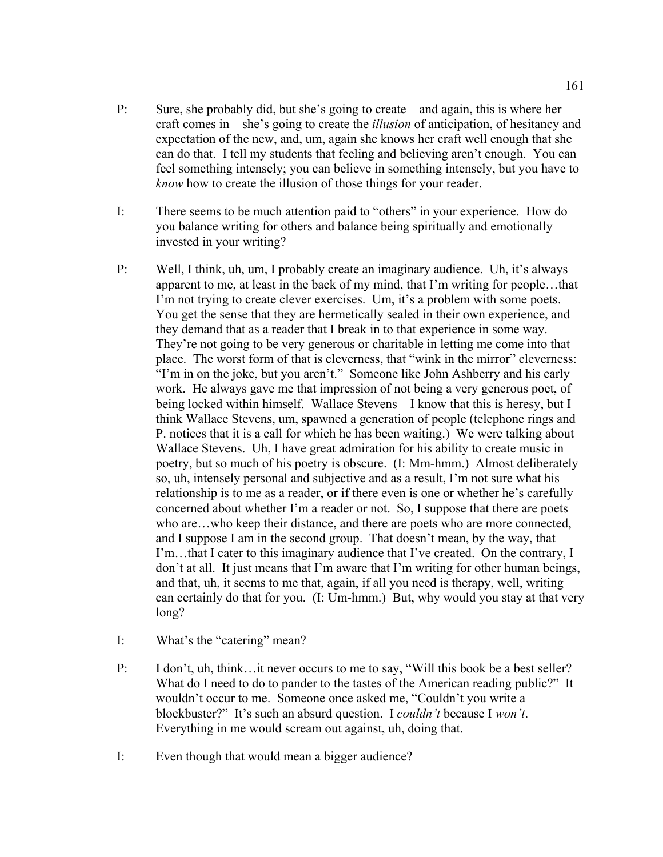- P: Sure, she probably did, but she's going to create—and again, this is where her craft comes in—she's going to create the *illusion* of anticipation, of hesitancy and expectation of the new, and, um, again she knows her craft well enough that she can do that. I tell my students that feeling and believing aren't enough. You can feel something intensely; you can believe in something intensely, but you have to *know* how to create the illusion of those things for your reader.
- I: There seems to be much attention paid to "others" in your experience. How do you balance writing for others and balance being spiritually and emotionally invested in your writing?
- P: Well, I think, uh, um, I probably create an imaginary audience. Uh, it's always apparent to me, at least in the back of my mind, that I'm writing for people…that I'm not trying to create clever exercises. Um, it's a problem with some poets. You get the sense that they are hermetically sealed in their own experience, and they demand that as a reader that I break in to that experience in some way. They're not going to be very generous or charitable in letting me come into that place. The worst form of that is cleverness, that "wink in the mirror" cleverness: "I'm in on the joke, but you aren't." Someone like John Ashberry and his early work. He always gave me that impression of not being a very generous poet, of being locked within himself. Wallace Stevens—I know that this is heresy, but I think Wallace Stevens, um, spawned a generation of people (telephone rings and P. notices that it is a call for which he has been waiting.) We were talking about Wallace Stevens. Uh, I have great admiration for his ability to create music in poetry, but so much of his poetry is obscure. (I: Mm-hmm.) Almost deliberately so, uh, intensely personal and subjective and as a result, I'm not sure what his relationship is to me as a reader, or if there even is one or whether he's carefully concerned about whether I'm a reader or not. So, I suppose that there are poets who are…who keep their distance, and there are poets who are more connected, and I suppose I am in the second group. That doesn't mean, by the way, that I'm…that I cater to this imaginary audience that I've created. On the contrary, I don't at all. It just means that I'm aware that I'm writing for other human beings, and that, uh, it seems to me that, again, if all you need is therapy, well, writing can certainly do that for you. (I: Um-hmm.) But, why would you stay at that very long?
- I: What's the "catering" mean?
- P: I don't, uh, think…it never occurs to me to say, "Will this book be a best seller? What do I need to do to pander to the tastes of the American reading public?" It wouldn't occur to me. Someone once asked me, "Couldn't you write a blockbuster?" It's such an absurd question. I *couldn't* because I *won't*. Everything in me would scream out against, uh, doing that.
- I: Even though that would mean a bigger audience?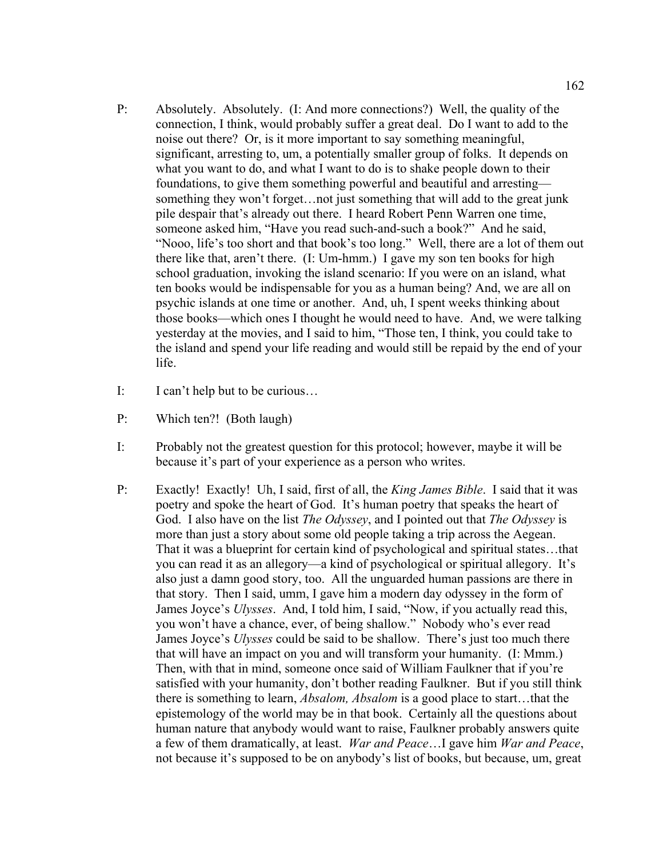- P: Absolutely. Absolutely. (I: And more connections?) Well, the quality of the connection, I think, would probably suffer a great deal. Do I want to add to the noise out there? Or, is it more important to say something meaningful, significant, arresting to, um, a potentially smaller group of folks. It depends on what you want to do, and what I want to do is to shake people down to their foundations, to give them something powerful and beautiful and arresting something they won't forget…not just something that will add to the great junk pile despair that's already out there. I heard Robert Penn Warren one time, someone asked him, "Have you read such-and-such a book?" And he said, "Nooo, life's too short and that book's too long." Well, there are a lot of them out there like that, aren't there. (I: Um-hmm.) I gave my son ten books for high school graduation, invoking the island scenario: If you were on an island, what ten books would be indispensable for you as a human being? And, we are all on psychic islands at one time or another. And, uh, I spent weeks thinking about those books—which ones I thought he would need to have. And, we were talking yesterday at the movies, and I said to him, "Those ten, I think, you could take to the island and spend your life reading and would still be repaid by the end of your life.
- I: I can't help but to be curious…
- P: Which ten?! (Both laugh)
- I: Probably not the greatest question for this protocol; however, maybe it will be because it's part of your experience as a person who writes.
- P: Exactly! Exactly! Uh, I said, first of all, the *King James Bible*. I said that it was poetry and spoke the heart of God. It's human poetry that speaks the heart of God. I also have on the list *The Odyssey*, and I pointed out that *The Odyssey* is more than just a story about some old people taking a trip across the Aegean. That it was a blueprint for certain kind of psychological and spiritual states…that you can read it as an allegory—a kind of psychological or spiritual allegory. It's also just a damn good story, too. All the unguarded human passions are there in that story. Then I said, umm, I gave him a modern day odyssey in the form of James Joyce's *Ulysses*. And, I told him, I said, "Now, if you actually read this, you won't have a chance, ever, of being shallow." Nobody who's ever read James Joyce's *Ulysses* could be said to be shallow. There's just too much there that will have an impact on you and will transform your humanity. (I: Mmm.) Then, with that in mind, someone once said of William Faulkner that if you're satisfied with your humanity, don't bother reading Faulkner. But if you still think there is something to learn, *Absalom, Absalom* is a good place to start…that the epistemology of the world may be in that book. Certainly all the questions about human nature that anybody would want to raise, Faulkner probably answers quite a few of them dramatically, at least. *War and Peace*…I gave him *War and Peace*, not because it's supposed to be on anybody's list of books, but because, um, great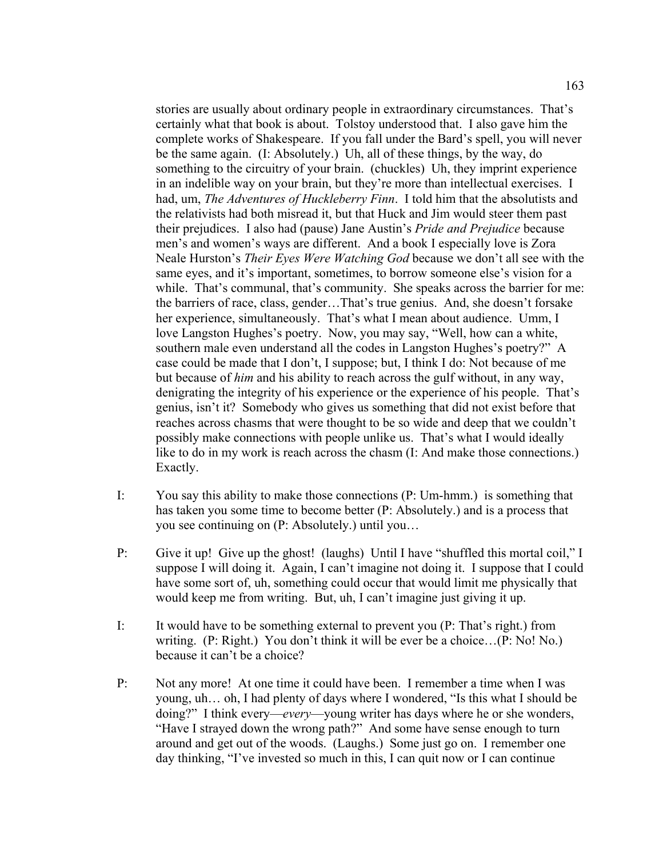stories are usually about ordinary people in extraordinary circumstances. That's certainly what that book is about. Tolstoy understood that. I also gave him the complete works of Shakespeare. If you fall under the Bard's spell, you will never be the same again. (I: Absolutely.) Uh, all of these things, by the way, do something to the circuitry of your brain. (chuckles) Uh, they imprint experience in an indelible way on your brain, but they're more than intellectual exercises. I had, um, *The Adventures of Huckleberry Finn*. I told him that the absolutists and the relativists had both misread it, but that Huck and Jim would steer them past their prejudices. I also had (pause) Jane Austin's *Pride and Prejudice* because men's and women's ways are different. And a book I especially love is Zora Neale Hurston's *Their Eyes Were Watching God* because we don't all see with the same eyes, and it's important, sometimes, to borrow someone else's vision for a while. That's communal, that's community. She speaks across the barrier for me: the barriers of race, class, gender…That's true genius. And, she doesn't forsake her experience, simultaneously. That's what I mean about audience. Umm, I love Langston Hughes's poetry. Now, you may say, "Well, how can a white, southern male even understand all the codes in Langston Hughes's poetry?" A case could be made that I don't, I suppose; but, I think I do: Not because of me but because of *him* and his ability to reach across the gulf without, in any way, denigrating the integrity of his experience or the experience of his people. That's genius, isn't it? Somebody who gives us something that did not exist before that reaches across chasms that were thought to be so wide and deep that we couldn't possibly make connections with people unlike us. That's what I would ideally like to do in my work is reach across the chasm (I: And make those connections.) Exactly.

- I: You say this ability to make those connections (P: Um-hmm.) is something that has taken you some time to become better (P: Absolutely.) and is a process that you see continuing on (P: Absolutely.) until you…
- P: Give it up! Give up the ghost! (laughs) Until I have "shuffled this mortal coil," I suppose I will doing it. Again, I can't imagine not doing it. I suppose that I could have some sort of, uh, something could occur that would limit me physically that would keep me from writing. But, uh, I can't imagine just giving it up.
- I: It would have to be something external to prevent you (P: That's right.) from writing. (P: Right.) You don't think it will be ever be a choice…(P: No! No.) because it can't be a choice?
- P: Not any more! At one time it could have been. I remember a time when I was young, uh… oh, I had plenty of days where I wondered, "Is this what I should be doing?" I think every—*every*—young writer has days where he or she wonders, "Have I strayed down the wrong path?" And some have sense enough to turn around and get out of the woods. (Laughs.) Some just go on. I remember one day thinking, "I've invested so much in this, I can quit now or I can continue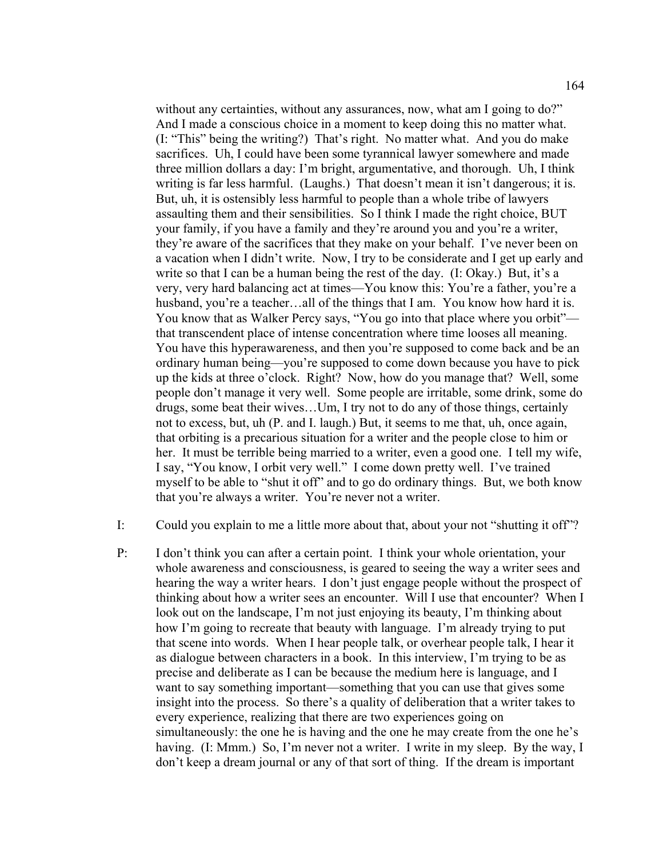without any certainties, without any assurances, now, what am I going to do?" And I made a conscious choice in a moment to keep doing this no matter what. (I: "This" being the writing?) That's right. No matter what. And you do make sacrifices. Uh, I could have been some tyrannical lawyer somewhere and made three million dollars a day: I'm bright, argumentative, and thorough. Uh, I think writing is far less harmful. (Laughs.) That doesn't mean it isn't dangerous; it is. But, uh, it is ostensibly less harmful to people than a whole tribe of lawyers assaulting them and their sensibilities. So I think I made the right choice, BUT your family, if you have a family and they're around you and you're a writer, they're aware of the sacrifices that they make on your behalf. I've never been on a vacation when I didn't write. Now, I try to be considerate and I get up early and write so that I can be a human being the rest of the day. (I: Okay.) But, it's a very, very hard balancing act at times—You know this: You're a father, you're a husband, you're a teacher...all of the things that I am. You know how hard it is. You know that as Walker Percy says, "You go into that place where you orbit" that transcendent place of intense concentration where time looses all meaning. You have this hyperawareness, and then you're supposed to come back and be an ordinary human being—you're supposed to come down because you have to pick up the kids at three o'clock. Right? Now, how do you manage that? Well, some people don't manage it very well. Some people are irritable, some drink, some do drugs, some beat their wives…Um, I try not to do any of those things, certainly not to excess, but, uh (P. and I. laugh.) But, it seems to me that, uh, once again, that orbiting is a precarious situation for a writer and the people close to him or her. It must be terrible being married to a writer, even a good one. I tell my wife, I say, "You know, I orbit very well." I come down pretty well. I've trained myself to be able to "shut it off" and to go do ordinary things. But, we both know that you're always a writer. You're never not a writer.

- I: Could you explain to me a little more about that, about your not "shutting it off"?
- P: I don't think you can after a certain point. I think your whole orientation, your whole awareness and consciousness, is geared to seeing the way a writer sees and hearing the way a writer hears. I don't just engage people without the prospect of thinking about how a writer sees an encounter. Will I use that encounter? When I look out on the landscape, I'm not just enjoying its beauty, I'm thinking about how I'm going to recreate that beauty with language. I'm already trying to put that scene into words. When I hear people talk, or overhear people talk, I hear it as dialogue between characters in a book. In this interview, I'm trying to be as precise and deliberate as I can be because the medium here is language, and I want to say something important—something that you can use that gives some insight into the process. So there's a quality of deliberation that a writer takes to every experience, realizing that there are two experiences going on simultaneously: the one he is having and the one he may create from the one he's having. (I: Mmm.) So, I'm never not a writer. I write in my sleep. By the way, I don't keep a dream journal or any of that sort of thing. If the dream is important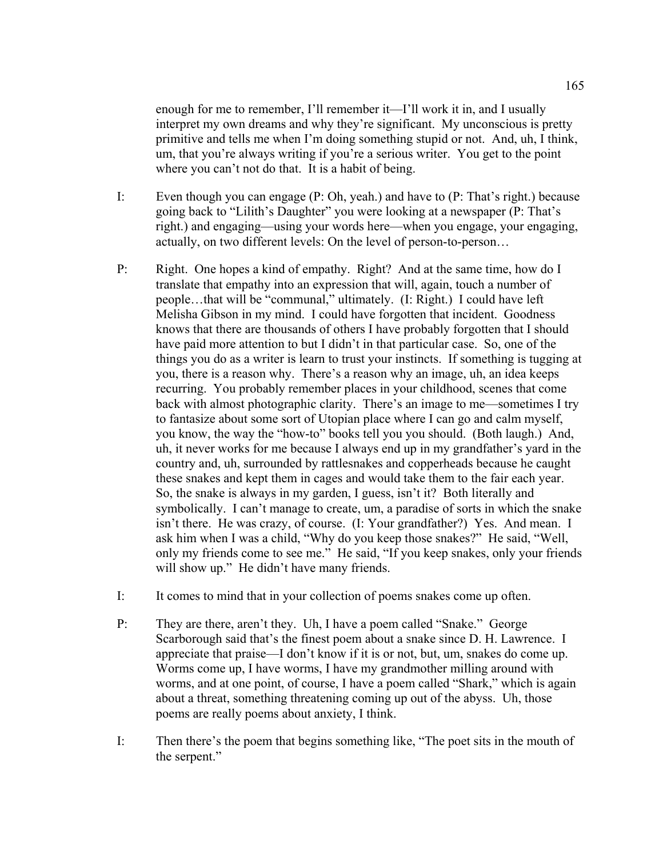enough for me to remember, I'll remember it—I'll work it in, and I usually interpret my own dreams and why they're significant. My unconscious is pretty primitive and tells me when I'm doing something stupid or not. And, uh, I think, um, that you're always writing if you're a serious writer. You get to the point where you can't not do that. It is a habit of being.

- I: Even though you can engage (P: Oh, yeah.) and have to (P: That's right.) because going back to "Lilith's Daughter" you were looking at a newspaper (P: That's right.) and engaging—using your words here—when you engage, your engaging, actually, on two different levels: On the level of person-to-person…
- P: Right. One hopes a kind of empathy. Right? And at the same time, how do I translate that empathy into an expression that will, again, touch a number of people…that will be "communal," ultimately. (I: Right.) I could have left Melisha Gibson in my mind. I could have forgotten that incident. Goodness knows that there are thousands of others I have probably forgotten that I should have paid more attention to but I didn't in that particular case. So, one of the things you do as a writer is learn to trust your instincts. If something is tugging at you, there is a reason why. There's a reason why an image, uh, an idea keeps recurring. You probably remember places in your childhood, scenes that come back with almost photographic clarity. There's an image to me—sometimes I try to fantasize about some sort of Utopian place where I can go and calm myself, you know, the way the "how-to" books tell you you should. (Both laugh.) And, uh, it never works for me because I always end up in my grandfather's yard in the country and, uh, surrounded by rattlesnakes and copperheads because he caught these snakes and kept them in cages and would take them to the fair each year. So, the snake is always in my garden, I guess, isn't it? Both literally and symbolically. I can't manage to create, um, a paradise of sorts in which the snake isn't there. He was crazy, of course. (I: Your grandfather?) Yes. And mean. I ask him when I was a child, "Why do you keep those snakes?" He said, "Well, only my friends come to see me." He said, "If you keep snakes, only your friends will show up." He didn't have many friends.
- I: It comes to mind that in your collection of poems snakes come up often.
- P: They are there, aren't they. Uh, I have a poem called "Snake." George Scarborough said that's the finest poem about a snake since D. H. Lawrence. I appreciate that praise—I don't know if it is or not, but, um, snakes do come up. Worms come up, I have worms, I have my grandmother milling around with worms, and at one point, of course, I have a poem called "Shark," which is again about a threat, something threatening coming up out of the abyss. Uh, those poems are really poems about anxiety, I think.
- I: Then there's the poem that begins something like, "The poet sits in the mouth of the serpent."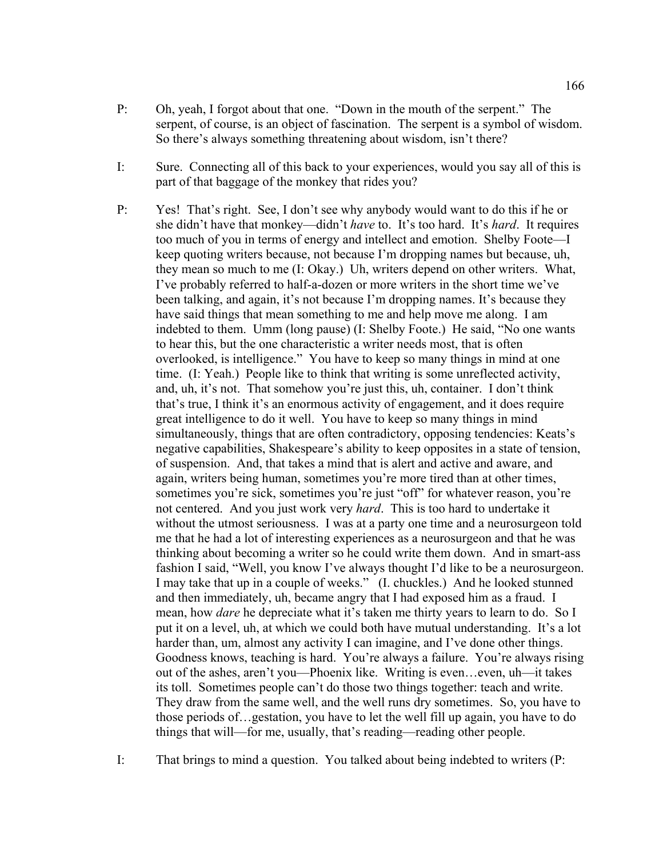- P: Oh, yeah, I forgot about that one. "Down in the mouth of the serpent." The serpent, of course, is an object of fascination. The serpent is a symbol of wisdom. So there's always something threatening about wisdom, isn't there?
- I: Sure. Connecting all of this back to your experiences, would you say all of this is part of that baggage of the monkey that rides you?
- P: Yes! That's right. See, I don't see why anybody would want to do this if he or she didn't have that monkey—didn't *have* to. It's too hard. It's *hard*. It requires too much of you in terms of energy and intellect and emotion. Shelby Foote—I keep quoting writers because, not because I'm dropping names but because, uh, they mean so much to me (I: Okay.) Uh, writers depend on other writers. What, I've probably referred to half-a-dozen or more writers in the short time we've been talking, and again, it's not because I'm dropping names. It's because they have said things that mean something to me and help move me along. I am indebted to them. Umm (long pause) (I: Shelby Foote.) He said, "No one wants to hear this, but the one characteristic a writer needs most, that is often overlooked, is intelligence." You have to keep so many things in mind at one time. (I: Yeah.) People like to think that writing is some unreflected activity, and, uh, it's not. That somehow you're just this, uh, container. I don't think that's true, I think it's an enormous activity of engagement, and it does require great intelligence to do it well. You have to keep so many things in mind simultaneously, things that are often contradictory, opposing tendencies: Keats's negative capabilities, Shakespeare's ability to keep opposites in a state of tension, of suspension. And, that takes a mind that is alert and active and aware, and again, writers being human, sometimes you're more tired than at other times, sometimes you're sick, sometimes you're just "off" for whatever reason, you're not centered. And you just work very *hard*. This is too hard to undertake it without the utmost seriousness. I was at a party one time and a neurosurgeon told me that he had a lot of interesting experiences as a neurosurgeon and that he was thinking about becoming a writer so he could write them down. And in smart-ass fashion I said, "Well, you know I've always thought I'd like to be a neurosurgeon. I may take that up in a couple of weeks." (I. chuckles.) And he looked stunned and then immediately, uh, became angry that I had exposed him as a fraud. I mean, how *dare* he depreciate what it's taken me thirty years to learn to do. So I put it on a level, uh, at which we could both have mutual understanding. It's a lot harder than, um, almost any activity I can imagine, and I've done other things. Goodness knows, teaching is hard. You're always a failure. You're always rising out of the ashes, aren't you—Phoenix like. Writing is even…even, uh—it takes its toll. Sometimes people can't do those two things together: teach and write. They draw from the same well, and the well runs dry sometimes. So, you have to those periods of…gestation, you have to let the well fill up again, you have to do things that will—for me, usually, that's reading—reading other people.
- I: That brings to mind a question. You talked about being indebted to writers (P: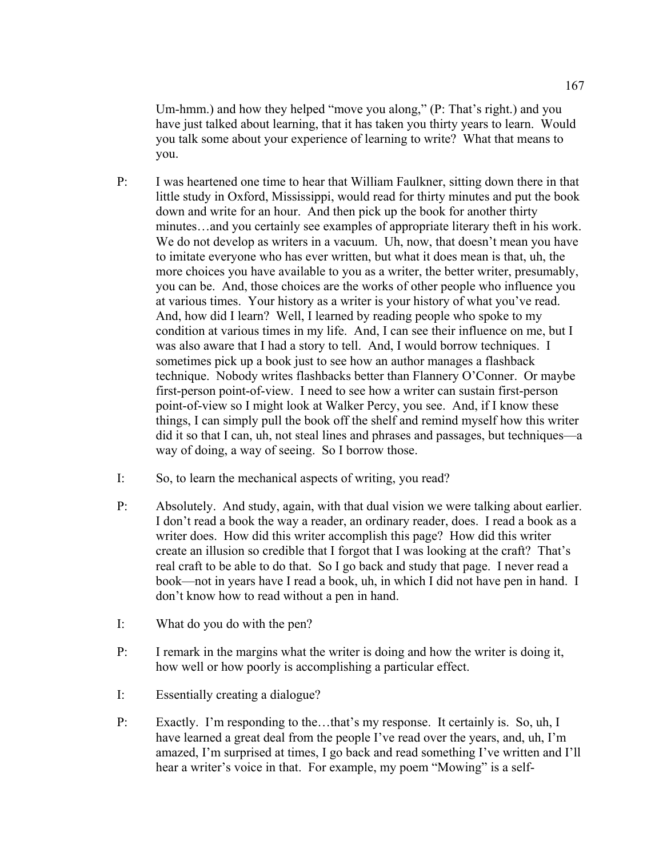Um-hmm.) and how they helped "move you along," (P: That's right.) and you have just talked about learning, that it has taken you thirty years to learn. Would you talk some about your experience of learning to write? What that means to you.

- P: I was heartened one time to hear that William Faulkner, sitting down there in that little study in Oxford, Mississippi, would read for thirty minutes and put the book down and write for an hour. And then pick up the book for another thirty minutes…and you certainly see examples of appropriate literary theft in his work. We do not develop as writers in a vacuum. Uh, now, that doesn't mean you have to imitate everyone who has ever written, but what it does mean is that, uh, the more choices you have available to you as a writer, the better writer, presumably, you can be. And, those choices are the works of other people who influence you at various times. Your history as a writer is your history of what you've read. And, how did I learn? Well, I learned by reading people who spoke to my condition at various times in my life. And, I can see their influence on me, but I was also aware that I had a story to tell. And, I would borrow techniques. I sometimes pick up a book just to see how an author manages a flashback technique. Nobody writes flashbacks better than Flannery O'Conner. Or maybe first-person point-of-view. I need to see how a writer can sustain first-person point-of-view so I might look at Walker Percy, you see. And, if I know these things, I can simply pull the book off the shelf and remind myself how this writer did it so that I can, uh, not steal lines and phrases and passages, but techniques—a way of doing, a way of seeing. So I borrow those.
- I: So, to learn the mechanical aspects of writing, you read?
- P: Absolutely. And study, again, with that dual vision we were talking about earlier. I don't read a book the way a reader, an ordinary reader, does. I read a book as a writer does. How did this writer accomplish this page? How did this writer create an illusion so credible that I forgot that I was looking at the craft? That's real craft to be able to do that. So I go back and study that page. I never read a book—not in years have I read a book, uh, in which I did not have pen in hand. I don't know how to read without a pen in hand.
- I: What do you do with the pen?
- P: I remark in the margins what the writer is doing and how the writer is doing it, how well or how poorly is accomplishing a particular effect.
- I: Essentially creating a dialogue?
- P: Exactly. I'm responding to the…that's my response. It certainly is. So, uh, I have learned a great deal from the people I've read over the years, and, uh, I'm amazed, I'm surprised at times, I go back and read something I've written and I'll hear a writer's voice in that. For example, my poem "Mowing" is a self-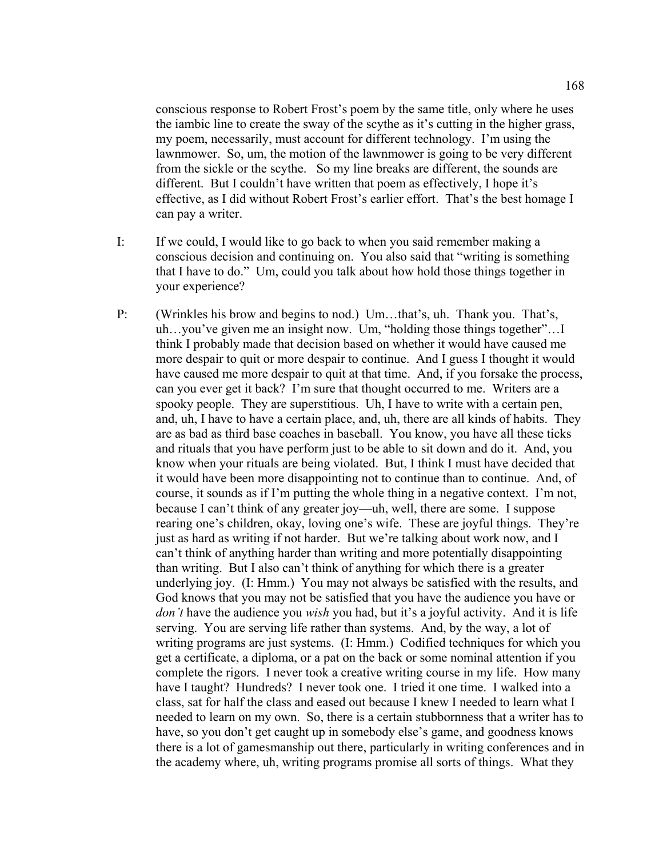conscious response to Robert Frost's poem by the same title, only where he uses the iambic line to create the sway of the scythe as it's cutting in the higher grass, my poem, necessarily, must account for different technology. I'm using the lawnmower. So, um, the motion of the lawnmower is going to be very different from the sickle or the scythe. So my line breaks are different, the sounds are different. But I couldn't have written that poem as effectively, I hope it's effective, as I did without Robert Frost's earlier effort. That's the best homage I can pay a writer.

- I: If we could, I would like to go back to when you said remember making a conscious decision and continuing on. You also said that "writing is something that I have to do." Um, could you talk about how hold those things together in your experience?
- P: (Wrinkles his brow and begins to nod.) Um…that's, uh. Thank you. That's, uh…you've given me an insight now. Um, "holding those things together"…I think I probably made that decision based on whether it would have caused me more despair to quit or more despair to continue. And I guess I thought it would have caused me more despair to quit at that time. And, if you forsake the process, can you ever get it back? I'm sure that thought occurred to me. Writers are a spooky people. They are superstitious. Uh, I have to write with a certain pen, and, uh, I have to have a certain place, and, uh, there are all kinds of habits. They are as bad as third base coaches in baseball. You know, you have all these ticks and rituals that you have perform just to be able to sit down and do it. And, you know when your rituals are being violated. But, I think I must have decided that it would have been more disappointing not to continue than to continue. And, of course, it sounds as if I'm putting the whole thing in a negative context. I'm not, because I can't think of any greater joy—uh, well, there are some. I suppose rearing one's children, okay, loving one's wife. These are joyful things. They're just as hard as writing if not harder. But we're talking about work now, and I can't think of anything harder than writing and more potentially disappointing than writing. But I also can't think of anything for which there is a greater underlying joy. (I: Hmm.) You may not always be satisfied with the results, and God knows that you may not be satisfied that you have the audience you have or *don't* have the audience you *wish* you had, but it's a joyful activity. And it is life serving. You are serving life rather than systems. And, by the way, a lot of writing programs are just systems. (I: Hmm.) Codified techniques for which you get a certificate, a diploma, or a pat on the back or some nominal attention if you complete the rigors. I never took a creative writing course in my life. How many have I taught? Hundreds? I never took one. I tried it one time. I walked into a class, sat for half the class and eased out because I knew I needed to learn what I needed to learn on my own. So, there is a certain stubbornness that a writer has to have, so you don't get caught up in somebody else's game, and goodness knows there is a lot of gamesmanship out there, particularly in writing conferences and in the academy where, uh, writing programs promise all sorts of things. What they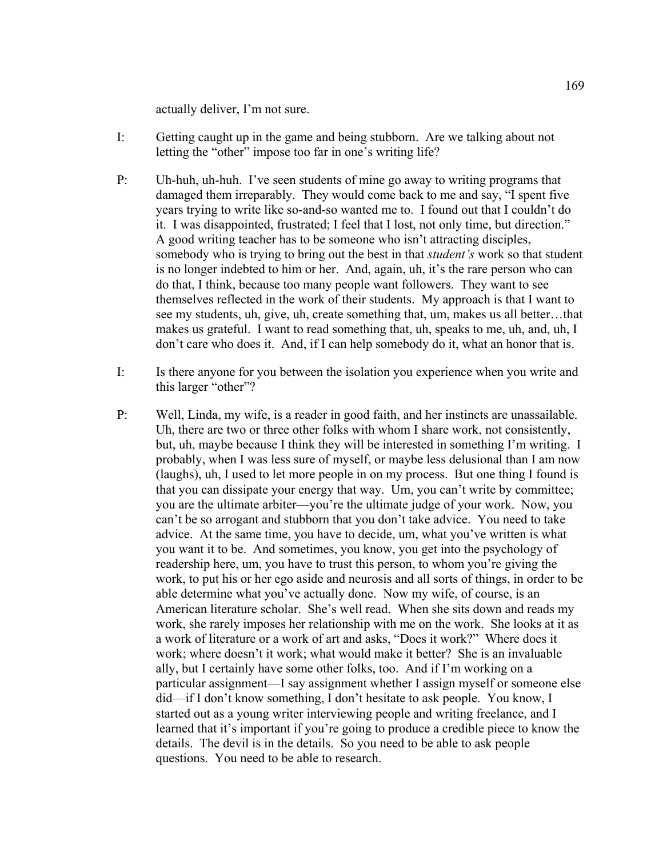actually deliver, I'm not sure.

- I: Getting caught up in the game and being stubborn. Are we talking about not letting the "other" impose too far in one's writing life?
- P: Uh-huh, uh-huh. I've seen students of mine go away to writing programs that damaged them irreparably. They would come back to me and say, "I spent five years trying to write like so-and-so wanted me to. I found out that I couldn't do it. I was disappointed, frustrated; I feel that I lost, not only time, but direction." A good writing teacher has to be someone who isn't attracting disciples, somebody who is trying to bring out the best in that *student's* work so that student is no longer indebted to him or her. And, again, uh, it's the rare person who can do that, I think, because too many people want followers. They want to see themselves reflected in the work of their students. My approach is that I want to see my students, uh, give, uh, create something that, um, makes us all better…that makes us grateful. I want to read something that, uh, speaks to me, uh, and, uh, I don't care who does it. And, if I can help somebody do it, what an honor that is.
- I: Is there anyone for you between the isolation you experience when you write and this larger "other"?
- P: Well, Linda, my wife, is a reader in good faith, and her instincts are unassailable. Uh, there are two or three other folks with whom I share work, not consistently, but, uh, maybe because I think they will be interested in something I'm writing. I probably, when I was less sure of myself, or maybe less delusional than I am now (laughs), uh, I used to let more people in on my process. But one thing I found is that you can dissipate your energy that way. Um, you can't write by committee; you are the ultimate arbiter—you're the ultimate judge of your work. Now, you can't be so arrogant and stubborn that you don't take advice. You need to take advice. At the same time, you have to decide, um, what you've written is what you want it to be. And sometimes, you know, you get into the psychology of readership here, um, you have to trust this person, to whom you're giving the work, to put his or her ego aside and neurosis and all sorts of things, in order to be able determine what you've actually done. Now my wife, of course, is an American literature scholar. She's well read. When she sits down and reads my work, she rarely imposes her relationship with me on the work. She looks at it as a work of literature or a work of art and asks, "Does it work?" Where does it work; where doesn't it work; what would make it better? She is an invaluable ally, but I certainly have some other folks, too. And if I'm working on a particular assignment—I say assignment whether I assign myself or someone else did—if I don't know something, I don't hesitate to ask people. You know, I started out as a young writer interviewing people and writing freelance, and I learned that it's important if you're going to produce a credible piece to know the details. The devil is in the details. So you need to be able to ask people questions. You need to be able to research.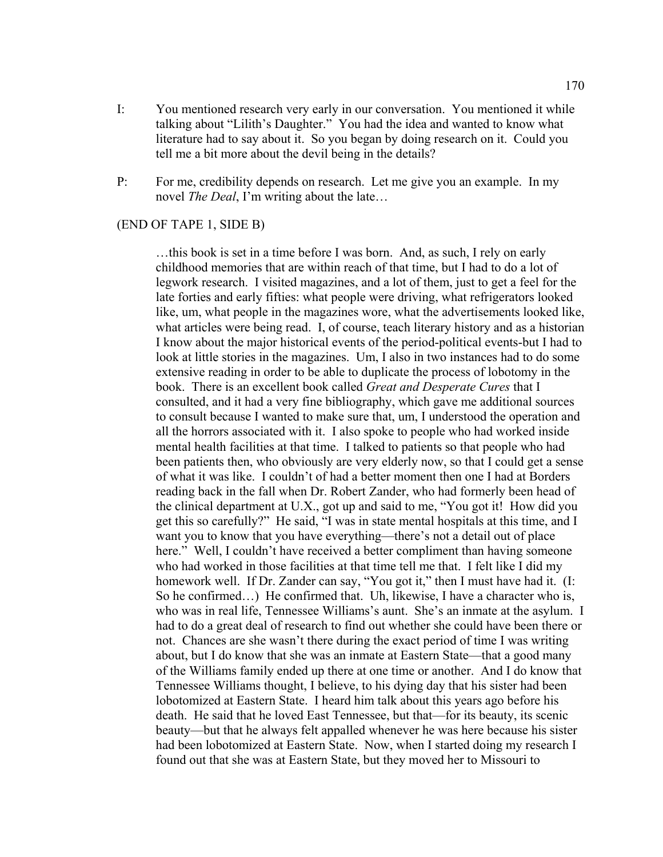- I: You mentioned research very early in our conversation. You mentioned it while talking about "Lilith's Daughter." You had the idea and wanted to know what literature had to say about it. So you began by doing research on it. Could you tell me a bit more about the devil being in the details?
- P: For me, credibility depends on research. Let me give you an example. In my novel *The Deal*, I'm writing about the late…

## (END OF TAPE 1, SIDE B)

 …this book is set in a time before I was born. And, as such, I rely on early childhood memories that are within reach of that time, but I had to do a lot of legwork research. I visited magazines, and a lot of them, just to get a feel for the late forties and early fifties: what people were driving, what refrigerators looked like, um, what people in the magazines wore, what the advertisements looked like, what articles were being read. I, of course, teach literary history and as a historian I know about the major historical events of the period-political events-but I had to look at little stories in the magazines. Um, I also in two instances had to do some extensive reading in order to be able to duplicate the process of lobotomy in the book. There is an excellent book called *Great and Desperate Cures* that I consulted, and it had a very fine bibliography, which gave me additional sources to consult because I wanted to make sure that, um, I understood the operation and all the horrors associated with it. I also spoke to people who had worked inside mental health facilities at that time. I talked to patients so that people who had been patients then, who obviously are very elderly now, so that I could get a sense of what it was like. I couldn't of had a better moment then one I had at Borders reading back in the fall when Dr. Robert Zander, who had formerly been head of the clinical department at U.X., got up and said to me, "You got it! How did you get this so carefully?" He said, "I was in state mental hospitals at this time, and I want you to know that you have everything—there's not a detail out of place here." Well, I couldn't have received a better compliment than having someone who had worked in those facilities at that time tell me that. I felt like I did my homework well. If Dr. Zander can say, "You got it," then I must have had it. (I: So he confirmed…) He confirmed that. Uh, likewise, I have a character who is, who was in real life, Tennessee Williams's aunt. She's an inmate at the asylum. I had to do a great deal of research to find out whether she could have been there or not. Chances are she wasn't there during the exact period of time I was writing about, but I do know that she was an inmate at Eastern State—that a good many of the Williams family ended up there at one time or another. And I do know that Tennessee Williams thought, I believe, to his dying day that his sister had been lobotomized at Eastern State. I heard him talk about this years ago before his death. He said that he loved East Tennessee, but that—for its beauty, its scenic beauty—but that he always felt appalled whenever he was here because his sister had been lobotomized at Eastern State. Now, when I started doing my research I found out that she was at Eastern State, but they moved her to Missouri to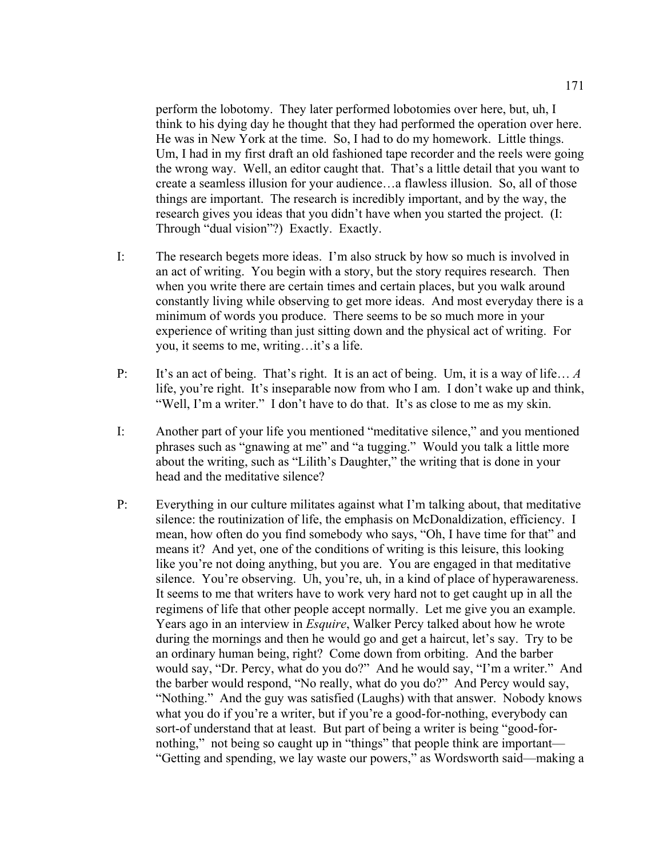perform the lobotomy. They later performed lobotomies over here, but, uh, I think to his dying day he thought that they had performed the operation over here. He was in New York at the time. So, I had to do my homework. Little things. Um, I had in my first draft an old fashioned tape recorder and the reels were going the wrong way. Well, an editor caught that. That's a little detail that you want to create a seamless illusion for your audience…a flawless illusion. So, all of those things are important. The research is incredibly important, and by the way, the research gives you ideas that you didn't have when you started the project. (I: Through "dual vision"?) Exactly. Exactly.

- I: The research begets more ideas. I'm also struck by how so much is involved in an act of writing. You begin with a story, but the story requires research. Then when you write there are certain times and certain places, but you walk around constantly living while observing to get more ideas. And most everyday there is a minimum of words you produce. There seems to be so much more in your experience of writing than just sitting down and the physical act of writing. For you, it seems to me, writing…it's a life.
- P: It's an act of being. That's right. It is an act of being. Um, it is a way of life… *A* life, you're right. It's inseparable now from who I am. I don't wake up and think, "Well, I'm a writer." I don't have to do that. It's as close to me as my skin.
- I: Another part of your life you mentioned "meditative silence," and you mentioned phrases such as "gnawing at me" and "a tugging." Would you talk a little more about the writing, such as "Lilith's Daughter," the writing that is done in your head and the meditative silence?
- P: Everything in our culture militates against what I'm talking about, that meditative silence: the routinization of life, the emphasis on McDonaldization, efficiency. I mean, how often do you find somebody who says, "Oh, I have time for that" and means it? And yet, one of the conditions of writing is this leisure, this looking like you're not doing anything, but you are. You are engaged in that meditative silence. You're observing. Uh, you're, uh, in a kind of place of hyperawareness. It seems to me that writers have to work very hard not to get caught up in all the regimens of life that other people accept normally. Let me give you an example. Years ago in an interview in *Esquire*, Walker Percy talked about how he wrote during the mornings and then he would go and get a haircut, let's say. Try to be an ordinary human being, right? Come down from orbiting. And the barber would say, "Dr. Percy, what do you do?" And he would say, "I'm a writer." And the barber would respond, "No really, what do you do?" And Percy would say, "Nothing." And the guy was satisfied (Laughs) with that answer. Nobody knows what you do if you're a writer, but if you're a good-for-nothing, everybody can sort-of understand that at least. But part of being a writer is being "good-fornothing," not being so caught up in "things" that people think are important— "Getting and spending, we lay waste our powers," as Wordsworth said—making a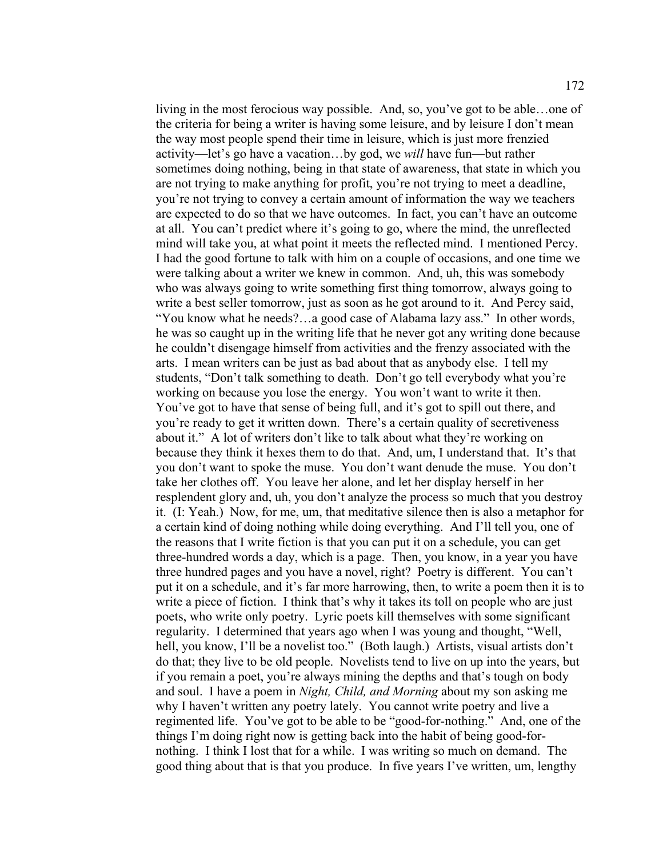living in the most ferocious way possible. And, so, you've got to be able…one of the criteria for being a writer is having some leisure, and by leisure I don't mean the way most people spend their time in leisure, which is just more frenzied activity—let's go have a vacation…by god, we *will* have fun—but rather sometimes doing nothing, being in that state of awareness, that state in which you are not trying to make anything for profit, you're not trying to meet a deadline, you're not trying to convey a certain amount of information the way we teachers are expected to do so that we have outcomes. In fact, you can't have an outcome at all. You can't predict where it's going to go, where the mind, the unreflected mind will take you, at what point it meets the reflected mind. I mentioned Percy. I had the good fortune to talk with him on a couple of occasions, and one time we were talking about a writer we knew in common. And, uh, this was somebody who was always going to write something first thing tomorrow, always going to write a best seller tomorrow, just as soon as he got around to it. And Percy said, "You know what he needs?…a good case of Alabama lazy ass." In other words, he was so caught up in the writing life that he never got any writing done because he couldn't disengage himself from activities and the frenzy associated with the arts. I mean writers can be just as bad about that as anybody else. I tell my students, "Don't talk something to death. Don't go tell everybody what you're working on because you lose the energy. You won't want to write it then. You've got to have that sense of being full, and it's got to spill out there, and you're ready to get it written down. There's a certain quality of secretiveness about it." A lot of writers don't like to talk about what they're working on because they think it hexes them to do that. And, um, I understand that. It's that you don't want to spoke the muse. You don't want denude the muse. You don't take her clothes off. You leave her alone, and let her display herself in her resplendent glory and, uh, you don't analyze the process so much that you destroy it. (I: Yeah.) Now, for me, um, that meditative silence then is also a metaphor for a certain kind of doing nothing while doing everything. And I'll tell you, one of the reasons that I write fiction is that you can put it on a schedule, you can get three-hundred words a day, which is a page. Then, you know, in a year you have three hundred pages and you have a novel, right? Poetry is different. You can't put it on a schedule, and it's far more harrowing, then, to write a poem then it is to write a piece of fiction. I think that's why it takes its toll on people who are just poets, who write only poetry. Lyric poets kill themselves with some significant regularity. I determined that years ago when I was young and thought, "Well, hell, you know, I'll be a novelist too." (Both laugh.) Artists, visual artists don't do that; they live to be old people. Novelists tend to live on up into the years, but if you remain a poet, you're always mining the depths and that's tough on body and soul. I have a poem in *Night, Child, and Morning* about my son asking me why I haven't written any poetry lately. You cannot write poetry and live a regimented life. You've got to be able to be "good-for-nothing." And, one of the things I'm doing right now is getting back into the habit of being good-fornothing. I think I lost that for a while. I was writing so much on demand. The good thing about that is that you produce. In five years I've written, um, lengthy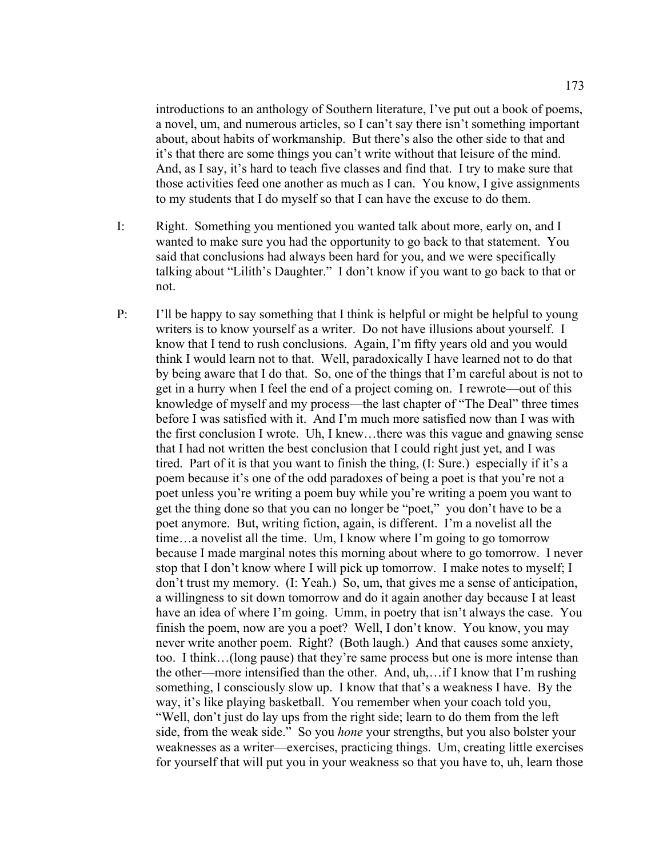introductions to an anthology of Southern literature, I've put out a book of poems, a novel, um, and numerous articles, so I can't say there isn't something important about, about habits of workmanship. But there's also the other side to that and it's that there are some things you can't write without that leisure of the mind. And, as I say, it's hard to teach five classes and find that. I try to make sure that those activities feed one another as much as I can. You know, I give assignments to my students that I do myself so that I can have the excuse to do them.

- I: Right. Something you mentioned you wanted talk about more, early on, and I wanted to make sure you had the opportunity to go back to that statement. You said that conclusions had always been hard for you, and we were specifically talking about "Lilith's Daughter." I don't know if you want to go back to that or not.
- P: I'll be happy to say something that I think is helpful or might be helpful to young writers is to know yourself as a writer. Do not have illusions about yourself. I know that I tend to rush conclusions. Again, I'm fifty years old and you would think I would learn not to that. Well, paradoxically I have learned not to do that by being aware that I do that. So, one of the things that I'm careful about is not to get in a hurry when I feel the end of a project coming on. I rewrote—out of this knowledge of myself and my process—the last chapter of "The Deal" three times before I was satisfied with it. And I'm much more satisfied now than I was with the first conclusion I wrote. Uh, I knew…there was this vague and gnawing sense that I had not written the best conclusion that I could right just yet, and I was tired. Part of it is that you want to finish the thing, (I: Sure.) especially if it's a poem because it's one of the odd paradoxes of being a poet is that you're not a poet unless you're writing a poem buy while you're writing a poem you want to get the thing done so that you can no longer be "poet," you don't have to be a poet anymore. But, writing fiction, again, is different. I'm a novelist all the time…a novelist all the time. Um, I know where I'm going to go tomorrow because I made marginal notes this morning about where to go tomorrow. I never stop that I don't know where I will pick up tomorrow. I make notes to myself; I don't trust my memory. (I: Yeah.) So, um, that gives me a sense of anticipation, a willingness to sit down tomorrow and do it again another day because I at least have an idea of where I'm going. Umm, in poetry that isn't always the case. You finish the poem, now are you a poet? Well, I don't know. You know, you may never write another poem. Right? (Both laugh.) And that causes some anxiety, too. I think…(long pause) that they're same process but one is more intense than the other—more intensified than the other. And, uh,…if I know that I'm rushing something, I consciously slow up. I know that that's a weakness I have. By the way, it's like playing basketball. You remember when your coach told you, "Well, don't just do lay ups from the right side; learn to do them from the left side, from the weak side." So you *hone* your strengths, but you also bolster your weaknesses as a writer—exercises, practicing things. Um, creating little exercises for yourself that will put you in your weakness so that you have to, uh, learn those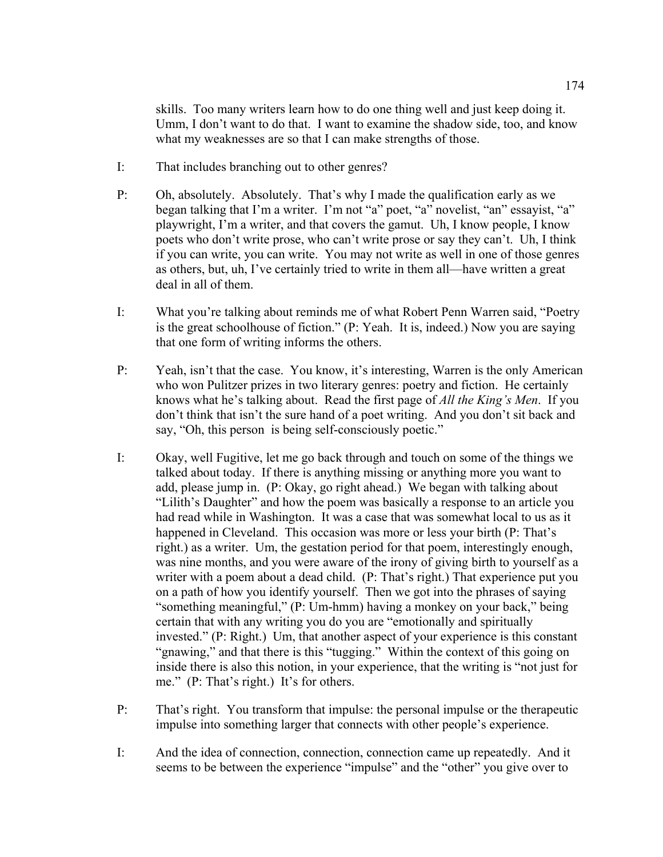skills. Too many writers learn how to do one thing well and just keep doing it. Umm, I don't want to do that. I want to examine the shadow side, too, and know what my weaknesses are so that I can make strengths of those.

- I: That includes branching out to other genres?
- P: Oh, absolutely. Absolutely. That's why I made the qualification early as we began talking that I'm a writer. I'm not "a" poet, "a" novelist, "an" essayist, "a" playwright, I'm a writer, and that covers the gamut. Uh, I know people, I know poets who don't write prose, who can't write prose or say they can't. Uh, I think if you can write, you can write. You may not write as well in one of those genres as others, but, uh, I've certainly tried to write in them all—have written a great deal in all of them.
- I: What you're talking about reminds me of what Robert Penn Warren said, "Poetry is the great schoolhouse of fiction." (P: Yeah. It is, indeed.) Now you are saying that one form of writing informs the others.
- P: Yeah, isn't that the case. You know, it's interesting, Warren is the only American who won Pulitzer prizes in two literary genres: poetry and fiction. He certainly knows what he's talking about. Read the first page of *All the King's Men*. If you don't think that isn't the sure hand of a poet writing. And you don't sit back and say, "Oh, this person is being self-consciously poetic."
- I: Okay, well Fugitive, let me go back through and touch on some of the things we talked about today. If there is anything missing or anything more you want to add, please jump in. (P: Okay, go right ahead.) We began with talking about "Lilith's Daughter" and how the poem was basically a response to an article you had read while in Washington. It was a case that was somewhat local to us as it happened in Cleveland. This occasion was more or less your birth (P: That's right.) as a writer. Um, the gestation period for that poem, interestingly enough, was nine months, and you were aware of the irony of giving birth to yourself as a writer with a poem about a dead child. (P: That's right.) That experience put you on a path of how you identify yourself. Then we got into the phrases of saying "something meaningful," (P: Um-hmm) having a monkey on your back," being certain that with any writing you do you are "emotionally and spiritually invested." (P: Right.) Um, that another aspect of your experience is this constant "gnawing," and that there is this "tugging." Within the context of this going on inside there is also this notion, in your experience, that the writing is "not just for me." (P: That's right.) It's for others.
- P: That's right. You transform that impulse: the personal impulse or the therapeutic impulse into something larger that connects with other people's experience.
- I: And the idea of connection, connection, connection came up repeatedly. And it seems to be between the experience "impulse" and the "other" you give over to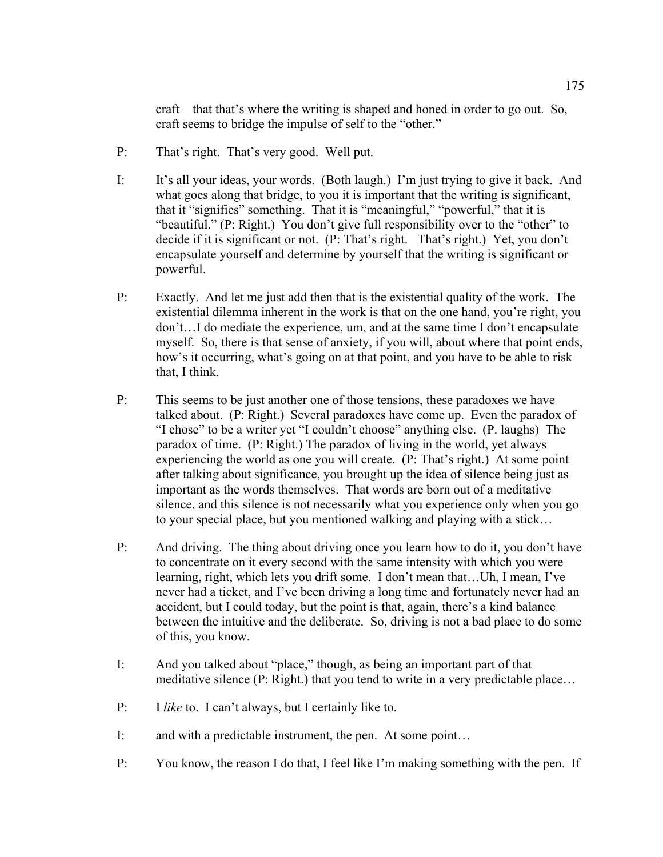craft—that that's where the writing is shaped and honed in order to go out. So, craft seems to bridge the impulse of self to the "other."

- P: That's right. That's very good. Well put.
- I: It's all your ideas, your words. (Both laugh.) I'm just trying to give it back. And what goes along that bridge, to you it is important that the writing is significant, that it "signifies" something. That it is "meaningful," "powerful," that it is "beautiful." (P: Right.) You don't give full responsibility over to the "other" to decide if it is significant or not. (P: That's right. That's right.) Yet, you don't encapsulate yourself and determine by yourself that the writing is significant or powerful.
- P: Exactly. And let me just add then that is the existential quality of the work. The existential dilemma inherent in the work is that on the one hand, you're right, you don't…I do mediate the experience, um, and at the same time I don't encapsulate myself. So, there is that sense of anxiety, if you will, about where that point ends, how's it occurring, what's going on at that point, and you have to be able to risk that, I think.
- P: This seems to be just another one of those tensions, these paradoxes we have talked about. (P: Right.) Several paradoxes have come up. Even the paradox of "I chose" to be a writer yet "I couldn't choose" anything else. (P. laughs) The paradox of time. (P: Right.) The paradox of living in the world, yet always experiencing the world as one you will create. (P: That's right.) At some point after talking about significance, you brought up the idea of silence being just as important as the words themselves. That words are born out of a meditative silence, and this silence is not necessarily what you experience only when you go to your special place, but you mentioned walking and playing with a stick…
- P: And driving. The thing about driving once you learn how to do it, you don't have to concentrate on it every second with the same intensity with which you were learning, right, which lets you drift some. I don't mean that…Uh, I mean, I've never had a ticket, and I've been driving a long time and fortunately never had an accident, but I could today, but the point is that, again, there's a kind balance between the intuitive and the deliberate. So, driving is not a bad place to do some of this, you know.
- I: And you talked about "place," though, as being an important part of that meditative silence (P: Right.) that you tend to write in a very predictable place…
- P: I *like* to. I can't always, but I certainly like to.
- I: and with a predictable instrument, the pen. At some point…
- P: You know, the reason I do that, I feel like I'm making something with the pen. If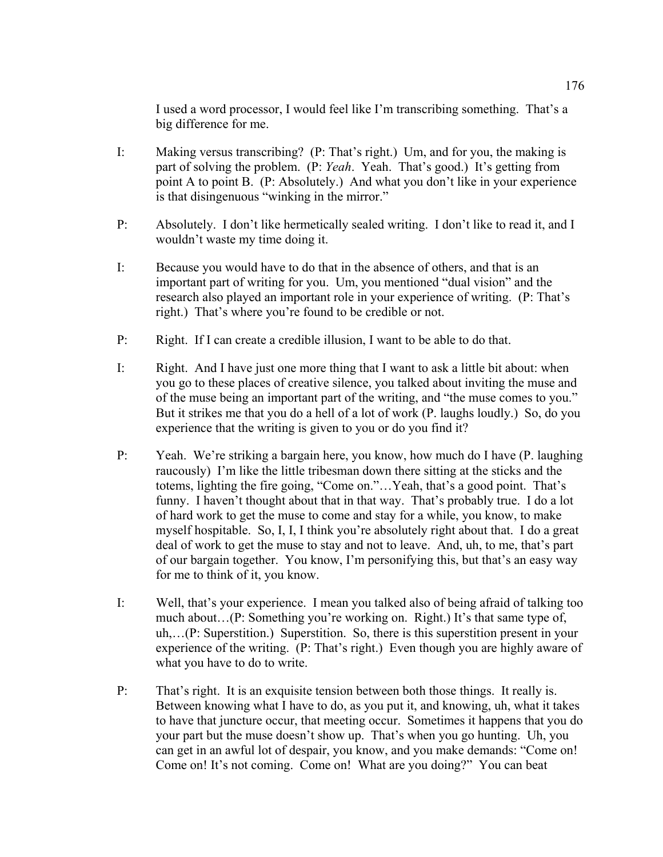I used a word processor, I would feel like I'm transcribing something. That's a big difference for me.

- I: Making versus transcribing? (P: That's right.) Um, and for you, the making is part of solving the problem. (P: *Yeah*. Yeah. That's good.) It's getting from point A to point B. (P: Absolutely.) And what you don't like in your experience is that disingenuous "winking in the mirror."
- P: Absolutely. I don't like hermetically sealed writing. I don't like to read it, and I wouldn't waste my time doing it.
- I: Because you would have to do that in the absence of others, and that is an important part of writing for you. Um, you mentioned "dual vision" and the research also played an important role in your experience of writing. (P: That's right.) That's where you're found to be credible or not.
- P: Right. If I can create a credible illusion, I want to be able to do that.
- I: Right. And I have just one more thing that I want to ask a little bit about: when you go to these places of creative silence, you talked about inviting the muse and of the muse being an important part of the writing, and "the muse comes to you." But it strikes me that you do a hell of a lot of work (P. laughs loudly.) So, do you experience that the writing is given to you or do you find it?
- P: Yeah. We're striking a bargain here, you know, how much do I have (P. laughing raucously) I'm like the little tribesman down there sitting at the sticks and the totems, lighting the fire going, "Come on."…Yeah, that's a good point. That's funny. I haven't thought about that in that way. That's probably true. I do a lot of hard work to get the muse to come and stay for a while, you know, to make myself hospitable. So, I, I, I think you're absolutely right about that. I do a great deal of work to get the muse to stay and not to leave. And, uh, to me, that's part of our bargain together. You know, I'm personifying this, but that's an easy way for me to think of it, you know.
- I: Well, that's your experience. I mean you talked also of being afraid of talking too much about…(P: Something you're working on. Right.) It's that same type of, uh,…(P: Superstition.) Superstition. So, there is this superstition present in your experience of the writing. (P: That's right.) Even though you are highly aware of what you have to do to write.
- P: That's right. It is an exquisite tension between both those things. It really is. Between knowing what I have to do, as you put it, and knowing, uh, what it takes to have that juncture occur, that meeting occur. Sometimes it happens that you do your part but the muse doesn't show up. That's when you go hunting. Uh, you can get in an awful lot of despair, you know, and you make demands: "Come on! Come on! It's not coming. Come on! What are you doing?" You can beat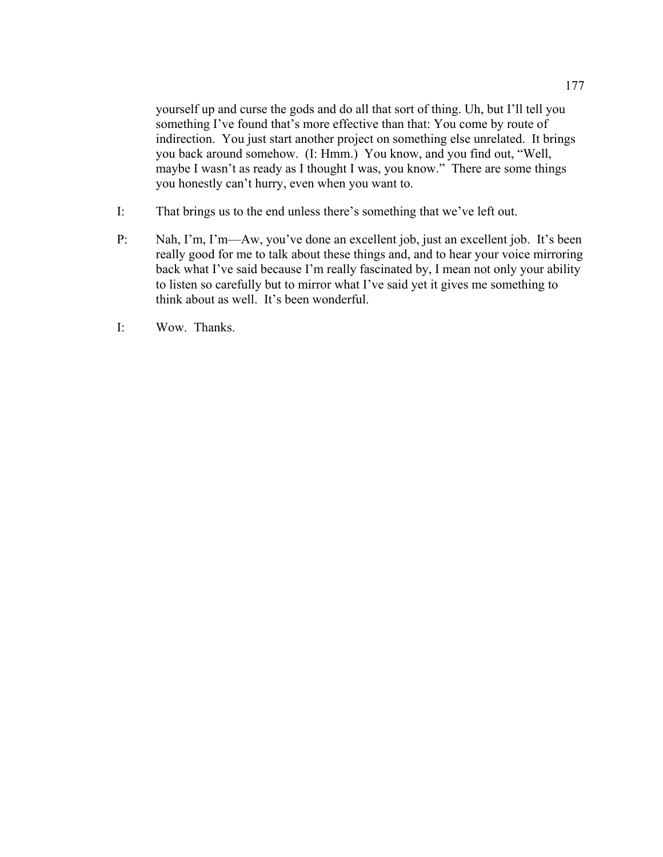yourself up and curse the gods and do all that sort of thing. Uh, but I'll tell you something I've found that's more effective than that: You come by route of indirection. You just start another project on something else unrelated. It brings you back around somehow. (I: Hmm.) You know, and you find out, "Well, maybe I wasn't as ready as I thought I was, you know." There are some things you honestly can't hurry, even when you want to.

- I: That brings us to the end unless there's something that we've left out.
- P: Nah, I'm, I'm—Aw, you've done an excellent job, just an excellent job. It's been really good for me to talk about these things and, and to hear your voice mirroring back what I've said because I'm really fascinated by, I mean not only your ability to listen so carefully but to mirror what I've said yet it gives me something to think about as well. It's been wonderful.
- I: Wow. Thanks.